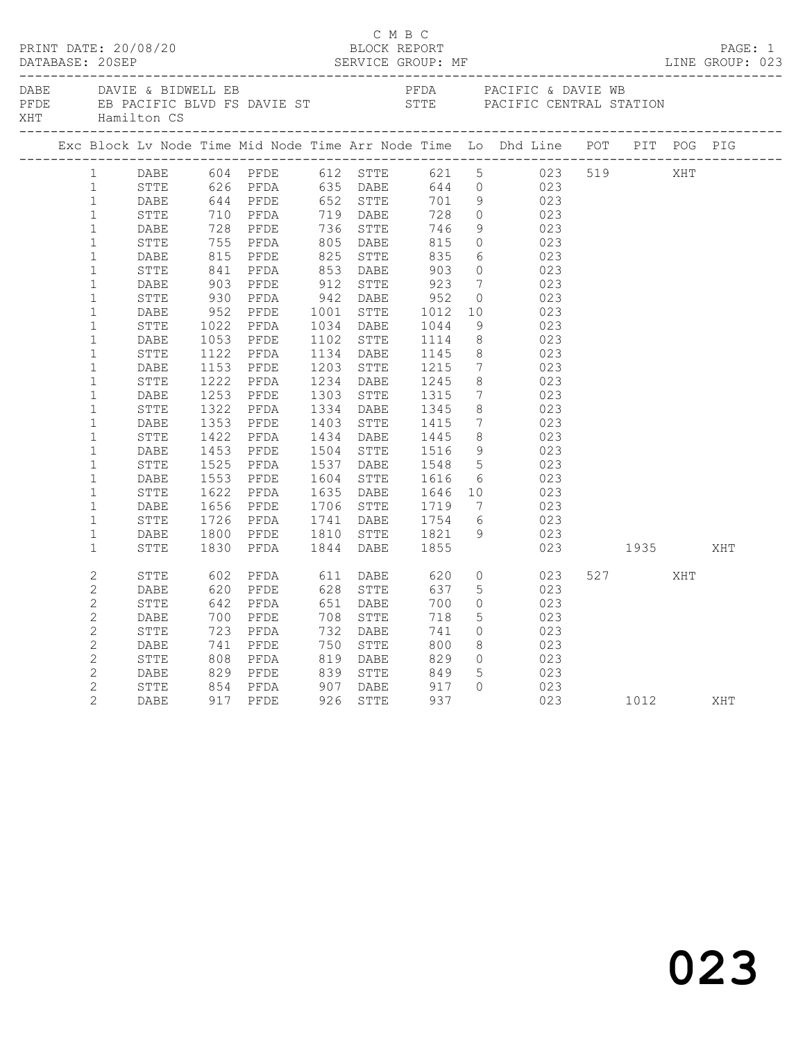|                       |              |                                                           | C M B C              |                                  |                 | PRINT DATE: 20/08/20<br>BLOCK REPORT BLOCK PERE TRESSER SERVICE GROUP: MF DATABASE: 20SEP SERVICE GROUP: MF LINE GROUP: 023                                                                                                                                                                                                       |         | PAGE: 1<br>LINE GROUP: 023 |
|-----------------------|--------------|-----------------------------------------------------------|----------------------|----------------------------------|-----------------|-----------------------------------------------------------------------------------------------------------------------------------------------------------------------------------------------------------------------------------------------------------------------------------------------------------------------------------|---------|----------------------------|
|                       |              |                                                           |                      |                                  |                 |                                                                                                                                                                                                                                                                                                                                   |         |                            |
|                       |              |                                                           |                      |                                  |                 | Exc Block Lv Node Time Mid Node Time Arr Node Time Lo Dhd Line POT PIT POG PIG                                                                                                                                                                                                                                                    |         |                            |
|                       |              |                                                           |                      |                                  |                 | 1 DABE 604 PFDE 612 STTE 621 5 023 519 XHT<br>1 STTE 626 PFDA 635 DABE 644 0 023<br>1 DABE 644 PFDE 652 STTE 701 9 023                                                                                                                                                                                                            |         |                            |
|                       |              |                                                           |                      |                                  |                 |                                                                                                                                                                                                                                                                                                                                   |         |                            |
|                       |              |                                                           |                      |                                  |                 |                                                                                                                                                                                                                                                                                                                                   |         |                            |
| 1                     |              |                                                           |                      |                                  |                 | $\begin{tabular}{cccc} 644 & PFDE & 652 & STTE & 701 & 9 & 023 \\ 710 & PFDA & 719 & DABE & 728 & 0 & 023 \\ 728 & PFDE & 736 & STTE & 746 & 9 & 023 \\ 755 & PFDA & 805 & DABE & 815 & 0 & 023 \\ 815 & PFDE & 825 & STTE & 835 & 6 & 023 \\ 841 & PFDA & 853 & DABE & 903 & 0 & 023 \\ 903 & PFDE & 912 & STTE & 923 & 7 & 023$ |         |                            |
| $\mathbf{1}$          | STTE<br>DABE |                                                           |                      |                                  |                 |                                                                                                                                                                                                                                                                                                                                   |         |                            |
| $\mathbf{1}$          | STTE         |                                                           |                      |                                  |                 |                                                                                                                                                                                                                                                                                                                                   |         |                            |
| $\mathbf{1}$          | DABE         |                                                           |                      |                                  |                 |                                                                                                                                                                                                                                                                                                                                   |         |                            |
| $\mathbf{1}$          | STTE         |                                                           |                      |                                  |                 |                                                                                                                                                                                                                                                                                                                                   |         |                            |
| $\mathbf{1}$          | DABE         |                                                           |                      |                                  |                 |                                                                                                                                                                                                                                                                                                                                   |         |                            |
| $\mathbf{1}$          | STTE         |                                                           |                      |                                  |                 |                                                                                                                                                                                                                                                                                                                                   |         |                            |
| $\mathbf{1}$          | DABE         |                                                           |                      |                                  |                 |                                                                                                                                                                                                                                                                                                                                   |         |                            |
| $\mathbf{1}$          | STTE         |                                                           |                      |                                  |                 |                                                                                                                                                                                                                                                                                                                                   |         |                            |
| $\mathbf{1}$          | DABE         |                                                           |                      |                                  |                 |                                                                                                                                                                                                                                                                                                                                   |         |                            |
| $\mathbf{1}$          | STTE         |                                                           |                      |                                  |                 |                                                                                                                                                                                                                                                                                                                                   |         |                            |
| $\mathbf{1}$          | DABE         |                                                           |                      |                                  |                 |                                                                                                                                                                                                                                                                                                                                   |         |                            |
| $\mathbf{1}$          | STTE         |                                                           |                      |                                  |                 |                                                                                                                                                                                                                                                                                                                                   |         |                            |
| $\mathbf{1}$          | DABE         |                                                           |                      |                                  | $7\overline{ }$ | 023                                                                                                                                                                                                                                                                                                                               |         |                            |
| $\mathbf{1}$          | STTE         | 1253 PFDE 1303 STTE 1315<br>1322 PFDA 1334 DABE 1345      |                      |                                  | 8 <sup>8</sup>  | $\begin{array}{c} 023 \end{array}$                                                                                                                                                                                                                                                                                                |         |                            |
| $\mathbf{1}$          | DABE         |                                                           |                      |                                  | $7\overline{ }$ | 023                                                                                                                                                                                                                                                                                                                               |         |                            |
| $\mathbf{1}$          | STTE         | 1353 PFDE<br>1422 PFDA                                    |                      | 1403 STTE 1415<br>1434 DABE 1445 | 8 <sup>8</sup>  | $\begin{array}{c} 023 \\ 023 \end{array}$                                                                                                                                                                                                                                                                                         |         |                            |
| $\mathbf{1}$          | DABE         |                                                           |                      |                                  | 9               | 023                                                                                                                                                                                                                                                                                                                               |         |                            |
| $\mathbf{1}$          | STTE         | 1453 PFDE<br>1525 PFDA                                    |                      | 1504 STTE 1516<br>1537 DABE 1548 |                 | 5023                                                                                                                                                                                                                                                                                                                              |         |                            |
| $\mathbf{1}$          | DABE         |                                                           |                      |                                  |                 |                                                                                                                                                                                                                                                                                                                                   |         |                            |
| $\mathbf{1}$          | STTE         |                                                           |                      |                                  |                 |                                                                                                                                                                                                                                                                                                                                   |         |                            |
| $\mathbf{1}$          | DABE         |                                                           |                      |                                  |                 |                                                                                                                                                                                                                                                                                                                                   |         |                            |
| $\mathbf{1}$          | STTE         |                                                           |                      |                                  |                 |                                                                                                                                                                                                                                                                                                                                   |         |                            |
| $\mathbf{1}$          | DABE         |                                                           |                      |                                  |                 |                                                                                                                                                                                                                                                                                                                                   |         |                            |
| $\mathbf{1}$          | STTE         |                                                           |                      |                                  |                 | 1553 PFDE 1604 STTE 1616 6 023<br>1622 PFDA 1635 DABE 1646 10 023<br>1656 PFDE 1706 STTE 1719 7 023<br>1726 PFDA 1741 DABE 1754 6 023<br>1800 PFDE 1810 STTE 1821 9 023<br>1830 PFDA 1844 DABE 1855 023<br>023 1935                                                                                                               |         | XHT                        |
| $\overline{c}$        | STTE         | 602 PFDA 611 DABE 620                                     |                      |                                  |                 | $0 \t 023$                                                                                                                                                                                                                                                                                                                        | 527 XHT |                            |
| $\mathbf{2}$          | DABE         | 620 PFDE       628   STTE<br>642   PFDA        651   DABE |                      | 637                              |                 | $\frac{5}{2}$ $\frac{1}{2}$ $\frac{0}{2}$                                                                                                                                                                                                                                                                                         |         |                            |
| $\mathbf{2}$          | STTE         |                                                           |                      | 700                              | $\overline{0}$  |                                                                                                                                                                                                                                                                                                                                   |         |                            |
| $\mathbf{2}$          | DABE         |                                                           |                      | 718                              |                 |                                                                                                                                                                                                                                                                                                                                   |         |                            |
| $\mathbf{2}$          | STTE         | 700 PFDE<br>723 PFDA<br>741 PFDE<br>808 PFDA              | 708 STTE<br>732 DABE | 741                              |                 | $\begin{array}{ccc} 5 & 023 \\ 0 & 023 \end{array}$                                                                                                                                                                                                                                                                               |         |                            |
| 2                     | DABE         | PFDE 750 STTE<br>PFDA 819 DABE                            |                      | 800                              |                 |                                                                                                                                                                                                                                                                                                                                   |         |                            |
| $\overline{2}$        | ${\tt STTE}$ |                                                           |                      | 829                              |                 | 8 023<br>0 023                                                                                                                                                                                                                                                                                                                    |         |                            |
| $\overline{2}$        | DABE         |                                                           |                      |                                  | 5 <sup>5</sup>  | 023                                                                                                                                                                                                                                                                                                                               |         |                            |
| $\overline{c}$        | STTE         |                                                           |                      |                                  |                 | 023                                                                                                                                                                                                                                                                                                                               |         |                            |
| $\mathbf{2}^{\prime}$ | DABE         | 917 PFDE 926 STTE 937                                     |                      |                                  |                 | 023 1012 XHT                                                                                                                                                                                                                                                                                                                      |         |                            |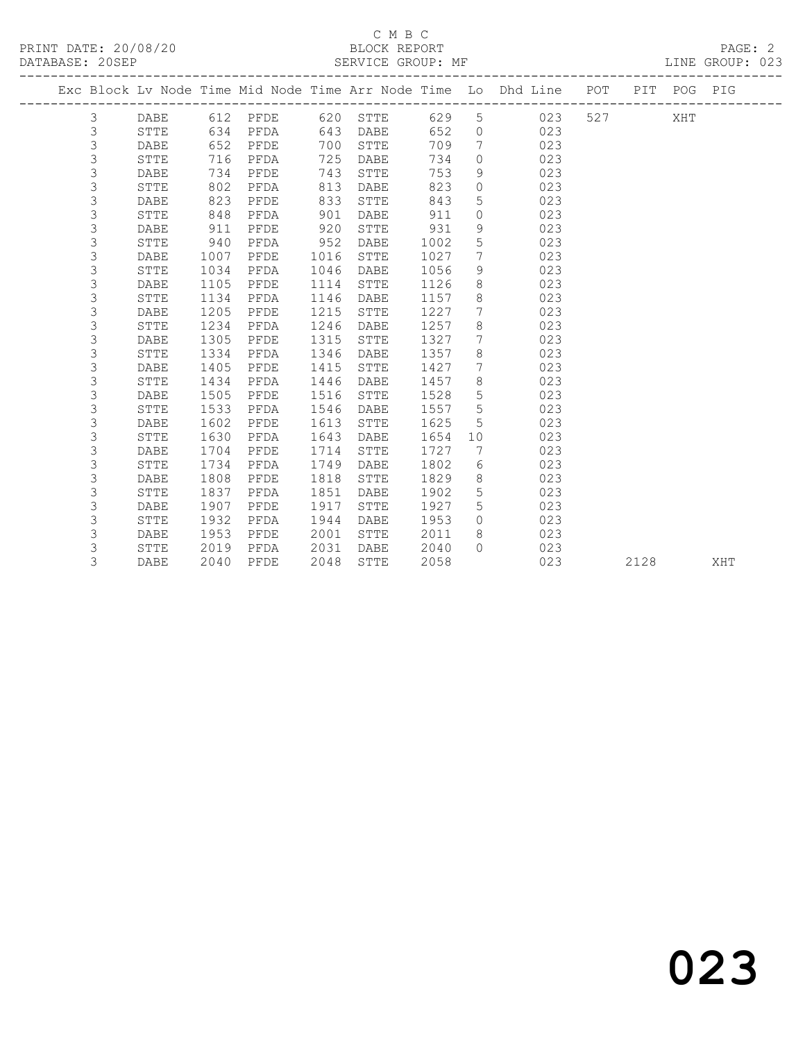#### C M B C<br>BLOCK REPORT SERVICE GROUP: MF

|                |             |      |          |      |              |      |                 | Exc Block Lv Node Time Mid Node Time Arr Node Time Lo Dhd Line POT |     |      | PIT POG PIG |     |
|----------------|-------------|------|----------|------|--------------|------|-----------------|--------------------------------------------------------------------|-----|------|-------------|-----|
| 3              | DABE        |      | 612 PFDE | 620  | STTE         | 629  | $5\overline{)}$ | 023                                                                | 527 |      | XHT         |     |
| $\mathfrak{Z}$ | STTE        | 634  | PFDA     | 643  | DABE         | 652  | $\circ$         | 023                                                                |     |      |             |     |
| 3              | DABE        | 652  | PFDE     | 700  | STTE         | 709  | $7\phantom{.0}$ | 023                                                                |     |      |             |     |
| 3              | STTE        | 716  | PFDA     | 725  | DABE         | 734  | $\circ$         | 023                                                                |     |      |             |     |
| 3              | DABE        | 734  | PFDE     | 743  | STTE         | 753  | 9               | 023                                                                |     |      |             |     |
| 3              | STTE        | 802  | PFDA     | 813  | DABE         | 823  | $\circ$         | 023                                                                |     |      |             |     |
| 3              | DABE        | 823  | PFDE     | 833  | ${\tt STTE}$ | 843  | 5               | 023                                                                |     |      |             |     |
| 3              | STTE        | 848  | PFDA     | 901  | DABE         | 911  | $\circ$         | 023                                                                |     |      |             |     |
| 3              | DABE        | 911  | PFDE     | 920  | STTE         | 931  | 9               | 023                                                                |     |      |             |     |
| 3              | STTE        | 940  | PFDA     | 952  | DABE         | 1002 | 5               | 023                                                                |     |      |             |     |
| 3              | <b>DABE</b> | 1007 | PFDE     | 1016 | STTE         | 1027 | 7               | 023                                                                |     |      |             |     |
| 3              | STTE        | 1034 | PFDA     | 1046 | DABE         | 1056 | 9               | 023                                                                |     |      |             |     |
| 3              | DABE        | 1105 | PFDE     | 1114 | STTE         | 1126 | 8               | 023                                                                |     |      |             |     |
| 3              | STTE        | 1134 | PFDA     | 1146 | DABE         | 1157 | 8               | 023                                                                |     |      |             |     |
| 3              | DABE        | 1205 | PFDE     | 1215 | STTE         | 1227 | $7\phantom{.0}$ | 023                                                                |     |      |             |     |
| 3              | STTE        | 1234 | PFDA     | 1246 | DABE         | 1257 | 8               | 023                                                                |     |      |             |     |
| 3              | DABE        | 1305 | PFDE     | 1315 | STTE         | 1327 | $7\phantom{.0}$ | 023                                                                |     |      |             |     |
| 3              | <b>STTE</b> | 1334 | PFDA     | 1346 | DABE         | 1357 | 8               | 023                                                                |     |      |             |     |
| 3              | DABE        | 1405 | PFDE     | 1415 | STTE         | 1427 | 7               | 023                                                                |     |      |             |     |
| 3              | STTE        | 1434 | PFDA     | 1446 | DABE         | 1457 | 8               | 023                                                                |     |      |             |     |
| 3              | DABE        | 1505 | PFDE     | 1516 | STTE         | 1528 | $5\phantom{.0}$ | 023                                                                |     |      |             |     |
| 3              | STTE        | 1533 | PFDA     | 1546 | DABE         | 1557 | $5\phantom{.0}$ | 023                                                                |     |      |             |     |
| 3              | <b>DABE</b> | 1602 | PFDE     | 1613 | STTE         | 1625 | 5               | 023                                                                |     |      |             |     |
| 3              | STTE        | 1630 | PFDA     | 1643 | DABE         | 1654 | 10              | 023                                                                |     |      |             |     |
| 3              | DABE        | 1704 | PFDE     | 1714 | STTE         | 1727 | 7               | 023                                                                |     |      |             |     |
| 3              | STTE        | 1734 | PFDA     | 1749 | DABE         | 1802 | 6               | 023                                                                |     |      |             |     |
| 3              | DABE        | 1808 | PFDE     | 1818 | STTE         | 1829 | 8               | 023                                                                |     |      |             |     |
| 3              | STTE        | 1837 | PFDA     | 1851 | DABE         | 1902 | 5               | 023                                                                |     |      |             |     |
| 3              | DABE        | 1907 | PFDE     | 1917 | STTE         | 1927 | 5               | 023                                                                |     |      |             |     |
| 3              | STTE        | 1932 | PFDA     | 1944 | DABE         | 1953 | $\Omega$        | 023                                                                |     |      |             |     |
| 3              | DABE        | 1953 | PFDE     | 2001 | STTE         | 2011 | 8               | 023                                                                |     |      |             |     |
| 3              | STTE        | 2019 | PFDA     | 2031 | DABE         | 2040 | $\bigcap$       | 023                                                                |     |      |             |     |
| 3              | DABE        | 2040 | PFDE     | 2048 | STTE         | 2058 |                 | 023                                                                |     | 2128 |             | XHT |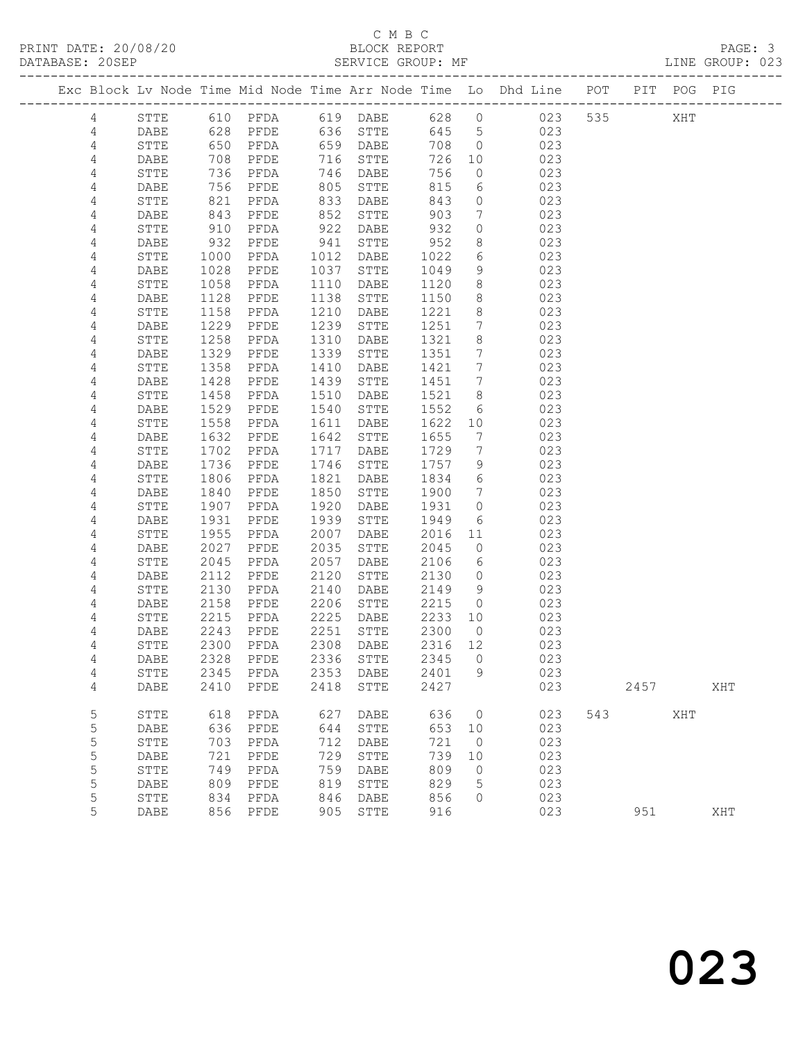## C M B C<br>BLOCK REPORT

LINE GROUP: 023

|                |              |                 |                            |              |              |              |                 | Exc Block Lv Node Time Mid Node Time Arr Node Time Lo Dhd Line POT PIT POG PIG |     |      |     |     |
|----------------|--------------|-----------------|----------------------------|--------------|--------------|--------------|-----------------|--------------------------------------------------------------------------------|-----|------|-----|-----|
| 4              | STTE         |                 | 610 PFDA 619 DABE          |              |              |              |                 | 628 0 023 535                                                                  |     |      | XHT |     |
| 4              | DABE         | 628             | PFDE                       |              | 636 STTE     | 645 5        |                 | 023                                                                            |     |      |     |     |
| $\overline{4}$ | STTE         |                 | PFDA                       |              | 659 DABE     | 708          | $\overline{0}$  | 023                                                                            |     |      |     |     |
| 4              | DABE         | 650<br>708      | PFDE                       |              | 716 STTE     | 726          | 10              | 023                                                                            |     |      |     |     |
| 4              | STTE         | 736             | PFDA                       | 746          | DABE         | 756          | $\overline{0}$  | 023                                                                            |     |      |     |     |
| 4              | DABE         | 756             | PFDE                       | 805          | STTE         | 815          | 6               | 023                                                                            |     |      |     |     |
| $\overline{4}$ | STTE         | 821             | PFDA                       | 833          | DABE         | 843          | $\circ$         | 023                                                                            |     |      |     |     |
| 4              | DABE         | $\frac{1}{843}$ | PFDE                       | 852          | STTE         | 903          | $7\overline{ }$ | 023                                                                            |     |      |     |     |
| 4              | STTE         | 910             | PFDA                       | 922          | DABE         | 932          | $\circ$         | 023                                                                            |     |      |     |     |
| 4              | DABE         | 932             | PFDE                       | 941          | STTE         | 952          | 8               | 023                                                                            |     |      |     |     |
| 4              | STTE         | 1000            | PFDA                       | 1012         | DABE         | 1022         | 6               | 023                                                                            |     |      |     |     |
| 4              | DABE         | 1028            | PFDE                       | 1037         | ${\tt STTE}$ | 1049         | 9               | 023                                                                            |     |      |     |     |
| 4              | STTE         | 1058            | PFDA                       | 1110         | DABE         | 1120         | 8               | 023                                                                            |     |      |     |     |
| 4              | DABE         | 1128            | PFDE                       | 1138         | ${\tt STTE}$ | 1150         | 8               | 023                                                                            |     |      |     |     |
| 4              | STTE         | 1158            | PFDA                       | 1210         | DABE         | 1221         | 8               | 023                                                                            |     |      |     |     |
| 4              | DABE         | 1229            | PFDE                       | 1239         | STTE         | 1251         | $7\overline{ }$ | 023                                                                            |     |      |     |     |
| 4              | STTE         | 1258            | PFDA                       | 1310         | DABE         | 1321         | 8               | 023                                                                            |     |      |     |     |
| 4              | DABE         | 1329            | PFDE                       | 1339         | STTE         | 1351         | $7\phantom{.0}$ | 023                                                                            |     |      |     |     |
| 4              | STTE         | 1358            | PFDA                       | 1410         | DABE         | 1421         | 7               | 023                                                                            |     |      |     |     |
| 4              | DABE         | 1428            | PFDE                       | 1439         | ${\tt STTE}$ | 1451         | $7\overline{ }$ | 023                                                                            |     |      |     |     |
| 4              | STTE         | 1458            | PFDA                       | 1510         | DABE         | 1521         | 8               | 023                                                                            |     |      |     |     |
| 4              | DABE         | 1529            | PFDE                       | 1540         | STTE         | 1552         | - 6             | 023                                                                            |     |      |     |     |
| 4              | STTE         | 1558            | PFDA                       | 1611         | DABE         | 1622         | 10              | 023                                                                            |     |      |     |     |
| 4              | DABE         | 1632            | PFDE                       | 1642         | STTE         | 1655         | $\overline{7}$  | 023                                                                            |     |      |     |     |
| 4              | STTE         | 1702            | PFDA                       | 1717         | DABE         | 1729         | $7\overline{ }$ | 023                                                                            |     |      |     |     |
| 4              | DABE         | 1736            | PFDE                       | 1746         | STTE         | 1757         | 9               | 023                                                                            |     |      |     |     |
| 4              | STTE         | 1806            | PFDA                       | 1821         | DABE         | 1834         | 6               | 023                                                                            |     |      |     |     |
| $\overline{4}$ | DABE         | 1840            | PFDE                       | 1850         | STTE         | 1900         | $\overline{7}$  | 023                                                                            |     |      |     |     |
| 4              | STTE         | 1907            | PFDA                       | 1920         | DABE         | 1931         | $\circ$         | 023                                                                            |     |      |     |     |
| 4              | DABE<br>STTE | 1931<br>1955    | PFDE                       | 1939<br>2007 | STTE         | 1949<br>2016 | 6<br>11         | 023<br>023                                                                     |     |      |     |     |
| 4<br>4         | DABE         | 2027            | PFDA<br>PFDE               | 2035         | DABE<br>STTE | 2045         | $\circ$         | 023                                                                            |     |      |     |     |
| 4              | STTE         | 2045            | PFDA                       | 2057         | DABE         | 2106         | 6               | 023                                                                            |     |      |     |     |
| 4              | DABE         | 2112            | PFDE                       | 2120         | STTE         | 2130         | $\overline{0}$  | 023                                                                            |     |      |     |     |
| 4              | STTE         | 2130            | PFDA                       | 2140         | DABE         | 2149         | - 9             | 023                                                                            |     |      |     |     |
| 4              | DABE         | 2158            | PFDE                       | 2206         | ${\tt STTE}$ | 2215         | $\overline{0}$  | 023                                                                            |     |      |     |     |
| 4              | STTE         | 2215            | PFDA                       | 2225         | DABE         | 2233 10      |                 | 023                                                                            |     |      |     |     |
| 4              | DABE         | 2243            | PFDE                       | 2251         | STTE         | 2300         | $\overline{0}$  | 023                                                                            |     |      |     |     |
| 4              | STTE         | 2300            | PFDA                       | 2308         | DABE         | 2316 12      |                 | 023                                                                            |     |      |     |     |
| 4              | <b>DABE</b>  |                 | 2328 PFDE 2336 STTE 2345 0 |              |              |              |                 | 023                                                                            |     |      |     |     |
| 4              | STTE         | 2345            | PFDA                       | 2353         | DABE         | 2401         | 9               | 023                                                                            |     |      |     |     |
| 4              | DABE         | 2410            | PFDE                       | 2418         | ${\tt STTE}$ | 2427         |                 | 023                                                                            |     | 2457 |     | XHT |
| 5              | STTE         | 618             | PFDA                       | 627          | DABE         | 636          | 0               | 023                                                                            | 543 |      | XHT |     |
| 5              | DABE         | 636             | PFDE                       | 644          | ${\tt STTE}$ | 653          | 10              | 023                                                                            |     |      |     |     |
| 5              | STTE         | 703             | PFDA                       | 712          | DABE         | 721          | $\overline{0}$  | 023                                                                            |     |      |     |     |
| 5              | DABE         | 721             | PFDE                       | 729          | STTE         | 739          | 10              | 023                                                                            |     |      |     |     |
| 5              | STTE         | 749             | PFDA                       | 759          | DABE         | 809          | $\circ$         | 023                                                                            |     |      |     |     |
| 5              | DABE         | 809             | PFDE                       | 819          | STTE         | 829          | 5               | 023                                                                            |     |      |     |     |
| 5              | ${\tt STTE}$ | 834             | PFDA                       | 846          | DABE         | 856          | 0               | 023                                                                            |     |      |     |     |
| 5              | DABE         | 856             | PFDE                       | 905          | ${\tt STTE}$ | 916          |                 | 023                                                                            |     | 951  |     | XHT |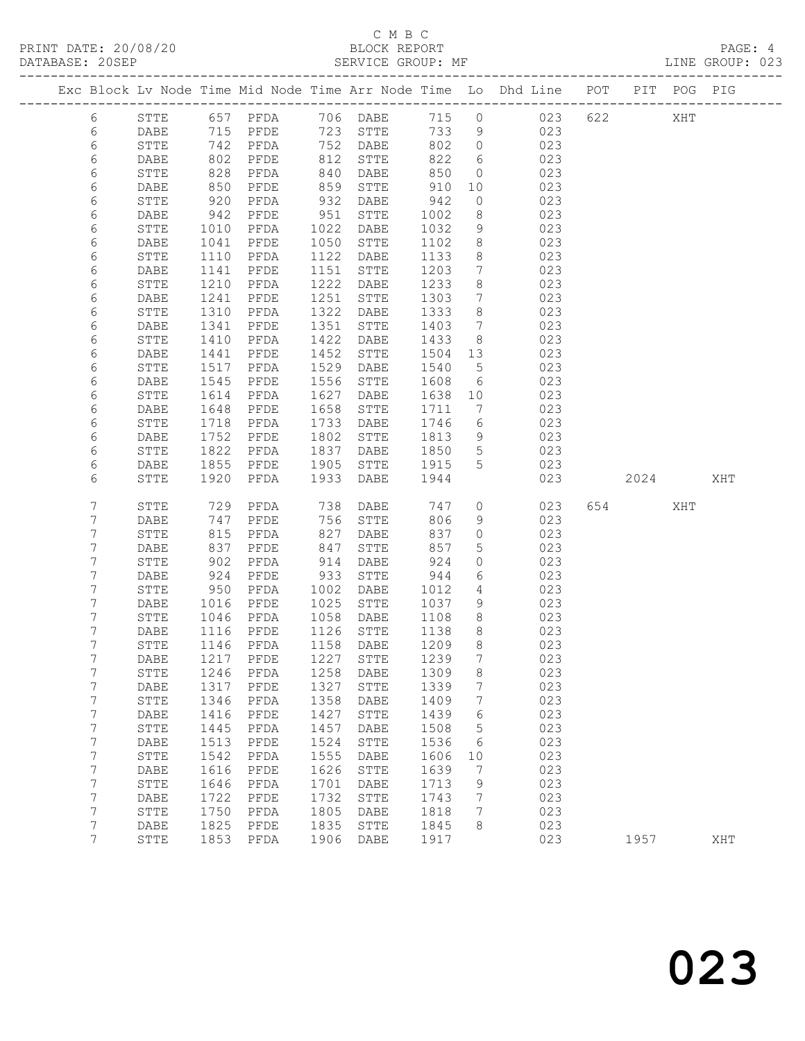## C M B C<br>BLOCK REPORT

LINE GROUP: 023

|                |              |              |                            |              |                        |              |                                  | Exc Block Lv Node Time Mid Node Time Arr Node Time Lo Dhd Line POT |     |         | PIT POG PIG |     |
|----------------|--------------|--------------|----------------------------|--------------|------------------------|--------------|----------------------------------|--------------------------------------------------------------------|-----|---------|-------------|-----|
| 6              | STTE         |              | 657 PFDA                   |              | 706 DABE               | 715 0        |                                  | 023                                                                | 622 |         | XHT         |     |
| 6              | DABE         |              | 715 PFDE<br>742 PFDA       |              | 723 STTE               | 733          | 9                                | 023                                                                |     |         |             |     |
| 6              | STTE         |              |                            |              | 752 DABE               | 802          | $\overline{0}$                   | 023                                                                |     |         |             |     |
| 6              | DABE         | 802          | PFDE                       | 812          | STTE                   | 822          | 6                                | 023                                                                |     |         |             |     |
| 6              | STTE         | 828          | PFDA                       | 840          | DABE                   | 850          | $\overline{0}$                   | 023                                                                |     |         |             |     |
| 6              | DABE         | 850<br>920   | PFDE                       | 859          | STTE                   | 910          | 10                               | 023                                                                |     |         |             |     |
| 6              | STTE         |              | PFDA                       | 932          | DABE                   | 942          | $\circ$                          | 023                                                                |     |         |             |     |
| 6              | DABE         | 942          | PFDE                       | 951          | STTE                   | 1002         | 8                                | 023                                                                |     |         |             |     |
| 6              | STTE         | 1010         | PFDA                       | 1022         | DABE                   | 1032         | 9                                | 023                                                                |     |         |             |     |
| 6<br>6         | DABE<br>STTE | 1041<br>1110 | PFDE<br>PFDA               | 1050<br>1122 | ${\tt STTE}$<br>DABE   | 1102<br>1133 | 8<br>8 <sup>8</sup>              | 023<br>023                                                         |     |         |             |     |
| 6              | DABE         | 1141         | PFDE                       | 1151         | STTE                   | 1203         | $\overline{7}$                   | 023                                                                |     |         |             |     |
| 6              | STTE         | 1210         | PFDA                       | 1222         | DABE                   | 1233         | 8                                | 023                                                                |     |         |             |     |
| 6              | DABE         | 1241         | PFDE                       | 1251         | ${\tt STTE}$           | 1303         | 7                                | 023                                                                |     |         |             |     |
| 6              | STTE         | 1310         | PFDA                       | 1322         | DABE                   | 1333         | 8                                | 023                                                                |     |         |             |     |
| 6              | DABE         | 1341         | PFDE                       | 1351         | STTE                   | 1403         | $\overline{7}$                   | 023                                                                |     |         |             |     |
| 6              | STTE         | 1410         | PFDA                       | 1422         | DABE                   | 1433         | 8                                | 023                                                                |     |         |             |     |
| 6              | DABE         | 1441         | PFDE                       | 1452         | STTE                   | 1504         | 13                               | 023                                                                |     |         |             |     |
| 6              | STTE         | 1517         | PFDA                       | 1529         | DABE                   | 1540         | $5^{\circ}$                      | 023                                                                |     |         |             |     |
| 6              | DABE         | 1545         | PFDE                       | 1556         | STTE                   | 1608         | 6                                | 023                                                                |     |         |             |     |
| 6              | STTE         | 1614         | PFDA                       | 1627         | DABE                   | 1638         | 10                               | 023                                                                |     |         |             |     |
| 6              | DABE         | 1648         | PFDE                       | 1658         | STTE                   | 1711         | 7                                | 023                                                                |     |         |             |     |
| 6              | STTE         | 1718         | PFDA                       | 1733         | DABE                   | 1746         | 6                                | 023                                                                |     |         |             |     |
| 6              | DABE         | 1752         | PFDE                       | 1802         | STTE                   | 1813         | 9                                | 023                                                                |     |         |             |     |
| 6              | STTE         | 1822         | PFDA                       | 1837         | DABE                   | 1850         | $5\overline{)}$                  | 023                                                                |     |         |             |     |
| 6              | DABE         | 1855         | PFDE                       | 1905         | STTE                   | 1915         | 5                                | 023                                                                |     |         |             |     |
| 6              | STTE         | 1920         | PFDA                       | 1933         | DABE                   | 1944         |                                  | 023                                                                |     | 2024    |             | XHT |
| 7              | STTE         | 729          | PFDA                       | 738          | DABE                   | 747          | $\circ$                          | 023                                                                |     | 654 657 | XHT         |     |
| 7              | DABE         | 747          | PFDE                       | 756          | STTE                   | 806          | 9                                | 023                                                                |     |         |             |     |
| 7              | STTE         | 815          | PFDA                       | 827          | DABE                   | 837          | $\circ$                          | 023                                                                |     |         |             |     |
| 7              | DABE         | 837          | PFDE                       | 847          | STTE                   | 857          | $5\phantom{.0}$                  | 023                                                                |     |         |             |     |
| 7              | STTE         | 902          | PFDA                       | 914          | DABE                   | 924          | $\circ$                          | 023                                                                |     |         |             |     |
| 7              | DABE         | 924          | PFDE                       | 933          | STTE                   | 944          | 6                                | 023                                                                |     |         |             |     |
| 7              | STTE         | 950          | PFDA                       | 1002         | DABE                   | 1012         | $4\overline{ }$                  | 023                                                                |     |         |             |     |
| 7              | DABE         | 1016<br>1046 | PFDE                       | 1025         | STTE                   | 1037         | 9                                | 023                                                                |     |         |             |     |
| 7              | STTE         |              | PFDA                       |              | 1058 DABE              | 1108<br>1138 | 8 <sup>8</sup>                   | 023                                                                |     |         |             |     |
| 7<br>7         | DABE<br>STTE | 1116<br>1146 | PFDE<br>PFDA               |              | 1126 STTE<br>1158 DABE | 1209         | 8 <sup>8</sup><br>8 <sup>8</sup> | 023<br>023                                                         |     |         |             |     |
| 7              | DABE         |              | 1217 PFDE 1227 STTE 1239 7 |              |                        |              |                                  | 023                                                                |     |         |             |     |
| 7              | STTE         | 1246         | PFDA                       | 1258         | DABE                   | 1309         | 8                                | 023                                                                |     |         |             |     |
| 7              | DABE         | 1317         | PFDE                       | 1327         | STTE                   | 1339         | 7                                | 023                                                                |     |         |             |     |
| 7              | STTE         | 1346         | PFDA                       | 1358         | DABE                   | 1409         | 7                                | 023                                                                |     |         |             |     |
| 7              | DABE         | 1416         | PFDE                       | 1427         | STTE                   | 1439         | 6                                | 023                                                                |     |         |             |     |
| 7              | ${\tt STTE}$ | 1445         | PFDA                       | 1457         | DABE                   | 1508         | 5                                | 023                                                                |     |         |             |     |
| 7              | <b>DABE</b>  | 1513         | PFDE                       | 1524         | STTE                   | 1536         | 6                                | 023                                                                |     |         |             |     |
| 7              | STTE         | 1542         | PFDA                       | 1555         | DABE                   | 1606         | 10                               | 023                                                                |     |         |             |     |
| 7              | DABE         | 1616         | PFDE                       | 1626         | STTE                   | 1639         | 7                                | 023                                                                |     |         |             |     |
| 7              | ${\tt STTE}$ | 1646         | PFDA                       | 1701         | DABE                   | 1713         | 9                                | 023                                                                |     |         |             |     |
| 7              | DABE         | 1722         | PFDE                       | 1732         | STTE                   | 1743         | 7                                | 023                                                                |     |         |             |     |
| 7              | STTE         | 1750         | PFDA                       | 1805         | DABE                   | 1818         | 7                                | 023                                                                |     |         |             |     |
| 7              | DABE         | 1825         | PFDE                       | 1835         | STTE                   | 1845         | 8                                | 023                                                                |     |         |             |     |
| $\overline{7}$ | STTE         | 1853         | PFDA                       | 1906         | DABE                   | 1917         |                                  | 023                                                                |     | 1957    |             | XHT |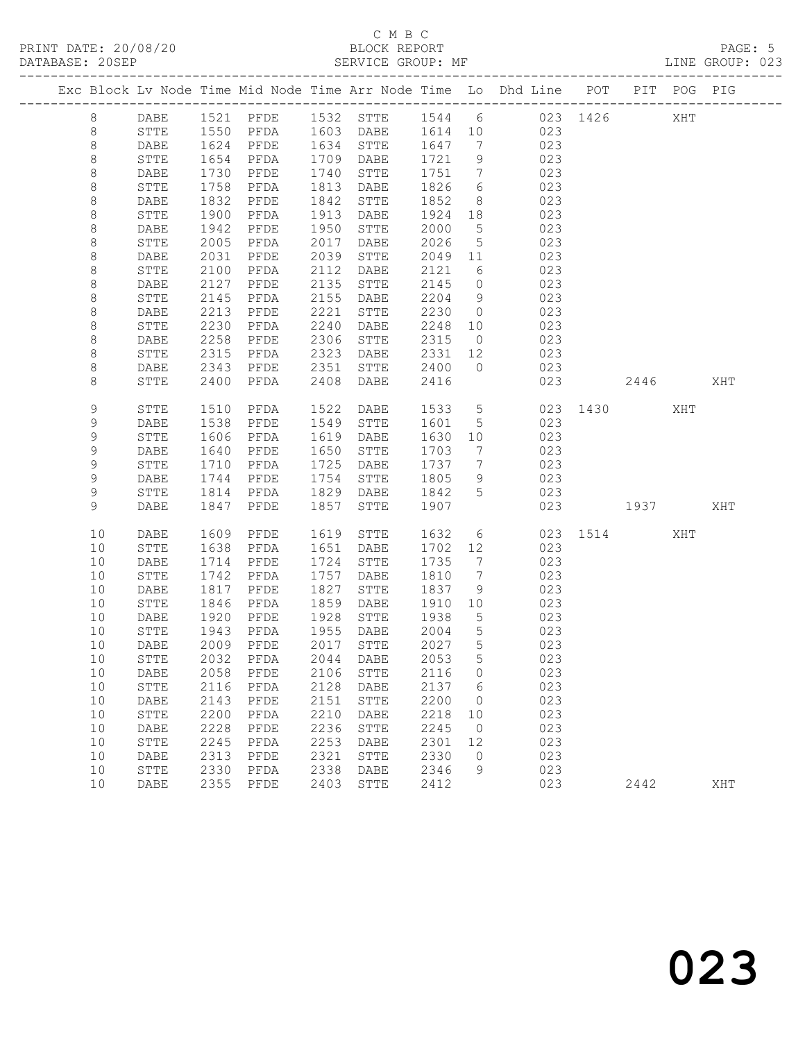## C M B C<br>BLOCK REPORT

LINE GROUP: 023

|         |    |              |              |              |              |                               |                |                 | Exc Block Lv Node Time Mid Node Time Arr Node Time Lo Dhd Line POT                                       |              |      | PIT POG PIG |     |
|---------|----|--------------|--------------|--------------|--------------|-------------------------------|----------------|-----------------|----------------------------------------------------------------------------------------------------------|--------------|------|-------------|-----|
| 8       |    | DABE         |              |              |              |                               |                |                 | 1521 PFDE 1532 STTE 1544 6 023 1426<br>1550 PFDA 1603 DABE 1614 10 023<br>1624 PFDE 1634 STTE 1647 7 023 |              |      | XHT         |     |
| 8       |    | STTE         |              |              |              |                               |                |                 |                                                                                                          |              |      |             |     |
| 8       |    | DABE         |              |              |              |                               | 1647 7         |                 |                                                                                                          |              |      |             |     |
| $\,8\,$ |    | STTE         | 1654         | PFDA         |              | 1709 DABE                     | 1721           | 9               | 023                                                                                                      |              |      |             |     |
| 8       |    | DABE         | 1730         | PFDE         | 1740         | STTE                          | 1751           | $7\overline{ }$ | 023                                                                                                      |              |      |             |     |
| $\,8\,$ |    | STTE         | 1758         | PFDA         | 1813         | DABE                          | 1826           | $6\overline{6}$ | 023                                                                                                      |              |      |             |     |
| 8       |    | DABE         | 1832         | PFDE         | 1842         | STTE                          | 1852           | 8 <sup>8</sup>  | 023                                                                                                      |              |      |             |     |
| 8       |    | STTE         | 1900         | PFDA         | 1913         | DABE                          | 1924           | 18              | 023                                                                                                      |              |      |             |     |
| $\,8\,$ |    | DABE         | 1942         | PFDE         | 1950         | STTE                          | 2000           | $5^{\circ}$     | 023                                                                                                      |              |      |             |     |
| $\,8\,$ |    | STTE         | 2005         | PFDA         | 2017         | DABE                          | 2026           | $5\overline{)}$ | 023                                                                                                      |              |      |             |     |
| 8       |    | DABE         | 2031         | PFDE         | 2039         | STTE                          | 2049 11        |                 | 023                                                                                                      |              |      |             |     |
| 8       |    | STTE         | 2100         | PFDA         | 2112         | DABE                          | 2121           | 6               | 023                                                                                                      |              |      |             |     |
| 8       |    | DABE         | 2127         | PFDE         | 2135         | STTE                          | 2145           | $\overline{0}$  | 023                                                                                                      |              |      |             |     |
| $\,8\,$ |    | STTE         | 2145         | PFDA         | 2155         | DABE                          | 2204           | 9               | 023                                                                                                      |              |      |             |     |
| $\,8\,$ |    | DABE         | 2213         | PFDE         | 2221         | STTE                          | 2230           | $\overline{0}$  | 023                                                                                                      |              |      |             |     |
| 8       |    | STTE         | 2230         | PFDA         | 2240         | DABE                          | 2248           | 10              | 023                                                                                                      |              |      |             |     |
| 8       |    | DABE         | 2258         | PFDE         | 2306         | STTE                          | 2315           | $\overline{0}$  | 023                                                                                                      |              |      |             |     |
| $\,8\,$ |    | STTE         | 2315         | PFDA         | 2323         | DABE                          | 2331 12        |                 | 023                                                                                                      |              |      |             |     |
| 8       |    | DABE         | 2343         | PFDE         | 2351         | STTE                          | 2400 0         |                 | 023                                                                                                      |              |      |             |     |
| 8       |    | STTE         | 2400         | PFDA         | 2408         | DABE                          | 2416           |                 | 023                                                                                                      |              | 2446 |             | XHT |
|         |    |              |              |              |              |                               |                |                 |                                                                                                          |              |      |             |     |
| 9       |    | STTE         | 1510         | PFDA         | 1522         | DABE                          | 1533           | $5\overline{)}$ |                                                                                                          | 023 1430     |      | XHT         |     |
| 9<br>9  |    | DABE         | 1538<br>1606 | PFDE         | 1549<br>1619 | STTE                          | 1601 5         |                 | 023<br>023                                                                                               |              |      |             |     |
| 9       |    | STTE         |              | PFDA         | 1650         | DABE<br>STTE                  | 1630 10        | $\overline{7}$  |                                                                                                          |              |      |             |     |
| 9       |    | DABE<br>STTE | 1640<br>1710 | PFDE<br>PFDA | 1725         | DABE                          | 1703<br>1737 7 |                 | 023<br>023                                                                                               |              |      |             |     |
| 9       |    | DABE         | 1744         | PFDE         | 1754         | STTE                          | 1805           | 9               | 023                                                                                                      |              |      |             |     |
| 9       |    | STTE         | 1814         | PFDA         | 1829         | DABE                          | 1842 5         |                 | 023                                                                                                      |              |      |             |     |
| 9       |    | DABE         | 1847         | PFDE         | 1857         | STTE                          | 1907           |                 |                                                                                                          | 023 1937 XHT |      |             |     |
|         |    |              |              |              |              |                               |                |                 |                                                                                                          |              |      |             |     |
|         | 10 | DABE         | 1609         | PFDE         |              | 1619 STTE                     | 1632           |                 | $6\overline{}$                                                                                           | 023 1514     |      | XHT         |     |
|         | 10 | STTE         | 1638         | PFDA         | 1651         | DABE                          | 1702 12        |                 | 023                                                                                                      |              |      |             |     |
|         | 10 | DABE         | 1714         | PFDE         | 1724         | STTE                          | 1735           | $\overline{7}$  | 023                                                                                                      |              |      |             |     |
|         | 10 | STTE         | 1742         | PFDA         | 1757         | DABE                          | 1810           | $\overline{7}$  | 023                                                                                                      |              |      |             |     |
|         | 10 | DABE         | 1817         | PFDE         | 1827         | STTE                          | 1837           | 9               | 023                                                                                                      |              |      |             |     |
|         | 10 | ${\tt STTE}$ | 1846         | PFDA         | 1859         | DABE                          | 1910 10        |                 | 023                                                                                                      |              |      |             |     |
|         | 10 | DABE         | 1920         | PFDE         |              | 1928 STTE                     | 1938           | $5\overline{)}$ | 023                                                                                                      |              |      |             |     |
|         | 10 | STTE         | 1943         | PFDA         |              | 1955 DABE                     | 2004           | $5\overline{)}$ | 023                                                                                                      |              |      |             |     |
|         | 10 | DABE         | 2009         | PFDE         |              | 2017 STTE                     | 2027 5         |                 | 023                                                                                                      |              |      |             |     |
|         | 10 |              |              |              |              | STTE 2032 PFDA 2044 DABE 2053 |                | 5 <sup>5</sup>  | 023                                                                                                      |              |      |             |     |
|         | 10 | DABE         | 2058         | PFDE         | 2106         | STTE                          | 2116           | $\circ$         | 023                                                                                                      |              |      |             |     |
|         | 10 | ${\tt STTE}$ | 2116         | PFDA         | 2128         | DABE                          | 2137           | 6               | 023                                                                                                      |              |      |             |     |
|         | 10 | DABE         | 2143         | PFDE         | 2151         | STTE                          | 2200           | $\overline{0}$  | 023                                                                                                      |              |      |             |     |
|         | 10 | ${\tt STTE}$ | 2200         | PFDA         | 2210         | DABE                          | 2218           | 10              | 023                                                                                                      |              |      |             |     |
|         | 10 | DABE         | 2228         | PFDE         | 2236         | STTE                          | 2245           | $\overline{0}$  | 023                                                                                                      |              |      |             |     |
|         | 10 | STTE         | 2245         | PFDA         | 2253         | DABE                          | 2301           | 12              | 023                                                                                                      |              |      |             |     |
|         | 10 | DABE         | 2313         | PFDE         | 2321         | STTE                          | 2330           | $\circ$         | 023                                                                                                      |              |      |             |     |
|         | 10 | STTE         | 2330         | PFDA         | 2338         | DABE                          | 2346           | 9               | 023                                                                                                      |              |      |             |     |
|         | 10 | DABE         | 2355         | PFDE         | 2403         | STTE                          | 2412           |                 | 023                                                                                                      |              | 2442 |             | XHT |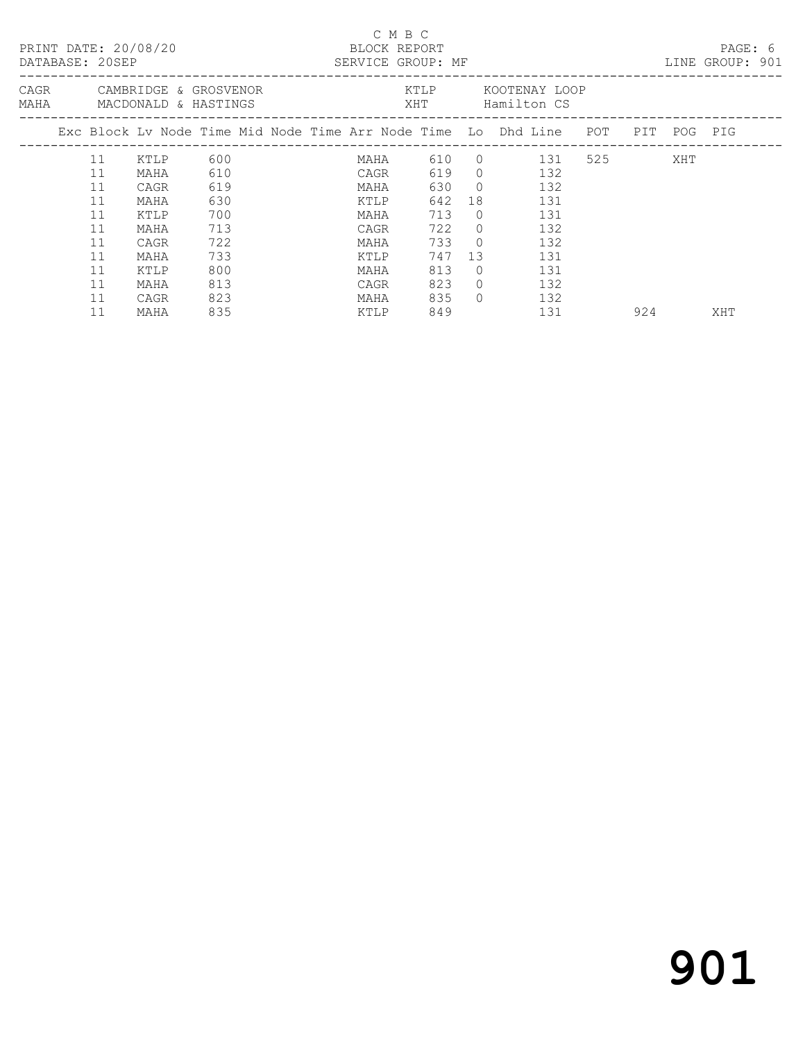|  | DATABASE: 20SEP | PRINT DATE: 20/08/20                                    |     |  | C M B C<br>BLOCK REPORT<br>SERVICE GROUP: MF |       |            |                                                                                                              |  |           | PAGE: 6<br>LINE GROUP: 901 |  |
|--|-----------------|---------------------------------------------------------|-----|--|----------------------------------------------|-------|------------|--------------------------------------------------------------------------------------------------------------|--|-----------|----------------------------|--|
|  |                 | CAGR CAMBRIDGE & GROSVENOR<br>MAHA MACDONALD & HASTINGS |     |  |                                              |       |            | KTLP KOOTENAY LOOP<br>XHT Hamilton CS                                                                        |  |           |                            |  |
|  |                 |                                                         |     |  |                                              |       |            | Exc Block Lv Node Time Mid Node Time Arr Node Time Lo Dhd Line POT PIT POG PIG<br>-------------------------- |  |           |                            |  |
|  | 11              | KTLP                                                    | 600 |  |                                              |       |            | MAHA 610 0 131 525                                                                                           |  | XHT       |                            |  |
|  | 11              | MAHA                                                    | 610 |  | CAGR                                         |       |            | 619 0 132                                                                                                    |  |           |                            |  |
|  | 11              | CAGR                                                    | 619 |  | MAHA                                         | 630 0 |            | 132                                                                                                          |  |           |                            |  |
|  | 11              | MAHA                                                    | 630 |  | KTLP                                         | 642   | 18         | 131                                                                                                          |  |           |                            |  |
|  | 11              | KTLP                                                    | 700 |  | MAHA                                         | 713   | $\bigcirc$ | 131                                                                                                          |  |           |                            |  |
|  | 11              | MAHA                                                    | 713 |  | CAGR                                         | 722 0 |            | 132                                                                                                          |  |           |                            |  |
|  | 11              | CAGR                                                    | 722 |  | MAHA                                         | 733 0 |            | 132                                                                                                          |  |           |                            |  |
|  | 11              | MAHA                                                    | 733 |  | KTLP                                         | 747   | 13         | 131                                                                                                          |  |           |                            |  |
|  | 11              | KTLP                                                    | 800 |  | MAHA                                         | 813   | $\Omega$   | 131                                                                                                          |  |           |                            |  |
|  | 11              | MAHA                                                    | 813 |  | CAGR                                         | 823   | $\Omega$   | 132                                                                                                          |  |           |                            |  |
|  | 11              | CAGR                                                    | 823 |  | MAHA                                         | 835   | $\bigcap$  | 132                                                                                                          |  |           |                            |  |
|  | 11              | MAHA                                                    | 835 |  | KTLP                                         | 849   |            | 131                                                                                                          |  | 924 — 100 | XHT                        |  |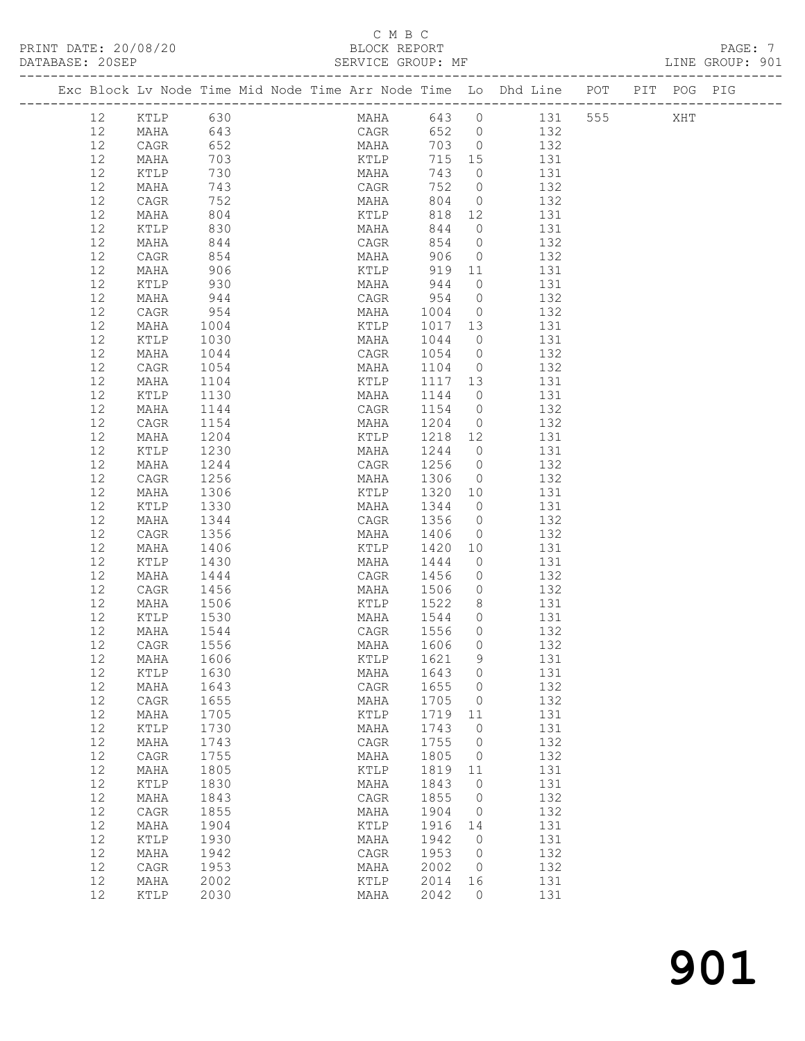#### C M B C<br>BLOCK REPORT SERVICE GROUP: MF

PRINT DATE: 20/08/20 BLOCK REPORT PAGE: 7

|  |          | Exc Block Lv Node Time Mid Node Time Arr Node Time Lo Dhd Line POT PIT POG PIG |              |  |              |              |                          |                                  |     |            |                    |     |  |
|--|----------|--------------------------------------------------------------------------------|--------------|--|--------------|--------------|--------------------------|----------------------------------|-----|------------|--------------------|-----|--|
|  |          |                                                                                |              |  |              |              |                          |                                  |     |            |                    |     |  |
|  | 12       | KTLP                                                                           | 630          |  |              |              |                          |                                  |     |            | MAHA 643 0 131 555 | XHT |  |
|  | 12       | MAHA                                                                           | 643<br>652   |  |              |              | CAGR 652 0<br>MAHA 703 0 |                                  |     | 132        |                    |     |  |
|  | 12       | CAGR                                                                           |              |  |              |              |                          |                                  |     | 132        |                    |     |  |
|  | 12       | MAHA                                                                           | 703          |  |              | KTLP         | 715 15                   |                                  | 131 |            |                    |     |  |
|  | 12<br>12 | KTLP<br>MAHA                                                                   | 730<br>743   |  | MAHA<br>CAGR |              | 743<br>752               | $\overline{0}$<br>$\overline{0}$ |     | 131<br>132 |                    |     |  |
|  | 12       | CAGR                                                                           | 752          |  | MAHA         |              | 804                      | $\overline{0}$                   |     | 132        |                    |     |  |
|  | 12       | MAHA                                                                           | 804          |  |              | KTLP         | 818                      | 12                               | 131 |            |                    |     |  |
|  | 12       | KTLP                                                                           | 830          |  | MAHA         |              | 844                      | $\overline{0}$                   |     | 131        |                    |     |  |
|  | 12       | MAHA                                                                           | 844          |  |              |              | 854                      | $\overline{0}$                   |     | 132        |                    |     |  |
|  | 12       | CAGR                                                                           | 854          |  |              | CAGR<br>MAHA | 906                      | $\overline{0}$                   |     | 132        |                    |     |  |
|  | 12       | MAHA                                                                           | 906          |  |              | KTLP         |                          | 919 11                           | 131 |            |                    |     |  |
|  | 12       | KTLP                                                                           | 930          |  | MAHA         |              | 944                      | $\overline{0}$                   |     | 131        |                    |     |  |
|  | 12       | MAHA                                                                           | 944          |  |              |              | CAGR 954<br>MAHA 1004    | $\overline{0}$                   |     | 132        |                    |     |  |
|  | 12       | CAGR                                                                           | 954          |  |              |              |                          | $\overline{0}$                   |     | 132        |                    |     |  |
|  | 12       | MAHA                                                                           | 1004         |  | KTLP         |              | 1017 13                  |                                  | 131 |            |                    |     |  |
|  | 12       | KTLP                                                                           | 1030         |  | MAHA         |              | 1044                     | $\overline{0}$                   |     | 131        |                    |     |  |
|  | 12       | MAHA                                                                           | 1044         |  |              |              | CAGR 1054<br>MAHA 1104   | $\overline{0}$                   |     | 132        |                    |     |  |
|  | 12       | CAGR                                                                           | 1054         |  |              |              | KTLP 1117 13             | $\overline{0}$                   | 131 | 132        |                    |     |  |
|  | 12       | MAHA<br>KTLP                                                                   | 1104         |  |              | MAHA         | 1144                     | $\overline{0}$                   |     | 131        |                    |     |  |
|  | 12<br>12 | MAHA                                                                           | 1130<br>1144 |  | CAGR         |              | 1154                     | $\overline{0}$                   |     | 132        |                    |     |  |
|  | 12       | CAGR                                                                           | 1154         |  | MAHA         |              | 1204                     | $\overline{0}$                   |     | 132        |                    |     |  |
|  | 12       | MAHA                                                                           | 1204         |  | KTLP         |              | 1218 12                  |                                  |     | 131        |                    |     |  |
|  | 12       | KTLP                                                                           | 1230         |  | MAHA         |              | 1244                     | $\overline{0}$                   | 131 |            |                    |     |  |
|  | 12       | MAHA                                                                           | 1244         |  | CAGR         |              | 1256                     | $\overline{0}$                   |     | 132        |                    |     |  |
|  | 12       | CAGR                                                                           | 1256         |  | MAHA         |              | 1306                     | $\overline{0}$                   |     | 132        |                    |     |  |
|  | 12       | MAHA                                                                           | 1306         |  |              |              | KTLP 1320 10             |                                  |     | 131        |                    |     |  |
|  | 12       | KTLP                                                                           | 1330         |  |              |              | MAHA 1344                | $\overline{0}$                   |     | 131        |                    |     |  |
|  | 12       | MAHA                                                                           | 1344         |  | CAGR         |              | 1356                     | $\overline{0}$                   |     | 132        |                    |     |  |
|  | 12       | CAGR                                                                           | 1356         |  | MAHA         |              | 1406                     | $\overline{0}$                   |     | 132        |                    |     |  |
|  | 12       | MAHA                                                                           | 1406         |  | KTLP         |              | 1420                     | 10                               |     | 131        |                    |     |  |
|  | 12       | KTLP                                                                           | 1430         |  | MAHA         |              | 1444                     | $\overline{0}$                   | 131 |            |                    |     |  |
|  | 12       | MAHA                                                                           | 1444         |  | CAGR         |              | 1456                     | $\circ$                          |     | 132        |                    |     |  |
|  | 12<br>12 | CAGR<br>MAHA                                                                   | 1456<br>1506 |  | MAHA         |              | 1506<br>KTLP 1522        | $\circ$<br>8 <sup>8</sup>        |     | 132<br>131 |                    |     |  |
|  | 12       | KTLP                                                                           | 1530         |  |              |              | MAHA 1544 0              |                                  | 131 |            |                    |     |  |
|  | 12       | MAHA                                                                           | 1544         |  | CAGR         |              | 1556                     | $\Omega$                         |     | 132        |                    |     |  |
|  | 12       | CAGR                                                                           | 1556         |  | MAHA         |              | 1606                     | $\circ$                          |     | 132        |                    |     |  |
|  |          | 12 MAHA 1606                                                                   |              |  |              |              | KTLP 1621 9              |                                  |     | 131        |                    |     |  |
|  | 12       | KTLP                                                                           | 1630         |  | MAHA         |              | 1643                     | $\circ$                          |     | 131        |                    |     |  |
|  | 12       | MAHA                                                                           | 1643         |  | CAGR         |              | 1655                     | 0                                |     | 132        |                    |     |  |
|  | 12       | CAGR                                                                           | 1655         |  | MAHA         |              | 1705                     | 0                                |     | 132        |                    |     |  |
|  | 12       | MAHA                                                                           | 1705         |  | KTLP         |              | 1719                     | 11                               |     | 131        |                    |     |  |
|  | 12       | KTLP                                                                           | 1730         |  | MAHA         |              | 1743                     | $\circ$                          |     | 131        |                    |     |  |
|  | 12       | MAHA                                                                           | 1743         |  | CAGR         |              | 1755                     | $\circ$                          |     | 132        |                    |     |  |
|  | 12       | CAGR                                                                           | 1755         |  | MAHA         |              | 1805                     | 0                                |     | 132        |                    |     |  |
|  | 12       | MAHA                                                                           | 1805         |  | KTLP         |              | 1819                     | 11                               |     | 131        |                    |     |  |
|  | 12<br>12 | KTLP<br>MAHA                                                                   | 1830<br>1843 |  | MAHA<br>CAGR |              | 1843<br>1855             | $\circ$<br>0                     |     | 131<br>132 |                    |     |  |
|  | $12$     | CAGR                                                                           | 1855         |  | MAHA         |              | 1904                     | 0                                |     | 132        |                    |     |  |
|  | 12       | MAHA                                                                           | 1904         |  | KTLP         |              | 1916                     | 14                               |     | 131        |                    |     |  |
|  | 12       | $\verb KTLP $                                                                  | 1930         |  | MAHA         |              | 1942                     | $\mathbf 0$                      |     | 131        |                    |     |  |
|  | 12       | MAHA                                                                           | 1942         |  | CAGR         |              | 1953                     | $\circ$                          |     | 132        |                    |     |  |
|  | 12       | CAGR                                                                           | 1953         |  | MAHA         |              | 2002                     | 0                                |     | 132        |                    |     |  |
|  | 12       | MAHA                                                                           | 2002         |  | KTLP         |              | 2014                     | 16                               |     | 131        |                    |     |  |
|  | 12       | KTLP                                                                           | 2030         |  | MAHA         |              | 2042                     | $\circ$                          |     | 131        |                    |     |  |
|  |          |                                                                                |              |  |              |              |                          |                                  |     |            |                    |     |  |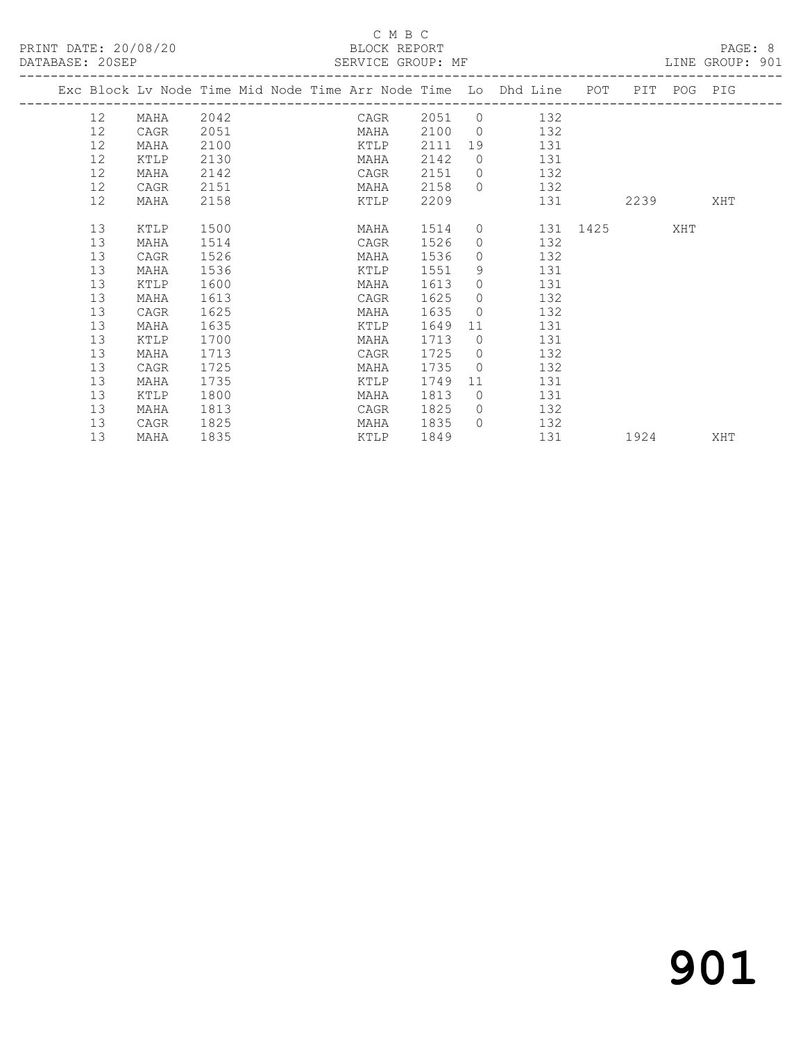#### C M B C<br>BLOCK REPORT

| DATABASE: 20SEP |                 |                                                                                |      |  |             |      |           |                |                  |     |                                                                                                                                                                                                                                 |      |     |  |
|-----------------|-----------------|--------------------------------------------------------------------------------|------|--|-------------|------|-----------|----------------|------------------|-----|---------------------------------------------------------------------------------------------------------------------------------------------------------------------------------------------------------------------------------|------|-----|--|
|                 |                 | Exc Block Lv Node Time Mid Node Time Arr Node Time Lo Dhd Line POT PIT POG PIG |      |  |             |      |           |                |                  |     |                                                                                                                                                                                                                                 |      |     |  |
|                 |                 | 12 MAHA 2042 CAGR 2051 0 132                                                   |      |  |             |      |           |                |                  |     |                                                                                                                                                                                                                                 |      |     |  |
|                 | 12              | CAGR                                                                           | 2051 |  |             |      |           |                | MAHA 2100 0 132  |     |                                                                                                                                                                                                                                 |      |     |  |
|                 | 12              | MAHA                                                                           | 2100 |  |             |      |           |                | KTLP 2111 19 131 |     |                                                                                                                                                                                                                                 |      |     |  |
|                 | 12              | KTLP                                                                           | 2130 |  |             | MAHA | 2142      |                | 0 131            |     |                                                                                                                                                                                                                                 |      |     |  |
|                 | 12              | MAHA                                                                           | 2142 |  | <b>CAGR</b> |      | 2151      |                | $0$ 132          |     |                                                                                                                                                                                                                                 |      |     |  |
|                 | 12              | CAGR                                                                           | 2151 |  |             | MAHA | 2158      |                | $0$ 132          |     |                                                                                                                                                                                                                                 |      |     |  |
|                 | 12 <sup>°</sup> | MAHA                                                                           | 2158 |  |             |      | KTLP 2209 |                |                  |     | 131 — 131 — 131 — 131 — 131 — 131 — 132 — 132 — 132 — 132 — 132 — 132 — 132 — 132 — 132 — 132 — 132 — 132 — 132 — 132 — 132 — 132 — 132 — 132 — 132 — 133 — 133 — 133 — 133 — 133 — 133 — 133 — 133 — 133 — 133 — 133 — 133 — 1 | 2239 | XHT |  |
|                 | 13              | KTLP                                                                           | 1500 |  |             |      | MAHA 1514 |                | 0 131 1425 XHT   |     |                                                                                                                                                                                                                                 |      |     |  |
|                 | 13              | MAHA                                                                           | 1514 |  |             | CAGR | 1526      |                | $0$ 132          |     |                                                                                                                                                                                                                                 |      |     |  |
|                 | 13              | CAGR                                                                           | 1526 |  |             | MAHA | 1536      |                | $0 \t 132$       |     |                                                                                                                                                                                                                                 |      |     |  |
|                 | 13              | MAHA                                                                           | 1536 |  |             | KTLP | 1551      |                | 9 131            |     |                                                                                                                                                                                                                                 |      |     |  |
|                 | 13              | KTLP                                                                           | 1600 |  |             | MAHA | 1613      |                | $0$ 131          |     |                                                                                                                                                                                                                                 |      |     |  |
|                 | 13              | MAHA                                                                           | 1613 |  |             | CAGR | 1625      | $\Omega$       | 132              |     |                                                                                                                                                                                                                                 |      |     |  |
|                 | 13              | CAGR                                                                           | 1625 |  |             | MAHA | 1635      |                | $0$ 132          |     |                                                                                                                                                                                                                                 |      |     |  |
|                 | 13              | MAHA                                                                           | 1635 |  |             |      | KTLP 1649 |                | 11 131           |     |                                                                                                                                                                                                                                 |      |     |  |
|                 | 13              | KTLP                                                                           | 1700 |  |             | MAHA | 1713      |                | 0 131            |     |                                                                                                                                                                                                                                 |      |     |  |
|                 | 13              | MAHA                                                                           | 1713 |  |             | CAGR | 1725      |                | $0$ 132          |     |                                                                                                                                                                                                                                 |      |     |  |
|                 | 13              | CAGR                                                                           | 1725 |  |             | MAHA | 1735      | $\overline{0}$ | 132              |     |                                                                                                                                                                                                                                 |      |     |  |
|                 | 13              | MAHA                                                                           | 1735 |  |             | KTLP | 1749      | 11             |                  | 131 |                                                                                                                                                                                                                                 |      |     |  |
|                 | 13              | KTLP                                                                           | 1800 |  |             | MAHA | 1813      |                | 0 131            |     |                                                                                                                                                                                                                                 |      |     |  |
|                 | 13              | MAHA                                                                           | 1813 |  |             | CAGR | 1825      |                | $0$ 132          |     |                                                                                                                                                                                                                                 |      |     |  |
|                 | 13              | CAGR                                                                           | 1825 |  |             | MAHA | 1835      | $\Omega$       | 132              |     |                                                                                                                                                                                                                                 |      |     |  |
|                 | 13              | MAHA                                                                           | 1835 |  |             |      | KTLP 1849 |                | 131 1924         |     |                                                                                                                                                                                                                                 |      | XHT |  |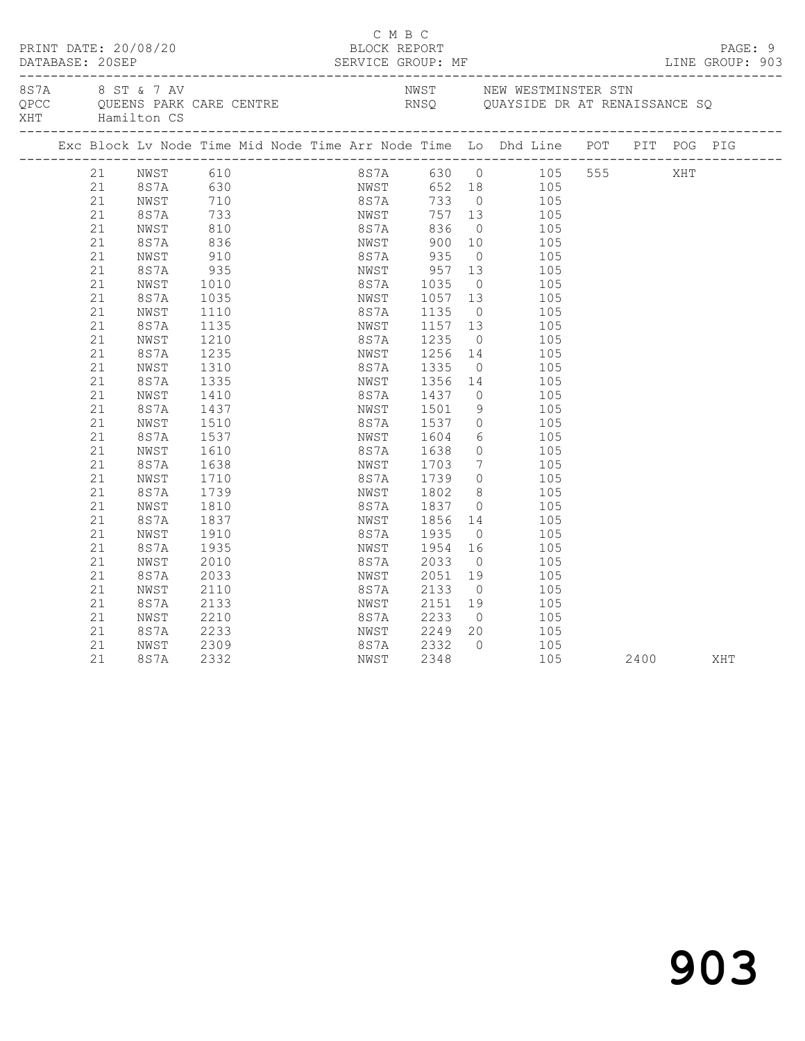|      | DATABASE: 20SEP                                                                                                                                                                        | PRINT DATE: 20/08/20                                                                                                                                                                                                                                                    |                                                                                                                                                                                                                                                  |                              |                                                                                                                                                                                            | C M B C<br>BLOCK REPORT<br>SERVICE GROUP: MF                                                                                                                                                                                                         |                                                                                                                                                                |                                                                                                                                                                                                                                                                                                                                                                                                                                                         |              |  | PAGE: 9<br>LINE GROUP: 903 |  |
|------|----------------------------------------------------------------------------------------------------------------------------------------------------------------------------------------|-------------------------------------------------------------------------------------------------------------------------------------------------------------------------------------------------------------------------------------------------------------------------|--------------------------------------------------------------------------------------------------------------------------------------------------------------------------------------------------------------------------------------------------|------------------------------|--------------------------------------------------------------------------------------------------------------------------------------------------------------------------------------------|------------------------------------------------------------------------------------------------------------------------------------------------------------------------------------------------------------------------------------------------------|----------------------------------------------------------------------------------------------------------------------------------------------------------------|---------------------------------------------------------------------------------------------------------------------------------------------------------------------------------------------------------------------------------------------------------------------------------------------------------------------------------------------------------------------------------------------------------------------------------------------------------|--------------|--|----------------------------|--|
| 8S7A | XHT Hamilton CS                                                                                                                                                                        |                                                                                                                                                                                                                                                                         | 8 ST & 7 AV                                                                                                                                                                                                                                      | QPCC QUEENS PARK CARE CENTRE |                                                                                                                                                                                            |                                                                                                                                                                                                                                                      |                                                                                                                                                                | NWST        NEW WESTMINSTER STN<br>RNSQ        QUAYSIDE DR AT RENAISSANCE SQ                                                                                                                                                                                                                                                                                                                                                                            |              |  |                            |  |
|      |                                                                                                                                                                                        |                                                                                                                                                                                                                                                                         |                                                                                                                                                                                                                                                  |                              |                                                                                                                                                                                            |                                                                                                                                                                                                                                                      |                                                                                                                                                                | Exc Block Lv Node Time Mid Node Time Arr Node Time Lo Dhd Line POT PIT POG PIG                                                                                                                                                                                                                                                                                                                                                                          |              |  |                            |  |
|      | 21<br>21<br>21<br>21<br>21<br>21<br>21<br>21<br>21<br>21<br>21<br>21<br>21<br>21<br>21<br>21<br>21<br>21<br>21<br>21<br>21<br>21<br>21<br>21<br>21<br>21<br>21<br>21<br>21<br>21<br>21 | 21 NWST 610<br>8S7A 630<br>NWST<br>8S7A<br>NWST<br>8S7A<br>NWST<br>8S7A<br>NWST<br>8S7A<br>NWST<br>8S7A<br>NWST<br>8S7A<br>NWST<br>8S7A<br>NWST<br>8S7A<br>NWST<br>8S7A<br>NWST<br>8S7A<br>NWST<br>8S7A<br>NWST<br>8S7A<br>NWST<br>8S7A<br>NWST<br>8S7A<br>NWST<br>8S7A | $710$<br>$733$<br>$810$<br>$836$<br>$910$<br>935<br>1010<br>1035<br>1110<br>1135<br>1210<br>1235<br>1310<br>1335<br>1410<br>1437<br>1510<br>1537<br>1610<br>1638<br>1710<br>1739<br>1810<br>1837<br>1910<br>1935<br>2010<br>2033<br>2110<br>2133 |                              | 8S7A<br>NWST<br>NWST<br>8S7A<br>NWST<br>8 S 7 A<br>NWST<br>8S7A<br>NWST<br>8S7A<br>NWST<br>8S7A<br>NWST<br>8S7A<br>NWST<br>8 S 7 A<br>NWST<br>8S7A<br>NWST<br>8S7A<br>NWST<br>8S7A<br>NWST | 836<br>900 10<br>8S7A 935<br>NWST 957<br>8S7A 1035<br>1057 13<br>1235 0<br>1256 14<br>1335<br>1356<br>1437<br>1501<br>1537<br>1604<br>1638<br>1703<br>1739<br>NWST 1802<br>8S7A 1837<br>1856<br>1935<br>1954<br>2033<br>2051<br>2133<br>2151<br>2233 | $\overline{0}$<br>13<br>$\overline{0}$<br>$\overline{0}$<br>$\overline{0}$<br>9<br>$7\overline{ }$<br>$\overline{0}$<br>$\overline{0}$<br>$\overline{0}$<br>19 | 8S7A 630 0 105 555 XHT<br>NWST 652 18 105<br>8S7A 733 0 105<br>NWST 757 13 105<br>105<br>105<br>$0$ 105<br>105<br>105<br>105<br>1135 0 105<br>1157 13 105<br>105<br>105<br>$0$ 105<br>105<br>14<br>105<br>105<br>$\begin{array}{c} 0 \\ 6 \end{array}$<br>105<br>105<br>$0$ 105<br>105<br>$\begin{matrix} 0 & 105 \end{matrix}$<br>8 <sup>1</sup><br>105<br>105<br>14<br>105<br>105<br>$16$ $105$<br>105<br>105<br>$\overline{O}$<br>105<br>$19 \t 105$ |              |  |                            |  |
|      | 21<br>21<br>21<br>21                                                                                                                                                                   | NWST<br>8S7A<br>NWST<br>8S7A                                                                                                                                                                                                                                            | 2210<br>2233<br>2309<br>2332                                                                                                                                                                                                                     |                              | 8S7A<br>NWST<br>8S7A<br>NWST                                                                                                                                                               | 2249<br>2332<br>2348                                                                                                                                                                                                                                 | $\bigcirc$<br>20<br>$\bigcirc$                                                                                                                                 | 105<br>105<br>105                                                                                                                                                                                                                                                                                                                                                                                                                                       | 105 2400 XHT |  |                            |  |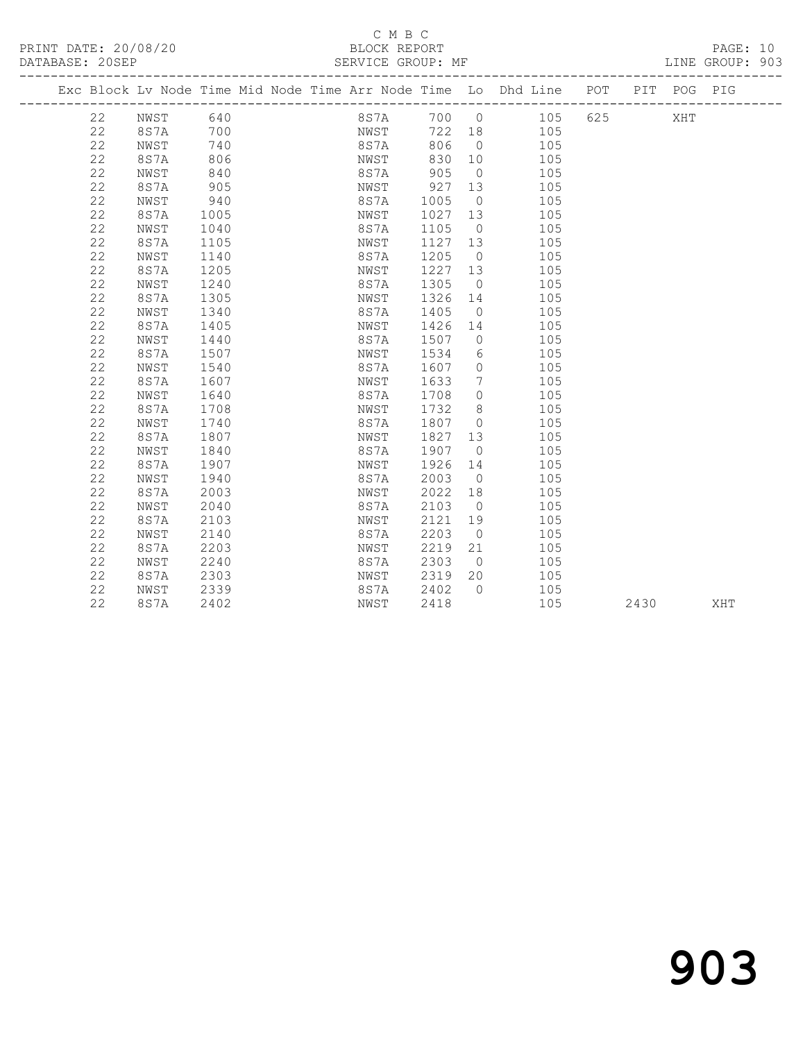#### C M B C DATABASE: 20SEP SERVICE GROUP: MF LINE GROUP: 903

-------------------------------------------------------------------------------------------------

 22 8S7A 1205 NWST 1227 13 105 22 NWST 1240 8S7A 1305 0 105 22 8S7A 1305 NWST 1326 14 105 22 NWST 1340 8S7A 1405 0 105 22 8S7A 1405 NWST 1426 14 105 22 NWST 1440 8S7A 1507 0 105 22 8S7A 1507 NWST 1534 6 105 22 NWST 1540 8S7A 1607 0 105 22 8S7A 1607 NWST 1633 7 105 22 NWST 1640 8S7A 1708 0 105 22 8S7A 1708 NWST 1732 8 105 22 NWST 1740 8S7A 1807 0 105 22 8S7A 1807 NWST 1827 13 105 22 NWST 1840 8S7A 1907 0 105 22 8S7A 1907 NWST 1926 14 105 22 NWST 1940 8S7A 2003 0 105 22 8S7A 2003 NWST 2022 18 105 22 NWST 2040 8S7A 2103 0 105 22 8S7A 2103 NWST 2121 19 105 22 NWST 2140 8S7A 2203 0 105 22 8S7A 2203 NWST 2219 21 105 22 NWST 2240 8S7A 2303 0 105 22 8S7A 2303 NWST 2319 20 105 22 NWST 2339 8S7A 2402 0 105

|    |      |      | Exc Block Ly Node Time Mid Node Time Arr Node Time Lo Dhd Line |      |           |     | POT | PTT | POG | PIG |
|----|------|------|----------------------------------------------------------------|------|-----------|-----|-----|-----|-----|-----|
| 22 | NWST | 640  | 8S7A                                                           | 700  | $\Omega$  | 105 | 625 |     | XHT |     |
| 22 | 8S7A | 700  | NWST                                                           | 722  | 18        | 105 |     |     |     |     |
| 22 | NWST | 740  | 8S7A                                                           | 806  | $\Omega$  | 105 |     |     |     |     |
| 22 | 8S7A | 806  | NWST                                                           | 830  | 10        | 105 |     |     |     |     |
| 22 | NWST | 840  | 8 S 7 A                                                        | 905  | $\bigcap$ | 105 |     |     |     |     |
| 22 | 8S7A | 905  | NWST                                                           | 927  | - 13      | 105 |     |     |     |     |
| 22 | NWST | 940  | 8 S 7 A                                                        | 1005 | $\Omega$  | 105 |     |     |     |     |
| 22 | 8S7A | 1005 | NWST                                                           | 1027 | 13        | 105 |     |     |     |     |
| 22 | NWST | 1040 | 8 S 7 A                                                        | 1105 | $\Omega$  | 105 |     |     |     |     |
| 22 | 8S7A | 1105 | NWST                                                           | 1127 | 13        | 105 |     |     |     |     |
| 22 | NWST | 1140 | 8S7A                                                           | 1205 |           | 105 |     |     |     |     |

22 8S7A 2402 NWST 2418 105 2430 XHT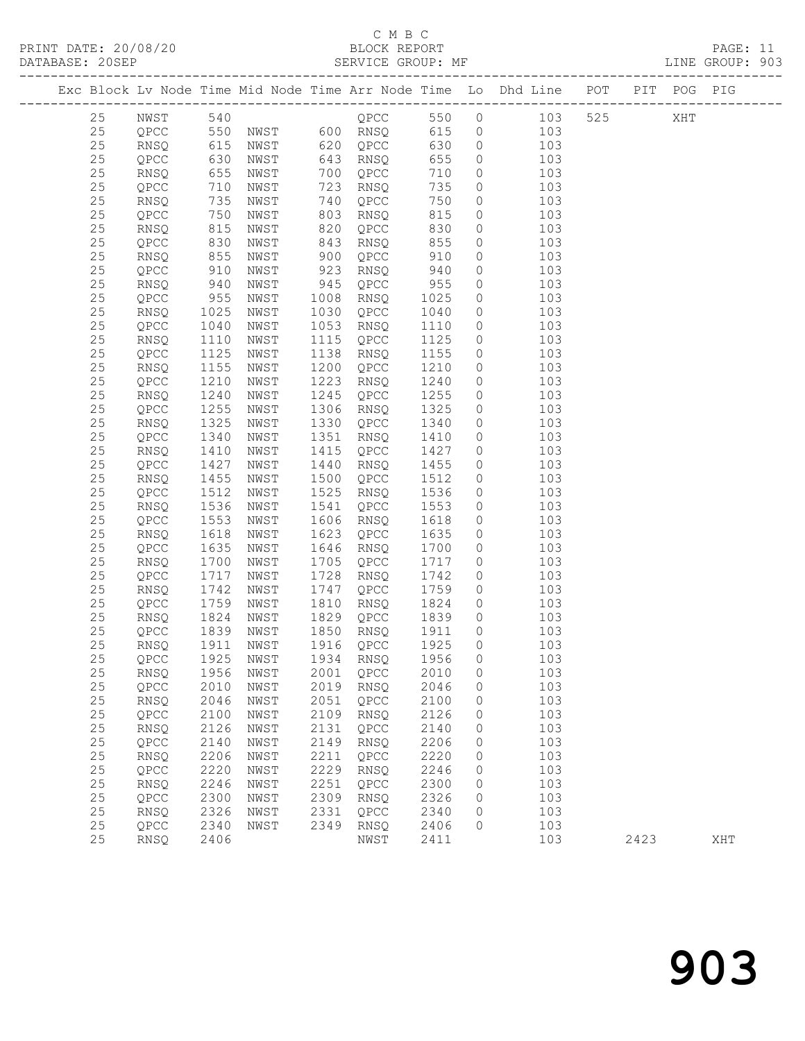### C M B C<br>BLOCK REPORT

LINE GROUP: 903

|  |          |                |                   |              |              |                  |              |                    | Exc Block Lv Node Time Mid Node Time Arr Node Time Lo Dhd Line POT PIT POG PIG   |      |     |     |
|--|----------|----------------|-------------------|--------------|--------------|------------------|--------------|--------------------|----------------------------------------------------------------------------------|------|-----|-----|
|  | 25       |                |                   |              |              |                  |              |                    | NWST 540<br>QPCC 550 NWST 600 RNSQ 615 0 103<br>RNSQ 615 NWST 620 QPCC 630 0 103 | 525  | XHT |     |
|  | 25       |                |                   |              |              |                  |              |                    |                                                                                  |      |     |     |
|  | 25       |                |                   |              |              |                  |              |                    |                                                                                  |      |     |     |
|  | $2\,5$   | QPCC           | 630<br>655<br>710 | NWST         |              | 643 RNSQ         | 655          | $\circ$            | 103                                                                              |      |     |     |
|  | 25       | RNSQ           |                   | NWST         | 700          | QPCC             | 710          | $\circ$            | 103                                                                              |      |     |     |
|  | $2\,5$   | QPCC           | 710               | NWST         | 723          | RNSQ             | 735          | $\circ$            | 103                                                                              |      |     |     |
|  | 25       | RNSQ           | 735               | NWST         | 740          | QPCC             | 750          | $\circ$            | 103                                                                              |      |     |     |
|  | $25\,$   | QPCC           | 750               | NWST         | 803          | RNSQ             | 815          | $\circ$            | 103                                                                              |      |     |     |
|  | 25       | RNSQ           |                   | NWST         | 820          | QPCC             | 830          | $\circ$            | 103                                                                              |      |     |     |
|  | $25\,$   | QPCC           |                   | NWST         | 843          | RNSQ             | 855          | $\circ$            | 103                                                                              |      |     |     |
|  | 25       | RNSQ           | 815<br>830<br>855 | NWST         | 900          | QPCC             | 910          | $\circ$            | 103                                                                              |      |     |     |
|  | $25\,$   | QPCC           | 910               | NWST         | 923          | RNSQ             | 940          | $\circledcirc$     | 103                                                                              |      |     |     |
|  | 25       | RNSQ           | 940<br>955        | NWST         | 945          | QPCC             | 955          | $\circ$            | 103                                                                              |      |     |     |
|  | $25\,$   | QPCC           |                   | NWST         | 1008         | RNSQ             | 1025         | $\circ$            | 103                                                                              |      |     |     |
|  | 25       | RNSQ           | 1025              | NWST         | 1030         | QPCC             | 1040         | $\circ$            | 103                                                                              |      |     |     |
|  | 25       | QPCC           | 1040              | NWST         |              | 1053 RNSQ        | 1110         | $\circ$            | 103                                                                              |      |     |     |
|  | 25       | RNSQ           | 1110              | NWST         | 1115         | QPCC             | 1125         | $\circ$            | 103                                                                              |      |     |     |
|  | 25       | QPCC           | 1125              | NWST         | 1138         | RNSQ             | 1155         | $\circ$            | 103                                                                              |      |     |     |
|  | 25       | RNSQ           | 1155              | NWST         | 1200         | QPCC             | 1210         | $\circ$            | 103                                                                              |      |     |     |
|  | 25       | QPCC           | 1210              | NWST         | 1223         | RNSQ             | 1240         | $\circ$            | 103                                                                              |      |     |     |
|  | 25       | RNSQ           | 1240              | NWST         | 1245         | QPCC             | 1255         | $\circ$            | 103                                                                              |      |     |     |
|  | 25       | QPCC           | 1255              | NWST         | 1306         | RNSQ             | 1325         | $\circ$            | 103                                                                              |      |     |     |
|  | $2\,5$   | RNSQ           | 1325              | NWST         | 1330         | QPCC             | 1340         | $\circ$            | 103                                                                              |      |     |     |
|  | 25       | QPCC           | 1340              | NWST         | 1351         | RNSQ             | 1410         | $\circ$            | 103                                                                              |      |     |     |
|  | $25\,$   | RNSQ           | 1410              | NWST         | 1415         | QPCC             | 1427         | $\circ$            | 103                                                                              |      |     |     |
|  | 25       | QPCC           | 1427              | NWST         | 1440         | RNSQ             | 1455         | $\circ$            | 103                                                                              |      |     |     |
|  | 25       | RNSQ           | 1455              | NWST         | 1500         | QPCC             | 1512         | $\overline{0}$     | 103                                                                              |      |     |     |
|  | 25       | QPCC           | 1512              | NWST         | 1525         | RNSQ             | 1536         | $\overline{0}$     | 103                                                                              |      |     |     |
|  | $25\,$   | RNSQ           | 1536              | NWST         | 1541         | QPCC             | 1553         | $\circ$            | 103                                                                              |      |     |     |
|  | 25       | QPCC           | 1553              | NWST         | 1606         | RNSQ             | 1618         | $\circ$            | 103                                                                              |      |     |     |
|  | $2\,5$   | RNSQ           | 1618              | NWST         | 1623         | QPCC             | 1635         | $\circ$            | 103                                                                              |      |     |     |
|  | 25       | QPCC           | 1635              | NWST         | 1646         | RNSQ             | 1700         | $\circ$            | 103                                                                              |      |     |     |
|  | $25\,$   | RNSQ           | 1700              | NWST         | 1705         | QPCC             | 1717         | $\circ$            | 103                                                                              |      |     |     |
|  | 25       | QPCC           | 1717              | NWST         | 1728         | RNSQ             | 1742         | $\circ$            | 103                                                                              |      |     |     |
|  | $25\,$   | RNSQ           | 1742              | NWST         | 1747         | QPCC             | 1759         | $\circ$            | 103                                                                              |      |     |     |
|  | 25       | QPCC           | 1759              | NWST         | 1810         | RNSQ             | 1824         | $\overline{0}$     | 103                                                                              |      |     |     |
|  | $25\,$   | RNSQ           | 1824              | NWST         |              | 1829 QPCC 1839   |              | $\circ$            | 103                                                                              |      |     |     |
|  | 25       | QPCC           | 1839<br>1911      | NWST         |              | 1850 RNSQ        | 1911         | $\overline{0}$     | 103                                                                              |      |     |     |
|  | 25       | RNSQ           | 1911              | NWST         |              | 1916 QPCC        | 1925         | $\overline{0}$     | 103                                                                              |      |     |     |
|  | 25       | QPCC 1925 NWST |                   |              |              | 1934 RNSQ 1956 0 |              |                    | 103                                                                              |      |     |     |
|  | 25       | RNSQ           | 1956              | NWST         | 2001         | QPCC             | 2010         | 0                  | 103                                                                              |      |     |     |
|  | 25       | QPCC           | 2010              | NWST         | 2019         | RNSQ             | 2046         | 0                  | 103                                                                              |      |     |     |
|  | 25       | RNSQ           | 2046              | NWST         | 2051         | QPCC             | 2100         | 0                  | 103                                                                              |      |     |     |
|  | 25       | QPCC           | 2100              | NWST         | 2109         | RNSQ             | 2126         | 0                  | 103                                                                              |      |     |     |
|  | 25       | RNSQ           | 2126              | NWST         | 2131         | QPCC             | 2140         | 0                  | 103                                                                              |      |     |     |
|  | 25<br>25 | QPCC           | 2140              | NWST         | 2149<br>2211 | RNSQ             | 2206         | 0                  | 103                                                                              |      |     |     |
|  | 25       | RNSQ<br>QPCC   | 2206<br>2220      | NWST         | 2229         | QPCC             | 2220<br>2246 | $\circ$<br>$\circ$ | 103<br>103                                                                       |      |     |     |
|  | 25       | RNSQ           | 2246              | NWST<br>NWST | 2251         | RNSQ<br>QPCC     | 2300         | 0                  | 103                                                                              |      |     |     |
|  | 25       | QPCC           | 2300              | NWST         | 2309         | RNSQ             | 2326         | $\circ$            | 103                                                                              |      |     |     |
|  | 25       | <b>RNSQ</b>    | 2326              | NWST         | 2331         | QPCC             | 2340         | 0                  | 103                                                                              |      |     |     |
|  | 25       | QPCC           | 2340              | NWST         | 2349         | RNSQ             | 2406         | $\circ$            | 103                                                                              |      |     |     |
|  | 25       | RNSQ           | 2406              |              |              | NWST             | 2411         |                    | 103                                                                              | 2423 |     | XHT |
|  |          |                |                   |              |              |                  |              |                    |                                                                                  |      |     |     |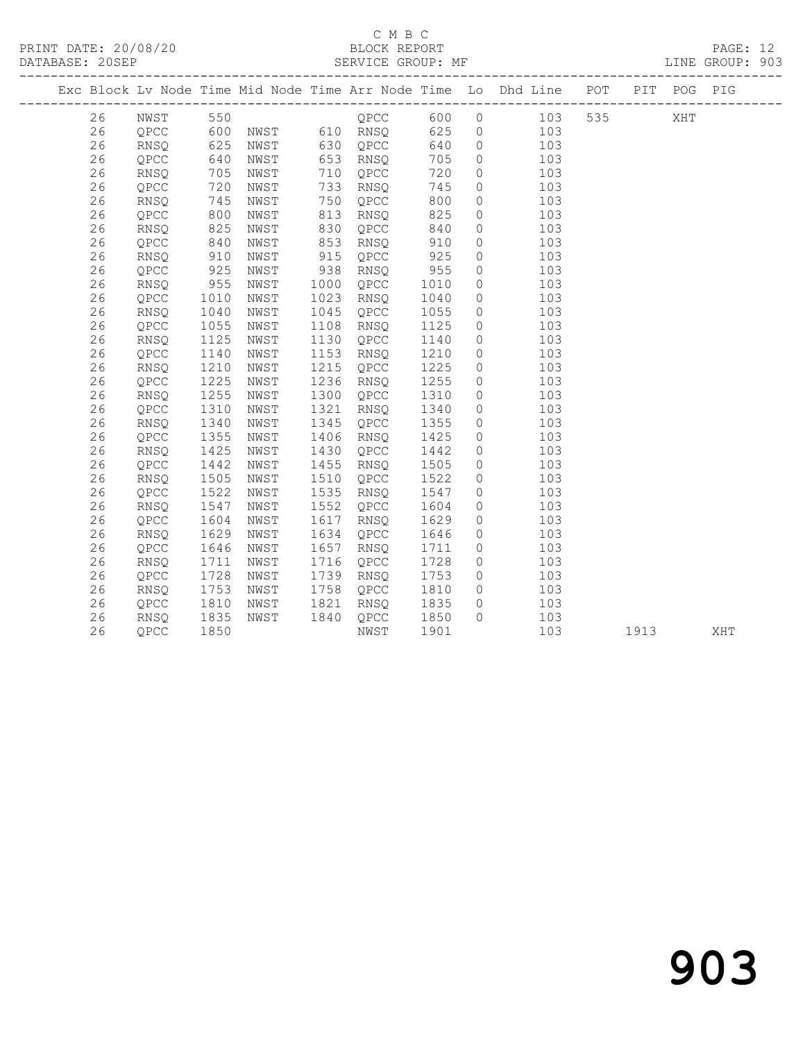## C M B C<br>BLOCK REPORT

PAGE: 12<br>LINE GROUP: 903

|    |             |      |      |      |               |      |          | Exc Block Lv Node Time Mid Node Time Arr Node Time Lo Dhd Line POT PIT POG PIG |     |      |     |     |  |
|----|-------------|------|------|------|---------------|------|----------|--------------------------------------------------------------------------------|-----|------|-----|-----|--|
| 26 | NWST        | 550  |      |      | QPCC          | 600  |          | $0$ 103                                                                        | 535 |      | XHT |     |  |
| 26 | QPCC        | 600  |      |      | NWST 610 RNSQ | 625  |          | 103<br>$\overline{0}$                                                          |     |      |     |     |  |
| 26 | RNSQ        | 625  | NWST | 630  | QPCC          | 640  | $\circ$  | 103                                                                            |     |      |     |     |  |
| 26 | QPCC        | 640  | NWST | 653  | RNSQ          | 705  | $\circ$  | 103                                                                            |     |      |     |     |  |
| 26 | RNSQ        | 705  | NWST | 710  | QPCC          | 720  | $\circ$  | 103                                                                            |     |      |     |     |  |
| 26 | QPCC        | 720  | NWST | 733  | RNSQ          | 745  | $\circ$  | 103                                                                            |     |      |     |     |  |
| 26 | <b>RNSQ</b> | 745  | NWST | 750  | QPCC          | 800  | $\circ$  | 103                                                                            |     |      |     |     |  |
| 26 | QPCC        | 800  | NWST | 813  | RNSQ          | 825  | $\circ$  | 103                                                                            |     |      |     |     |  |
| 26 | RNSQ        | 825  | NWST | 830  | QPCC          | 840  | $\circ$  | 103                                                                            |     |      |     |     |  |
| 26 | QPCC        | 840  | NWST | 853  | RNSQ          | 910  | $\circ$  | 103                                                                            |     |      |     |     |  |
| 26 | RNSQ        | 910  | NWST | 915  | QPCC          | 925  | $\circ$  | 103                                                                            |     |      |     |     |  |
| 26 | QPCC        | 925  | NWST | 938  | RNSQ          | 955  | $\circ$  | 103                                                                            |     |      |     |     |  |
| 26 | <b>RNSO</b> | 955  | NWST | 1000 | QPCC          | 1010 | $\circ$  | 103                                                                            |     |      |     |     |  |
| 26 | QPCC        | 1010 | NWST | 1023 | RNSQ          | 1040 | $\circ$  | 103                                                                            |     |      |     |     |  |
| 26 | <b>RNSQ</b> | 1040 | NWST | 1045 | QPCC          | 1055 | $\circ$  | 103                                                                            |     |      |     |     |  |
| 26 | QPCC        | 1055 | NWST | 1108 | RNSQ          | 1125 | $\circ$  | 103                                                                            |     |      |     |     |  |
| 26 | RNSQ        | 1125 | NWST | 1130 | QPCC          | 1140 | $\circ$  | 103                                                                            |     |      |     |     |  |
| 26 | QPCC        | 1140 | NWST | 1153 | RNSQ          | 1210 | $\circ$  | 103                                                                            |     |      |     |     |  |
| 26 | RNSQ        | 1210 | NWST | 1215 | QPCC          | 1225 | $\circ$  | 103                                                                            |     |      |     |     |  |
| 26 | QPCC        | 1225 | NWST | 1236 | RNSQ          | 1255 | $\circ$  | 103                                                                            |     |      |     |     |  |
| 26 | RNSQ        | 1255 | NWST | 1300 | QPCC          | 1310 | $\circ$  | 103                                                                            |     |      |     |     |  |
| 26 | QPCC        | 1310 | NWST | 1321 | RNSQ          | 1340 | $\circ$  | 103                                                                            |     |      |     |     |  |
| 26 | RNSQ        | 1340 | NWST | 1345 | QPCC          | 1355 | $\circ$  | 103                                                                            |     |      |     |     |  |
| 26 | QPCC        | 1355 | NWST | 1406 | RNSQ          | 1425 | $\circ$  | 103                                                                            |     |      |     |     |  |
| 26 | <b>RNSQ</b> | 1425 | NWST | 1430 | QPCC          | 1442 | $\circ$  | 103                                                                            |     |      |     |     |  |
| 26 | QPCC        | 1442 | NWST | 1455 | RNSQ          | 1505 | $\circ$  | 103                                                                            |     |      |     |     |  |
| 26 | RNSQ        | 1505 | NWST | 1510 | QPCC          | 1522 | $\circ$  | 103                                                                            |     |      |     |     |  |
| 26 | QPCC        | 1522 | NWST | 1535 | RNSQ          | 1547 | $\circ$  | 103                                                                            |     |      |     |     |  |
| 26 | <b>RNSO</b> | 1547 | NWST | 1552 | QPCC          | 1604 | $\circ$  | 103                                                                            |     |      |     |     |  |
| 26 | OPCC        | 1604 | NWST | 1617 | RNSO          | 1629 | $\circ$  | 103                                                                            |     |      |     |     |  |
| 26 | <b>RNSO</b> | 1629 | NWST | 1634 | QPCC          | 1646 | $\circ$  | 103                                                                            |     |      |     |     |  |
| 26 | QPCC        | 1646 | NWST | 1657 | RNSQ          | 1711 | $\circ$  | 103                                                                            |     |      |     |     |  |
| 26 | RNSQ        | 1711 | NWST | 1716 | QPCC          | 1728 | $\circ$  | 103                                                                            |     |      |     |     |  |
| 26 | QPCC        | 1728 | NWST | 1739 | RNSQ          | 1753 | $\circ$  | 103                                                                            |     |      |     |     |  |
| 26 | <b>RNSO</b> | 1753 | NWST | 1758 | QPCC          | 1810 | $\circ$  | 103                                                                            |     |      |     |     |  |
| 26 | QPCC        | 1810 | NWST | 1821 | RNSQ          | 1835 | $\circ$  | 103                                                                            |     |      |     |     |  |
| 26 | RNSQ        | 1835 | NWST | 1840 | QPCC          | 1850 | $\Omega$ | 103                                                                            |     |      |     |     |  |
| 26 | QPCC        | 1850 |      |      | NWST          | 1901 |          | 103                                                                            |     | 1913 |     | XHT |  |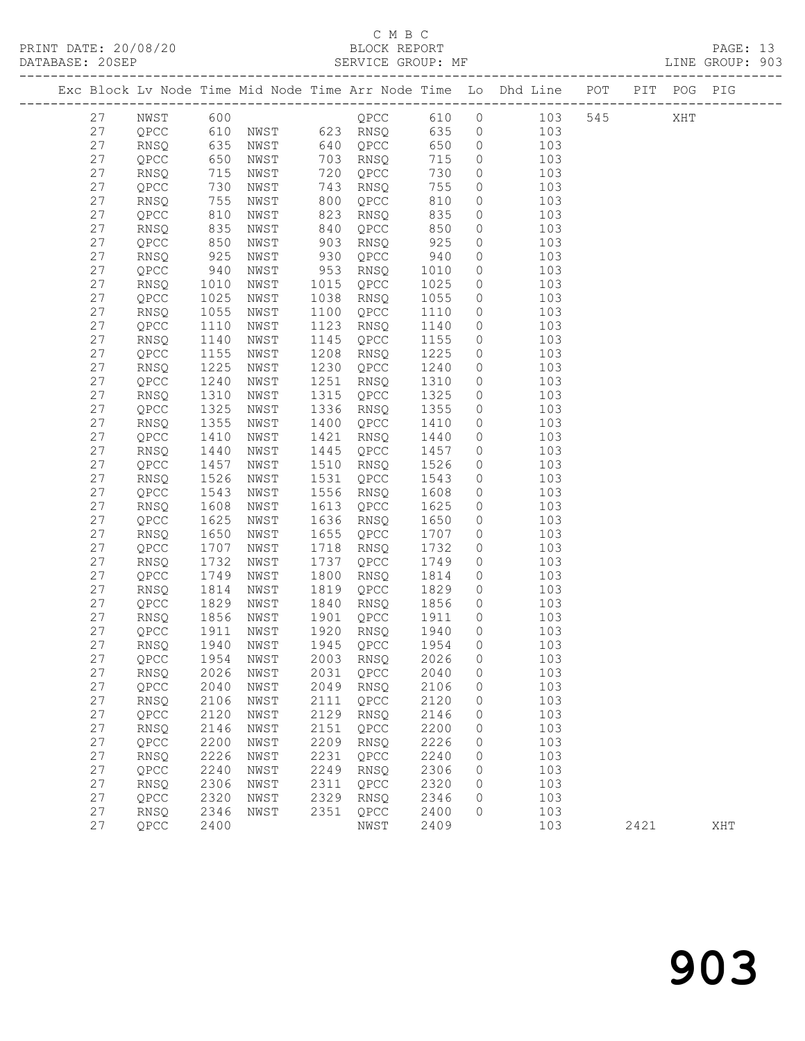## C M B C<br>BLOCK REPORT

|  |          |              |              |              |      |                                 |              |                    | Exc Block Lv Node Time Mid Node Time Arr Node Time Lo Dhd Line POT PIT POG PIG                                                                  |      |     |     |
|--|----------|--------------|--------------|--------------|------|---------------------------------|--------------|--------------------|-------------------------------------------------------------------------------------------------------------------------------------------------|------|-----|-----|
|  | 27       |              |              |              |      |                                 |              |                    |                                                                                                                                                 |      | XHT |     |
|  | 27       |              |              |              |      |                                 |              |                    | NWST 600                            545<br>QPCC   610  NWST    623  RNSQ    635   0     103<br>RNSQ   635  NWST    640  QPCC    650   0     103 |      |     |     |
|  | 27       |              |              |              |      |                                 |              |                    |                                                                                                                                                 |      |     |     |
|  | 27       | QPCC         | 650          | NWST         |      | 703 RNSQ                        | 715          | $\circ$            | 103                                                                                                                                             |      |     |     |
|  | 27       | RNSQ         | 715          | NWST         |      | 720 QPCC                        | 730          | $\circ$            | 103                                                                                                                                             |      |     |     |
|  | 27       | QPCC         | 730          | NWST         |      | 743 RNSQ                        | 755          | $\circ$            | 103                                                                                                                                             |      |     |     |
|  | 27       | <b>RNSQ</b>  | 755          | NWST         | 800  | QPCC                            | 810          | $\circ$            | 103                                                                                                                                             |      |     |     |
|  | 27       | QPCC         | 810          | NWST         | 823  | RNSQ                            | 835          | $\circ$            | 103                                                                                                                                             |      |     |     |
|  | 27       | RNSQ         | 835          | NWST         | 840  | QPCC                            | 850          | $\circ$            | 103                                                                                                                                             |      |     |     |
|  | 27       | QPCC         |              | NWST         | 903  | RNSQ                            | 925          | $\circ$            | 103                                                                                                                                             |      |     |     |
|  | 27       | RNSQ         | 850<br>925   | NWST         | 930  | QPCC                            | 940          | $\circ$            | 103                                                                                                                                             |      |     |     |
|  | 27       | QPCC         | 940          | NWST         |      | 953 RNSQ                        | 1010         | $\circ$            | 103                                                                                                                                             |      |     |     |
|  | 27       | RNSQ         | 1010         | NWST         |      | 1015 QPCC                       | 1025         | $\circ$            | 103                                                                                                                                             |      |     |     |
|  | 27       | QPCC         | 1025         | NWST         | 1038 | RNSQ                            | 1055         | $\circ$            | 103                                                                                                                                             |      |     |     |
|  | 27       | RNSQ         | 1055         | NWST         |      | 1100 QPCC                       | 1110         | $\circ$            | 103                                                                                                                                             |      |     |     |
|  | 27       | QPCC         | 1110         | NWST         | 1123 | RNSQ                            | 1140         | $\circ$            | 103                                                                                                                                             |      |     |     |
|  | 27       | RNSQ         | 1140         | NWST         | 1145 | QPCC                            | 1155         | $\circ$            | 103                                                                                                                                             |      |     |     |
|  | 27       | QPCC         | 1155         | NWST         | 1208 | RNSQ                            | 1225         | $\circ$            | 103                                                                                                                                             |      |     |     |
|  | 27       | RNSQ         | 1225         | NWST         | 1230 | QPCC                            | 1240         | $\circ$            | 103                                                                                                                                             |      |     |     |
|  | 27       | QPCC         | 1240         | NWST         | 1251 | RNSQ                            | 1310         | $\circ$            | 103                                                                                                                                             |      |     |     |
|  | 27       | RNSQ         | 1310         | NWST         | 1315 | QPCC                            | 1325         | $\circ$            | 103                                                                                                                                             |      |     |     |
|  | 27       | QPCC         | 1325         | NWST         | 1336 | RNSQ                            | 1355         | $\circ$            | 103                                                                                                                                             |      |     |     |
|  | 27       | RNSQ         | 1355         | NWST         |      | 1400 QPCC                       | 1410         | $\circ$            | 103                                                                                                                                             |      |     |     |
|  | 27       | QPCC         | 1410         | NWST         |      | 1421 RNSQ                       | 1440         | $\circ$            | 103                                                                                                                                             |      |     |     |
|  | 27       | RNSQ         | 1440         | NWST         | 1445 | QPCC                            | 1457         | $\circ$            | 103                                                                                                                                             |      |     |     |
|  | 27       | QPCC         | 1457         | NWST         |      | 1510 RNSQ                       | 1526         | $\circ$            | 103                                                                                                                                             |      |     |     |
|  | 27       | RNSQ         | 1526         | NWST         |      | 1531 QPCC                       | 1543         | $\circ$            | 103                                                                                                                                             |      |     |     |
|  | 27       | QPCC         | 1543         | NWST         | 1556 | RNSQ                            | 1608         | $\circ$            | 103                                                                                                                                             |      |     |     |
|  | 27       | RNSQ         | 1608         | NWST         | 1613 | QPCC                            | 1625         | $\circ$            | 103                                                                                                                                             |      |     |     |
|  | 27       | QPCC         | 1625         | NWST         | 1636 | RNSQ                            | 1650         | $\circ$            | 103                                                                                                                                             |      |     |     |
|  | 27       | RNSQ         | 1650         | NWST         |      | 1655 QPCC                       | 1707<br>1732 | $\circ$            | 103                                                                                                                                             |      |     |     |
|  | 27<br>27 | QPCC         | 1707<br>1732 | NWST<br>NWST | 1737 | 1718 RNSQ                       |              | $\circ$<br>$\circ$ | 103                                                                                                                                             |      |     |     |
|  | 27       | RNSQ         | 1749         | NWST         | 1800 | QPCC                            | 1749<br>1814 | $\circ$            | 103<br>103                                                                                                                                      |      |     |     |
|  | 27       | QPCC         | 1814         | NWST         | 1819 | RNSQ                            | 1829         | $\circ$            | 103                                                                                                                                             |      |     |     |
|  | 27       | RNSQ<br>QPCC | 1829         | NWST         | 1840 | QPCC<br>RNSQ                    | 1856         | $\overline{0}$     | 103                                                                                                                                             |      |     |     |
|  | 27       | RNSQ         | 1856         | NWST         |      | 1901 QPCC                       | 1911         | $\circ$            | 103                                                                                                                                             |      |     |     |
|  | 27       | QPCC         | 1911         | NWST         |      | 1920 RNSQ                       | 1940         | $\circ$            | 103                                                                                                                                             |      |     |     |
|  | 27       | RNSQ         | 1940         | NWST         |      | 1945 QPCC                       | 1954         | $\circ$            | 103                                                                                                                                             |      |     |     |
|  | 27       |              |              |              |      | QPCC 1954 NWST 2003 RNSQ 2026 0 |              |                    | 103                                                                                                                                             |      |     |     |
|  | 27       | <b>RNSQ</b>  | 2026         | NWST         | 2031 | QPCC                            | 2040         | 0                  | 103                                                                                                                                             |      |     |     |
|  | 27       | QPCC         | 2040         | NWST         | 2049 | RNSQ                            | 2106         | 0                  | 103                                                                                                                                             |      |     |     |
|  | 27       | RNSQ         | 2106         | NWST         | 2111 | QPCC                            | 2120         | 0                  | 103                                                                                                                                             |      |     |     |
|  | 27       | QPCC         | 2120         | NWST         | 2129 | RNSQ                            | 2146         | 0                  | 103                                                                                                                                             |      |     |     |
|  | 27       | RNSQ         | 2146         | NWST         | 2151 | QPCC                            | 2200         | 0                  | 103                                                                                                                                             |      |     |     |
|  | 27       | QPCC         | 2200         | NWST         | 2209 | RNSQ                            | 2226         | 0                  | 103                                                                                                                                             |      |     |     |
|  | 27       | RNSQ         | 2226         | NWST         | 2231 | QPCC                            | 2240         | 0                  | 103                                                                                                                                             |      |     |     |
|  | 27       | QPCC         | 2240         | NWST         | 2249 | RNSQ                            | 2306         | 0                  | 103                                                                                                                                             |      |     |     |
|  | 27       | RNSQ         | 2306         | NWST         | 2311 | QPCC                            | 2320         | 0                  | 103                                                                                                                                             |      |     |     |
|  | 27       | QPCC         | 2320         | NWST         | 2329 | RNSQ                            | 2346         | $\mathbf{0}$       | 103                                                                                                                                             |      |     |     |
|  | 27       | RNSQ         | 2346         | NWST         | 2351 | QPCC                            | 2400         | $\Omega$           | 103                                                                                                                                             |      |     |     |
|  | 27       | QPCC         | 2400         |              |      | NWST                            | 2409         |                    | 103                                                                                                                                             | 2421 |     | XHT |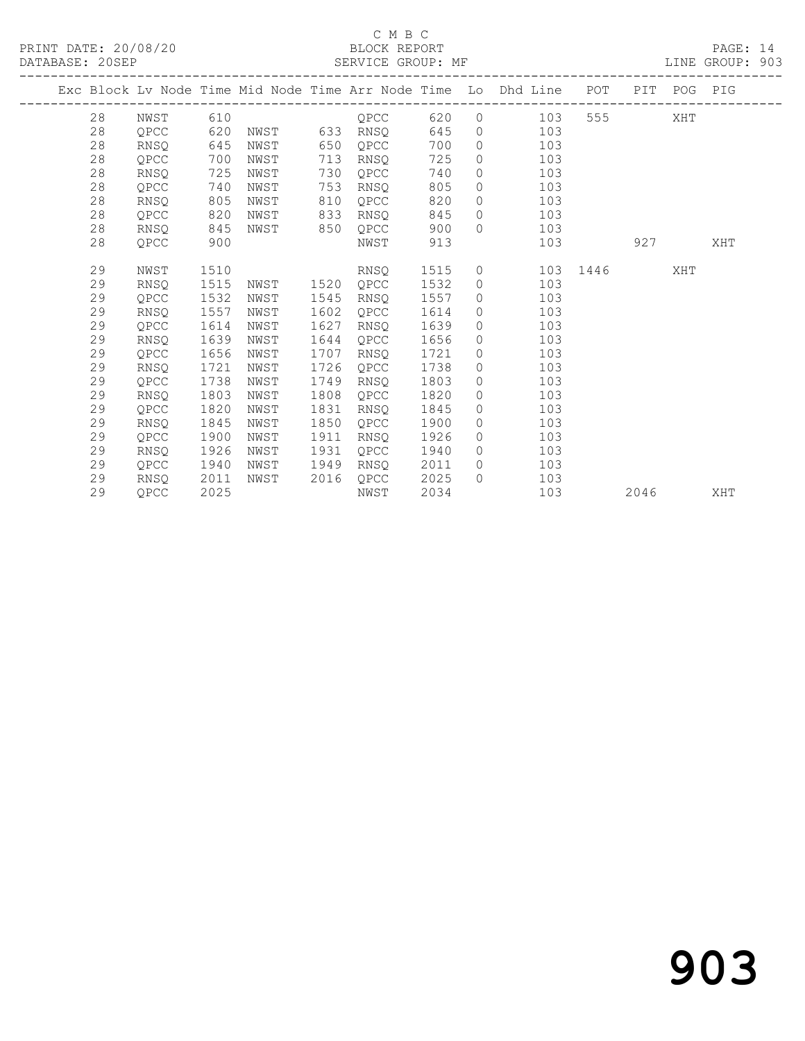#### C M B C<br>BLOCK REPORT

PAGE: 14<br>LINE GROUP: 903

|  |    |             |      |      |      |          |      |                | Exc Block Lv Node Time Mid Node Time Arr Node Time Lo Dhd Line POT |       |      | PIT POG PIG |     |
|--|----|-------------|------|------|------|----------|------|----------------|--------------------------------------------------------------------|-------|------|-------------|-----|
|  | 28 | NWST        | 610  |      |      | OPCC     | 620  |                | $\overline{0}$<br>103                                              | 555 7 |      | XHT         |     |
|  | 28 | QPCC        | 620  | NWST |      | 633 RNSQ | 645  |                | 103<br>$\overline{0}$                                              |       |      |             |     |
|  | 28 | RNSO        | 645  | NWST | 650  | QPCC     | 700  | $\circ$        | 103                                                                |       |      |             |     |
|  | 28 | QPCC        | 700  | NWST | 713  | RNSQ     | 725  |                | $\overline{0}$<br>103                                              |       |      |             |     |
|  | 28 | RNSQ        | 725  | NWST | 730  | QPCC     | 740  | $\overline{0}$ | 103                                                                |       |      |             |     |
|  | 28 | QPCC        | 740  | NWST | 753  | RNSO     | 805  | $\circ$        | 103                                                                |       |      |             |     |
|  | 28 | RNSQ        | 805  | NWST | 810  | QPCC     | 820  | $\circ$        | 103                                                                |       |      |             |     |
|  | 28 | QPCC        | 820  | NWST | 833  | RNSQ     | 845  |                | 103<br>$\overline{0}$                                              |       |      |             |     |
|  | 28 | RNSO        | 845  | NWST | 850  | OPCC     | 900  |                | 103<br>$\Omega$                                                    |       |      |             |     |
|  | 28 | QPCC        | 900  |      |      | NWST     | 913  |                | 103                                                                |       | 927  |             | XHT |
|  | 29 | NWST        | 1510 |      |      | RNSQ     | 1515 |                | $\overline{0}$<br>103                                              | 1446  |      | XHT         |     |
|  | 29 | RNSQ        | 1515 | NWST | 1520 | QPCC     | 1532 | $\overline{0}$ | 103                                                                |       |      |             |     |
|  | 29 | OPCC        | 1532 | NWST | 1545 | RNSQ     | 1557 |                | 103<br>$\overline{0}$                                              |       |      |             |     |
|  | 29 | <b>RNSO</b> | 1557 | NWST | 1602 | OPCC     | 1614 | $\circ$        | 103                                                                |       |      |             |     |
|  | 29 | OPCC        | 1614 | NWST | 1627 | RNSQ     | 1639 | $\circ$        | 103                                                                |       |      |             |     |
|  | 29 | RNSQ        | 1639 | NWST | 1644 | QPCC     | 1656 | $\circ$        | 103                                                                |       |      |             |     |
|  | 29 | QPCC        | 1656 | NWST | 1707 | RNSQ     | 1721 | $\circ$        | 103                                                                |       |      |             |     |
|  | 29 | RNSO        | 1721 | NWST | 1726 | OPCC     | 1738 | $\circ$        | 103                                                                |       |      |             |     |
|  | 29 | QPCC        | 1738 | NWST | 1749 | RNSQ     | 1803 | $\circ$        | 103                                                                |       |      |             |     |
|  | 29 | <b>RNSO</b> | 1803 | NWST | 1808 | OPCC     | 1820 | $\circ$        | 103                                                                |       |      |             |     |
|  | 29 | QPCC        | 1820 | NWST | 1831 | RNSQ     | 1845 | $\circ$        | 103                                                                |       |      |             |     |
|  | 29 | <b>RNSO</b> | 1845 | NWST | 1850 | QPCC     | 1900 | $\circ$        | 103                                                                |       |      |             |     |
|  | 29 | QPCC        | 1900 | NWST | 1911 | RNSQ     | 1926 | $\circ$        | 103                                                                |       |      |             |     |
|  | 29 | <b>RNSO</b> | 1926 | NWST | 1931 | OPCC     | 1940 | $\Omega$       | 103                                                                |       |      |             |     |
|  | 29 | QPCC        | 1940 | NWST | 1949 | RNSQ     | 2011 | $\circ$        | 103                                                                |       |      |             |     |
|  | 29 | <b>RNSO</b> | 2011 | NWST | 2016 | QPCC     | 2025 | $\Omega$       | 103                                                                |       |      |             |     |
|  | 29 | OPCC        | 2025 |      |      | NWST     | 2034 |                | 103                                                                |       | 2046 |             | XHT |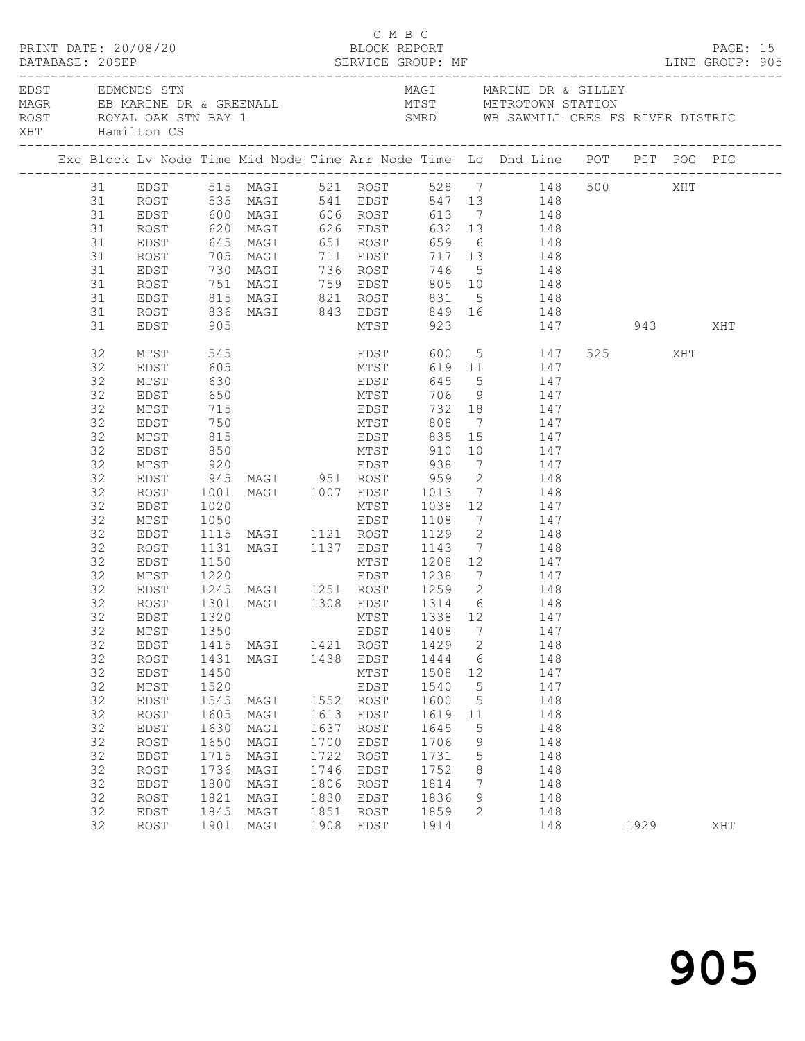|          | PRINT DATE: 20/08/20                                                                |                   |                                                                   |      | C M B C   | BLOCK REPORT |                 |                                                                                                                            |         |      | PAGE: 15 |  |
|----------|-------------------------------------------------------------------------------------|-------------------|-------------------------------------------------------------------|------|-----------|--------------|-----------------|----------------------------------------------------------------------------------------------------------------------------|---------|------|----------|--|
|          | EDST EDMONDS STN<br>ROST ROYAL OAK STN BAY 1<br>XHT         Hamilton CS             |                   |                                                                   |      |           |              |                 | MAGI MARINE DR & GILLEY<br>SMRD WB SAWMILL CRES FS RIVER DISTRIC                                                           |         |      |          |  |
|          | Exc Block Lv Node Time Mid Node Time Arr Node Time Lo Dhd Line POT PIT POG PIG      |                   |                                                                   |      |           |              |                 |                                                                                                                            |         |      |          |  |
|          | 31 EDST 515 MAGI 521 ROST 528 7 148 500 XHT<br>31 ROST 535 MAGI 541 EDST 547 13 148 |                   |                                                                   |      |           |              |                 |                                                                                                                            |         |      |          |  |
|          |                                                                                     |                   |                                                                   |      |           |              |                 |                                                                                                                            |         |      |          |  |
| 31       |                                                                                     |                   |                                                                   |      |           |              |                 | EDST 600 MAGI 606 ROST 613 7 148                                                                                           |         |      |          |  |
| 31       | ROST                                                                                |                   |                                                                   |      |           |              |                 | 620 MAGI 626 EDST 632 13 148<br>645 MAGI 651 ROST 659 6 148<br>705 MAGI 711 EDST 717 13 148<br>730 MAGI 736 ROST 746 5 148 |         |      |          |  |
| 31       | EDST                                                                                |                   |                                                                   |      |           |              |                 |                                                                                                                            |         |      |          |  |
| 31       | ROST                                                                                |                   |                                                                   |      |           |              |                 |                                                                                                                            |         |      |          |  |
| 31       | EDST                                                                                |                   |                                                                   |      |           |              |                 |                                                                                                                            |         |      |          |  |
| 31       | ROST                                                                                |                   |                                                                   |      |           |              |                 |                                                                                                                            |         |      |          |  |
| 31       | EDST                                                                                |                   |                                                                   |      |           |              |                 |                                                                                                                            |         |      |          |  |
| 31       | ROST                                                                                |                   |                                                                   |      |           |              |                 |                                                                                                                            |         |      |          |  |
| 31       | EDST                                                                                |                   |                                                                   |      |           |              |                 | 751 MAGI 759 EDST 805 10 148<br>815 MAGI 821 ROST 831 5 148<br>836 MAGI 843 EDST 849 16 148<br>905 MTST 923 147 943 XHT    |         |      |          |  |
| 32       | MTST                                                                                | 545<br>605        |                                                                   |      |           |              |                 | EDST 600 5 147<br>MTST 619 11 147                                                                                          | 525 XHT |      |          |  |
| 32       | EDST                                                                                |                   |                                                                   |      |           |              |                 |                                                                                                                            |         |      |          |  |
| 32       | MTST                                                                                | 630               |                                                                   |      |           |              |                 | EDST 645 5 147                                                                                                             |         |      |          |  |
| 32       | EDST                                                                                | 650               |                                                                   |      |           |              |                 | MTST 706 9 147                                                                                                             |         |      |          |  |
| 32       | MTST                                                                                |                   |                                                                   |      |           |              |                 |                                                                                                                            |         |      |          |  |
| 32       | EDST                                                                                | 715<br>750<br>815 |                                                                   |      |           |              |                 | EDST 732 18 147<br>MTST 808 7 147<br>EDST 835 15 147                                                                       |         |      |          |  |
| 32       | MTST                                                                                |                   |                                                                   |      |           |              |                 |                                                                                                                            |         |      |          |  |
| 32       | EDST                                                                                | 850               |                                                                   |      |           |              |                 | MTST 910 10 147                                                                                                            |         |      |          |  |
| 32       | MTST                                                                                |                   | 920 EDST 938<br>945 MAGI 951 ROST 959<br>1001 MAGI 1007 EDST 1013 |      |           |              |                 | 7 147                                                                                                                      |         |      |          |  |
| 32       | EDST                                                                                |                   |                                                                   |      |           |              | $\overline{2}$  | $\begin{array}{ccc} 2 & \hspace{1.5cm} 148 \\ 7 & \hspace{1.5cm} 148 \end{array}$                                          |         |      |          |  |
| 32       | ROST                                                                                |                   |                                                                   |      |           |              |                 |                                                                                                                            |         |      |          |  |
| 32<br>32 | EDST                                                                                |                   |                                                                   |      |           |              |                 | 1020 MTST 1038 12 147<br>1050 EDST 1108 7 147<br>1115 MAGI 1121 ROST 1129 2 148<br>1131 MAGI 1137 EDST 1143 7 148          |         |      |          |  |
| 32       | MTST                                                                                |                   |                                                                   |      |           |              |                 |                                                                                                                            |         |      |          |  |
| 32       | EDST<br>ROST                                                                        |                   |                                                                   |      |           |              |                 |                                                                                                                            |         |      |          |  |
| 32       | EDST                                                                                | 1150              |                                                                   |      |           |              |                 | MTST 1208 12 147                                                                                                           |         |      |          |  |
| 32       | MTST                                                                                | 1220              |                                                                   |      |           |              |                 | EDST 1238 7 147                                                                                                            |         |      |          |  |
| 32       | EDST                                                                                |                   |                                                                   |      |           |              |                 |                                                                                                                            |         |      |          |  |
| 32       | ROST                                                                                |                   |                                                                   |      |           |              |                 | 1245 MAGI 1251 ROST 1259 2 148<br>1301 MAGI 1308 EDST 1314 6 148                                                           |         |      |          |  |
|          | 32 EDST 1320 MTST 1338 12 147                                                       |                   |                                                                   |      |           |              |                 |                                                                                                                            |         |      |          |  |
| 32       | MTST                                                                                | 1350              |                                                                   |      | EDST      | 1408         | $7\phantom{.0}$ | 147                                                                                                                        |         |      |          |  |
| 32       | EDST                                                                                | 1415              | MAGI                                                              |      | 1421 ROST | 1429         | $\overline{2}$  | 148                                                                                                                        |         |      |          |  |
| 32       | ROST                                                                                | 1431              | MAGI                                                              |      | 1438 EDST | 1444         | $6\overline{6}$ | 148                                                                                                                        |         |      |          |  |
| 32       | EDST                                                                                | 1450              |                                                                   |      | MTST      | 1508         | 12              | 147                                                                                                                        |         |      |          |  |
| 32       | MTST                                                                                | 1520              |                                                                   |      | EDST      | 1540         | $5^{\circ}$     | 147                                                                                                                        |         |      |          |  |
| 32       | EDST                                                                                | 1545              | MAGI                                                              | 1552 | ROST      | 1600         | $5^{\circ}$     | 148                                                                                                                        |         |      |          |  |
| 32       | ROST                                                                                | 1605              | MAGI                                                              | 1613 | EDST      | 1619         | 11              | 148                                                                                                                        |         |      |          |  |
| 32       | EDST                                                                                | 1630              | MAGI                                                              | 1637 | ROST      | 1645         | 5               | 148                                                                                                                        |         |      |          |  |
| 32       | ROST                                                                                | 1650              | MAGI                                                              | 1700 | EDST      | 1706         | 9               | 148                                                                                                                        |         |      |          |  |
| 32       | EDST                                                                                | 1715              | MAGI                                                              | 1722 | ROST      | 1731         | $5\phantom{.0}$ | 148                                                                                                                        |         |      |          |  |
| 32       | ROST                                                                                | 1736              | MAGI                                                              | 1746 | EDST      | 1752         | 8               | 148                                                                                                                        |         |      |          |  |
| 32       | EDST                                                                                | 1800              | MAGI                                                              | 1806 | ROST      | 1814         | $7\phantom{.0}$ | 148                                                                                                                        |         |      |          |  |
| 32       | ROST                                                                                | 1821              | MAGI                                                              | 1830 | EDST      | 1836         | 9               | 148                                                                                                                        |         |      |          |  |
| 32       | EDST                                                                                | 1845              | MAGI                                                              | 1851 | ROST      | 1859         | $\mathbf{2}$    | 148                                                                                                                        |         |      |          |  |
| 32       | ROST                                                                                |                   | 1901 MAGI                                                         | 1908 | EDST      | 1914         |                 | 148                                                                                                                        |         | 1929 | XHT      |  |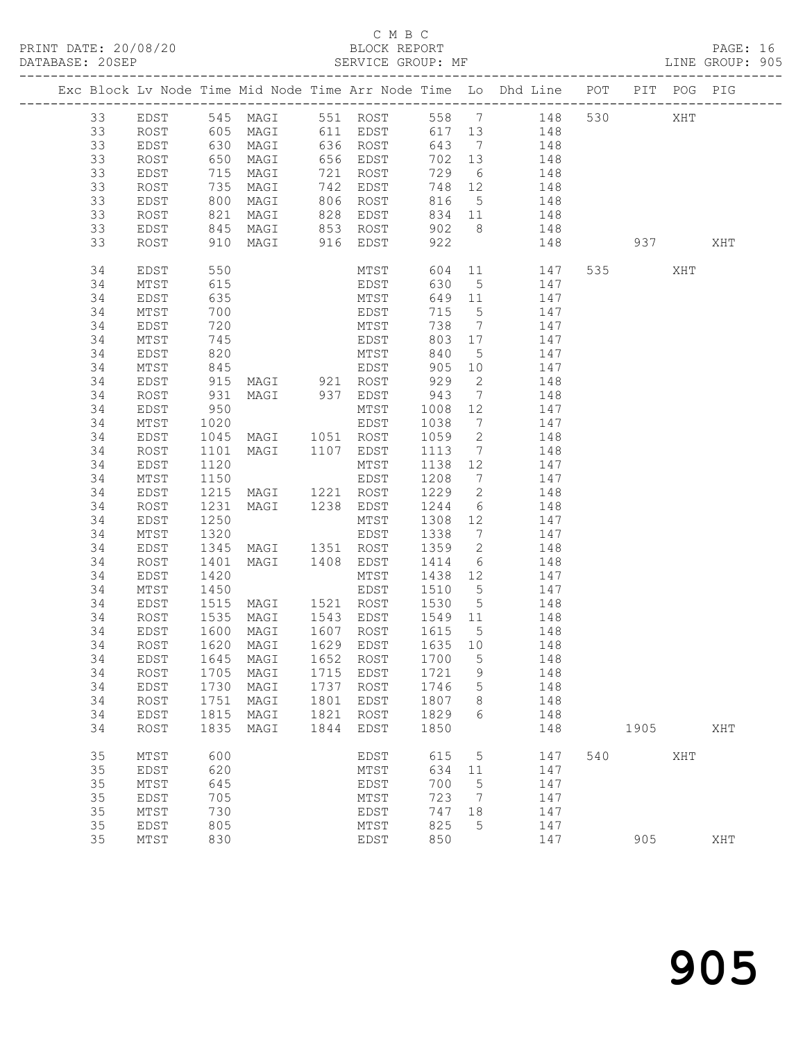#### C M B C<br>BLOCK REPORT

PAGE: 16<br>LINE GROUP: 905

|    |      |                   |                                    |      |              |         |                                                    | Exc Block Lv Node Time Mid Node Time Arr Node Time Lo Dhd Line POT PIT POG PIG |     |           |     |     |
|----|------|-------------------|------------------------------------|------|--------------|---------|----------------------------------------------------|--------------------------------------------------------------------------------|-----|-----------|-----|-----|
| 33 | EDST |                   |                                    |      |              |         |                                                    | 545 MAGI 551 ROST 558 7 148 530                                                |     |           | XHT |     |
| 33 | ROST |                   |                                    |      |              |         |                                                    | 605 MAGI 611 EDST 617 13 148                                                   |     |           |     |     |
| 33 | EDST |                   | 630 MAGI                           |      | 636 ROST     | 643     |                                                    | $7 \qquad \qquad 148$                                                          |     |           |     |     |
| 33 | ROST | 650<br>715<br>735 | MAGI                               |      | 656 EDST     |         | 702 13                                             | 148                                                                            |     |           |     |     |
| 33 | EDST |                   | MAGI                               |      | 721 ROST     | 729     | $6\overline{6}$                                    | 148                                                                            |     |           |     |     |
| 33 | ROST |                   | MAGI                               |      | 742 EDST     |         | 748 12                                             | 148                                                                            |     |           |     |     |
| 33 | EDST | 800               | MAGI                               |      | 806 ROST     | 816     |                                                    | 5 148                                                                          |     |           |     |     |
| 33 | ROST | 821               | MAGI                               |      | 828 EDST     |         | 834 11                                             | 148                                                                            |     |           |     |     |
| 33 | EDST |                   |                                    |      |              |         | 902 8                                              | 148                                                                            |     |           |     |     |
| 33 | ROST |                   |                                    |      |              | 922     |                                                    | 148                                                                            |     | 937       |     | XHT |
| 34 | EDST | 550               |                                    |      | MTST         |         |                                                    | 604 11 147                                                                     |     | 535 7     | XHT |     |
| 34 | MTST | 615               |                                    |      | EDST<br>MTST | 630     | 5 <sup>5</sup>                                     | 147                                                                            |     |           |     |     |
| 34 | EDST | 635               |                                    |      |              |         | $\begin{array}{c}\n649 \\ \hline\n11\n\end{array}$ | 147                                                                            |     |           |     |     |
| 34 | MTST | 700               |                                    |      | EDST         | 715     | $5\overline{)}$                                    | 147                                                                            |     |           |     |     |
| 34 | EDST | 720               |                                    |      | MTST         | 738     | $7\overline{ }$                                    | 147                                                                            |     |           |     |     |
| 34 | MTST | 745               |                                    |      | EDST         |         | 803 17                                             | 147                                                                            |     |           |     |     |
| 34 | EDST | 820               |                                    |      | MTST         | 840     | $5\overline{)}$                                    | 147                                                                            |     |           |     |     |
| 34 | MTST | 845               |                                    |      | EDST         |         | 905 10                                             | 147                                                                            |     |           |     |     |
| 34 | EDST | 915               | MAGI 921 ROST                      |      |              | 929     | $\overline{2}$                                     | 148                                                                            |     |           |     |     |
| 34 | ROST | 931               | MAGI 937 EDST                      |      |              | 943     | $7\overline{ }$                                    | 148                                                                            |     |           |     |     |
| 34 | EDST | 950               |                                    |      | MTST         | 1008    | 12                                                 | 147                                                                            |     |           |     |     |
| 34 | MTST | 1020              |                                    |      | EDST         | 1038    |                                                    | 7 147                                                                          |     |           |     |     |
| 34 | EDST | 1045              | MAGI 1051 ROST                     |      |              | 1059    | $\overline{2}$                                     | 148                                                                            |     |           |     |     |
| 34 | ROST | 1101              | MAGI 1107 EDST                     |      |              | 1113    | $7\overline{ }$                                    | 148                                                                            |     |           |     |     |
| 34 | EDST | 1120              |                                    |      | MTST         |         | 1138 12                                            | 147                                                                            |     |           |     |     |
| 34 | MTST | 1150              |                                    |      | EDST         | 1208    |                                                    | 7 147                                                                          |     |           |     |     |
| 34 | EDST |                   | 1215 MAGI 1221 ROST                |      |              | 1229    |                                                    | 2 148                                                                          |     |           |     |     |
| 34 | ROST | 1231              | MAGI 1238 EDST                     |      |              | 1244    | $6\overline{6}$                                    | 148                                                                            |     |           |     |     |
| 34 | EDST | 1250              |                                    |      | MTST         |         | 1308 12                                            | 147                                                                            |     |           |     |     |
| 34 | MTST | 1320              |                                    |      | EDST         | 1338    | $7\overline{ }$                                    | 147                                                                            |     |           |     |     |
| 34 | EDST | 1345              | MAGI 1351 ROST                     |      |              | 1359    | $\overline{2}$                                     | 148                                                                            |     |           |     |     |
| 34 | ROST | 1401              | MAGI                               |      | 1408 EDST    | 1414    | $6\overline{6}$                                    | 148                                                                            |     |           |     |     |
| 34 | EDST | 1420              |                                    |      | MTST         |         | 1438 12                                            | 147                                                                            |     |           |     |     |
| 34 | MTST | 1450              |                                    |      | EDST         | 1510    | 5 <sup>5</sup>                                     | 147                                                                            |     |           |     |     |
| 34 | EDST |                   | 1515 MAGI 1521 ROST 1530           |      |              |         | 5 <sup>5</sup>                                     | 148                                                                            |     |           |     |     |
| 34 | ROST | 1535              | MAGI                               |      | 1543 EDST    | 1549 11 |                                                    | 148                                                                            |     |           |     |     |
| 34 | EDST | 1600              | MAGI                               |      | 1607 ROST    | 1615    | $5\overline{)}$                                    | 148                                                                            |     |           |     |     |
| 34 | ROST | 1620              | MAGI                               |      | $1629$ EDST  |         | 1635 10                                            | 148                                                                            |     |           |     |     |
|    |      |                   | 34 EDST 1645 MAGI 1652 ROST 1700 5 |      |              |         |                                                    | 148                                                                            |     |           |     |     |
| 34 | ROST | 1705              | MAGI                               |      | 1715 EDST    | 1721    | 9                                                  | 148                                                                            |     |           |     |     |
| 34 | EDST | 1730              | MAGI                               | 1737 | ROST         | 1746    | 5                                                  | 148                                                                            |     |           |     |     |
| 34 | ROST | 1751              | MAGI                               | 1801 | EDST         | 1807    | 8                                                  | 148                                                                            |     |           |     |     |
| 34 | EDST | 1815              | MAGI                               | 1821 | ROST         | 1829    | 6                                                  | 148                                                                            |     |           |     |     |
| 34 | ROST | 1835              | MAGI                               | 1844 | EDST         | 1850    |                                                    | 148                                                                            |     | 1905 1905 |     | XHT |
| 35 | MTST | 600               |                                    |      | EDST         | 615     | $5^{\circ}$                                        | 147                                                                            | 540 |           | XHT |     |
| 35 | EDST | 620               |                                    |      | MTST         | 634     | 11                                                 | 147                                                                            |     |           |     |     |
| 35 | MTST | 645               |                                    |      | EDST         | 700     | $5\phantom{0}$                                     | 147                                                                            |     |           |     |     |
| 35 | EDST | 705               |                                    |      | MTST         | 723     | $\overline{7}$                                     | 147                                                                            |     |           |     |     |
| 35 | MTST | 730               |                                    |      | EDST         | 747     | 18                                                 | 147                                                                            |     |           |     |     |
| 35 | EDST | 805               |                                    |      | MTST         | 825     | 5                                                  | 147                                                                            |     |           |     |     |
| 35 | MTST | 830               |                                    |      | EDST         | 850     |                                                    | 147                                                                            |     | 905       |     | XHT |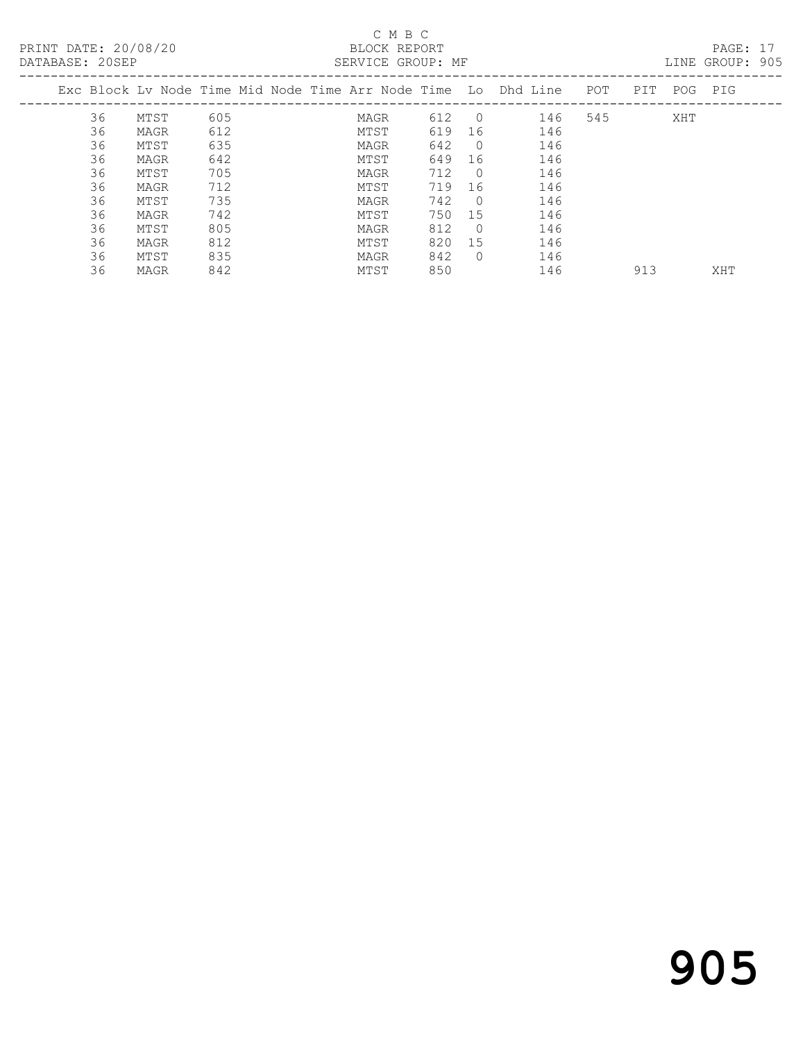## C M B C<br>BLOCK REPORT

PAGE: 17<br>LINE GROUP: 905

|    |      |     |  |      |     |            | Exc Block Ly Node Time Mid Node Time Arr Node Time Lo Dhd Line | POT | PIT | POG | PIG |
|----|------|-----|--|------|-----|------------|----------------------------------------------------------------|-----|-----|-----|-----|
| 36 | MTST | 605 |  | MAGR | 612 | $\bigcirc$ | 146                                                            | 545 |     | XHT |     |
| 36 | MAGR | 612 |  | MTST | 619 | 16         | 146                                                            |     |     |     |     |
| 36 | MTST | 635 |  | MAGR | 642 | $\cup$ 0   | 146                                                            |     |     |     |     |
| 36 | MAGR | 642 |  | MTST | 649 | 16         | 146                                                            |     |     |     |     |
| 36 | MTST | 705 |  | MAGR | 712 | $\cup$ 0   | 146                                                            |     |     |     |     |
| 36 | MAGR | 712 |  | MTST | 719 | 16         | 146                                                            |     |     |     |     |
| 36 | MTST | 735 |  | MAGR | 742 | $\Omega$   | 146                                                            |     |     |     |     |
| 36 | MAGR | 742 |  | MTST | 750 | 15         | 146                                                            |     |     |     |     |
| 36 | MTST | 805 |  | MAGR | 812 | $\bigcap$  | 146                                                            |     |     |     |     |
| 36 | MAGR | 812 |  | MTST | 820 | 15         | 146                                                            |     |     |     |     |
| 36 | MTST | 835 |  | MAGR | 842 | $\Omega$   | 146                                                            |     |     |     |     |
| 36 | MAGR | 842 |  | MTST | 850 |            | 146                                                            |     | 913 |     | XHT |
|    |      |     |  |      |     |            |                                                                |     |     |     |     |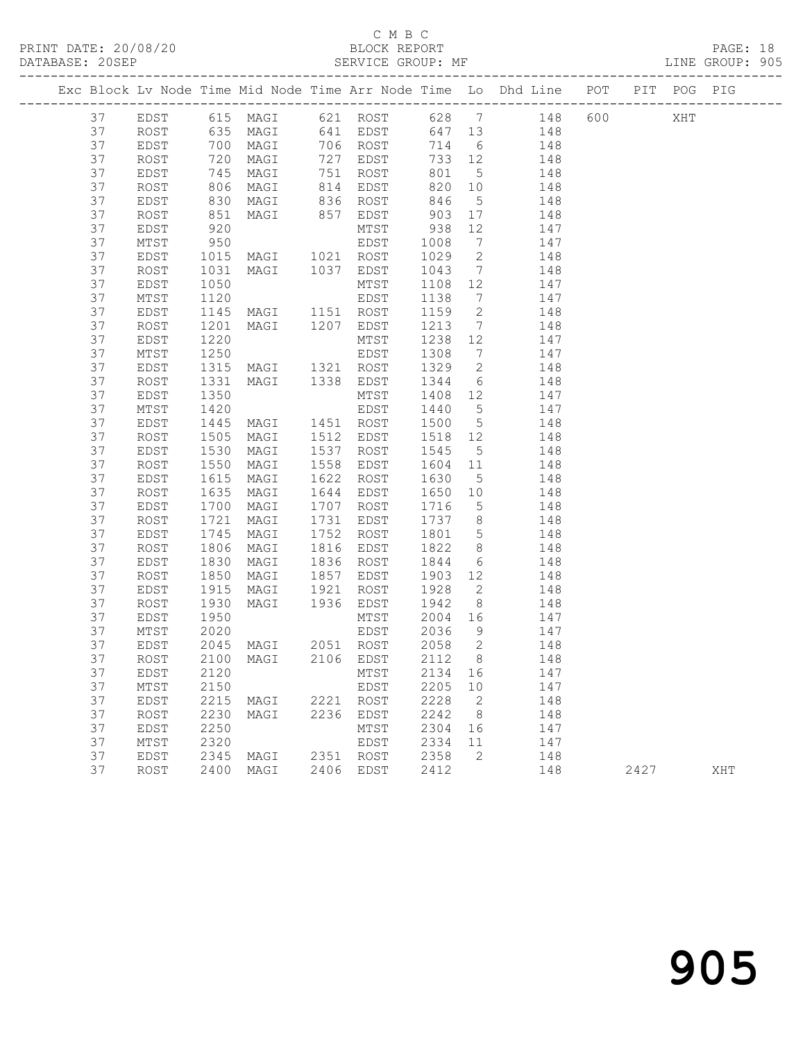## C M B C<br>BLOCK REPORT

PRINT DATE: 20/08/20 BLOCK REPORT DATABASE: 20SEP

PAGE: 18<br>LINE GROUP: 905

|  |          |              |                      |                                 |                                                                                                                 |              |                                    | Exc Block Lv Node Time Mid Node Time Arr Node Time Lo Dhd Line POT PIT POG PIG |      |     |     |
|--|----------|--------------|----------------------|---------------------------------|-----------------------------------------------------------------------------------------------------------------|--------------|------------------------------------|--------------------------------------------------------------------------------|------|-----|-----|
|  | 37       |              |                      |                                 |                                                                                                                 |              |                                    | EDST 615 MAGI 621 ROST 628 7 148 600                                           |      | XHT |     |
|  | 37       | ROST         |                      | 635 MAGI 641 EDST               |                                                                                                                 | 647 13       |                                    | 148                                                                            |      |     |     |
|  | 37       | EDST         |                      | 700 MAGI                        | 706 ROST                                                                                                        | 714          | $6\overline{6}$                    | 148                                                                            |      |     |     |
|  | 37       | ROST         | 720<br>745<br>806    | MAGI                            | 727 EDST                                                                                                        | 733 12       |                                    | 148                                                                            |      |     |     |
|  | 37       | EDST         |                      | MAGI                            | 751 ROST<br>814 EDST                                                                                            | 801          | $5\overline{)}$                    | 148                                                                            |      |     |     |
|  | 37       | ROST         |                      | MAGI                            |                                                                                                                 | 820 10       |                                    | 148                                                                            |      |     |     |
|  | 37       | EDST         | 830                  |                                 | MAGI 836 ROST                                                                                                   | 846          | $5\overline{)}$                    | 148                                                                            |      |     |     |
|  | 37       | ROST         | 851                  | MAGI                            | 857 EDST                                                                                                        | 903          | 17                                 | 148                                                                            |      |     |     |
|  | 37       | EDST         | 920<br>950           |                                 | $\begin{array}{ccc}\n 903 \\  -15T & 938 \\  \text{EDST} & 100 \\  \text{RO}^{\text{cm}} & & & \\  \end{array}$ |              | 12                                 | 147                                                                            |      |     |     |
|  | 37       | MTST         |                      |                                 |                                                                                                                 |              | $7\overline{ }$                    | 147                                                                            |      |     |     |
|  | 37       | EDST         |                      | 1015 MAGI 1021 ROST 1029        |                                                                                                                 |              | $\overline{2}$                     | 148                                                                            |      |     |     |
|  | 37       | ROST         | 1031                 | MAGI 1037 EDST                  |                                                                                                                 | 1043         | $7\overline{ }$                    | 148                                                                            |      |     |     |
|  | 37       | EDST         | 1050                 |                                 | MTST                                                                                                            | 1108 12      |                                    | 147                                                                            |      |     |     |
|  | 37       | MTST         | 1120                 |                                 | EDST                                                                                                            | 1138         | $7\overline{ }$                    | 147                                                                            |      |     |     |
|  | 37       | EDST         | 1145                 | MAGI 1151 ROST                  |                                                                                                                 | 1159         | $\overline{2}$                     | 148                                                                            |      |     |     |
|  | 37       | ROST         | 1201                 | MAGI 1207 EDST                  |                                                                                                                 | 1213         | $7\overline{)}$                    | 148                                                                            |      |     |     |
|  | 37       | EDST         | 1220                 |                                 | MTST                                                                                                            | 1238 12      |                                    | 147                                                                            |      |     |     |
|  | 37       | MTST         | 1250                 | 1315 MAGI 1321 ROST 1329        | EDST                                                                                                            | 1308 7       |                                    | 147<br>148                                                                     |      |     |     |
|  | 37       | EDST         |                      |                                 |                                                                                                                 |              | $\overline{2}$                     |                                                                                |      |     |     |
|  | 37       | ROST         | 1331                 |                                 | MAGI 1338 EDST                                                                                                  | 1344         |                                    | $6\overline{6}$<br>148                                                         |      |     |     |
|  | 37       | EDST         | 1350                 |                                 | MTST                                                                                                            | 1408 12      |                                    | 147                                                                            |      |     |     |
|  | 37<br>37 | MTST         | 1420<br>1445         | MAGI 1451 ROST                  | EDST                                                                                                            | 1440<br>1500 | $5\overline{)}$<br>$5\overline{)}$ | 147<br>148                                                                     |      |     |     |
|  | 37       | EDST<br>ROST | 1505                 | MAGI 1512 EDST                  |                                                                                                                 | 1518 12      |                                    | 148                                                                            |      |     |     |
|  | 37       | EDST         |                      | MAGI                            | 1537 ROST                                                                                                       | 1545         | $5\overline{)}$                    | 148                                                                            |      |     |     |
|  | 37       | ROST         | 1530<br>1550<br>1550 | MAGI                            | 1558 EDST                                                                                                       | $1604$ 11    |                                    | 148                                                                            |      |     |     |
|  | 37       | EDST         | 1615                 | MAGI                            | 1622 ROST                                                                                                       | 1630         | 5 <sup>5</sup>                     | 148                                                                            |      |     |     |
|  | 37       | ROST         | 1635                 | MAGI                            | 1644 EDST                                                                                                       | 1650 10      |                                    | 148                                                                            |      |     |     |
|  | 37       | EDST         | 1700                 | MAGI                            | 1707 ROST                                                                                                       | 1716         | $5\overline{)}$                    | 148                                                                            |      |     |     |
|  | 37       | ROST         | 1721                 | MAGI                            | 1731 EDST                                                                                                       | 1737 8       |                                    | 148                                                                            |      |     |     |
|  | 37       | EDST         | 1745                 | MAGI                            | 1752 ROST                                                                                                       | 1801         | $5\overline{)}$                    | 148                                                                            |      |     |     |
|  | 37       | ROST         | 1806                 | MAGI                            | 1816 EDST                                                                                                       | 1822         | 8 <sup>8</sup>                     | 148                                                                            |      |     |     |
|  | 37       | EDST         | 1830                 | MAGI                            | 1836 ROST                                                                                                       | 1844         | $6\overline{6}$                    | 148                                                                            |      |     |     |
|  | 37       | ROST         | 1850                 | MAGI                            | 1857 EDST                                                                                                       | 1903 12      |                                    | 148                                                                            |      |     |     |
|  | 37       | EDST         |                      | 1915 MAGI                       | 1921 ROST                                                                                                       | 1928         | $\overline{2}$                     | 148                                                                            |      |     |     |
|  | 37       | ROST         | 1930                 |                                 | MAGI 1936 EDST 1942                                                                                             |              | 8 <sup>8</sup>                     | 148                                                                            |      |     |     |
|  | 37       | EDST         | 1950                 |                                 | MTST                                                                                                            | 2004 16      |                                    | 147                                                                            |      |     |     |
|  | 37       | MTST         | 2020                 |                                 | EDST                                                                                                            | 2036         | 9                                  | 147                                                                            |      |     |     |
|  | 37       | EDST         |                      | 2045 MAGI 2051 ROST             |                                                                                                                 | 2058         | $\overline{2}$                     | 148                                                                            |      |     |     |
|  | 37       |              |                      | ROST 2100 MAGI 2106 EDST 2112 8 |                                                                                                                 |              |                                    | 148                                                                            |      |     |     |
|  | 37       | EDST         | 2120                 |                                 | MTST                                                                                                            | 2134 16      |                                    | 147                                                                            |      |     |     |
|  | 37       | MTST         | 2150                 |                                 | EDST                                                                                                            | 2205 10      |                                    | 147                                                                            |      |     |     |
|  | 37       | EDST         | 2215                 | MAGI                            | 2221 ROST                                                                                                       | 2228         | $\overline{\phantom{0}}^2$         | 148                                                                            |      |     |     |
|  | 37       | ROST         | 2230                 | MAGI                            | 2236 EDST                                                                                                       | 2242         | 8 <sup>8</sup>                     | 148                                                                            |      |     |     |
|  | 37       | EDST         | 2250                 |                                 | MTST                                                                                                            | 2304         | 16                                 | 147                                                                            |      |     |     |
|  | 37       | MTST         | 2320                 |                                 | EDST                                                                                                            | 2334         | 11                                 | 147                                                                            |      |     |     |
|  | 37       | EDST         | 2345                 | MAGI                            | 2351 ROST                                                                                                       | 2358         | 2                                  | 148                                                                            |      |     |     |
|  | 37       | ROST         |                      | 2400 MAGI                       | 2406 EDST                                                                                                       | 2412         |                                    | 148                                                                            | 2427 |     | XHT |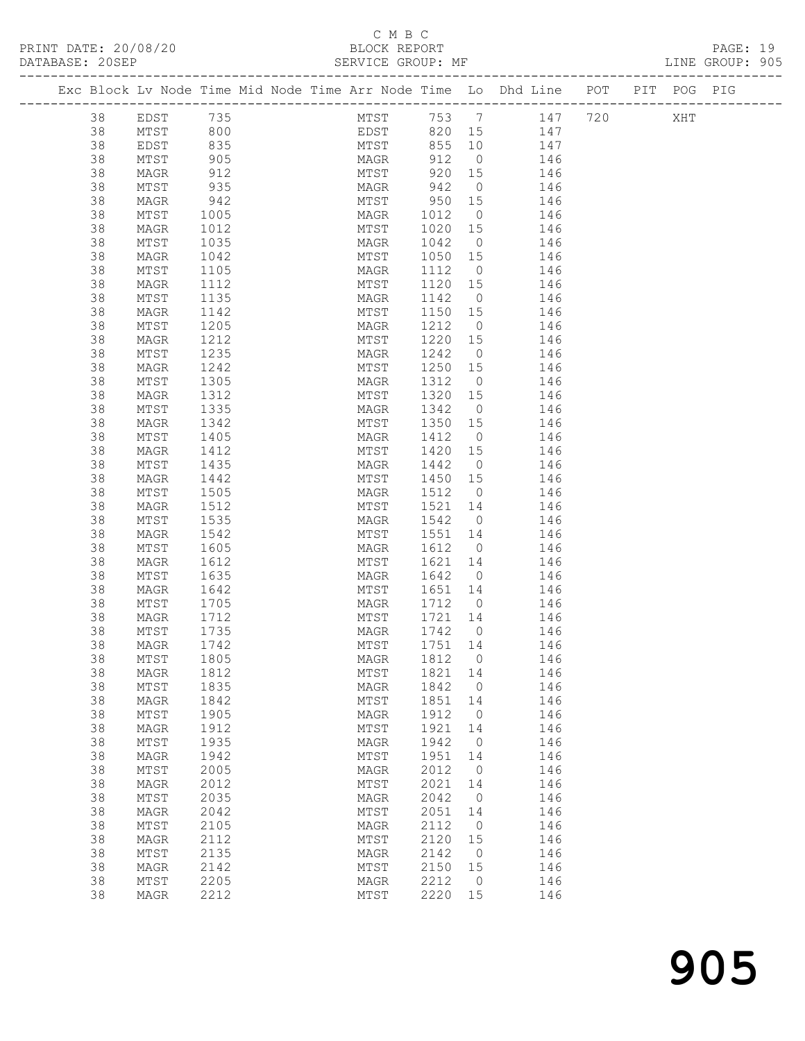#### C M B C<br>BLOCK REPORT

PAGE: 19<br>LINE GROUP: 905

|    |                 |      |  |      |                 |      |         |                | Exc Block Lv Node Time Mid Node Time Arr Node Time Lo Dhd Line POT PIT POG PIG |  |     |  |
|----|-----------------|------|--|------|-----------------|------|---------|----------------|--------------------------------------------------------------------------------|--|-----|--|
| 38 | EDST 735        |      |  |      |                 |      |         |                | MTST 753 7 147 720                                                             |  | XHT |  |
| 38 | MTST            | 800  |  | EDST |                 |      |         |                | 820 15 147                                                                     |  |     |  |
| 38 | EDST            | 835  |  |      |                 | MTST | 855 10  |                | 147                                                                            |  |     |  |
| 38 | MTST            | 905  |  |      | MAGR            |      |         | 912 0          | 146                                                                            |  |     |  |
| 38 | MAGR            | 912  |  |      |                 | MTST | 920 15  |                | 146                                                                            |  |     |  |
| 38 | MTST            | 935  |  |      | MAGR            |      | 942     | $\overline{0}$ | 146                                                                            |  |     |  |
| 38 | MAGR            | 942  |  |      | MTST            |      | 950 15  |                | 146                                                                            |  |     |  |
| 38 | MTST            | 1005 |  |      | MAGR            |      | 1012    | $\overline{0}$ | 146                                                                            |  |     |  |
| 38 | MAGR            | 1012 |  |      | MTST            |      | 1020 15 |                | 146                                                                            |  |     |  |
| 38 | MTST            | 1035 |  |      | MAGR            |      | 1042    | $\overline{0}$ | 146                                                                            |  |     |  |
| 38 | MAGR            | 1042 |  |      | MTST            |      | 1050 15 |                | 146                                                                            |  |     |  |
| 38 | MTST            | 1105 |  |      | MAGR            |      | 1112    | $\overline{0}$ | 146                                                                            |  |     |  |
| 38 | MAGR            | 1112 |  |      | MTST            |      | 1120 15 |                | 146                                                                            |  |     |  |
| 38 | MTST            | 1135 |  |      | MAGR            |      | 1142    | $\overline{0}$ | 146                                                                            |  |     |  |
| 38 | MAGR            | 1142 |  |      | MTST            |      | 1150 15 |                | 146                                                                            |  |     |  |
| 38 | MTST            | 1205 |  |      | MAGR            |      | 1212    | $\overline{0}$ | 146                                                                            |  |     |  |
| 38 | MAGR            | 1212 |  |      | MTST            |      | 1220 15 |                | 146                                                                            |  |     |  |
| 38 | MTST            | 1235 |  |      | MAGR            |      | 1242    | $\overline{0}$ | 146                                                                            |  |     |  |
| 38 | MAGR            | 1242 |  |      | MTST            |      | 1250 15 |                | 146                                                                            |  |     |  |
| 38 | MTST            | 1305 |  |      | MAGR            |      | 1312    | $\overline{0}$ | 146                                                                            |  |     |  |
| 38 | MAGR            | 1312 |  |      | MTST            |      | 1320 15 |                | 146                                                                            |  |     |  |
| 38 | MTST            | 1335 |  |      | MAGR            |      | 1342    | $\overline{0}$ | 146                                                                            |  |     |  |
| 38 | MAGR            | 1342 |  |      | MTST            |      | 1350 15 |                | 146                                                                            |  |     |  |
| 38 | MTST            | 1405 |  |      | MAGR            |      | 1412    | $\overline{0}$ | 146                                                                            |  |     |  |
| 38 | MAGR            | 1412 |  |      | MTST            |      | 1420 15 |                | 146                                                                            |  |     |  |
| 38 | MTST            | 1435 |  |      | MAGR            |      | 1442    | $\overline{0}$ | 146                                                                            |  |     |  |
| 38 | MAGR            | 1442 |  |      | MTST            |      | 1450 15 |                | 146                                                                            |  |     |  |
| 38 | MTST            | 1505 |  |      | MAGR            |      | 1512 0  |                | 146                                                                            |  |     |  |
| 38 | MAGR            | 1512 |  |      | MTST            |      | 1521 14 |                | 146                                                                            |  |     |  |
| 38 | MTST            | 1535 |  |      | MAGR            |      | 1542 0  |                | 146                                                                            |  |     |  |
| 38 | MAGR            | 1542 |  |      | MTST            |      | 1551 14 |                | 146                                                                            |  |     |  |
| 38 | MTST            | 1605 |  |      | MAGR            |      | 1612    | $\overline{0}$ | 146                                                                            |  |     |  |
| 38 | MAGR            | 1612 |  |      | MTST            |      | 1621 14 |                | 146                                                                            |  |     |  |
| 38 | MTST            | 1635 |  |      | MAGR            |      | 1642    | $\overline{0}$ | 146                                                                            |  |     |  |
| 38 | MAGR            | 1642 |  |      | MTST            |      | 1651 14 |                | 146                                                                            |  |     |  |
| 38 | MTST            | 1705 |  |      | MAGR            |      | 1712 0  |                | 146                                                                            |  |     |  |
| 38 | MAGR            | 1712 |  |      | MTST            |      | 1721 14 |                | 146                                                                            |  |     |  |
| 38 | MTST            | 1735 |  |      | MAGR            |      | 1742 0  |                | 146                                                                            |  |     |  |
| 38 | MAGR            | 1742 |  |      | MTST            |      | 1751 14 |                | 146                                                                            |  |     |  |
| 38 | MTST            | 1805 |  |      | MAGR            |      | 1812    | 0              | 146                                                                            |  |     |  |
| 38 | MAGR            | 1812 |  |      | MTST            |      | 1821    | 14             | 146                                                                            |  |     |  |
| 38 | $\mathtt{MTST}$ | 1835 |  |      | MAGR            |      | 1842    | $\circ$        | 146                                                                            |  |     |  |
| 38 | MAGR            | 1842 |  |      | MTST            |      | 1851    | 14             | 146                                                                            |  |     |  |
| 38 | $\mathtt{MTST}$ | 1905 |  |      | MAGR            |      | 1912    | 0              | 146                                                                            |  |     |  |
| 38 | MAGR            | 1912 |  |      | MTST            |      | 1921    | 14             | 146                                                                            |  |     |  |
| 38 | $\mathtt{MTST}$ | 1935 |  |      | $\mathtt{MAGR}$ |      | 1942    | $\overline{0}$ | 146                                                                            |  |     |  |
| 38 | MAGR            | 1942 |  |      | MTST            |      | 1951    | 14             | 146                                                                            |  |     |  |
| 38 | $\mathtt{MTST}$ | 2005 |  |      | MAGR            |      | 2012    | 0              | 146                                                                            |  |     |  |
| 38 | MAGR            | 2012 |  |      | MTST            |      | 2021    | 14             | 146                                                                            |  |     |  |
| 38 | MTST            | 2035 |  |      | MAGR            |      | 2042    | $\circ$        | 146                                                                            |  |     |  |
| 38 | MAGR            | 2042 |  |      | MTST            |      | 2051    | 14             | 146                                                                            |  |     |  |
| 38 | MTST            | 2105 |  |      | MAGR            |      | 2112    | 0              | 146                                                                            |  |     |  |
| 38 | MAGR            | 2112 |  |      | MTST            |      | 2120    | 15             | 146                                                                            |  |     |  |
| 38 | $\mathtt{MTST}$ | 2135 |  |      | $\mathtt{MAGR}$ |      | 2142    | $\circ$        | 146                                                                            |  |     |  |
| 38 | MAGR            | 2142 |  |      | MTST            |      | 2150    | 15             | 146                                                                            |  |     |  |
| 38 | MTST            | 2205 |  |      | MAGR            |      | 2212    | 0              | 146                                                                            |  |     |  |
| 38 | MAGR            | 2212 |  |      | MTST            |      | 2220    | 15             | 146                                                                            |  |     |  |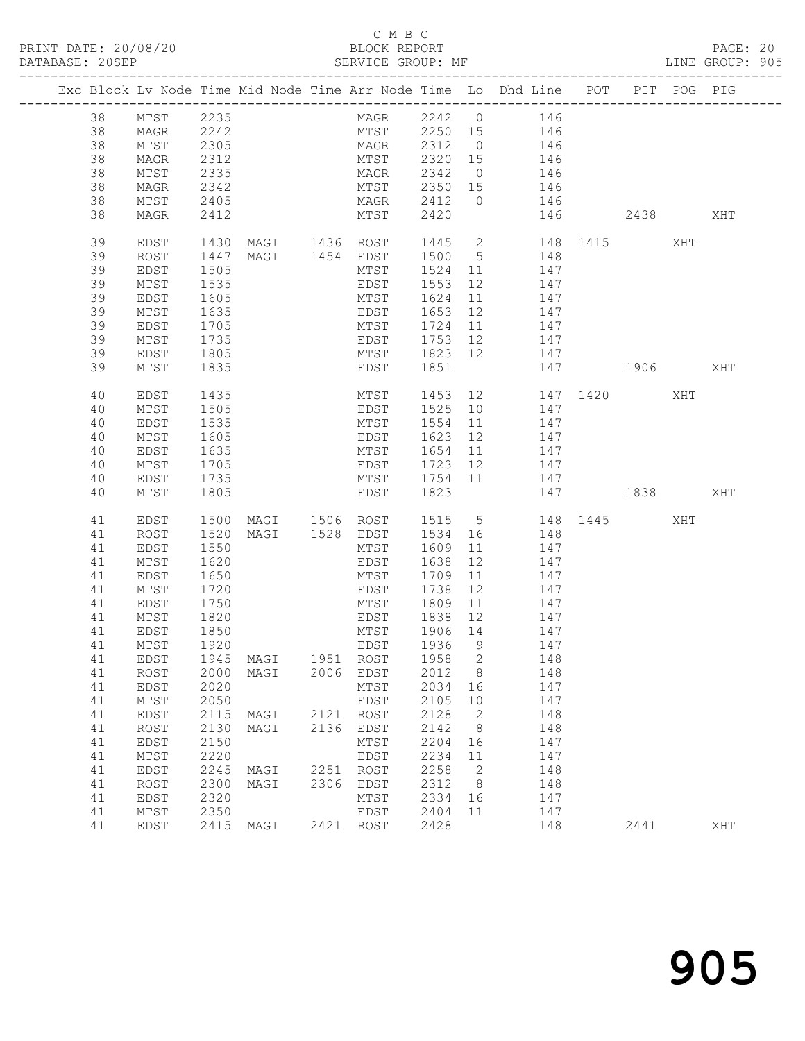#### C M B C

|  | DATABASE: 20SEP |                 |                  | SERVICE GROUP: MF                                                              |                              |         |                          |                 | LINE GROUP: 905  |      |     |     |  |
|--|-----------------|-----------------|------------------|--------------------------------------------------------------------------------|------------------------------|---------|--------------------------|-----------------|------------------|------|-----|-----|--|
|  |                 |                 |                  | Exc Block Lv Node Time Mid Node Time Arr Node Time Lo Dhd Line POT PIT POG PIG |                              |         |                          |                 |                  |      |     |     |  |
|  | 38              | MTST 2235       |                  |                                                                                | MAGR 2242 0 146              |         |                          |                 |                  |      |     |     |  |
|  | 38              | MAGR            | 2242             |                                                                                | MTST 2250 15 146             |         |                          |                 |                  |      |     |     |  |
|  | 38              | MTST            | 2305             |                                                                                | MAGR 2312 0 146              |         |                          |                 |                  |      |     |     |  |
|  | 38              | MAGR            |                  |                                                                                |                              |         |                          |                 |                  |      |     |     |  |
|  | 38              | MTST            | 2312<br>2335     |                                                                                | MTST 2320 15<br>MAGR 2342 0  |         |                          | 146<br>146      |                  |      |     |     |  |
|  | 38              | MAGR            | 2342             |                                                                                | MTST 2350 15 146             |         |                          |                 |                  |      |     |     |  |
|  | 38              | MTST            | 2405             |                                                                                | MAGR 2412 0 146              |         |                          |                 |                  |      |     |     |  |
|  | 38              | MAGR            | 2412             |                                                                                | MTST                         | 2420    |                          |                 | 146 2438         |      |     | XHT |  |
|  | 39              | EDST            |                  | 1430 MAGI 1436 ROST 1445 2 148 1415                                            |                              |         |                          |                 |                  |      | XHT |     |  |
|  | 39              | ROST            | 1447             |                                                                                | MAGI 1454 EDST 1500 5 148    |         |                          |                 |                  |      |     |     |  |
|  | 39              | EDST            | 1505             |                                                                                | MTST                         | 1524 11 |                          | 147             |                  |      |     |     |  |
|  | 39              | MTST            | $\frac{1}{1535}$ |                                                                                | EDST                         | 1553    | 12                       | 147             |                  |      |     |     |  |
|  | 39              | EDST            | 1605             |                                                                                | MTST                         |         |                          | 1624 11 147     |                  |      |     |     |  |
|  | 39              | MTST            | 1635             |                                                                                | EDST 1653 12 147             |         |                          |                 |                  |      |     |     |  |
|  | 39              | EDST            | 1705<br>1735     |                                                                                | MTST 1724 11<br>EDST 1753 12 | 1724 11 |                          | 147             |                  |      |     |     |  |
|  | 39              | MTST            |                  |                                                                                |                              |         |                          | 147             |                  |      |     |     |  |
|  | 39              | EDST            | 1805             |                                                                                | MTST 1823 12 147             |         |                          |                 |                  |      |     |     |  |
|  | 39              | MTST            | 1835             |                                                                                | EDST 1851                    |         |                          |                 | 147 1906         |      |     | XHT |  |
|  | 40              | EDST            | 1435             |                                                                                | MTST                         |         |                          |                 | 1453 12 147 1420 |      | XHT |     |  |
|  | 40              | MTST            | 1505             |                                                                                | EDST                         |         |                          | 1525 10 147     |                  |      |     |     |  |
|  | 40              | EDST            | 1535             |                                                                                | MTST                         |         |                          | 1554 11 147     |                  |      |     |     |  |
|  | 40              | MTST            | 1605             |                                                                                | EDST                         | 1623 12 |                          | 147             |                  |      |     |     |  |
|  | 40              | EDST            | 1635             |                                                                                | MTST                         | 1654 11 |                          | 147             |                  |      |     |     |  |
|  | 40              | MTST            | 1705             |                                                                                | EDST                         |         |                          | $1723$ 12 $147$ |                  |      |     |     |  |
|  | 40              | EDST            | 1735             |                                                                                | MTST 1754 11 147             |         |                          |                 |                  |      |     |     |  |
|  | 40              | MTST            | 1805             |                                                                                | EDST                         | 1823    |                          |                 | 147 1838 XHT     |      |     |     |  |
|  | 41              | EDST            | 1500             | MAGI 1506 ROST                                                                 |                              |         |                          |                 | 1515 5 148 1445  |      | XHT |     |  |
|  | 41              | ROST            | 1520             |                                                                                | MAGI 1528 EDST               |         |                          | 1534 16 148     |                  |      |     |     |  |
|  | 41              | EDST            | 1550             |                                                                                | MTST                         | 1609    | 11                       | 147             |                  |      |     |     |  |
|  | 41              | MTST            | 1620<br>1650     |                                                                                | EDST                         | 1638 12 | $11$                     | 147             |                  |      |     |     |  |
|  | 41              | EDST            | 1720             |                                                                                | MTST<br>EDST                 | 1709    |                          | 147<br>12 147   |                  |      |     |     |  |
|  | 41<br>41        | MTST            | 1750             |                                                                                |                              | 1738    |                          | 11 147          |                  |      |     |     |  |
|  | 41              | EDST<br>MTST    |                  |                                                                                | MTST 1809                    |         |                          |                 |                  |      |     |     |  |
|  | 41              | EDST            | 1820<br>1850     |                                                                                | EDST 1838 12<br>MTST 1906 14 |         |                          | 147<br>147      |                  |      |     |     |  |
|  |                 | 41 MTST 1920    |                  |                                                                                | EDST 1936 9 147              |         |                          |                 |                  |      |     |     |  |
|  | 41              | EDST            |                  | 1945 MAGI 1951 ROST                                                            |                              | 1958 2  |                          | 148             |                  |      |     |     |  |
|  | 41              | ROST            | 2000             | MAGI 2006 EDST                                                                 |                              | 2012 8  |                          | 148             |                  |      |     |     |  |
|  | 41              | EDST            | 2020             |                                                                                | MTST                         | 2034    | 16                       | 147             |                  |      |     |     |  |
|  | 41              | MTST            | 2050             |                                                                                | EDST                         | 2105    | 10                       | 147             |                  |      |     |     |  |
|  | 41              | EDST            | 2115             | MAGI 2121 ROST                                                                 |                              | 2128    | $\overline{\phantom{a}}$ | 148             |                  |      |     |     |  |
|  | 41              | ROST            | 2130             | MAGI                                                                           | 2136 EDST                    | 2142    | 8 <sup>8</sup>           | 148             |                  |      |     |     |  |
|  | 41              | EDST            | 2150             |                                                                                | MTST                         | 2204 16 |                          | 147             |                  |      |     |     |  |
|  | 41              | ${\tt MTST}$    | 2220             |                                                                                | EDST                         | 2234    | 11                       | 147             |                  |      |     |     |  |
|  | 41              | EDST            | 2245             | MAGI 2251 ROST                                                                 |                              | 2258    | $\overline{\phantom{a}}$ | 148             |                  |      |     |     |  |
|  | 41              | ROST            | 2300             | MAGI 2306 EDST                                                                 |                              | 2312 8  |                          | 148             |                  |      |     |     |  |
|  | 41              | EDST            | 2320             |                                                                                | MTST                         | 2334 16 |                          | 147             |                  |      |     |     |  |
|  | 41              | $\mathtt{MTST}$ | 2350             |                                                                                | EDST                         | 2404    | 11                       | 147             |                  |      |     |     |  |
|  | 41              | EDST            |                  | 2415 MAGI                                                                      | 2421 ROST                    | 2428    |                          |                 | 148              | 2441 |     | XHT |  |
|  |                 |                 |                  |                                                                                |                              |         |                          |                 |                  |      |     |     |  |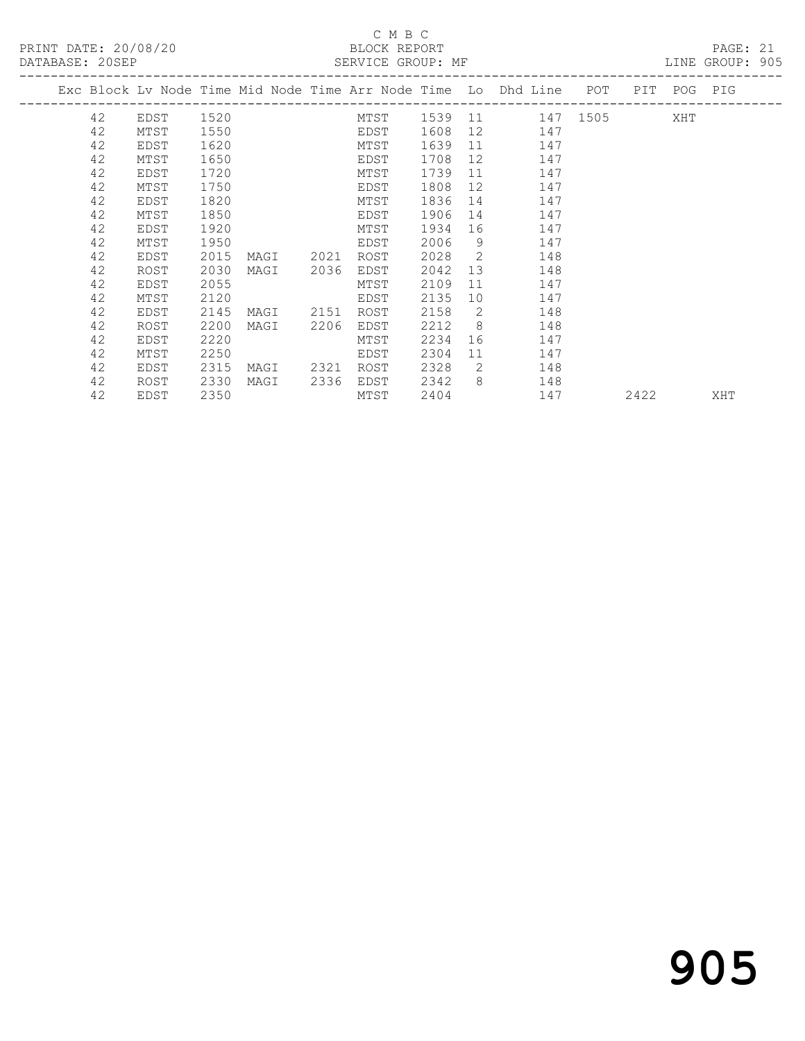#### C M B C

| PRINT DATE: 20/08/20 |    |      |      |                |      | BLOCK REPORT |         |    | DATABASE: 20SEP SERVICE GROUP: MF SERVICE SOUP: ME                             |        | PAGE: 21 |  |
|----------------------|----|------|------|----------------|------|--------------|---------|----|--------------------------------------------------------------------------------|--------|----------|--|
|                      |    |      |      |                |      |              |         |    | Exc Block Lv Node Time Mid Node Time Arr Node Time Lo Dhd Line POT PIT POG PIG |        |          |  |
|                      |    |      |      |                |      |              |         |    | 42 EDST 1520 MTST 1539 11 147 1505 XHT                                         |        |          |  |
|                      | 42 | MTST | 1550 | <b>EDST</b>    |      |              | 1608 12 |    | 147                                                                            |        |          |  |
|                      | 42 | EDST | 1620 |                |      | MTST         | 1639 11 |    | 147                                                                            |        |          |  |
|                      | 42 | MTST | 1650 |                |      | <b>EDST</b>  | 1708    |    | 12<br>147                                                                      |        |          |  |
|                      | 42 | EDST | 1720 |                |      | MTST         | 1739    | 11 | 147                                                                            |        |          |  |
|                      | 42 | MTST | 1750 |                |      | <b>EDST</b>  | 1808    | 12 | 147                                                                            |        |          |  |
|                      | 42 | EDST | 1820 | MTST           |      |              | 1836    |    | 14<br>147                                                                      |        |          |  |
|                      | 42 | MTST | 1850 |                |      | EDST         | 1906    | 14 | 147                                                                            |        |          |  |
|                      | 42 | EDST | 1920 | MTST           |      |              | 1934 16 |    | 147                                                                            |        |          |  |
|                      | 42 | MTST | 1950 |                |      | EDST         | 2006    |    | $9 \qquad \qquad$<br>147                                                       |        |          |  |
|                      | 42 | EDST | 2015 | MAGI 2021 ROST |      |              | 2028    |    | $\overline{2}$<br>148                                                          |        |          |  |
|                      | 42 | ROST | 2030 | MAGI 2036 EDST |      |              | 2042    |    | 13<br>148                                                                      |        |          |  |
|                      | 42 | EDST | 2055 |                |      | MTST         | 2109    | 11 | 147                                                                            |        |          |  |
|                      | 42 | MTST | 2120 |                |      | EDST         | 2135 10 |    | 147                                                                            |        |          |  |
|                      | 42 | EDST | 2145 | MAGI 2151      |      | ROST         | 2158    | 2  | 148                                                                            |        |          |  |
|                      | 42 | ROST | 2200 | MAGI           | 2206 | EDST         | 2212    |    | $8\overline{)}$<br>148                                                         |        |          |  |
|                      | 42 | EDST | 2220 |                |      | MTST         | 2234    |    | 147                                                                            |        |          |  |
|                      | 42 | MTST | 2250 |                |      | EDST         | 2304    | 11 | 147                                                                            |        |          |  |
|                      | 42 | EDST | 2315 | MAGI 2321 ROST |      |              | 2328 2  |    | 148                                                                            |        |          |  |
|                      | 42 | ROST | 2330 | MAGI           | 2336 | EDST         | 2342    |    | $8 \overline{)}$<br>148                                                        |        |          |  |
|                      | 42 | EDST | 2350 |                |      | MTST         | 2404    |    | 147                                                                            | 2422 2 | XHT      |  |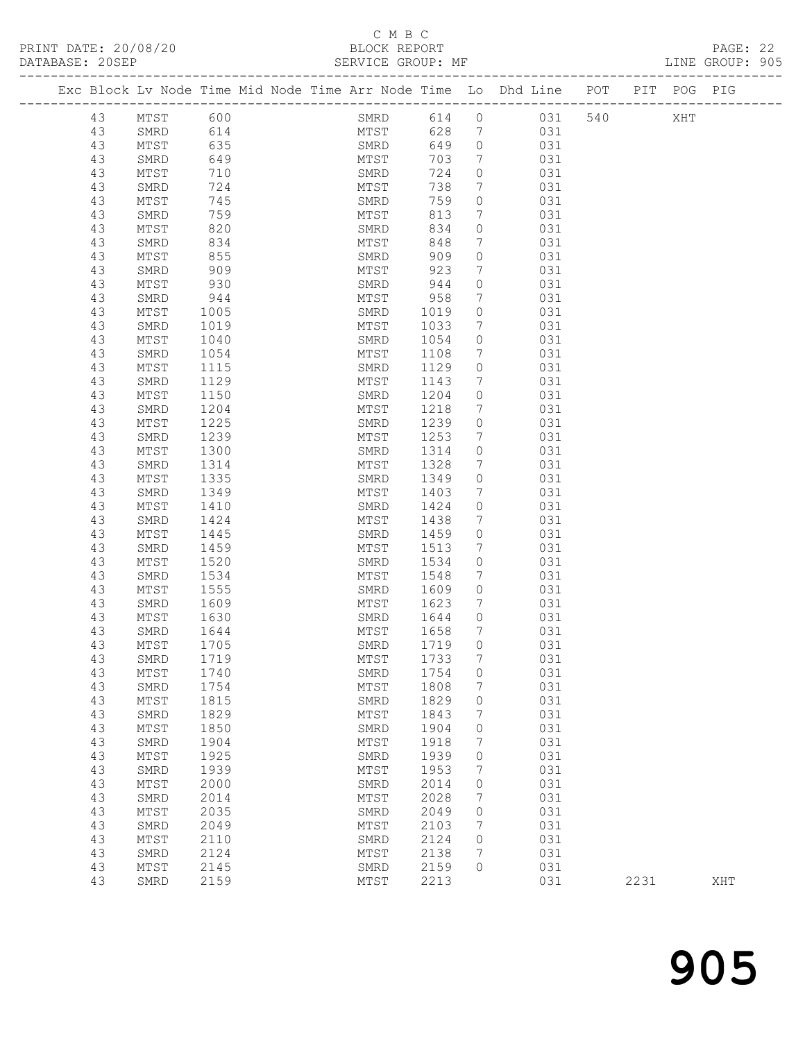#### C M B C<br>BLOCK REPORT

| DATABASE: 20SEP |          |              |              |  |              |              |                            |                                                                                |  | LINE GROUP: 905 |  |
|-----------------|----------|--------------|--------------|--|--------------|--------------|----------------------------|--------------------------------------------------------------------------------|--|-----------------|--|
|                 |          |              |              |  |              |              |                            | Exc Block Lv Node Time Mid Node Time Arr Node Time Lo Dhd Line POT PIT POG PIG |  |                 |  |
|                 | 43       | MTST 600     |              |  |              |              |                            | SMRD 614 0 031 540 XHT                                                         |  |                 |  |
|                 | 43       | SMRD         | 614          |  |              |              |                            | MTST 628 7 031                                                                 |  |                 |  |
|                 | 43       | MTST         | 635          |  | SMRD         | 649          |                            | $\overline{0}$<br>031                                                          |  |                 |  |
|                 | 43       | SMRD         | 649          |  | MTST         | 703          | 7                          | 031                                                                            |  |                 |  |
|                 | 43       | MTST         | 710          |  | SMRD         | 724          | $\circ$                    | 031                                                                            |  |                 |  |
|                 | 43       | SMRD         | 724          |  | MTST         | 738          | $7\overline{ }$            | 031                                                                            |  |                 |  |
|                 | 43       | MTST         | 745          |  | SMRD         | 759          | $\circ$                    | 031                                                                            |  |                 |  |
|                 | 43       | SMRD         | 759          |  | MTST         | 813          | $7\overline{ }$            | 031                                                                            |  |                 |  |
|                 | 43       | MTST         | 820          |  | SMRD         | 834          | $\circ$                    | 031                                                                            |  |                 |  |
|                 | 43       | SMRD         | 834          |  | MTST         | 848          | 7                          | 031                                                                            |  |                 |  |
|                 | 43       | MTST         | 855          |  | SMRD         | 909          | $\circ$                    | 031                                                                            |  |                 |  |
|                 | 43       | SMRD         | 909          |  | MTST         | 923          | $7\phantom{.0}$            | 031                                                                            |  |                 |  |
|                 | 43       | MTST         | 930          |  | SMRD         | 944          | $\circ$                    | 031                                                                            |  |                 |  |
|                 | 43       | SMRD         | 944          |  | MTST         | 958          | $7\phantom{.0}$            | 031                                                                            |  |                 |  |
|                 | 43       | MTST         | 1005         |  | SMRD         | 1019         | $\circ$                    | 031                                                                            |  |                 |  |
|                 | 43       | SMRD         | 1019         |  | MTST         | 1033         | $7\phantom{.0}$            | 031                                                                            |  |                 |  |
|                 | 43       | MTST         | 1040         |  | SMRD         | 1054         | $\circ$                    | 031                                                                            |  |                 |  |
|                 | 43       | SMRD         | 1054         |  | MTST         | 1108         | 7                          | 031                                                                            |  |                 |  |
|                 | 43       | MTST         | 1115         |  | SMRD         | 1129         | $\circ$                    | 031                                                                            |  |                 |  |
|                 | 43       | SMRD         | 1129         |  | MTST         | 1143         | $7\overline{ }$            | 031                                                                            |  |                 |  |
|                 | 43<br>43 | MTST         | 1150         |  | SMRD         | 1204         | $\circ$<br>$7\phantom{.0}$ | 031<br>031                                                                     |  |                 |  |
|                 |          | SMRD         | 1204<br>1225 |  | MTST<br>SMRD | 1218<br>1239 | $\circ$                    | 031                                                                            |  |                 |  |
|                 | 43<br>43 | MTST<br>SMRD | 1239         |  | MTST         | 1253         | 7                          | 031                                                                            |  |                 |  |
|                 | 43       | MTST         | 1300         |  | SMRD         | 1314         | $\circ$                    | 031                                                                            |  |                 |  |
|                 | 43       | SMRD         | 1314         |  | MTST         | 1328         | 7                          | 031                                                                            |  |                 |  |
|                 | 43       | MTST         | 1335         |  | SMRD         | 1349         | $\circ$                    | 031                                                                            |  |                 |  |
|                 | 43       | SMRD         | 1349         |  | MTST         | 1403         | 7                          | 031                                                                            |  |                 |  |
|                 | 43       | MTST         | 1410         |  | SMRD         | 1424         | $\circ$                    | 031                                                                            |  |                 |  |
|                 | 43       | SMRD         | 1424         |  | MTST         | 1438         | $7\phantom{.0}$            | 031                                                                            |  |                 |  |
|                 | 43       | MTST         | 1445         |  | SMRD         | 1459         | $\circ$                    | 031                                                                            |  |                 |  |
|                 | 43       | SMRD         | 1459         |  | MTST         | 1513         | 7                          | 031                                                                            |  |                 |  |
|                 | 43       | MTST         | 1520         |  | SMRD         | 1534         | $\circ$                    | 031                                                                            |  |                 |  |
|                 | 43       | SMRD         | 1534         |  | MTST         | 1548         | $7\phantom{.0}$            | 031                                                                            |  |                 |  |
|                 | 43       | MTST         | 1555         |  | SMRD         | 1609         | $\circ$                    | 031                                                                            |  |                 |  |
|                 | 43       | SMRD         | 1609         |  | MTST         | 1623         | 7                          | 031                                                                            |  |                 |  |
|                 | 43       | MTST         | 1630         |  | SMRD         | 1644         | $\circ$                    | 031                                                                            |  |                 |  |
|                 | 43       | SMRD         | 1644         |  | MTST         | 1658         | $7\phantom{.0}$            | 031                                                                            |  |                 |  |
|                 | 43       | MTST         | 1705         |  |              | SMRD 1719    | $\circ$                    | 031                                                                            |  |                 |  |
|                 | 43       | SMRD         | 1719         |  | MTST         | 1733         | $7\phantom{.0}$            | 031                                                                            |  |                 |  |
|                 | 43       | MTST         | 1740         |  | SMRD         | 1754         | 0                          | 031                                                                            |  |                 |  |
|                 | 43       | SMRD         | 1754         |  | MTST         | 1808         | $\overline{7}$             | 031                                                                            |  |                 |  |
|                 | 43       | MTST         | 1815         |  | SMRD         | 1829         | 0                          | 031                                                                            |  |                 |  |
|                 | 43       | SMRD         | 1829         |  | MTST         | 1843         | 7                          | 031                                                                            |  |                 |  |
|                 | 43       | MTST         | 1850         |  | SMRD         | 1904         | 0                          | 031                                                                            |  |                 |  |
|                 | 43       | SMRD         | 1904         |  | MTST         | 1918         | 7                          | 031                                                                            |  |                 |  |
|                 | 43       | MTST         | 1925         |  | SMRD         | 1939         | 0                          | 031                                                                            |  |                 |  |
|                 | 43       | SMRD         | 1939         |  | MTST         | 1953         | 7                          | 031                                                                            |  |                 |  |

43 SMRD 2124 MTST 2138 7 031<br>43 MTST 2145 SMRD 2159 0 031<br>43 SMRD 2159 MTST 2213 031 2231 XHT

 43 MTST 2000 SMRD 2014 0 031 43 SMRD 2014 MTST 2028 7 031 43 MTST 2035 SMRD 2049 0 031 43 SMRD 2049 MTST 2103 7 031 43 MTST 2110 SMRD 2124 0 031 43 SMRD 2124 MTST 2138 7 031 43 MTST 2145 SMRD 2159 0 031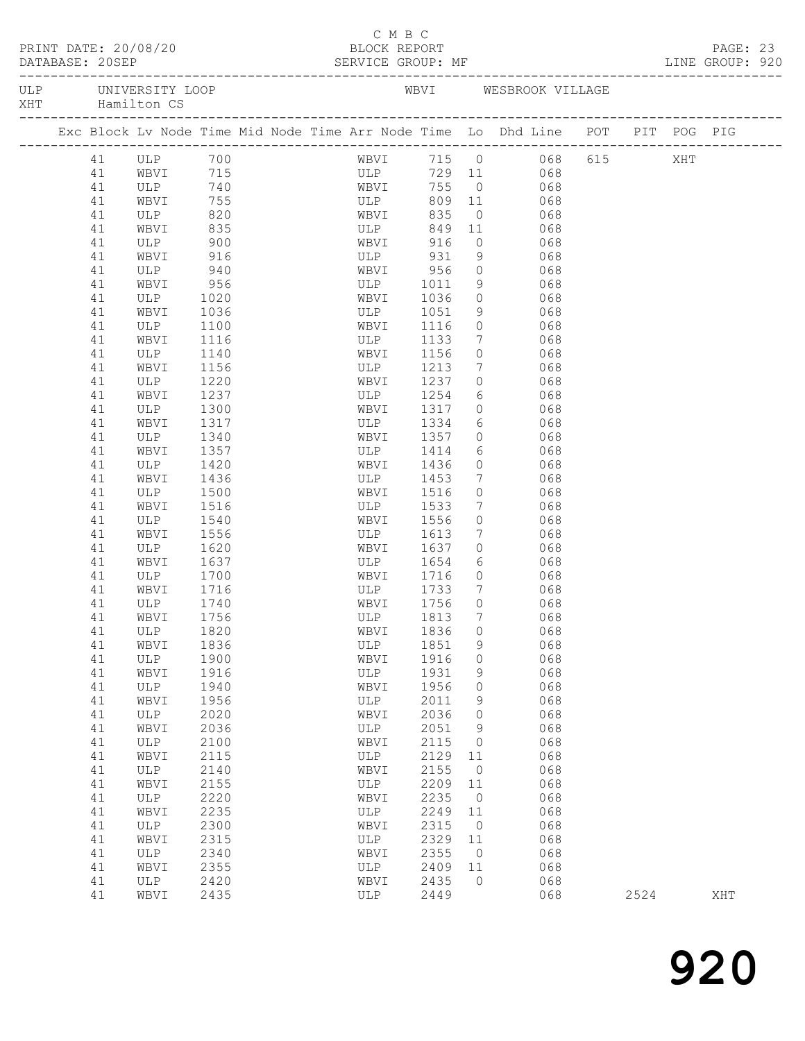| PRINT DATE: 20/08/20<br>$\frac{1}{2}$<br>DATABASE: 20SEP |  |          |                                    |              |  |  | C M B C<br>BLOCK REPORT<br>SERVICE GROUP: MF |                       |                            |                                                                                |      | PAGE: 23<br>LINE GROUP: 920 |  |
|----------------------------------------------------------|--|----------|------------------------------------|--------------|--|--|----------------------------------------------|-----------------------|----------------------------|--------------------------------------------------------------------------------|------|-----------------------------|--|
| XHT                                                      |  |          | ULP UNIVERSITY LOOP<br>Hamilton CS |              |  |  |                                              |                       |                            | WBVI WESBROOK VILLAGE                                                          |      |                             |  |
|                                                          |  |          |                                    |              |  |  |                                              |                       |                            | Exc Block Lv Node Time Mid Node Time Arr Node Time Lo Dhd Line POT PIT POG PIG |      |                             |  |
|                                                          |  | 41       | ULP 700<br>WRVI 715                |              |  |  | WBVI                                         |                       |                            | 715 0 068 615 XHT<br>729 11 068                                                |      |                             |  |
|                                                          |  | 41       |                                    |              |  |  | ULP                                          |                       |                            |                                                                                |      |                             |  |
|                                                          |  | 41       | ULP 740                            |              |  |  | WBVI                                         | 755                   |                            | $0$ 068                                                                        |      |                             |  |
|                                                          |  | 41       | WBVI                               | 755          |  |  | ULP                                          | 809                   | 11                         | 068                                                                            |      |                             |  |
|                                                          |  | 41       | ULP                                | 820<br>835   |  |  | WBVI<br>ULP                                  | 835                   | $\overline{0}$             | 068                                                                            |      |                             |  |
|                                                          |  | 41       | WBVI                               | 900          |  |  | WBVI 916                                     | 849 11                |                            | 068<br>$0$ 068                                                                 |      |                             |  |
|                                                          |  | 41<br>41 | ULP<br>WBVI                        | 916          |  |  |                                              | ULP 931               | 9                          | 068                                                                            |      |                             |  |
|                                                          |  | 41       | ULP                                | 940          |  |  |                                              |                       | $\circ$                    |                                                                                |      |                             |  |
|                                                          |  | 41       | WBVI                               | 956          |  |  |                                              | WBVI 956<br>ULP 1011  | 9                          | 068<br>068                                                                     |      |                             |  |
|                                                          |  | 41       | ULP                                | 1020         |  |  |                                              | WBVI 1036             |                            | $0$ 068                                                                        |      |                             |  |
|                                                          |  | 41       | WBVI                               | 1036         |  |  |                                              | ULP 1051              | 9                          | 068                                                                            |      |                             |  |
|                                                          |  | 41       | ULP                                | 1100         |  |  | WBVI                                         | 1116                  | $\circ$                    | 068                                                                            |      |                             |  |
|                                                          |  | 41       | WBVI                               | 1116         |  |  | ULP                                          | 1133                  | $7\phantom{.0}$            | 068                                                                            |      |                             |  |
|                                                          |  | 41       | ULP                                | 1140         |  |  | WBVI                                         | 1156                  | $\circ$                    | 068                                                                            |      |                             |  |
|                                                          |  | 41       | WBVI                               | 1156         |  |  | ULP                                          | 1213                  | $7\phantom{.0}$            | 068                                                                            |      |                             |  |
|                                                          |  | 41       | ULP                                | 1220         |  |  | WBVI                                         | 1237                  | $\circ$                    | 068                                                                            |      |                             |  |
|                                                          |  | 41       | WBVI                               | 1237         |  |  | ULP                                          | 1254                  | $6\overline{}$             | 068                                                                            |      |                             |  |
|                                                          |  | 41       | ULP                                | 1300         |  |  | WBVI                                         | 1317                  |                            | $\begin{array}{ccc}\n0 & 068 \\ \end{array}$                                   |      |                             |  |
|                                                          |  | 41       | WBVI                               | 1317         |  |  |                                              | ULP 1334              | 6                          | 068                                                                            |      |                             |  |
|                                                          |  | 41       | ULP                                | 1340         |  |  | WBVI                                         | 1357                  | $\circ$                    | 068                                                                            |      |                             |  |
|                                                          |  | 41       | WBVI                               | 1357         |  |  |                                              | ULP 1414              | 6                          | 068                                                                            |      |                             |  |
|                                                          |  | 41       | ULP                                | 1420         |  |  | WBVI                                         | 1436                  | $\circ$                    | 068                                                                            |      |                             |  |
|                                                          |  | 41       | WBVI                               | 1436         |  |  |                                              | ULP 1453              | $\overline{7}$             | 068                                                                            |      |                             |  |
|                                                          |  | 41       | ULP                                | 1500         |  |  | WBVI                                         | 1516                  | $\circ$                    | 068                                                                            |      |                             |  |
|                                                          |  | 41<br>41 | WBVI                               | 1516         |  |  | ULP                                          | 1533<br>1556          | $7\overline{ }$<br>$\circ$ | 068<br>068                                                                     |      |                             |  |
|                                                          |  | 41       | ULP<br>WBVI                        | 1540<br>1556 |  |  | WBVI                                         | ULP 1613              | $7\overline{ }$            | 068                                                                            |      |                             |  |
|                                                          |  | 41       | ULP                                | 1620         |  |  | WBVI                                         | 1637                  | $\circ$                    | 068                                                                            |      |                             |  |
|                                                          |  | 41       | WBVI                               | 1637         |  |  |                                              |                       |                            | $6\overline{6}$<br>068                                                         |      |                             |  |
|                                                          |  | 41       | VLP 1700                           |              |  |  |                                              | ULP 1654<br>WBVI 1716 | $\overline{0}$             | 068                                                                            |      |                             |  |
|                                                          |  | 41       | WBVI                               | 1716         |  |  |                                              | ULP 1733              | $7\phantom{0}$             | 068                                                                            |      |                             |  |
|                                                          |  | 41       | ULP                                | 1740         |  |  | WBVI                                         | 1756                  | $\Omega$                   | 068                                                                            |      |                             |  |
|                                                          |  |          | 41 WBVI                            | 1756         |  |  | ULP                                          | 1813 7                |                            | 068                                                                            |      |                             |  |
|                                                          |  | 41       | ULP                                | 1820         |  |  | WBVI                                         | 1836                  | 0                          | 068                                                                            |      |                             |  |
|                                                          |  | 41       | WBVI                               | 1836         |  |  | ULP                                          | 1851                  | 9                          | 068                                                                            |      |                             |  |
|                                                          |  | 41       | <b>ULP</b>                         | 1900         |  |  | WBVI                                         | 1916                  | 0                          | 068                                                                            |      |                             |  |
|                                                          |  | 41       | WBVI                               | 1916         |  |  | ULP                                          | 1931                  | 9                          | 068                                                                            |      |                             |  |
|                                                          |  | 41       | $_{\rm ULP}$                       | 1940         |  |  | WBVI                                         | 1956                  | 0                          | 068                                                                            |      |                             |  |
|                                                          |  | 41       | WBVI                               | 1956         |  |  | ULP                                          | 2011                  | 9                          | 068                                                                            |      |                             |  |
|                                                          |  | 41       | ULP                                | 2020         |  |  | WBVI                                         | 2036                  | 0                          | 068                                                                            |      |                             |  |
|                                                          |  | 41       | WBVI                               | 2036         |  |  | ULP                                          | 2051                  | 9                          | 068                                                                            |      |                             |  |
|                                                          |  | 41       | ULP                                | 2100         |  |  | WBVI                                         | 2115                  | 0                          | 068                                                                            |      |                             |  |
|                                                          |  | 41       | WBVI                               | 2115         |  |  | ULP                                          | 2129                  | 11                         | 068                                                                            |      |                             |  |
|                                                          |  | 41       | <b>ULP</b>                         | 2140         |  |  | WBVI                                         | 2155                  | 0                          | 068                                                                            |      |                             |  |
|                                                          |  | 41       | WBVI                               | 2155         |  |  | ULP                                          | 2209                  | 11                         | 068                                                                            |      |                             |  |
|                                                          |  | 41       | ULP                                | 2220         |  |  | WBVI                                         | 2235                  | 0                          | 068                                                                            |      |                             |  |
|                                                          |  | 41       | WBVI                               | 2235         |  |  | ULP                                          | 2249                  | 11                         | 068                                                                            |      |                             |  |
|                                                          |  | 41       | <b>ULP</b><br>WBVI                 | 2300         |  |  | WBVI                                         | 2315<br>2329          | 0<br>11                    | 068<br>068                                                                     |      |                             |  |
|                                                          |  | 41<br>41 | ULP                                | 2315<br>2340 |  |  | ULP<br>WBVI                                  | 2355                  | 0                          | 068                                                                            |      |                             |  |
|                                                          |  | 41       | WBVI                               | 2355         |  |  | ULP                                          | 2409                  | 11                         | 068                                                                            |      |                             |  |
|                                                          |  | 41       | ULP                                | 2420         |  |  | WBVI                                         | 2435                  | $\circ$                    | 068                                                                            |      |                             |  |
|                                                          |  | 41       | WBVI                               | 2435         |  |  | ULP                                          | 2449                  |                            | 068                                                                            | 2524 | XHT                         |  |
|                                                          |  |          |                                    |              |  |  |                                              |                       |                            |                                                                                |      |                             |  |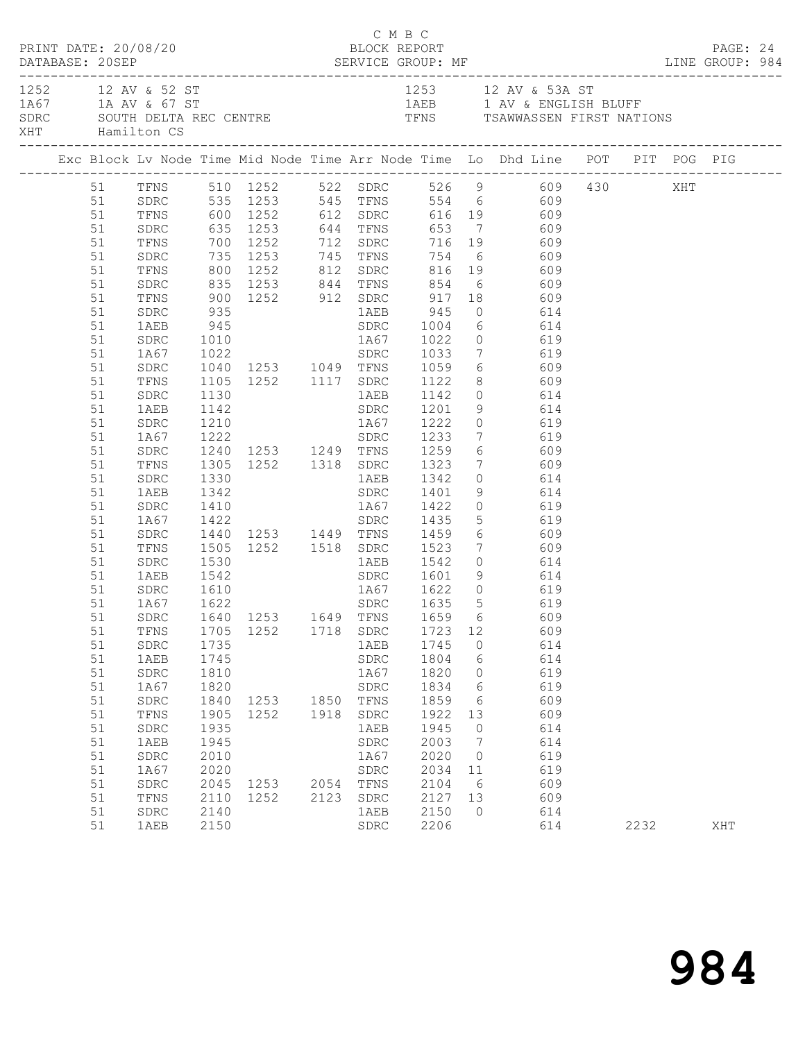|  |          | PRINT DATE: 20/08/20   |              |                                  |      | C M B C      | BLOCK REPORT           |                 |                                                                                                                                                |      | PAGE: 24 |  |
|--|----------|------------------------|--------------|----------------------------------|------|--------------|------------------------|-----------------|------------------------------------------------------------------------------------------------------------------------------------------------|------|----------|--|
|  |          | XHT Hamilton CS        |              |                                  |      |              |                        |                 | 1252 12 AV & 52 ST<br>1A67 1A AV & 67 ST<br>SDRC SOUTH DELTA REC CENTRE TENS TRIMES TO TENS TRAWWASSEN FIRST NATIONS                           |      |          |  |
|  |          |                        |              |                                  |      |              |                        |                 |                                                                                                                                                |      |          |  |
|  |          |                        |              |                                  |      |              |                        |                 | 51 TFNS 510 1252 522 SDRC 526 9 609 430 XHT<br>51 SDRC 535 1253 545 TFNS 554 6 609                                                             |      |          |  |
|  |          |                        |              |                                  |      |              |                        |                 |                                                                                                                                                |      |          |  |
|  | 51       |                        |              |                                  |      |              |                        |                 | TFNS 600 1252 612 SDRC 616 19 609                                                                                                              |      |          |  |
|  | 51       | SDRC                   |              |                                  |      |              |                        |                 | SDRC 635 1253 644 TFNS 653 7 609<br>TFNS 700 1252 712 SDRC 716 19 609<br>SDRC 735 1253 745 TFNS 754 6 609<br>TFNS 800 1252 812 SDRC 816 19 609 |      |          |  |
|  | 51       |                        |              |                                  |      |              |                        |                 |                                                                                                                                                |      |          |  |
|  | 51       |                        |              |                                  |      |              |                        |                 |                                                                                                                                                |      |          |  |
|  | 51       |                        |              |                                  |      |              |                        |                 |                                                                                                                                                |      |          |  |
|  | 51       | SDRC                   |              |                                  |      |              |                        |                 |                                                                                                                                                |      |          |  |
|  | 51       | TFNS<br>SDRC           |              |                                  |      |              |                        |                 | 835 1253 844 TFNS 854 6 609<br>900 1252 912 SDRC 917 18 609<br>935 1AEB 945 0 614                                                              |      |          |  |
|  | 51       |                        |              |                                  |      |              |                        |                 |                                                                                                                                                |      |          |  |
|  | 51       |                        |              |                                  |      |              |                        |                 |                                                                                                                                                |      |          |  |
|  | 51       | SDRC                   |              |                                  |      |              |                        |                 | 1010 1867 1022 0 619<br>1022 SDRC 1033 7 619<br>1040 1253 1049 TFNS 1059 6 609                                                                 |      |          |  |
|  | 51       | 1A67                   |              |                                  |      |              |                        |                 |                                                                                                                                                |      |          |  |
|  | 51       | SDRC                   |              |                                  |      |              |                        |                 |                                                                                                                                                |      |          |  |
|  | 51       | TFNS                   |              |                                  |      |              |                        |                 | 1105 1252 1117 SDRC 1122 8 609                                                                                                                 |      |          |  |
|  | 51       | SDRC                   | 1130         |                                  |      |              |                        |                 | 1AEB 1142 0 614                                                                                                                                |      |          |  |
|  | 51       | 1AEB                   |              |                                  |      |              |                        |                 |                                                                                                                                                |      |          |  |
|  | 51       | SDRC                   |              |                                  |      |              |                        |                 |                                                                                                                                                |      |          |  |
|  | 51       | 1A67                   |              |                                  |      |              |                        |                 |                                                                                                                                                |      |          |  |
|  | 51       | SDRC                   |              |                                  |      |              |                        |                 |                                                                                                                                                |      |          |  |
|  | 51       | TFNS                   |              | 1305 1252 1318 SDRC 1323         |      |              |                        |                 | 7 609                                                                                                                                          |      |          |  |
|  | 51       | ${\tt SDRC}$<br>1AEB   | 1330<br>1342 |                                  |      |              | 1AEB 1342<br>SDRC 1401 |                 | $\begin{array}{ccc} 0 & 614 \\ 9 & 614 \end{array}$                                                                                            |      |          |  |
|  | 51<br>51 |                        |              |                                  |      |              |                        |                 |                                                                                                                                                |      |          |  |
|  | 51       | SDRC<br>1A67           |              |                                  |      |              |                        |                 |                                                                                                                                                |      |          |  |
|  | 51       | SDRC                   |              |                                  |      |              |                        |                 |                                                                                                                                                |      |          |  |
|  | 51       | TFNS                   |              |                                  |      |              |                        |                 | 1410 1867 1422 0<br>1422 SDRC 1435 5 619<br>1440 1253 1449 TFNS 1459 6 609<br>1505 1252 1518 SDRC 1523 7 609                                   |      |          |  |
|  | 51       | SDRC                   | 1530         |                                  |      |              |                        |                 | 1AEB 1542 0 614                                                                                                                                |      |          |  |
|  | 51       | 1AEB                   | 1542         |                                  |      |              |                        |                 | SDRC 1601 9 614                                                                                                                                |      |          |  |
|  | 51       |                        |              |                                  |      |              |                        |                 |                                                                                                                                                |      |          |  |
|  | 51       | SDRC 1610<br>1A67 1622 |              |                                  |      |              |                        |                 | 1467 1622 0 619<br>SDRC 1635 5 619                                                                                                             |      |          |  |
|  |          |                        |              |                                  |      |              |                        |                 | 51 SDRC 1640 1253 1649 TFNS 1659 6 609                                                                                                         |      |          |  |
|  | 51       | TFNS                   | 1705         | 1252 1718 SDRC                   |      |              | 1723 12                |                 | 609                                                                                                                                            |      |          |  |
|  | 51       | ${\tt SDRC}$           | 1735         |                                  |      | 1AEB         | 1745                   | $\overline{0}$  | 614                                                                                                                                            |      |          |  |
|  | 51       | 1AEB                   | 1745         |                                  |      | SDRC         | 1804                   | $6\overline{6}$ | 614                                                                                                                                            |      |          |  |
|  | 51       | SDRC                   | 1810         |                                  |      | 1A67         | 1820                   | $\overline{0}$  | 619                                                                                                                                            |      |          |  |
|  | 51       | 1A67                   | 1820         |                                  |      | ${\tt SDRC}$ | 1834                   | $6\overline{6}$ | 619                                                                                                                                            |      |          |  |
|  | 51       | SDRC                   | 1840         | 1253 1850 TFNS<br>1252 1918 SDRC |      |              | 1859                   | 6               | 609                                                                                                                                            |      |          |  |
|  | 51       | TFNS                   | 1905         |                                  |      |              | 1922                   | 13              | 609                                                                                                                                            |      |          |  |
|  | 51       | ${\tt SDRC}$           | 1935         |                                  |      | 1AEB         | 1945                   | $\overline{0}$  | 614                                                                                                                                            |      |          |  |
|  | 51       | 1AEB                   | 1945         |                                  |      | SDRC         | 2003                   | $\overline{7}$  | 614                                                                                                                                            |      |          |  |
|  | 51       | ${\tt SDRC}$           | 2010         |                                  |      | 1A67         | 2020                   | $\overline{0}$  | 619                                                                                                                                            |      |          |  |
|  | 51       | 1A67                   | 2020         |                                  |      | ${\tt SDRC}$ | 2034                   | 11              | 619                                                                                                                                            |      |          |  |
|  | 51       | SDRC                   | 2045         | 1253 2054 TFNS                   |      |              | 2104                   | 6               | 609                                                                                                                                            |      |          |  |
|  | 51       | TFNS                   | 2110         | 1252                             | 2123 | SDRC         | 2127 13                |                 | 609                                                                                                                                            |      |          |  |
|  | 51       | ${\tt SDRC}$           | 2140         |                                  |      | 1AEB         | 2150                   | $\overline{0}$  | 614                                                                                                                                            |      |          |  |
|  | 51       | 1AEB                   | 2150         |                                  |      | ${\tt SDRC}$ | 2206                   |                 | 614                                                                                                                                            | 2232 | XHT      |  |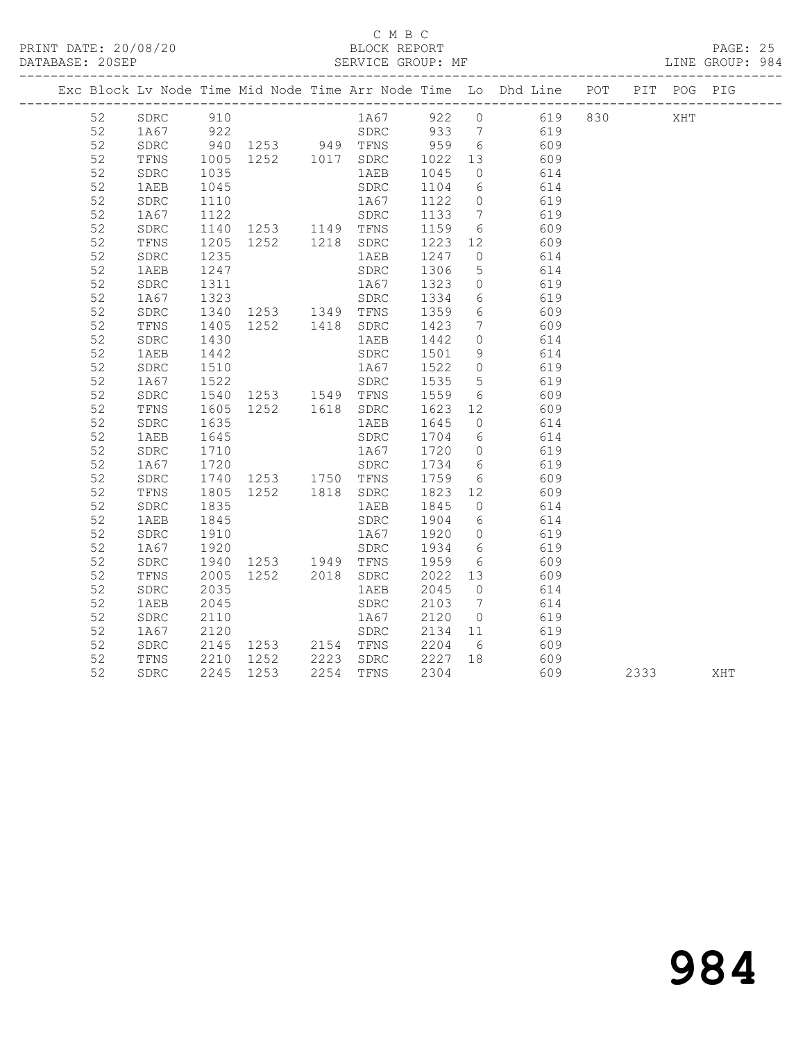#### C M B C<br>BLOCK REPORT

PAGE: 25<br>LINE GROUP: 984

|  |    |              |                      |                                                                                                                      |                                                         |                  |                | Exc Block Lv Node Time Mid Node Time Arr Node Time Lo Dhd Line POT PIT POG PIG                                                    |      |     |
|--|----|--------------|----------------------|----------------------------------------------------------------------------------------------------------------------|---------------------------------------------------------|------------------|----------------|-----------------------------------------------------------------------------------------------------------------------------------|------|-----|
|  | 52 |              |                      |                                                                                                                      |                                                         |                  |                | SDRC 910 1A67 922 0 619 830 XHT                                                                                                   |      |     |
|  | 52 |              |                      |                                                                                                                      |                                                         |                  |                |                                                                                                                                   |      |     |
|  | 52 |              |                      |                                                                                                                      |                                                         |                  |                |                                                                                                                                   |      |     |
|  | 52 |              |                      |                                                                                                                      |                                                         |                  |                | 1252 510<br>1253 949 778 959 6 609<br>1258 949 778 959 6 609<br>1252 1017 SDRC 1022 13 609<br>1262 1035 1252 1017 1268 1045 0 614 |      |     |
|  | 52 |              |                      |                                                                                                                      |                                                         |                  |                |                                                                                                                                   |      |     |
|  | 52 | 1AEB         | 1045                 |                                                                                                                      | SDRC                                                    |                  |                | 1104 6 614                                                                                                                        |      |     |
|  | 52 | ${\tt SDRC}$ |                      |                                                                                                                      |                                                         |                  |                | 619                                                                                                                               |      |     |
|  | 52 | 1A67         |                      |                                                                                                                      |                                                         |                  |                | 1110 1167 1122 0 619<br>1122 5DRC 1133 7 619<br>1140 1253 1149 TFNS 1159 6 609                                                    |      |     |
|  | 52 | SDRC         |                      |                                                                                                                      |                                                         |                  |                |                                                                                                                                   |      |     |
|  | 52 | TFNS         |                      | 1252 1218 SDRC 1223 12                                                                                               |                                                         |                  |                | 609                                                                                                                               |      |     |
|  | 52 | ${\tt SDRC}$ | 1205<br>1235         |                                                                                                                      | 1AEB                                                    | 1247 0           |                | 614                                                                                                                               |      |     |
|  | 52 | 1AEB         | 1247                 |                                                                                                                      | SDRC                                                    | 1306             | 5 <sup>5</sup> | 614                                                                                                                               |      |     |
|  | 52 | SDRC         |                      | 1311 1867 1323 0<br>1323 5DRC 1334 6<br>1340 1253 1349 TFNS 1359 6                                                   | 1A67 1323 0                                             |                  |                | 619                                                                                                                               |      |     |
|  | 52 | 1A67         |                      |                                                                                                                      |                                                         |                  |                | 619                                                                                                                               |      |     |
|  | 52 | SDRC         |                      |                                                                                                                      |                                                         |                  |                | 609                                                                                                                               |      |     |
|  | 52 | TFNS         | 1405                 |                                                                                                                      | 1252  1418  SDRC  1423                                  |                  | $7\phantom{0}$ | 609                                                                                                                               |      |     |
|  | 52 | SDRC         | 1430<br>1442         |                                                                                                                      | 1 AEB                                                   | 1442 0<br>1501 9 |                | 614<br>614                                                                                                                        |      |     |
|  | 52 | 1AEB         |                      |                                                                                                                      | SDRC                                                    |                  |                |                                                                                                                                   |      |     |
|  | 52 | SDRC         | 1510                 |                                                                                                                      | 1A67                                                    |                  |                | 1522 0 619                                                                                                                        |      |     |
|  | 52 | 1A67         |                      | 1522<br>1540 1253 1549 TFNS<br>1605 1252 1618 SDRC<br>SDRC 1535 5<br>1253 1549 TFNS 1559 6<br>1252 1618 SDRC 1623 12 |                                                         |                  |                | 619                                                                                                                               |      |     |
|  | 52 | SDRC         |                      |                                                                                                                      |                                                         |                  |                | 609                                                                                                                               |      |     |
|  | 52 | TFNS         |                      |                                                                                                                      |                                                         |                  |                | 609                                                                                                                               |      |     |
|  | 52 | SDRC         | 1635                 |                                                                                                                      | 1AEB                                                    | 1645 0           |                | 614                                                                                                                               |      |     |
|  | 52 | 1AEB         | 1645<br>1710         |                                                                                                                      |                                                         |                  |                | SDRC 1704 6 614<br>1A67 1720 0 619                                                                                                |      |     |
|  | 52 | ${\tt SDRC}$ |                      |                                                                                                                      |                                                         |                  |                |                                                                                                                                   |      |     |
|  | 52 | 1A67         |                      |                                                                                                                      |                                                         |                  |                |                                                                                                                                   |      |     |
|  | 52 | ${\tt SDRC}$ |                      |                                                                                                                      |                                                         |                  |                | 609                                                                                                                               |      |     |
|  | 52 | TFNS         |                      |                                                                                                                      |                                                         |                  |                |                                                                                                                                   |      |     |
|  | 52 | SDRC         | 1835                 |                                                                                                                      | 1 AEB                                                   |                  |                | 1845 0 614                                                                                                                        |      |     |
|  | 52 | 1AEB         | 1845                 |                                                                                                                      | SDRC                                                    | 1904 6<br>1920 0 |                | 614                                                                                                                               |      |     |
|  | 52 | ${\tt SDRC}$ | 1910                 |                                                                                                                      | 1A67                                                    |                  |                | 619                                                                                                                               |      |     |
|  | 52 | 1A67         | 1920                 |                                                                                                                      | SDRC 1934 6                                             |                  |                | 619                                                                                                                               |      |     |
|  | 52 | SDRC         | 1940<br>2005<br>2035 |                                                                                                                      | 1253 1949 TFNS 1959 6                                   |                  |                | 609                                                                                                                               |      |     |
|  | 52 | TFNS         |                      |                                                                                                                      | 1252    2018    SDRC    2022    13<br>1AEB    2045    0 |                  |                | 609                                                                                                                               |      |     |
|  | 52 | SDRC         |                      |                                                                                                                      |                                                         |                  |                | 614                                                                                                                               |      |     |
|  | 52 | 1AEB         | 2045                 |                                                                                                                      | SDRC                                                    |                  |                | 2103 7 614                                                                                                                        |      |     |
|  | 52 | SDRC         | $2110$<br>2120       |                                                                                                                      |                                                         |                  |                | 1A67 2120 0 619<br>SDRC 2134 11 619                                                                                               |      |     |
|  | 52 | 1A67         |                      |                                                                                                                      |                                                         |                  |                |                                                                                                                                   |      |     |
|  | 52 | SDRC         | 2145                 |                                                                                                                      |                                                         |                  |                | 1253 2154 TFNS 2204 6 609                                                                                                         |      |     |
|  | 52 | TFNS         | 2210<br>2245         |                                                                                                                      |                                                         |                  |                | 1252 2223 SDRC 2227 18 609<br>1253 2254 TFNS 2304 609                                                                             |      |     |
|  | 52 | SDRC         | 2245                 | 1253                                                                                                                 | 2254 TFNS                                               | 2304             |                | 609                                                                                                                               | 2333 | XHT |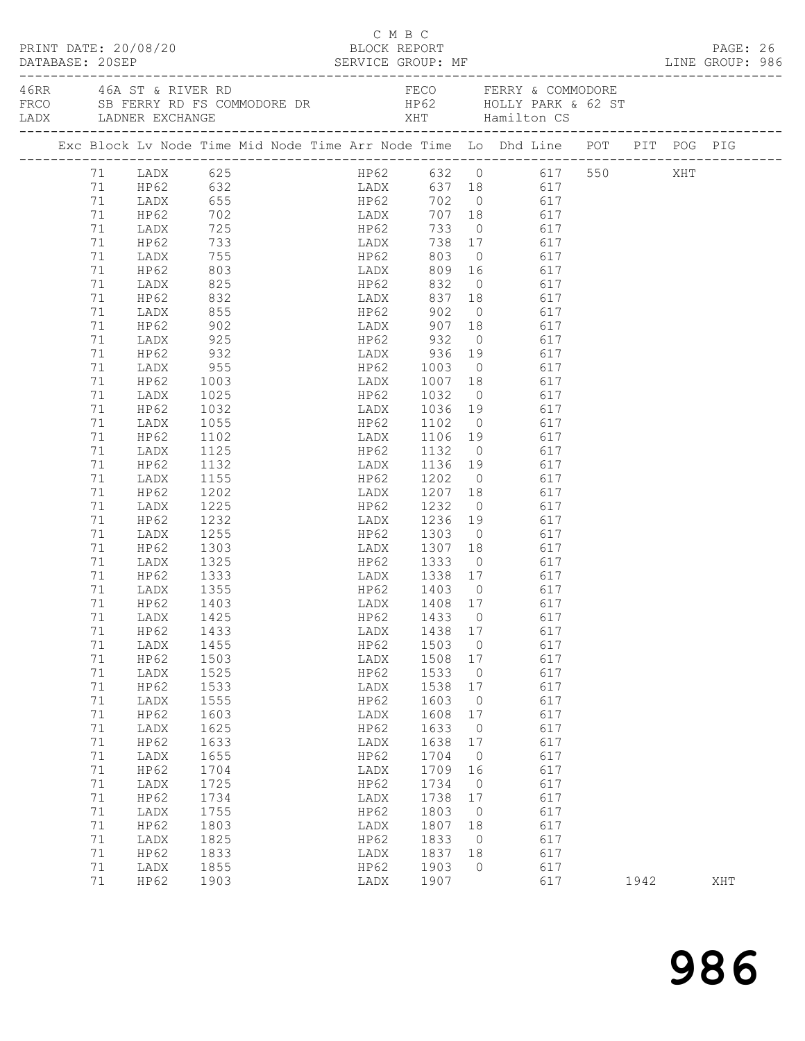|                                         |          |                      |                                                                                                       |              |                                                     | C M B C |                |       |      |          |  |
|-----------------------------------------|----------|----------------------|-------------------------------------------------------------------------------------------------------|--------------|-----------------------------------------------------|---------|----------------|-------|------|----------|--|
| PRINT DATE: 20/08/20<br>DATABASE: 20SEP |          |                      |                                                                                                       |              | BLOCK REPORT                                        |         |                |       |      | PAGE: 26 |  |
|                                         |          | LADX LADNER EXCHANGE | 46RR 46A ST & RIVER RD                                                                                |              | FECO FERRY & COMMODORE                              |         |                |       |      |          |  |
|                                         |          |                      | Exc Block Lv Node Time Mid Node Time Arr Node Time Lo Dhd Line POT PIT POG PIG                        |              |                                                     |         |                |       |      |          |  |
|                                         |          |                      | $71$ LADX 625                                                                                         |              | HP62 632 0 617 550 XHT                              |         |                |       |      |          |  |
|                                         |          |                      | 11 HP62 632<br>11 HP62 632 HP62 702 0 617<br>12 HP62 702 HP62 702 0 617<br>12 HP62 702 HP62 733 0 617 |              |                                                     |         |                |       |      |          |  |
|                                         |          |                      |                                                                                                       |              | LADX 637 18 617<br>HP62 702 0 617                   |         |                |       |      |          |  |
|                                         |          |                      |                                                                                                       |              |                                                     |         |                |       |      |          |  |
|                                         | 71       | LADX                 |                                                                                                       |              |                                                     |         |                |       |      |          |  |
|                                         | 71       | HP62                 | 725<br>733<br>755<br>803                                                                              |              | HP62 733 0 617<br>LADX 738 17 617<br>HP62 803 0 617 |         |                |       |      |          |  |
|                                         | 71       | LADX                 |                                                                                                       |              |                                                     |         |                |       |      |          |  |
|                                         | 71       | HP62                 |                                                                                                       |              | LADX 809 16 617                                     |         |                |       |      |          |  |
|                                         | 71       | LADX                 | 825                                                                                                   |              | HP62 832                                            |         |                | 0 617 |      |          |  |
|                                         | 71       |                      |                                                                                                       |              |                                                     |         |                | 617   |      |          |  |
|                                         | 71       | HP62<br>LADX         | 832<br>855                                                                                            |              | LADX 837 18<br>HP62 902 0                           |         |                | 617   |      |          |  |
|                                         | 71       | HP62                 | 902                                                                                                   |              | LADX 907 18                                         |         |                | 617   |      |          |  |
|                                         | 71       |                      |                                                                                                       |              |                                                     |         | $\overline{0}$ | 617   |      |          |  |
|                                         |          | LADX                 | 925                                                                                                   |              | HP62 932                                            |         |                |       |      |          |  |
|                                         | 71       | HP62                 | $932$<br>955<br>1003                                                                                  |              |                                                     |         |                | 617   |      |          |  |
|                                         | 71<br>71 | LADX<br>HP62         |                                                                                                       |              | LADX 1007 18 617                                    |         | $\overline{0}$ | 617   |      |          |  |
|                                         |          |                      |                                                                                                       |              |                                                     |         |                |       |      |          |  |
|                                         | 71       | LADX                 | 1025                                                                                                  | HP62 1032    |                                                     |         | $\overline{0}$ | 617   |      |          |  |
|                                         | 71       | HP62                 | 1032                                                                                                  |              | LADX 1036 19<br>HP62 1102 0<br>LADX                 |         |                | 617   |      |          |  |
|                                         | 71       | LADX                 | 1055                                                                                                  |              |                                                     |         |                | 617   |      |          |  |
|                                         | 71       | HP62                 | 1102                                                                                                  |              | LADX 1106 19                                        |         |                | 617   |      |          |  |
|                                         | 71       | LADX                 | 1125                                                                                                  |              | HP62 1132                                           |         | $\overline{0}$ | 617   |      |          |  |
|                                         | 71       | HP62                 | 1132                                                                                                  |              | LADX                                                | 1136 19 |                | 617   |      |          |  |
|                                         | 71       | LADX                 | 1155                                                                                                  |              | HP62 1202                                           |         | $\overline{0}$ | 617   |      |          |  |
|                                         | 71       | HP62                 | 1202                                                                                                  |              | LADX 1207 18 617                                    |         |                |       |      |          |  |
|                                         | 71       | LADX                 | 1225                                                                                                  |              | HP62 1232                                           |         | $\overline{0}$ | 617   |      |          |  |
|                                         | 71       | HP62                 | 1232                                                                                                  |              | LADX                                                | 1236 19 |                | 617   |      |          |  |
|                                         | 71       | LADX                 | 1255                                                                                                  |              | HP62 1303 0 617<br>LADX 1307 18 617                 |         |                |       |      |          |  |
|                                         | 71       | HP62                 | 1303                                                                                                  |              |                                                     |         |                |       |      |          |  |
|                                         | 71       | LADX                 | 1325                                                                                                  | HP62 1333    |                                                     |         |                | 0 617 |      |          |  |
|                                         | 71       | HP62                 | 1333                                                                                                  | LADX 1338 17 |                                                     |         |                | 617   |      |          |  |
|                                         | 71       | LADX                 | 1355                                                                                                  |              |                                                     |         |                | $617$ |      |          |  |
|                                         | 71       | HP62                 | 1403                                                                                                  |              |                                                     |         |                | 617   |      |          |  |
|                                         |          | 71 LADX 1425         |                                                                                                       |              | HP62 1433 0 617                                     |         |                |       |      |          |  |
|                                         | 71       | HP62                 | 1433                                                                                                  |              | LADX                                                | 1438 17 |                | 617   |      |          |  |
|                                         | 71       | LADX                 | 1455                                                                                                  |              | HP62                                                | 1503    | $\overline{0}$ | 617   |      |          |  |
|                                         | 71       | HP62                 | 1503                                                                                                  |              | LADX                                                | 1508    | 17             | 617   |      |          |  |
|                                         | 71       | LADX                 | 1525                                                                                                  |              | HP62                                                | 1533    | $\overline{0}$ | 617   |      |          |  |
|                                         | 71       | HP62                 | 1533                                                                                                  |              | LADX                                                | 1538    | 17             | 617   |      |          |  |
|                                         | 71       | LADX                 | 1555                                                                                                  |              | HP62                                                | 1603    | $\overline{0}$ | 617   |      |          |  |
|                                         | 71       | HP62                 | 1603                                                                                                  |              | LADX                                                | 1608    | 17             | 617   |      |          |  |
|                                         | 71       | LADX                 | 1625                                                                                                  |              | HP62                                                | 1633    | $\overline{0}$ | 617   |      |          |  |
|                                         | 71       | HP62                 | 1633                                                                                                  |              | LADX                                                | 1638    | 17             | 617   |      |          |  |
|                                         | 71       | LADX                 | 1655                                                                                                  |              | HP62                                                | 1704    | $\overline{0}$ | 617   |      |          |  |
|                                         | 71       | HP62                 | 1704                                                                                                  |              | LADX                                                | 1709    | 16             | 617   |      |          |  |
|                                         | 71       | LADX                 | 1725                                                                                                  |              | HP62                                                | 1734    | $\overline{0}$ | 617   |      |          |  |
|                                         | 71       | HP62                 | 1734                                                                                                  |              | LADX                                                | 1738    | 17             | 617   |      |          |  |
|                                         | 71       | LADX                 | 1755                                                                                                  |              | HP62                                                | 1803    | $\overline{0}$ | 617   |      |          |  |
|                                         | 71       | HP62                 | 1803                                                                                                  |              | LADX                                                | 1807    | 18             | 617   |      |          |  |
|                                         | 71       | LADX                 | 1825                                                                                                  |              | HP62                                                | 1833    | $\overline{0}$ | 617   |      |          |  |
|                                         | 71       | HP62                 | 1833                                                                                                  |              | LADX                                                | 1837    | 18             | 617   |      |          |  |
|                                         | 71       | LADX                 | 1855                                                                                                  |              | HP62                                                | 1903    | $\Omega$       | 617   |      |          |  |
|                                         | 71       | HP62                 | 1903                                                                                                  |              | LADX                                                | 1907    |                | 617   | 1942 | XHT      |  |
|                                         |          |                      |                                                                                                       |              |                                                     |         |                |       |      |          |  |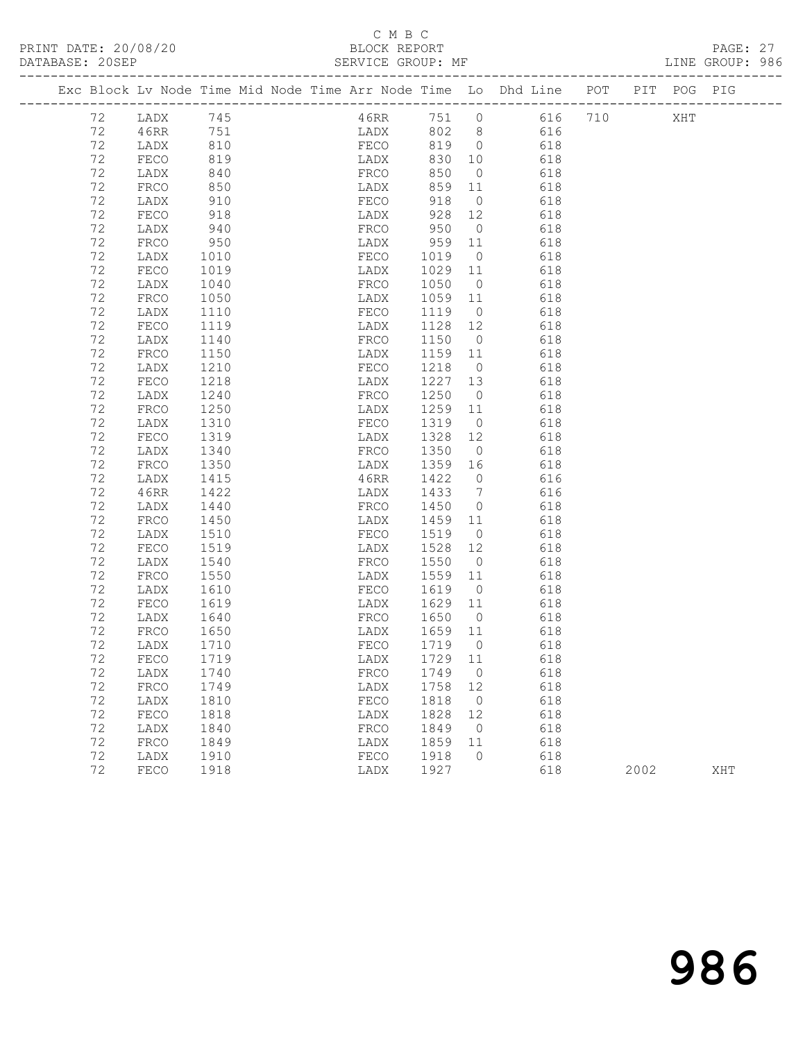## C M B C<br>BLOCK REPORT<br>SERVICE GROUP: MF

|  | DATABASE: 20SEP | . _ _ _ _ _ _ _ _ _ _ _ _ _ _ _ _ _ |                                             |  | SERVICE GROUP: MF            |                 |                 |                                                                                |      |     | LINE GROUP: 986 |  |
|--|-----------------|-------------------------------------|---------------------------------------------|--|------------------------------|-----------------|-----------------|--------------------------------------------------------------------------------|------|-----|-----------------|--|
|  |                 |                                     |                                             |  |                              |                 |                 | Exc Block Lv Node Time Mid Node Time Arr Node Time Lo Dhd Line POT PIT POG PIG |      |     |                 |  |
|  | 72              | LADX 745                            |                                             |  |                              |                 |                 | 46RR 751 0 616 710                                                             |      | XHT |                 |  |
|  | 72              | 46RR                                | 751                                         |  |                              |                 |                 | LADX 802 8 616                                                                 |      |     |                 |  |
|  | 72              | LADX                                | 810                                         |  | FECO 819 0                   |                 |                 | 618                                                                            |      |     |                 |  |
|  | 72              | FECO                                | 819                                         |  | LADX<br>FRCO                 |                 | 830 10          | 618                                                                            |      |     |                 |  |
|  | 72              | LADX                                | 840                                         |  |                              | 850             | $\overline{0}$  | 618                                                                            |      |     |                 |  |
|  | 72              | FRCO                                | 850                                         |  | LADX                         | 859             | 11              | 618                                                                            |      |     |                 |  |
|  | 72              | LADX                                | 910                                         |  | FECO                         | 918             | $\overline{0}$  | 618                                                                            |      |     |                 |  |
|  | 72              | FECO                                | 918                                         |  | LADX 928<br>FRCO 950<br>LADX |                 | 928 12          | 618                                                                            |      |     |                 |  |
|  | 72              | LADX                                | 940                                         |  |                              |                 | $\overline{0}$  | 618                                                                            |      |     |                 |  |
|  | 72              | FRCO                                | 950                                         |  | LADX                         | 959 11          |                 | 618                                                                            |      |     |                 |  |
|  | 72              | LADX                                | 1010                                        |  | FECO                         | 1019            | $\overline{0}$  | 618                                                                            |      |     |                 |  |
|  | 72              | FECO                                | 1019                                        |  | LADX                         | 1029 11         |                 | 618                                                                            |      |     |                 |  |
|  | 72              | LADX                                | 1040                                        |  | FRCO                         | 1050            | $\overline{0}$  | 618                                                                            |      |     |                 |  |
|  | 72              | FRCO                                | 1050                                        |  | LADX                         | 1059 11         |                 | 618                                                                            |      |     |                 |  |
|  | 72              | LADX                                | 1110                                        |  | FECO                         | 1119            | $\overline{0}$  | 618                                                                            |      |     |                 |  |
|  | 72              | FECO                                | $\begin{array}{c} 1115 \\ 1140 \end{array}$ |  | LADX                         | 1128 12         |                 | 618                                                                            |      |     |                 |  |
|  | 72              | LADX                                | 1150                                        |  | FRCO                         | 1150 0          |                 | 618                                                                            |      |     |                 |  |
|  | 72<br>72        | FRCO                                |                                             |  | LADX                         | 1159 11         | $\overline{0}$  | 618                                                                            |      |     |                 |  |
|  | 72              | LADX<br>FECO                        | 1210<br>1218                                |  | FECO<br>LADX                 | 1218<br>1227 13 |                 | 618                                                                            |      |     |                 |  |
|  | 72              |                                     | 1240                                        |  |                              | 1250            | $\overline{0}$  | 618<br>618                                                                     |      |     |                 |  |
|  | 72              | LADX<br>FRCO                        | 1250                                        |  | FRCO<br>LADX                 | 1259 11         |                 | 618                                                                            |      |     |                 |  |
|  | 72              | LADX                                | 1310                                        |  | FECO                         | 1319            | $\overline{0}$  | 618                                                                            |      |     |                 |  |
|  | 72              | FECO                                | 1319                                        |  | LADX                         | 1328            | 12              | 618                                                                            |      |     |                 |  |
|  | 72              | LADX                                | 1340                                        |  | FRCO                         | 1350 0          |                 | 618                                                                            |      |     |                 |  |
|  | 72              | FRCO                                | 1350                                        |  | LADX                         | 1359 16         |                 | 618                                                                            |      |     |                 |  |
|  | 72              | LADX                                | 1415                                        |  | 46RR                         | 1422            | $\overline{0}$  | 616                                                                            |      |     |                 |  |
|  | 72              | 46RR                                | 1422                                        |  | LADX                         | 1433            | $7\overline{ }$ | 616                                                                            |      |     |                 |  |
|  | 72              | LADX                                | 1440                                        |  | FRCO                         | 1450            | $\overline{0}$  | 618                                                                            |      |     |                 |  |
|  | 72              | FRCO                                | 1450                                        |  | LADX                         | 1459 11         |                 | 618                                                                            |      |     |                 |  |
|  | 72              | LADX                                | 1510                                        |  | FECO                         | 1519            | $\overline{0}$  | 618                                                                            |      |     |                 |  |
|  | 72              | FECO                                | 1519                                        |  | LADX                         | 1528            | 12              | 618                                                                            |      |     |                 |  |
|  | 72              | LADX                                | 1540                                        |  | FRCO                         | 1550 0          |                 | 618                                                                            |      |     |                 |  |
|  | 72              | FRCO                                | 1550                                        |  | LADX                         | 1559 11         |                 | 618                                                                            |      |     |                 |  |
|  | 72              | LADX                                | 1610                                        |  | FECO                         | 1619            | $\overline{0}$  | 618                                                                            |      |     |                 |  |
|  | 72              | FECO                                | 1619                                        |  | LADX                         | 1629 11         |                 | 618                                                                            |      |     |                 |  |
|  | 72              | LADX                                |                                             |  | FRCO                         | 1650 0          |                 | 618                                                                            |      |     |                 |  |
|  | 72              | FRCO                                | 1640<br>1650                                |  | LADX                         | 1659 11         |                 | 618                                                                            |      |     |                 |  |
|  | 72              | LADX 1710                           |                                             |  |                              |                 |                 | FECO 1719 0 618                                                                |      |     |                 |  |
|  | 72              | FECO                                | 1719                                        |  | LADX                         | 1729 11         |                 | 618                                                                            |      |     |                 |  |
|  | 72              | LADX                                | 1740                                        |  | FRCO                         | 1749            | $\overline{0}$  | 618                                                                            |      |     |                 |  |
|  | 72              | FRCO                                | 1749                                        |  | LADX                         | 1758            | 12              | 618                                                                            |      |     |                 |  |
|  | 72              | LADX                                | 1810                                        |  | FECO                         | 1818            | $\overline{0}$  | 618                                                                            |      |     |                 |  |
|  | 72              | FECO                                | 1818                                        |  | LADX                         | 1828            | 12              | 618                                                                            |      |     |                 |  |
|  | 72              | LADX                                | 1840                                        |  | ${\tt FRCO}$                 | 1849            | $\overline{0}$  | 618                                                                            |      |     |                 |  |
|  | 72              | FRCO                                | 1849                                        |  | LADX                         | 1859            | 11              | 618                                                                            |      |     |                 |  |
|  | 72              | LADX                                | 1910                                        |  | FECO                         | 1918            | $\overline{0}$  | 618                                                                            |      |     |                 |  |
|  | 72              | FECO                                | 1918                                        |  | LADX                         | 1927            |                 | 618                                                                            | 2002 |     | XHT             |  |
|  |                 |                                     |                                             |  |                              |                 |                 |                                                                                |      |     |                 |  |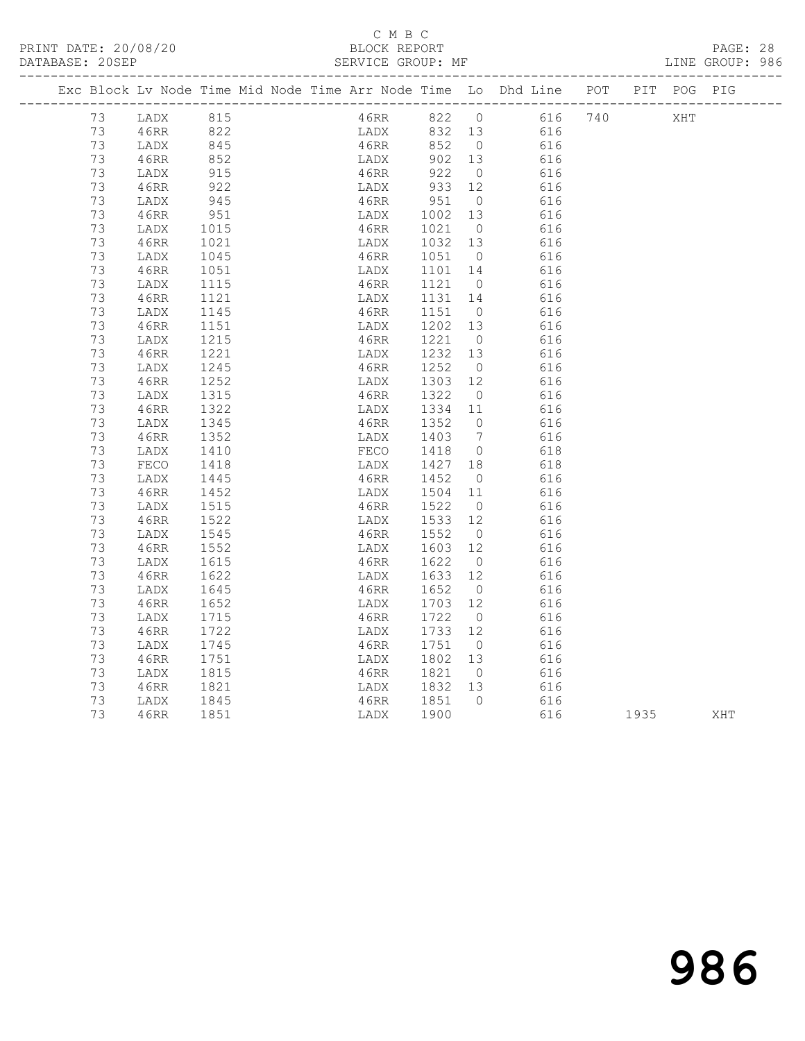#### C M B C<br>BLOCK REPORT SERVICE GROUP: MF

|    |      |                   | Exc Block Lv Node Time Mid Node Time Arr Node Time Lo Dhd Line POT |         |                 |                    |  | PIT POG PIG |  |
|----|------|-------------------|--------------------------------------------------------------------|---------|-----------------|--------------------|--|-------------|--|
| 73 | LADX | 815               |                                                                    |         |                 | 46RR 822 0 616 740 |  | XHT         |  |
| 73 | 46RR | 822<br>845        | LADX 832 13<br>46RR 852 0                                          |         |                 | 616                |  |             |  |
| 73 | LADX |                   |                                                                    |         |                 | 616                |  |             |  |
| 73 | 46RR | 852               | LADX                                                               | 902 13  |                 | 616                |  |             |  |
| 73 | LADX | 915               | 46RR                                                               | 922     | $\overline{0}$  | 616                |  |             |  |
| 73 | 46RR | 922               | LADX 933 12<br>46RR 951 0<br>LADX                                  |         |                 | 616                |  |             |  |
| 73 | LADX | 945               |                                                                    |         | $\overline{0}$  | 616                |  |             |  |
| 73 | 46RR | 951               | LADX                                                               | 1002 13 |                 | 616                |  |             |  |
| 73 | LADX | 1015              | 46RR                                                               | 1021    | $\bigcirc$      | 616                |  |             |  |
| 73 | 46RR | 1021              | LADX                                                               | 1032 13 |                 | 616                |  |             |  |
| 73 | LADX | 1045              | 46RR                                                               | 1051 0  |                 | 616                |  |             |  |
| 73 | 46RR | 1051              | LADX                                                               | 1101 14 |                 | 616                |  |             |  |
| 73 | LADX | 1115              | 46RR                                                               | 1121    | $\overline{0}$  | 616                |  |             |  |
| 73 | 46RR | 1121              | LADX                                                               | 1131    | 14              | 616                |  |             |  |
| 73 | LADX | 1145              | 46RR                                                               | 1151 0  |                 | 616                |  |             |  |
| 73 | 46RR | 1151              | LADX                                                               | 1202    | 13              | 616                |  |             |  |
| 73 | LADX | 1215              | 46RR                                                               | 1221 0  |                 | 616                |  |             |  |
| 73 | 46RR | 1221              | LADX                                                               | 1232 13 |                 | 616                |  |             |  |
| 73 | LADX | 1245              | 46RR                                                               | 1252    | $\overline{0}$  | 616                |  |             |  |
| 73 | 46RR | 1252              | LADX                                                               | 1303    | 12              | 616                |  |             |  |
| 73 | LADX | 1315              | 46RR                                                               | 1322    | $\overline{0}$  | 616                |  |             |  |
| 73 | 46RR | $\frac{1}{1}$ 322 | LADX                                                               | 1334 11 |                 | 616                |  |             |  |
| 73 | LADX | 1345              | 46RR                                                               | 1352    | $\overline{0}$  | 616                |  |             |  |
| 73 | 46RR | 1352              | LADX                                                               | 1403    | $7\overline{ }$ | 616                |  |             |  |
| 73 | LADX | 1410              | FECO                                                               | 1418    | $\overline{0}$  | 618                |  |             |  |
| 73 | FECO | 1418              | LADX                                                               | 1427 18 |                 | 618                |  |             |  |
| 73 | LADX | 1445              | 46RR                                                               | 1452    | $\overline{0}$  | 616                |  |             |  |
| 73 | 46RR | 1452              | LADX                                                               | 1504    | 11              | 616                |  |             |  |
| 73 | LADX | 1515              | 46RR                                                               | 1522    | $\overline{0}$  | 616                |  |             |  |
| 73 | 46RR | 1522              | LADX                                                               | 1533    | 12              | 616                |  |             |  |
| 73 | LADX | 1545              | 46RR                                                               | 1552    | $\overline{0}$  | 616                |  |             |  |
| 73 | 46RR | 1552              | LADX                                                               | 1603    | 12              | 616                |  |             |  |
| 73 | LADX | 1615              | 46RR                                                               | 1622    | $\overline{0}$  | 616                |  |             |  |
| 73 | 46RR | 1622              | LADX                                                               | 1633 12 |                 | 616                |  |             |  |
| 73 | LADX | 1645              | 46RR                                                               | 1652    | $\overline{0}$  | 616                |  |             |  |
| 73 | 46RR | 1652              | LADX                                                               | 1703 12 |                 | 616                |  |             |  |
| 73 | LADX | 1715              | 46RR                                                               | 1722    | $\overline{0}$  | 616                |  |             |  |
| 73 | 46RR | 1722              | LADX                                                               | 1733 12 |                 | 616                |  |             |  |
| 73 | LADX | 1745              | 46RR                                                               | 1751    | $\overline{0}$  | 616                |  |             |  |
| 73 | 46RR | 1751              | LADX                                                               | 1802    | 13              | 616                |  |             |  |

 73 LADX 1815 46RR 1821 0 616 73 46RR 1821 LADX 1832 13 616 73 LADX 1845 46RR 1851 0 616

1912 1815<br>
1913 1815<br>
1921 1821 1821 1821 1821 1832<br>
1916 1845 1845 1851 1851 1868 1851 1935 XHT<br>
1935 1846 1851 1851 1852 1900 616 1935 1867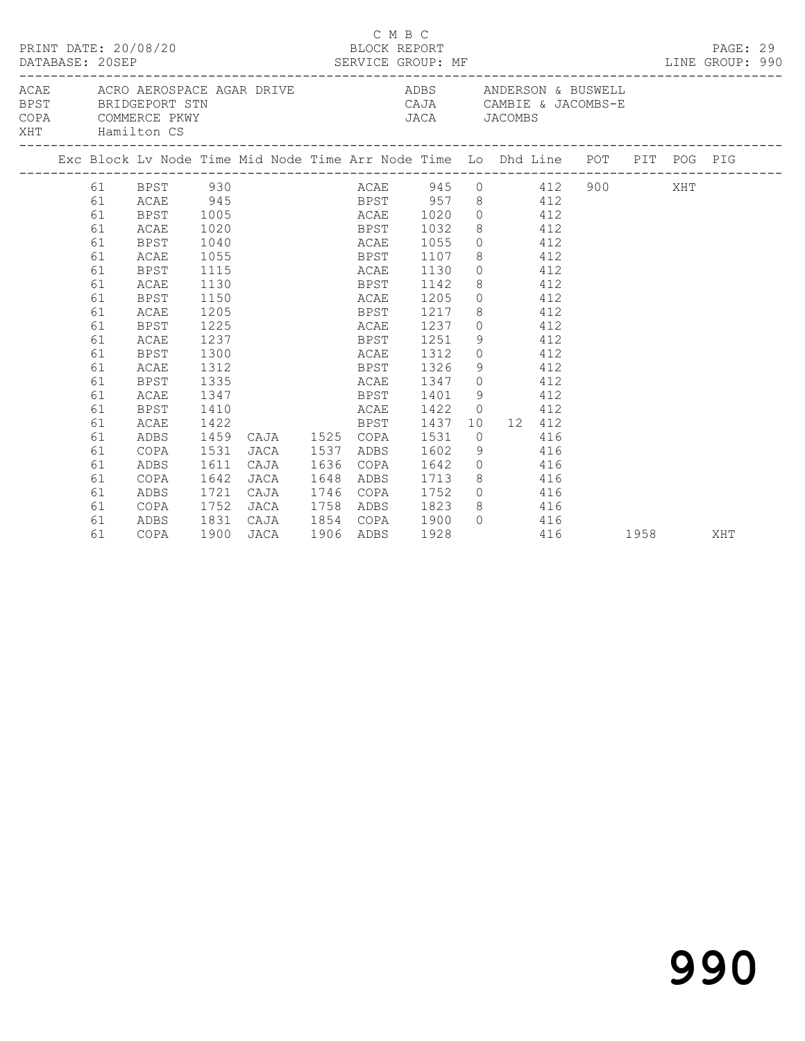|                                        | PRINT DATE: 20/08/20<br>DATABASE: 20SEP<br>ACAE      ACRO AEROSPACE AGAR DRIVE                     ADBS        ANDERSON & BUSWELL |                                                                                                                                                                                        |                                                                                                                                     |                                      |                |                                                   |                                                                                              | C M B C<br>BLOCK REPORT | SERVICE GROUP: MF                                                                                                                   |                |                                                                                                                                                                                                     |     | LINE GROUP: 990                         |  | PAGE: 29 |  |
|----------------------------------------|-----------------------------------------------------------------------------------------------------------------------------------|----------------------------------------------------------------------------------------------------------------------------------------------------------------------------------------|-------------------------------------------------------------------------------------------------------------------------------------|--------------------------------------|----------------|---------------------------------------------------|----------------------------------------------------------------------------------------------|-------------------------|-------------------------------------------------------------------------------------------------------------------------------------|----------------|-----------------------------------------------------------------------------------------------------------------------------------------------------------------------------------------------------|-----|-----------------------------------------|--|----------|--|
| <b>BPST</b><br>COPA<br>XHT Hamilton CS |                                                                                                                                   | BRIDGEPORT STN<br>COMMERCE PKWY                                                                                                                                                        |                                                                                                                                     |                                      |                |                                                   |                                                                                              |                         |                                                                                                                                     |                |                                                                                                                                                                                                     |     | CAJA CAMBIE & JACOMBS-E<br>JACA JACOMBS |  |          |  |
|                                        |                                                                                                                                   | Exc Block Lv Node Time Mid Node Time Arr Node Time Lo Dhd Line POT PIT POG PIG                                                                                                         |                                                                                                                                     |                                      |                |                                                   |                                                                                              |                         |                                                                                                                                     |                |                                                                                                                                                                                                     |     |                                         |  |          |  |
|                                        | 61<br>61<br>61<br>61<br>61<br>61<br>61<br>61<br>61<br>61<br>61<br>61<br>61<br>61<br>61<br>61<br>61                                | 61 BPST 930<br>ACAE<br>BPST<br>ACAE<br>BPST<br>ACAE<br><b>BPST</b><br>ACAE<br><b>BPST</b><br>ACAE<br><b>BPST</b><br>ACAE<br>BPST<br>ACAE<br><b>BPST</b><br>ACAE<br><b>BPST</b><br>ACAE | 945<br>1005<br>1020<br>1040<br>1055<br>1115<br>1130<br>1150<br>1205<br>1225<br>1237<br>1300<br>1312<br>1335<br>1347<br>1410<br>1422 |                                      |                |                                                   | BPST<br>ACAE<br>BPST<br>ACAE<br>BPST<br>ACAE<br>BPST<br>ACAE<br>BPST<br>ACAE<br>ACAE<br>BPST |                         | 1032<br>1055<br>1107<br>1130<br>1142<br>1205<br>1217<br>1237<br>1251<br>1312<br>BPST 1326<br>ACAE 1347<br>BPST 1401<br>1422<br>1437 |                | BPST 957 8 412<br>ACAE 1020 0 412<br>8 412<br>$0$ 412<br>8 412<br>$0$ 412<br>8 412<br>$0 \t 412$<br>8 412<br>$0$ 412<br>9 412<br>$0 \t 412$<br>9 412<br>$0$ 412<br>9 412<br>$0 \t 412$<br>10 12 412 |     | ACAE 945 0 412 900 XHT                  |  |          |  |
|                                        | 61<br>61<br>61<br>61<br>61<br>61<br>61<br>61                                                                                      | ADBS<br>COPA<br>ADBS<br>COPA<br>ADBS<br>COPA<br>ADBS<br>COPA                                                                                                                           | 1459<br>1531<br>1611<br>1642<br>1721<br>1752<br>1831<br>1900 JACA                                                                   | JACA<br>CAJA<br>JACA<br>CAJA<br>JACA | CAJA 1525 COPA | 1537<br>1636<br>1648<br>1746<br>1758<br>1906 ADBS | ADBS<br>COPA<br>ADBS<br>COPA                                                                 |                         | 1531<br>1602<br>1642<br>1713<br>1752<br>ADBS 1823<br>CAJA 1854 COPA 1900<br>1928                                                    | $\overline{0}$ | 9 416<br>0 416<br>8 416<br>$0$ 416<br>8 416<br>$0$ 416                                                                                                                                              | 416 | 416 1958                                |  | XHT      |  |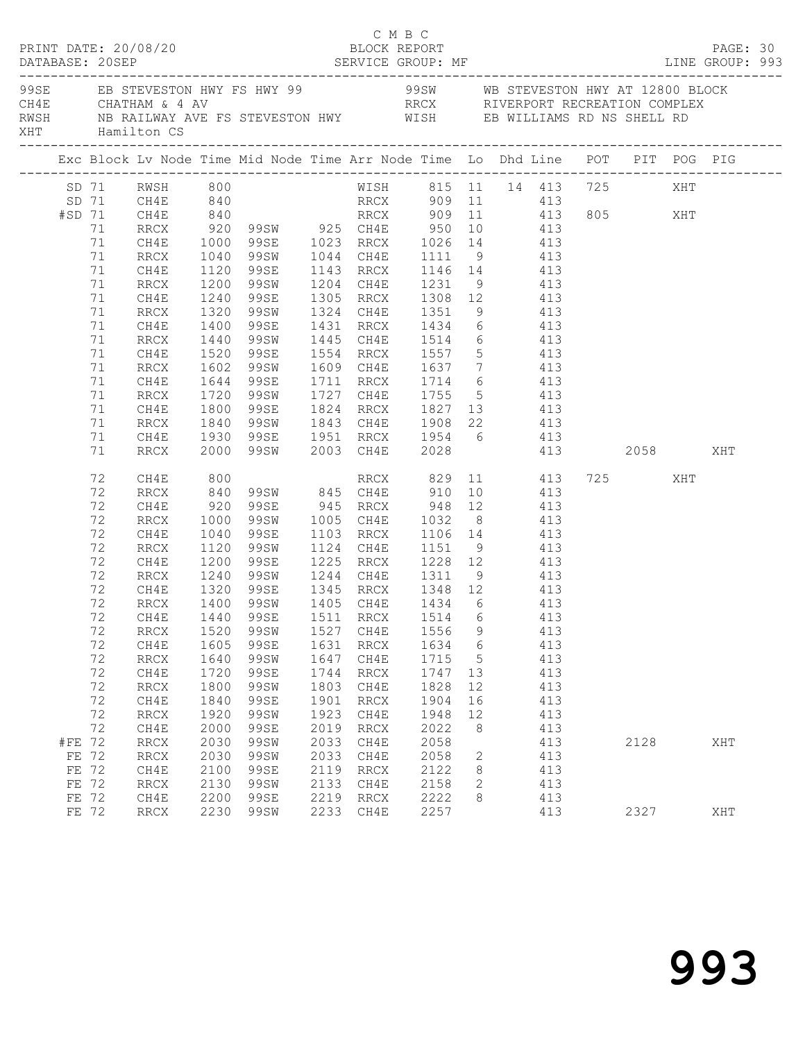|                |             | PRINT DATE: 20/08/20             |              |                                                                                                                                |              | C M B C<br>BLOCK REPORT |              |                                  |                |      |     | PAGE: 30 |
|----------------|-------------|----------------------------------|--------------|--------------------------------------------------------------------------------------------------------------------------------|--------------|-------------------------|--------------|----------------------------------|----------------|------|-----|----------|
|                |             |                                  |              | RWSH          NB RAILWAY AVE FS STEVESTON HWY              WISH         EB WILLIAMS RD NS SHELL RD<br>XHT          Hamilton CS |              |                         |              |                                  |                |      |     |          |
|                |             |                                  |              | Exc Block Lv Node Time Mid Node Time Arr Node Time Lo Dhd Line POT PIT POG PIG                                                 |              |                         |              |                                  |                |      |     |          |
|                |             | SD 71 RWSH 800<br>SD 71 CH4E 840 |              | WISH 815 11 14 413 725<br>RRCX 909 11 413                                                                                      |              |                         |              |                                  |                |      | XHT |          |
|                |             |                                  |              |                                                                                                                                |              |                         |              |                                  |                |      |     |          |
|                | #SD 71 CH4E |                                  |              | 840 RRCX 909 11 413 805 XHT                                                                                                    |              |                         |              |                                  |                |      |     |          |
|                | 71          | RRCX                             |              | 920 99SW 925 CH4E 950 10 413<br>1000 99SE 1023 RRCX 1026 14 413<br>1040 99SW 1044 CH4E 1111 9 413                              |              |                         |              |                                  |                |      |     |          |
|                | 71          | CH4E                             |              |                                                                                                                                |              |                         |              |                                  |                |      |     |          |
|                | 71          | RRCX                             |              |                                                                                                                                |              |                         |              |                                  |                |      |     |          |
|                | 71          | CH4E                             | 1120         | 99SE 1143 RRCX 1146 14 413                                                                                                     |              |                         |              |                                  |                |      |     |          |
|                | 71          | RRCX                             | 1200         | 99SW                                                                                                                           |              | 1204 CH4E 1231 9 413    |              |                                  |                |      |     |          |
|                | 71          | CH4E                             | 1240<br>1320 | 99SE 1305 RRCX 1308 12<br>99SW 1324 CH4E 1351 9                                                                                |              |                         |              |                                  | $413$<br>$413$ |      |     |          |
|                | 71          | RRCX                             |              |                                                                                                                                |              |                         |              |                                  |                |      |     |          |
|                | 71          | CH4E                             | 1400         | 99SE 1431 RRCX 1434 6 413                                                                                                      |              |                         |              |                                  |                |      |     |          |
|                | 71          | RRCX                             | 1440         | 99SW 1445 CH4E 1514 6 413                                                                                                      |              |                         |              |                                  |                |      |     |          |
|                | 71          | CH4E                             | 1520<br>1602 | 99SE 1554 RRCX 1557 5<br>99SW 1609 CH4E 1637 7                                                                                 |              |                         |              |                                  | 413<br>413     |      |     |          |
|                | 71          | RRCX                             |              |                                                                                                                                |              |                         |              |                                  |                |      |     |          |
|                | 71          | CH4E                             | 1644         | 99SE 1711 RRCX 1714 6 413                                                                                                      |              |                         |              |                                  |                |      |     |          |
|                | 71          | RRCX                             | 1720         | 99SW                                                                                                                           |              | 1727 CH4E 1755 5 413    |              |                                  |                |      |     |          |
|                | 71          | CH4E                             |              |                                                                                                                                |              |                         |              |                                  |                |      |     |          |
|                | 71          | RRCX                             |              | 1800 99SE 1824 RRCX 1827 13 413<br>1840 99SW 1843 CH4E 1908 22 413<br>1930 99SE 1951 RRCX 1954 6 413                           |              |                         |              |                                  |                |      |     |          |
|                | 71          | CH4E                             |              |                                                                                                                                |              |                         |              |                                  |                |      |     |          |
|                | 71          | RRCX                             |              | 2000 99SW 2003 CH4E 2028 413 2058 XHT                                                                                          |              |                         |              |                                  |                |      |     |          |
|                | 72          | CH4E                             | 800<br>840   | RRCX 829 11 413 725 XHT 99SW 845 CH4E 910 10 413                                                                               |              |                         |              |                                  |                |      |     |          |
|                | 72          | RRCX                             |              |                                                                                                                                |              |                         |              |                                  |                |      |     |          |
|                | 72          | CH4E                             | 920          | 99SE 945 RRCX 948 12 413                                                                                                       |              |                         |              |                                  |                |      |     |          |
|                | 72          | RRCX                             | 1000         | 99SW 1005 CH4E 1032 8 413                                                                                                      |              |                         |              |                                  |                |      |     |          |
|                | 72          | CH4E                             | 1040<br>1120 | 99SE 1103 RRCX 1106 14 413<br>99SW 1124 CH4E 1151 9 413                                                                        |              |                         |              |                                  |                |      |     |          |
|                | 72          | RRCX                             |              |                                                                                                                                |              |                         |              |                                  |                |      |     |          |
|                | 72          | CH4E                             | 1200         | 99SE 1225 RRCX 1228 12 413                                                                                                     |              |                         |              |                                  |                |      |     |          |
|                | 72          | RRCX                             | 1240         | 99SW 1244 CH4E 1311 9 413                                                                                                      |              |                         |              |                                  |                |      |     |          |
|                | 72          | CH4E                             |              | 1320 99SE<br>1400 99SW<br>99SE 1345 RRCX 1348 12<br>99SW 1405 CH4E 1434 6                                                      |              |                         |              |                                  | 413<br>413     |      |     |          |
|                | 72          | RRCX                             |              |                                                                                                                                |              |                         |              |                                  |                |      |     |          |
|                |             |                                  |              | 72 CH4E 1440 99SE 1511 RRCX 1514 6 413                                                                                         |              |                         |              |                                  |                |      |     |          |
|                | 72          | RRCX                             | 1520         | 99SW                                                                                                                           | 1527         | CH4E                    | 1556         | 9                                | 413            |      |     |          |
|                | 72          | CH4E                             | 1605         | 99SE                                                                                                                           | 1631         | RRCX                    | 1634         | $6\overline{6}$                  | 413            |      |     |          |
|                | 72          | $\mathop{\mathrm{RRCX}}$         | 1640         | 99SW                                                                                                                           | 1647         | CH4E                    | 1715         | $5\phantom{0}$                   | 413            |      |     |          |
|                | 72          | CH4E                             | 1720         | 99SE                                                                                                                           | 1744         | RRCX                    | 1747         | 13                               | 413            |      |     |          |
|                | 72          | <b>RRCX</b>                      | 1800         | 99SW                                                                                                                           | 1803         | CH4E                    | 1828         | 12                               | 413            |      |     |          |
|                | 72          | CH4E                             | 1840         | 99SE                                                                                                                           | 1901         | RRCX                    | 1904         | 16                               | 413            |      |     |          |
|                | 72          | RRCX                             | 1920         | 99SW                                                                                                                           | 1923         | CH4E                    | 1948         | 12                               | 413            |      |     |          |
|                | 72          | CH4E                             | 2000         | 99SE                                                                                                                           | 2019         | RRCX                    | 2022         | 8                                | 413            |      |     |          |
| #FE 72         |             | RRCX                             | 2030         | 99SW                                                                                                                           | 2033         | CH4E                    | 2058         |                                  | 413            | 2128 |     | XHT      |
| FE 72          |             | $\mathop{\rm RRCX}\nolimits$     | 2030         | 99SW                                                                                                                           | 2033         | CH4E                    | 2058         | $\overline{2}$                   | 413            |      |     |          |
| FE 72<br>FE 72 |             | CH4E                             | 2100         | 99SE<br>99SW                                                                                                                   | 2119<br>2133 | RRCX                    | 2122<br>2158 | 8 <sup>8</sup><br>$\overline{2}$ | 413<br>413     |      |     |          |
| FE 72          |             | $\operatorname{RRCX}$<br>CH4E    | 2130<br>2200 | 99SE                                                                                                                           | 2219         | CH4E<br>RRCX            | 2222         | 8                                | 413            |      |     |          |
| FE 72          |             | RRCX                             | 2230         | 99SW                                                                                                                           | 2233         | CH4E                    | 2257         |                                  | 413            | 2327 |     | XHT      |
|                |             |                                  |              |                                                                                                                                |              |                         |              |                                  |                |      |     |          |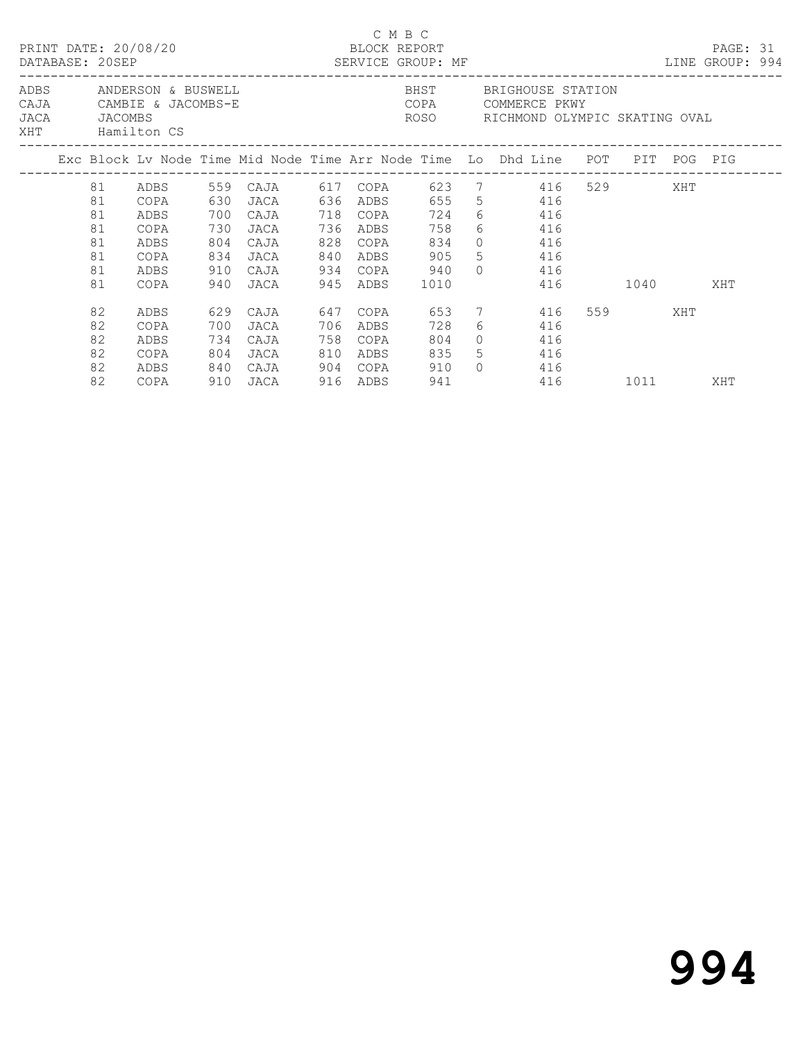|  |                                              | PRINT DATE: 20/08/20<br>DATABASE: 20SEP                               |                                 | -----------------------------                                                                        |                   |                                                          | C M B C<br>BLOCK REPORT<br>SERVICE GROUP: MF                 |                                                    |                                        |         | PAGE: 31<br>LINE GROUP: 994 |  |
|--|----------------------------------------------|-----------------------------------------------------------------------|---------------------------------|------------------------------------------------------------------------------------------------------|-------------------|----------------------------------------------------------|--------------------------------------------------------------|----------------------------------------------------|----------------------------------------|---------|-----------------------------|--|
|  | JACA JACOMBS                                 | ADBS ANDERSON & BUSWELL<br>CAJA CAMBIE & JACOMBS-E<br>XHT Hamilton CS |                                 |                                                                                                      |                   |                                                          | COPA COMMERCE PKWY<br>ROSO     RICHMOND OLYMPIC SKATING OVAL |                                                    | BHST BRIGHOUSE STATION                 |         |                             |  |
|  |                                              |                                                                       |                                 | Exc Block Lv Node Time Mid Node Time Arr Node Time Lo Dhd Line POT PIT POG PIG                       |                   |                                                          |                                                              |                                                    |                                        |         |                             |  |
|  | 81<br>81<br>81<br>81<br>81<br>81<br>81<br>81 | ADBS<br>COPA<br>ADBS<br>COPA<br>ADBS<br>COPA<br>ADBS<br>COPA          | 630<br>700<br>730<br>804<br>910 | 559 CAJA 617 COPA 623 7 416 529 XHT<br>JACA 636 ADBS 655<br>CAJA<br>JACA<br>CAJA<br>834 JACA<br>CAJA |                   | 718 COPA<br>736 ADBS<br>828 COPA<br>840 ADBS<br>934 COPA | 724<br>758<br>834<br>905<br>940<br>1010                      | 6 416<br>6 416<br>$0 \t 416$<br>5 416              | 5 416<br>$0 \t 416$<br>416 1040 XHT    |         |                             |  |
|  | 82<br>82<br>82<br>82<br>82<br>82             | ADBS<br>COPA<br>ADBS<br>COPA<br>ADBS<br>COPA                          | 700<br>734<br>840               | 629 CAJA<br>JACA<br>CAJA<br>804 JACA<br>CAJA                                                         | 647<br>706<br>758 | COPA<br>ADBS<br>COPA<br>810 ADBS<br>904 COPA             | 653<br>728<br>804<br>835<br>910<br>941                       | $6 \qquad \qquad$<br>$\Omega$<br>5 416<br>$\Omega$ | 7 416<br>416<br>416<br>416<br>416 1011 | 559 XHT | XHT                         |  |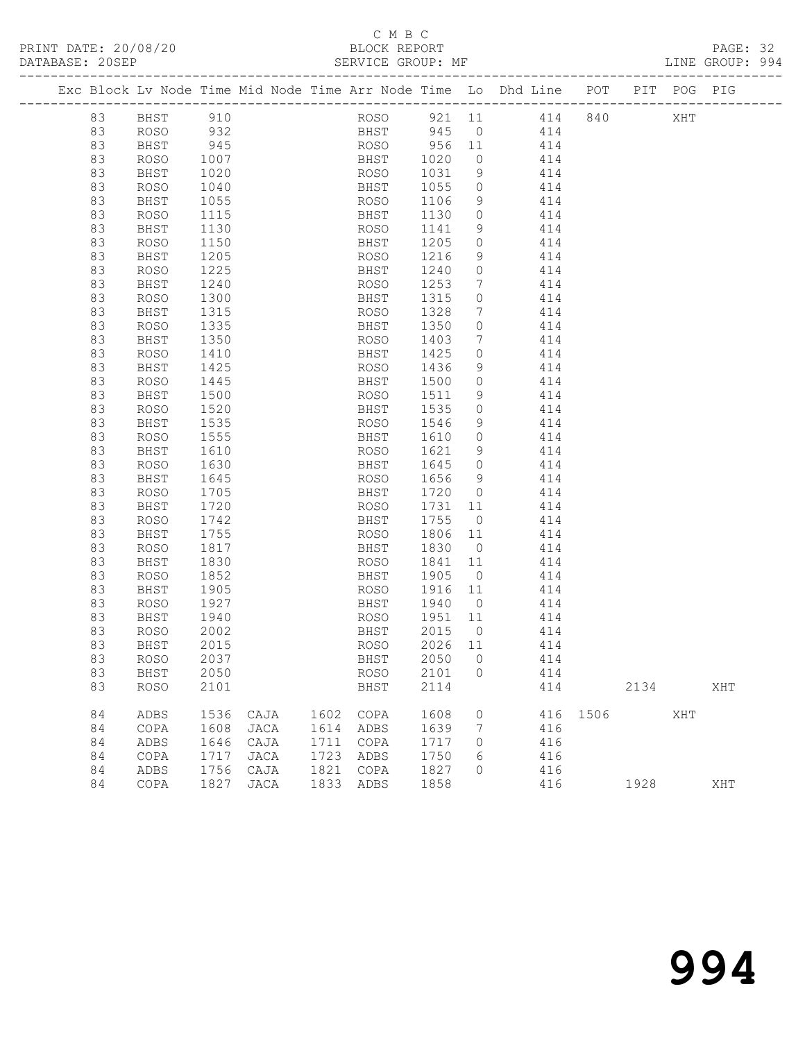## C M B C<br>BLOCK REPORT

PAGE: 32<br>LINE GROUP: 994

|    | Exc Block Lv Node Time Mid Node Time Arr Node Time Lo Dhd Line POT PIT POG PIG |      |      |      |             |                       |                 |                 |      |      |     |     |
|----|--------------------------------------------------------------------------------|------|------|------|-------------|-----------------------|-----------------|-----------------|------|------|-----|-----|
| 83 | BHST                                                                           | 910  |      |      |             |                       |                 | ROSO 921 11 414 | 840  |      | XHT |     |
| 83 | <b>ROSO</b>                                                                    | 932  |      |      |             | BHST 945 0            |                 | 414             |      |      |     |     |
| 83 | BHST                                                                           | 945  |      |      | ROSO        | $\frac{956}{1020}$ 11 |                 | 414             |      |      |     |     |
| 83 | ROSO                                                                           | 1007 |      |      | BHST        | 1020                  | $\circ$         | 414             |      |      |     |     |
| 83 | BHST                                                                           | 1020 |      |      | ROSO        | 1031                  | 9               | 414             |      |      |     |     |
| 83 | <b>ROSO</b>                                                                    | 1040 |      |      | BHST        | 1055                  | $\circ$         | 414             |      |      |     |     |
| 83 | BHST                                                                           | 1055 |      |      | ROSO        | 1106                  | 9               | 414             |      |      |     |     |
| 83 | <b>ROSO</b>                                                                    | 1115 |      |      | BHST        | 1130                  | $\circ$         | 414             |      |      |     |     |
| 83 | BHST                                                                           | 1130 |      |      | ROSO        | 1141                  | 9               | 414             |      |      |     |     |
| 83 | <b>ROSO</b>                                                                    | 1150 |      |      | BHST        | 1205                  | $\circ$         | 414             |      |      |     |     |
| 83 | BHST                                                                           | 1205 |      |      | ROSO        | 1216                  | 9               | 414             |      |      |     |     |
| 83 | <b>ROSO</b>                                                                    | 1225 |      |      | BHST        | 1240                  | 0               | 414             |      |      |     |     |
| 83 | BHST                                                                           | 1240 |      |      | ROSO        | 1253                  | 7               | 414             |      |      |     |     |
| 83 | <b>ROSO</b>                                                                    | 1300 |      |      | BHST        | 1315                  | $\circ$         | 414             |      |      |     |     |
| 83 | BHST                                                                           | 1315 |      |      | ROSO        | 1328                  | $7\phantom{.0}$ | 414             |      |      |     |     |
| 83 | <b>ROSO</b>                                                                    | 1335 |      |      | BHST        | 1350                  | $\circ$         | 414             |      |      |     |     |
| 83 | BHST                                                                           | 1350 |      |      | ROSO        | 1403                  | $7\phantom{.0}$ | 414             |      |      |     |     |
| 83 | <b>ROSO</b>                                                                    | 1410 |      |      | BHST        | 1425                  | $\circ$         | 414             |      |      |     |     |
| 83 | BHST                                                                           | 1425 |      |      | ROSO        | 1436                  | 9               | 414             |      |      |     |     |
| 83 | <b>ROSO</b>                                                                    | 1445 |      |      | BHST        | 1500                  | $\circ$         | 414             |      |      |     |     |
| 83 | BHST                                                                           | 1500 |      |      | ROSO        | 1511                  | 9               | 414             |      |      |     |     |
| 83 | <b>ROSO</b>                                                                    | 1520 |      |      | BHST        | 1535                  | $\circ$         | 414             |      |      |     |     |
| 83 | BHST                                                                           | 1535 |      |      | ROSO        | 1546                  | 9               | 414             |      |      |     |     |
| 83 | <b>ROSO</b>                                                                    | 1555 |      |      | BHST        | 1610                  | $\circ$         | 414             |      |      |     |     |
| 83 | BHST                                                                           | 1610 |      |      | ROSO        | 1621                  | 9               | 414             |      |      |     |     |
| 83 | <b>ROSO</b>                                                                    | 1630 |      |      | BHST        | 1645                  | $\circ$         | 414             |      |      |     |     |
| 83 | BHST                                                                           | 1645 |      |      | ROSO        | 1656                  | 9               | 414             |      |      |     |     |
| 83 | <b>ROSO</b>                                                                    | 1705 |      |      | BHST        | 1720                  | $\circ$         | 414             |      |      |     |     |
| 83 | BHST                                                                           | 1720 |      |      | ROSO        | 1731                  | 11              | 414             |      |      |     |     |
| 83 | <b>ROSO</b>                                                                    | 1742 |      |      | BHST        | 1755                  | $\overline{0}$  | 414             |      |      |     |     |
| 83 | BHST                                                                           | 1755 |      |      | ROSO        | 1806                  | 11              | 414             |      |      |     |     |
| 83 | <b>ROSO</b>                                                                    | 1817 |      |      | BHST        | 1830                  | $\overline{0}$  | 414             |      |      |     |     |
| 83 | BHST                                                                           | 1830 |      |      | ROSO        | 1841                  | 11              | 414             |      |      |     |     |
| 83 | <b>ROSO</b>                                                                    | 1852 |      |      | BHST        | 1905                  | $\overline{0}$  | 414             |      |      |     |     |
| 83 | BHST                                                                           | 1905 |      |      | ROSO        | 1916                  | 11              | 414             |      |      |     |     |
| 83 | <b>ROSO</b>                                                                    | 1927 |      |      | BHST        | 1940                  | $\overline{0}$  | 414             |      |      |     |     |
| 83 | BHST                                                                           | 1940 |      |      | ROSO        | 1951                  | 11              | 414             |      |      |     |     |
| 83 | ROSO                                                                           | 2002 |      |      | BHST        | 2015                  | $\overline{0}$  | 414             |      |      |     |     |
| 83 | BHST                                                                           | 2015 |      |      | ROSO        | 2026 11               |                 | 414             |      |      |     |     |
| 83 | ROSO                                                                           | 2037 |      |      |             | BHST 2050 0           |                 | 414             |      |      |     |     |
| 83 | BHST                                                                           | 2050 |      |      | <b>ROSO</b> | 2101                  | 0               | 414             |      |      |     |     |
| 83 | <b>ROSO</b>                                                                    | 2101 |      |      | BHST        | 2114                  |                 | 414             |      | 2134 |     | XHT |
| 84 | ADBS                                                                           | 1536 | CAJA | 1602 | COPA        | 1608                  | 0               | 416             | 1506 |      | XHT |     |
| 84 | COPA                                                                           | 1608 | JACA | 1614 | ADBS        | 1639                  | 7               | 416             |      |      |     |     |
| 84 | ADBS                                                                           | 1646 | CAJA | 1711 | COPA        | 1717                  | 0               | 416             |      |      |     |     |
| 84 | COPA                                                                           | 1717 | JACA | 1723 | ADBS        | 1750                  | 6               | 416             |      |      |     |     |
| 84 | ADBS                                                                           | 1756 | CAJA | 1821 | COPA        | 1827                  | 0               | 416             |      |      |     |     |
| 84 | COPA                                                                           | 1827 | JACA | 1833 | ADBS        | 1858                  |                 | 416             |      | 1928 |     | XHT |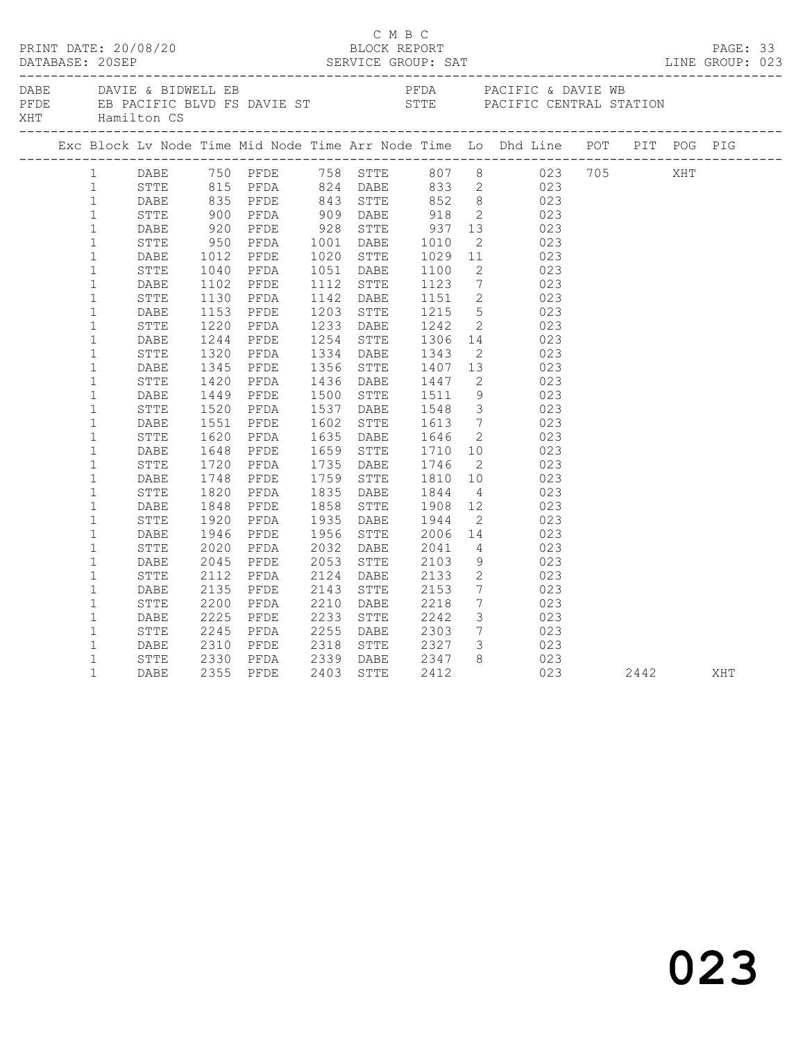|     |              |                  |      |              |                         |  | C M B C                                              |                         | PRINT DATE: 20/08/20<br>BLOCK REPORT BLOCK PERT DATABASE: 20SEP SERVICE GROUP: SAT LINE GROUP: 023                                                                     |              |     |  |
|-----|--------------|------------------|------|--------------|-------------------------|--|------------------------------------------------------|-------------------------|------------------------------------------------------------------------------------------------------------------------------------------------------------------------|--------------|-----|--|
| XHT |              | Hamilton CS      |      |              | DABE DAVIE & BIDWELL EB |  |                                                      |                         | PFDA PACIFIC & DAVIE WB<br>PFDE EB PACIFIC BLVD FS DAVIE ST STTE PACIFIC CENTRAL STATION                                                                               |              |     |  |
|     |              |                  |      |              |                         |  |                                                      |                         | Exc Block Lv Node Time Mid Node Time Arr Node Time Lo Dhd Line POT PIT POG PIG                                                                                         |              |     |  |
|     | $\mathbf{1}$ |                  |      |              |                         |  |                                                      |                         | DABE 750 PFDE 758 STTE 807 8 023 705<br>STTE 815 PFDA 824 DABE 833 2 023<br>DABE 835 PFDE 843 STTE 852 8 023                                                           |              | XHT |  |
|     | 1            |                  |      |              |                         |  |                                                      |                         |                                                                                                                                                                        |              |     |  |
|     | $\mathbf{1}$ |                  |      |              |                         |  |                                                      |                         |                                                                                                                                                                        |              |     |  |
|     |              |                  |      | 900<br>920   |                         |  |                                                      |                         | PFDA 909 DABE 918 2 023<br>PFDA 909 DABE 918 2 023<br>PFDA 1001 DABE 1010 2 023<br>PFDA 1001 DABE 1010 2 023<br>PFDA 1051 DABE 1100 2 023<br>PFDA 1051 DABE 1100 2 023 |              |     |  |
|     |              | 1 STTE<br>1 DABE |      |              |                         |  |                                                      |                         |                                                                                                                                                                        |              |     |  |
|     | $\mathbf{1}$ |                  | STTE | 950          |                         |  |                                                      |                         |                                                                                                                                                                        |              |     |  |
|     | $\mathbf{1}$ |                  | DABE |              |                         |  |                                                      |                         |                                                                                                                                                                        |              |     |  |
|     | $\mathbf{1}$ |                  | STTE |              | 1012 PFDE<br>1040 PFDA  |  |                                                      |                         |                                                                                                                                                                        |              |     |  |
|     | $\mathbf{1}$ |                  | DABE |              |                         |  |                                                      |                         | 1112 STTE 1123 7 023<br>1142 DABE 1151 2 023                                                                                                                           |              |     |  |
|     | $\mathbf{1}$ |                  | STTE |              | 1102 PFDE<br>1130 PFDA  |  |                                                      |                         |                                                                                                                                                                        |              |     |  |
|     | $\mathbf{1}$ |                  | DABE | 1153         | PFDE                    |  | 1203 STTE 1215<br>1233 DABE 1242                     |                         | $\begin{array}{ccc} 5 & 023 \\ 2 & 023 \end{array}$                                                                                                                    |              |     |  |
|     | $\mathbf{1}$ |                  | STTE | 1220         | PFDA                    |  |                                                      |                         |                                                                                                                                                                        |              |     |  |
|     | $\mathbf{1}$ |                  | DABE |              |                         |  |                                                      |                         | 1244 PFDE 1254 STTE 1306 14 023                                                                                                                                        |              |     |  |
|     | $\mathbf{1}$ |                  | STTE | 1320<br>1345 | PFDA                    |  |                                                      |                         | 1334 DABE 1343 2 023<br>1356 STTE 1407 13 023                                                                                                                          |              |     |  |
|     | $\mathbf{1}$ |                  | DABE |              | PFDE                    |  |                                                      |                         |                                                                                                                                                                        |              |     |  |
|     | $\mathbf{1}$ |                  | STTE | 1420         | PFDA                    |  | 1436 DABE 1447 2<br>1500 STTE 1511 9                 |                         | $\frac{2}{9}$ 023                                                                                                                                                      |              |     |  |
|     | $\mathbf{1}$ |                  | DABE | 1449         | PFDE                    |  |                                                      |                         | 023                                                                                                                                                                    |              |     |  |
|     | $\mathbf{1}$ |                  | STTE | 1520         | PFDA                    |  |                                                      |                         | 1537 DABE 1548 3 023                                                                                                                                                   |              |     |  |
|     | $\mathbf{1}$ |                  | DABE | 1551<br>1620 | PFDE                    |  | 1602 STTE 1613<br>1635 DABE 1646                     |                         | $\begin{array}{ccc} 7 & 023 \\ 2 & 023 \end{array}$                                                                                                                    |              |     |  |
|     | $\mathbf{1}$ |                  | STTE |              | PFDA                    |  |                                                      |                         |                                                                                                                                                                        |              |     |  |
|     | $\mathbf{1}$ |                  | DABE | 1648<br>1720 | PFDE                    |  | 1659 STTE 1710<br>1735 DABE 1746                     |                         | $\frac{10}{2}$ 023                                                                                                                                                     |              |     |  |
|     | $\mathbf{1}$ |                  | STTE |              | PFDA                    |  |                                                      | $\overline{2}$          | 023                                                                                                                                                                    |              |     |  |
|     | $\mathbf{1}$ |                  | DABE | 1748         | PFDE                    |  | 1759 STTE 1810                                       |                         | 10 023                                                                                                                                                                 |              |     |  |
|     | $\mathbf{1}$ |                  | STTE | 1820         | PFDA                    |  |                                                      |                         |                                                                                                                                                                        |              |     |  |
|     | $\mathbf{1}$ |                  | DABE |              | 1848 PFDE               |  |                                                      |                         | 1835 DABE 1844 4 023<br>1858 STTE 1908 12 023                                                                                                                          |              |     |  |
|     | $\mathbf{1}$ |                  | STTE | 1920<br>1946 | PFDA                    |  | 1935 DABE 1944 2<br>1956 STTE 2006 14                |                         | 023                                                                                                                                                                    |              |     |  |
|     | $\mathbf{1}$ |                  | DABE |              | PFDE                    |  |                                                      |                         | 023                                                                                                                                                                    |              |     |  |
|     | $\mathbf{1}$ |                  | STTE | 2020         | PFDA                    |  | 2032 DABE 2041<br>2053 STTE 2103                     |                         | $\frac{4}{2}$ 023                                                                                                                                                      |              |     |  |
|     | $\mathbf{1}$ |                  | DABE | 2045         | PFDE                    |  |                                                      | 9                       | 023                                                                                                                                                                    |              |     |  |
|     | $\mathbf{1}$ |                  | STTE | 2112         | PFDA                    |  | 2124 DABE 2133                                       | $\overline{2}$          | 023                                                                                                                                                                    |              |     |  |
|     | $\mathbf{1}$ |                  | DABE | 2135         | PFDE                    |  |                                                      |                         | $\frac{7}{7}$<br>023                                                                                                                                                   |              |     |  |
|     | $\mathbf{1}$ |                  | STTE | 2135<br>2200 | PFDA                    |  | 2143 STTE 2153<br>2210 DABE 2218                     |                         | 023                                                                                                                                                                    |              |     |  |
|     | $\mathbf{1}$ |                  | DABE | 2225         | PFDE                    |  |                                                      |                         | $\begin{array}{ccc} 3 & 023 \\ 7 & 023 \end{array}$                                                                                                                    |              |     |  |
|     | $\mathbf{1}$ |                  | STTE | 2245         | PFDA                    |  |                                                      |                         |                                                                                                                                                                        |              |     |  |
|     | $\mathbf 1$  |                  | DABE | 2310         | PFDE                    |  | 2318 STTE 2327                                       | $\overline{\mathbf{3}}$ | 023                                                                                                                                                                    |              |     |  |
|     | $\mathbf{1}$ |                  | STTE |              |                         |  | 2330 PFDA 2339 DABE 2347<br>2355 PFDE 2403 STTE 2412 |                         | $\begin{array}{ccc} 8 & 023 \\ 023 & \end{array}$                                                                                                                      |              |     |  |
|     | $\mathbf{1}$ |                  | DABE |              |                         |  |                                                      |                         |                                                                                                                                                                        | 023 2442 XHT |     |  |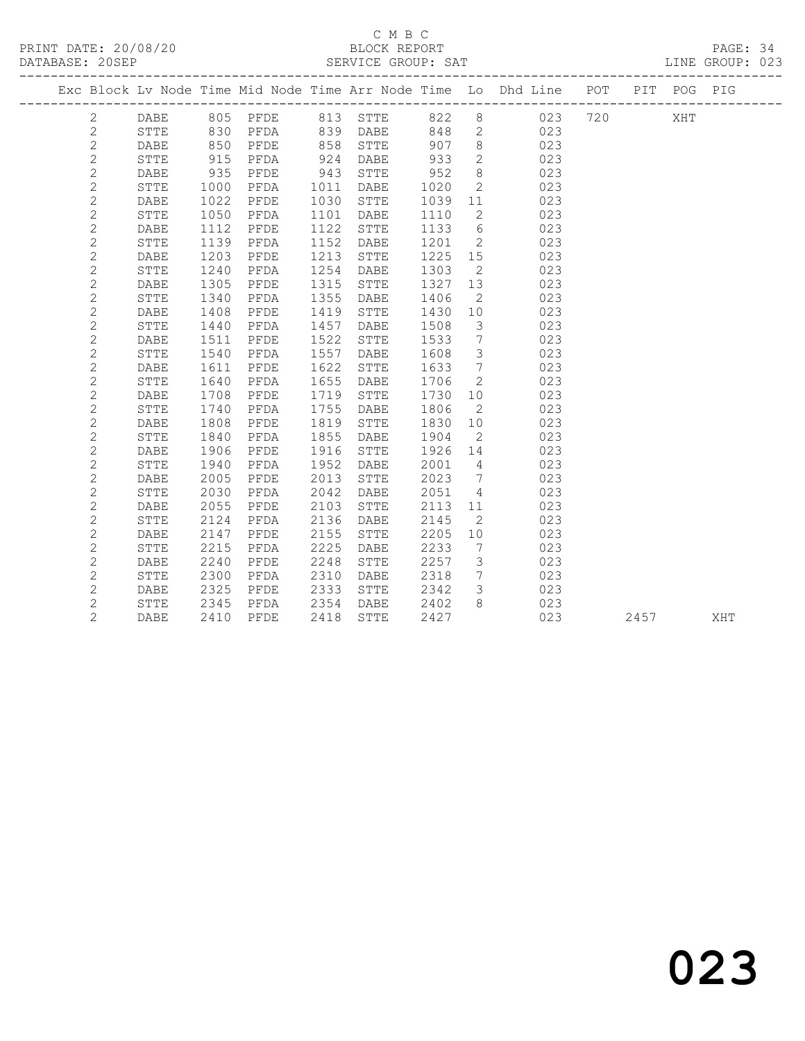### C M B C<br>BLOCK REPORT

PAGE: 34<br>LINE GROUP: 023

|  |                |              |      |          |      |                 |      |                              | Exc Block Lv Node Time Mid Node Time Arr Node Time Lo Dhd Line POT |     |      | PIT POG PIG |     |
|--|----------------|--------------|------|----------|------|-----------------|------|------------------------------|--------------------------------------------------------------------|-----|------|-------------|-----|
|  | 2              | DABE         |      | 805 PFDE |      | 813 STTE        |      |                              | 822 8 023                                                          | 720 |      | XHT         |     |
|  | $\mathbf{2}$   | STTE         | 830  | PFDA     |      | 839 DABE        | 848  |                              | 2 023                                                              |     |      |             |     |
|  | $\mathbf{2}$   | DABE         | 850  | PFDE     | 858  | STTE            | 907  | 8                            | 023                                                                |     |      |             |     |
|  | $\overline{c}$ | STTE         | 915  | PFDA     | 924  | <b>DABE</b>     | 933  | $2^{\circ}$                  | 023                                                                |     |      |             |     |
|  | $\mathbf{2}$   | DABE         | 935  | PFDE     | 943  | STTE            | 952  | 8                            | 023                                                                |     |      |             |     |
|  | $\overline{c}$ | <b>STTE</b>  | 1000 | PFDA     | 1011 | DABE            | 1020 | $\overline{2}$               | 023                                                                |     |      |             |     |
|  | $\mathbf 2$    | DABE         | 1022 | PFDE     | 1030 | STTE            | 1039 | 11                           | 023                                                                |     |      |             |     |
|  | $\mathbf{2}$   | STTE         | 1050 | PFDA     | 1101 | DABE            | 1110 | 2                            | 023                                                                |     |      |             |     |
|  | $\overline{c}$ | <b>DABE</b>  | 1112 | PFDE     | 1122 | STTE            | 1133 | 6                            | 023                                                                |     |      |             |     |
|  | $\mathbf{2}$   | STTE         | 1139 | PFDA     | 1152 | DABE            | 1201 | 2                            | 023                                                                |     |      |             |     |
|  | $\overline{c}$ | <b>DABE</b>  | 1203 | PFDE     | 1213 | ${\tt STTE}$    | 1225 | 15                           | 023                                                                |     |      |             |     |
|  | $\overline{c}$ | <b>STTE</b>  | 1240 | PFDA     | 1254 | DABE            | 1303 | $\overline{2}$               | 023                                                                |     |      |             |     |
|  | $\mathbf{2}$   | <b>DABE</b>  | 1305 | PFDE     | 1315 | STTE            | 1327 | 13                           | 023                                                                |     |      |             |     |
|  | $\overline{c}$ | ${\tt STTE}$ | 1340 | PFDA     | 1355 | DABE            | 1406 | 2                            | 023                                                                |     |      |             |     |
|  | $\mathbf{2}$   | DABE         | 1408 | PFDE     | 1419 | STTE            | 1430 | 10                           | 023                                                                |     |      |             |     |
|  | $\mathbf{2}$   | STTE         | 1440 | PFDA     | 1457 | DABE            | 1508 | $\mathcal{S}$                | 023                                                                |     |      |             |     |
|  | $\mathbf{2}$   | DABE         | 1511 | PFDE     | 1522 | STTE            | 1533 | $\overline{7}$               | 023                                                                |     |      |             |     |
|  | $\overline{c}$ | STTE         | 1540 | PFDA     | 1557 | DABE            | 1608 | $\mathcal{S}$                | 023                                                                |     |      |             |     |
|  | $\overline{c}$ | <b>DABE</b>  | 1611 | PFDE     | 1622 | STTE            | 1633 | $7\phantom{.0}\phantom{.0}7$ | 023                                                                |     |      |             |     |
|  | $\mathbf{2}$   | STTE         | 1640 | PFDA     | 1655 | DABE            | 1706 | $\mathbf{2}$                 | 023                                                                |     |      |             |     |
|  | $\mathbf 2$    | DABE         | 1708 | PFDE     | 1719 | ${\tt STTE}$    | 1730 | 10                           | 023                                                                |     |      |             |     |
|  | $\mathbf{2}$   | STTE         | 1740 | PFDA     | 1755 | DABE            | 1806 | $\overline{2}$               | 023                                                                |     |      |             |     |
|  | $\mathbf{2}$   | DABE         | 1808 | PFDE     | 1819 | STTE            | 1830 | 10                           | 023                                                                |     |      |             |     |
|  | $\mathbf{2}$   | STTE         | 1840 | PFDA     | 1855 | DABE            | 1904 | $\overline{2}$               | 023                                                                |     |      |             |     |
|  | $\overline{c}$ | DABE         | 1906 | PFDE     | 1916 | STTE            | 1926 | 14                           | 023                                                                |     |      |             |     |
|  | $\mathbf{2}$   | <b>STTE</b>  | 1940 | PFDA     | 1952 | DABE            | 2001 | $\overline{4}$               | 023                                                                |     |      |             |     |
|  | $\overline{c}$ | <b>DABE</b>  | 2005 | PFDE     | 2013 | STTE            | 2023 | $7\phantom{.0}\phantom{.0}7$ | 023                                                                |     |      |             |     |
|  | $\mathbf{2}$   | STTE         | 2030 | PFDA     | 2042 | DABE            | 2051 | $\overline{4}$               | 023                                                                |     |      |             |     |
|  | $\mathbf 2$    | DABE         | 2055 | PFDE     | 2103 | STTE            | 2113 | 11                           | 023                                                                |     |      |             |     |
|  | $\overline{c}$ | STTE         | 2124 | PFDA     | 2136 | $\mathtt{DABE}$ | 2145 | 2                            | 023                                                                |     |      |             |     |
|  | $\mathbf{2}$   | DABE         | 2147 | PFDE     | 2155 | STTE            | 2205 | 10                           | 023                                                                |     |      |             |     |
|  | $\overline{c}$ | STTE         | 2215 | PFDA     | 2225 | DABE            | 2233 | $\overline{7}$               | 023                                                                |     |      |             |     |
|  | $\mathbf{2}$   | DABE         | 2240 | PFDE     | 2248 | ${\tt STTE}$    | 2257 | $\mathcal{S}$                | 023                                                                |     |      |             |     |
|  | $\overline{c}$ | <b>STTE</b>  | 2300 | PFDA     | 2310 | <b>DABE</b>     | 2318 | $7\overline{ }$              | 023                                                                |     |      |             |     |
|  | $\mathbf{2}$   | DABE         | 2325 | PFDE     | 2333 | STTE            | 2342 | $\mathcal{S}$                | 023                                                                |     |      |             |     |
|  | $\overline{c}$ | STTE         | 2345 | PFDA     | 2354 | DABE            | 2402 | 8                            | 023                                                                |     |      |             |     |
|  | $\overline{2}$ | <b>DABE</b>  | 2410 | PFDE     | 2418 | STTE            | 2427 |                              | 023                                                                |     | 2457 |             | XHT |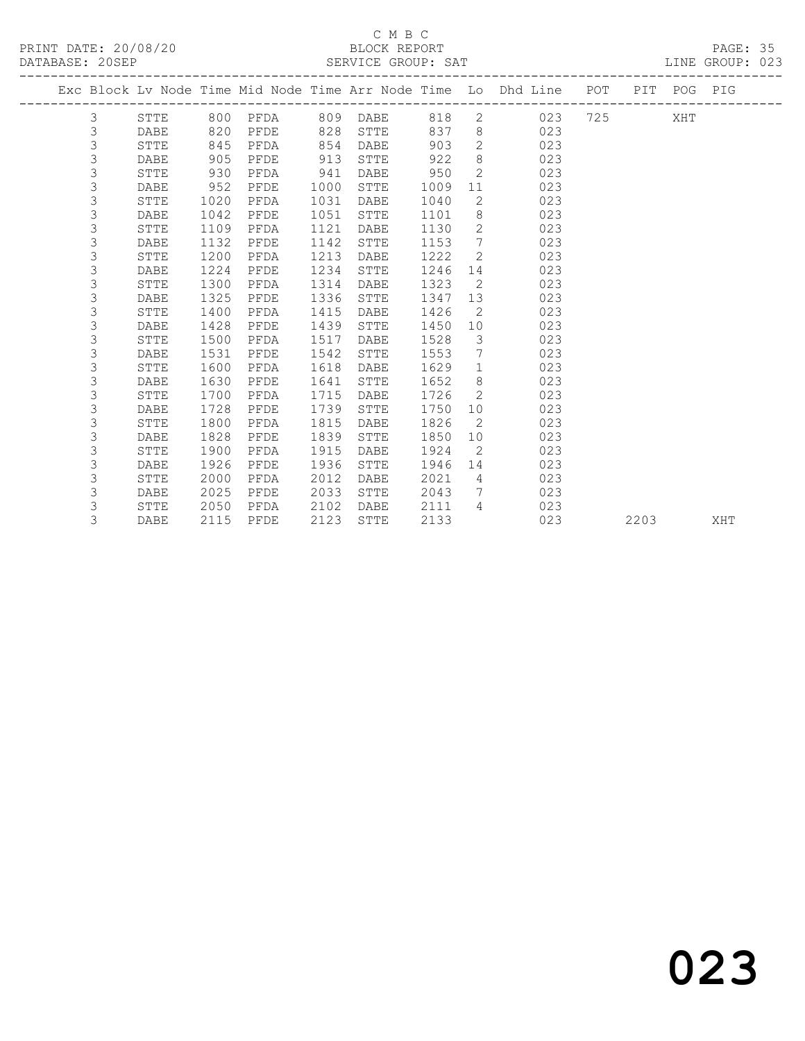#### C M B C<br>BLOCK REPORT DATABASE: 20SEP SERVICE GROUP: SAT LINE GROUP: 023

|  | DAIADAJE. ZVJEF |             |      |          |      | OLNVICL GRUUF. OAI |        |                         |                                                                    |  |             | TIME GRAAL! ARD |
|--|-----------------|-------------|------|----------|------|--------------------|--------|-------------------------|--------------------------------------------------------------------|--|-------------|-----------------|
|  |                 |             |      |          |      |                    |        |                         | Exc Block Lv Node Time Mid Node Time Arr Node Time Lo Dhd Line POT |  | PIT POG PIG |                 |
|  | 3               | STTE        |      | 800 PFDA |      | 809 DABE           |        |                         | 818 2 023 725 XHT                                                  |  |             |                 |
|  | 3               | DABE        | 820  | PFDE     | 828  | STTE               |        |                         | 837 8<br>023                                                       |  |             |                 |
|  | $\mathsf 3$     | STTE        | 845  | PFDA     | 854  | DABE               | 903    |                         | $\overline{2}$<br>023                                              |  |             |                 |
|  | 3               | DABE        | 905  | PFDE     | 913  | STTE               | 922    | 8 <sup>8</sup>          | 023                                                                |  |             |                 |
|  | 3               | STTE        | 930  | PFDA     | 941  | DABE               | 950    | $\overline{2}$          | 023                                                                |  |             |                 |
|  | 3               | DABE        | 952  | PFDE     | 1000 | STTE               | 1009   | 11                      | 023                                                                |  |             |                 |
|  | 3               | STTE        | 1020 | PFDA     | 1031 | DABE               | 1040   | $\overline{2}$          | 023                                                                |  |             |                 |
|  | 3               | DABE        | 1042 | PFDE     | 1051 | STTE               | 1101   | 8                       | 023                                                                |  |             |                 |
|  | 3               | STTE        | 1109 | PFDA     | 1121 | DABE               | 1130   |                         | $\overline{2}$<br>023                                              |  |             |                 |
|  | 3               | DABE        | 1132 | PFDE     | 1142 | STTE               | 1153   | $7\phantom{0}$          | 023                                                                |  |             |                 |
|  | 3               | <b>STTE</b> | 1200 | PFDA     | 1213 | DABE               | 1222   | $\overline{2}$          | 023                                                                |  |             |                 |
|  | 3               | <b>DABE</b> | 1224 | PFDE     | 1234 | STTE               | 1246   |                         | 023                                                                |  |             |                 |
|  | 3               | STTE        | 1300 | PFDA     | 1314 | DABE               | 1323   | $\overline{2}$          | 023                                                                |  |             |                 |
|  | 3               | DABE        | 1325 | PFDE     | 1336 | STTE               | 1347   | 13                      | 023                                                                |  |             |                 |
|  | 3               | <b>STTE</b> | 1400 | PFDA     | 1415 | DABE               | 1426   | $\overline{2}$          | 023                                                                |  |             |                 |
|  | 3               | DABE        | 1428 | PFDE     | 1439 | STTE               | 1450   | 10                      | 023                                                                |  |             |                 |
|  | 3               | STTE        | 1500 | PFDA     | 1517 | DABE               | 1528   | $\overline{\mathbf{3}}$ | 023                                                                |  |             |                 |
|  | 3               | DABE        | 1531 | PFDE     | 1542 | STTE               | 1553   | $\overline{7}$          | 023                                                                |  |             |                 |
|  | 3               | STTE        | 1600 | PFDA     | 1618 | DABE               | 1629   | $\mathbf{1}$            | 023                                                                |  |             |                 |
|  | 3               | DABE        | 1630 | PFDE     | 1641 | STTE               | 1652   | 8 <sup>8</sup>          | 023                                                                |  |             |                 |
|  | 3               | STTE        | 1700 | PFDA     | 1715 | DABE               | 1726   | 2                       | 023                                                                |  |             |                 |
|  | 3               | DABE        | 1728 | PFDE     | 1739 | STTE               | 1750   |                         | 10<br>023                                                          |  |             |                 |
|  | 3               | STTE        | 1800 | PFDA     | 1815 | DABE               | 1826   | $\overline{2}$          | 023                                                                |  |             |                 |
|  | 3               | DABE        | 1828 | PFDE     | 1839 | STTE               | 1850   | 10                      | 023                                                                |  |             |                 |
|  | 3               | STTE        | 1900 | PFDA     | 1915 | DABE               | 1924   | 2                       | 023                                                                |  |             |                 |
|  | 3               | DABE        | 1926 | PFDE     | 1936 | STTE               | 1946   | 14                      | 023                                                                |  |             |                 |
|  | 3               | <b>STTE</b> | 2000 | PFDA     | 2012 | DABE               | 2021   | $\overline{4}$          | 023                                                                |  |             |                 |
|  | 3               | DABE        | 2025 | PFDE     | 2033 | STTE               | 2043   | $7\overline{ }$         | 023                                                                |  |             |                 |
|  | 3               | STTE        | 2050 | PFDA     | 2102 | DABE               | 2111 4 |                         | 023                                                                |  |             |                 |

3 DABE 2115 PFDE 2123 STTE 2133 023 2203 XHT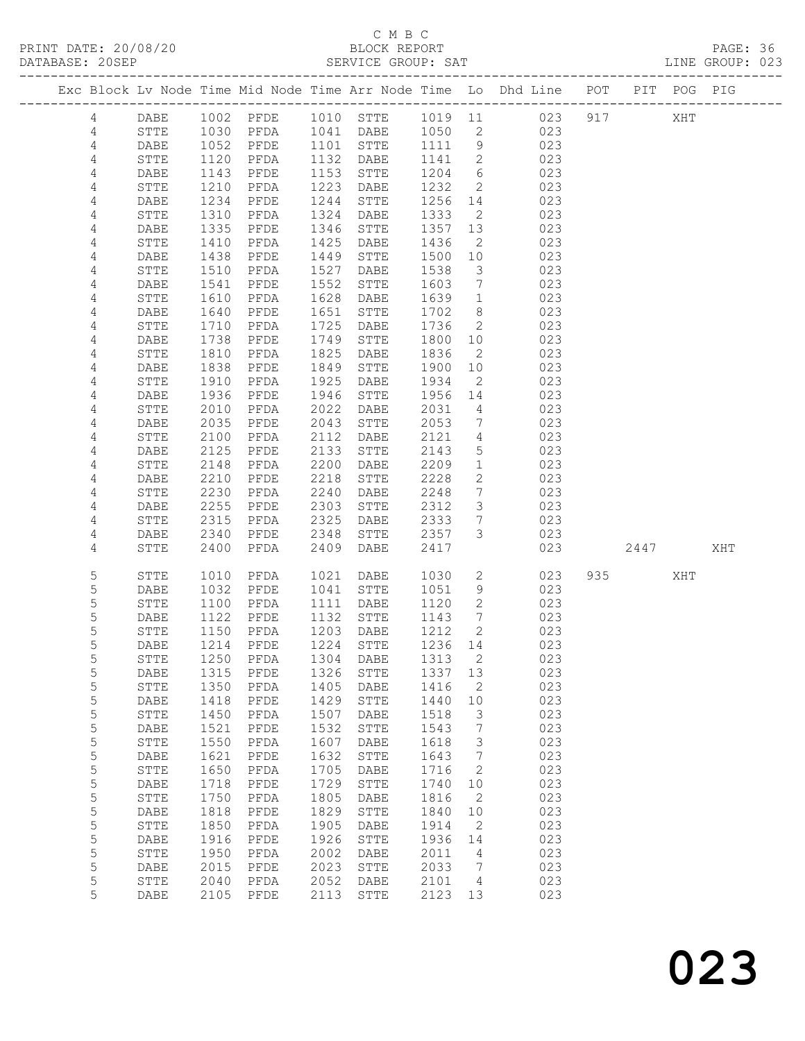## C M B C

| DATABASE: 20SEP |                |              |                                                   |                |      | SERVICE GROUP: SAT    |         |                              |                                                                                |           |     | LINE GROUP: 023 |  |
|-----------------|----------------|--------------|---------------------------------------------------|----------------|------|-----------------------|---------|------------------------------|--------------------------------------------------------------------------------|-----------|-----|-----------------|--|
|                 |                |              |                                                   |                |      |                       |         |                              | Exc Block Lv Node Time Mid Node Time Arr Node Time Lo Dhd Line POT PIT POG PIG |           |     |                 |  |
|                 | 4              | DABE         |                                                   |                |      |                       |         |                              | 1002 PFDE 1010 STTE 1019 11 023 917 XHT                                        |           |     |                 |  |
|                 | 4              | STTE         | 1030                                              |                |      | PFDA 1041 DABE 1050 2 |         |                              | 023                                                                            |           |     |                 |  |
|                 | 4              | DABE         | 1052                                              | PFDE 1101 STTE |      |                       | 1111 9  |                              | 023                                                                            |           |     |                 |  |
|                 | $\overline{4}$ | STTE         |                                                   | PFDA           |      | 1132 DABE             | 1141 2  |                              | 023                                                                            |           |     |                 |  |
|                 | 4              | DABE         | 1120<br>1143                                      | PFDE           |      | 1153 STTE             | 1204    | 6                            | 023                                                                            |           |     |                 |  |
|                 | 4              | STTE         | 1210                                              | PFDA           |      | 1223 DABE             | 1232    | $\overline{2}$               | 023                                                                            |           |     |                 |  |
|                 | 4              | DABE         | 1234                                              | PFDE           | 1244 | STTE                  | 1256    | 14                           | 023                                                                            |           |     |                 |  |
|                 | 4              | <b>STTE</b>  | 1310                                              | PFDA           | 1324 | DABE                  | 1333    | $\overline{2}$               | 023                                                                            |           |     |                 |  |
|                 | 4              | DABE         | $\frac{1}{1}$ 335                                 | PFDE           | 1346 | STTE                  | 1357    | 13                           | 023                                                                            |           |     |                 |  |
|                 | 4              | STTE         | 1410                                              | PFDA           | 1425 | DABE                  | 1436    | $\overline{2}$               | 023                                                                            |           |     |                 |  |
|                 | 4              | DABE         | 1438                                              | PFDE           | 1449 | STTE                  | 1500    | 10                           | 023                                                                            |           |     |                 |  |
|                 | 4              | STTE         | 1510                                              | PFDA           | 1527 | DABE                  | 1538    | $\overline{\mathbf{3}}$      | 023                                                                            |           |     |                 |  |
|                 | $\sqrt{4}$     | DABE         | 1541                                              | PFDE           | 1552 | STTE                  | 1603    | $7\phantom{.0}\phantom{.0}7$ | 023                                                                            |           |     |                 |  |
|                 | $\sqrt{4}$     | STTE         | 1610                                              | PFDA           | 1628 | DABE                  | 1639    | $\overline{1}$               | 023                                                                            |           |     |                 |  |
|                 | 4              | DABE         | 1640                                              | PFDE           | 1651 | STTE                  | 1702    | 8 <sup>8</sup>               | 023                                                                            |           |     |                 |  |
|                 | 4              | STTE         | 1710                                              | PFDA           | 1725 | DABE                  | 1736    | $\overline{2}$               | 023                                                                            |           |     |                 |  |
|                 | 4              | DABE         | $\begin{array}{c}\n1 \\ 1 \\ 7 \\ 8\n\end{array}$ | PFDE           | 1749 | STTE                  | 1800 10 |                              | 023                                                                            |           |     |                 |  |
|                 | 4              | STTE         | 1810                                              | PFDA           | 1825 | DABE                  | 1836    | $\overline{2}$               | 023                                                                            |           |     |                 |  |
|                 | 4              | DABE         | 1838                                              | PFDE           | 1849 | STTE                  | 1900    | 10                           | 023                                                                            |           |     |                 |  |
|                 | 4              | STTE         | 1910                                              | PFDA           | 1925 | DABE                  | 1934    | $\overline{2}$               | 023                                                                            |           |     |                 |  |
|                 | 4              | DABE         | 1936                                              | PFDE           | 1946 | STTE                  | 1956 14 |                              | 023                                                                            |           |     |                 |  |
|                 | 4              | STTE         | 2010                                              | PFDA           | 2022 | DABE                  | 2031    | $4\overline{4}$              | 023                                                                            |           |     |                 |  |
|                 | 4              | DABE         | 2035                                              | PFDE           | 2043 | STTE                  | 2053    | $\overline{7}$               | 023                                                                            |           |     |                 |  |
|                 | 4              | STTE         | 2100                                              | PFDA           | 2112 | DABE                  | 2121    | $\overline{4}$               | 023                                                                            |           |     |                 |  |
|                 | 4              | DABE         | 2125                                              | PFDE           | 2133 | STTE                  | 2143    | $5\overline{)}$              | 023                                                                            |           |     |                 |  |
|                 | 4              | STTE         | 2148                                              | PFDA           | 2200 | DABE                  | 2209    | $\mathbf{1}$                 | 023                                                                            |           |     |                 |  |
|                 | 4              | DABE         | 2210                                              | PFDE           | 2218 | STTE                  | 2228    | 2                            | 023                                                                            |           |     |                 |  |
|                 | 4              | ${\tt STTE}$ | 2230                                              | PFDA           | 2240 | DABE                  | 2248    | $7\overline{ }$              | 023                                                                            |           |     |                 |  |
|                 | 4              | DABE         | 2255                                              | PFDE           | 2303 | STTE                  | 2312    | $\mathcal{S}$                | 023                                                                            |           |     |                 |  |
|                 | 4              | STTE         | 2315                                              | PFDA           | 2325 | DABE                  | 2333    | $7\overline{ }$              | 023                                                                            |           |     |                 |  |
|                 | 4              | DABE         | 2340                                              | PFDE           | 2348 | STTE                  | 2357    | $\mathcal{S}$                | 023                                                                            |           |     |                 |  |
|                 | 4              | STTE         | 2400                                              | PFDA           | 2409 | DABE                  | 2417    |                              | 023                                                                            | 2447      |     | XHT             |  |
|                 |                |              |                                                   |                |      |                       |         |                              |                                                                                |           |     |                 |  |
|                 | 5              | STTE         | 1010                                              | PFDA           | 1021 | DABE                  | 1030    |                              | $\overline{2}$<br>023                                                          | 935 — 100 | XHT |                 |  |
|                 | 5              | DABE         | 1032                                              | PFDE           |      | 1041 STTE             | 1051    | 9                            | 023                                                                            |           |     |                 |  |
|                 | 5              | STTE         | 1100                                              | PFDA           |      | 1111 DABE             | 1120    | $\overline{2}$               | 023                                                                            |           |     |                 |  |
|                 | 5              | DABE         | 1122                                              | PFDE           |      | 1132 STTE             | 1143    | $\overline{7}$               | 023                                                                            |           |     |                 |  |
|                 | 5              | <b>STTE</b>  | 1150                                              | PFDA           |      | 1203 DABE             | 1212    | $\overline{2}$               | 023                                                                            |           |     |                 |  |
|                 | 5              |              |                                                   |                |      |                       |         |                              | DABE 1214 PFDE 1224 STTE 1236 14 023                                           |           |     |                 |  |
|                 | 5              | STTE         | 1250                                              | PFDA           | 1304 | DABE                  | 1313    | 2                            | 023                                                                            |           |     |                 |  |
|                 | 5              | DABE         | 1315                                              | PFDE           | 1326 | ${\tt STTE}$          | 1337 13 |                              | 023                                                                            |           |     |                 |  |
|                 | 5              | STTE         | 1350                                              | PFDA           | 1405 | DABE                  | 1416    | 2                            | 023                                                                            |           |     |                 |  |
|                 | 5              | DABE         | 1418                                              | PFDE           | 1429 | STTE                  | 1440    | 10                           | 023                                                                            |           |     |                 |  |
|                 | 5              | STTE         | 1450                                              | PFDA           | 1507 | DABE                  | 1518    | 3                            | 023                                                                            |           |     |                 |  |
|                 | 5              | DABE         | 1521                                              | PFDE           | 1532 | ${\tt STTE}$          | 1543    | $7\phantom{.0}$              | 023                                                                            |           |     |                 |  |
|                 | 5              | STTE         | 1550                                              | PFDA           | 1607 | DABE                  | 1618    | $\mathcal{S}$                | 023                                                                            |           |     |                 |  |
|                 | 5              | DABE         | 1621                                              | PFDE           | 1632 | ${\tt STTE}$          | 1643    | $7\phantom{.0}\phantom{.0}7$ | 023                                                                            |           |     |                 |  |
|                 | 5              | STTE         | 1650                                              | PFDA           | 1705 | DABE                  | 1716    | 2                            | 023                                                                            |           |     |                 |  |
|                 | 5              | DABE         | 1718                                              | PFDE           | 1729 | ${\tt STTE}$          | 1740    | 10                           | 023                                                                            |           |     |                 |  |
|                 | 5              | STTE         | 1750                                              | PFDA           | 1805 | DABE                  | 1816    | $\overline{\phantom{0}}^2$   | 023                                                                            |           |     |                 |  |
|                 | 5              | DABE         | 1818                                              | PFDE           | 1829 | ${\tt STTE}$          | 1840    | 10                           | 023                                                                            |           |     |                 |  |
|                 | 5              | ${\tt STTE}$ | 1850                                              | PFDA           | 1905 | DABE                  | 1914    | $\overline{2}$               | 023                                                                            |           |     |                 |  |
|                 | 5              | DABE         | 1916                                              | PFDE           | 1926 | ${\tt STTE}$          | 1936    | 14                           | 023                                                                            |           |     |                 |  |
|                 | 5              | STTE         | 1950                                              | PFDA           | 2002 | DABE                  | 2011    | $\overline{4}$               | 023                                                                            |           |     |                 |  |
|                 | 5              | DABE         | 2015                                              | PFDE           | 2023 | STTE                  | 2033    | $\overline{7}$               | 023                                                                            |           |     |                 |  |
|                 | 5              | STTE         | 2040                                              | PFDA           | 2052 | DABE                  | 2101    | $\overline{4}$               | 023                                                                            |           |     |                 |  |
|                 | 5              | DABE         | 2105                                              | PFDE           | 2113 | STTE                  | 2123 13 |                              | 023                                                                            |           |     |                 |  |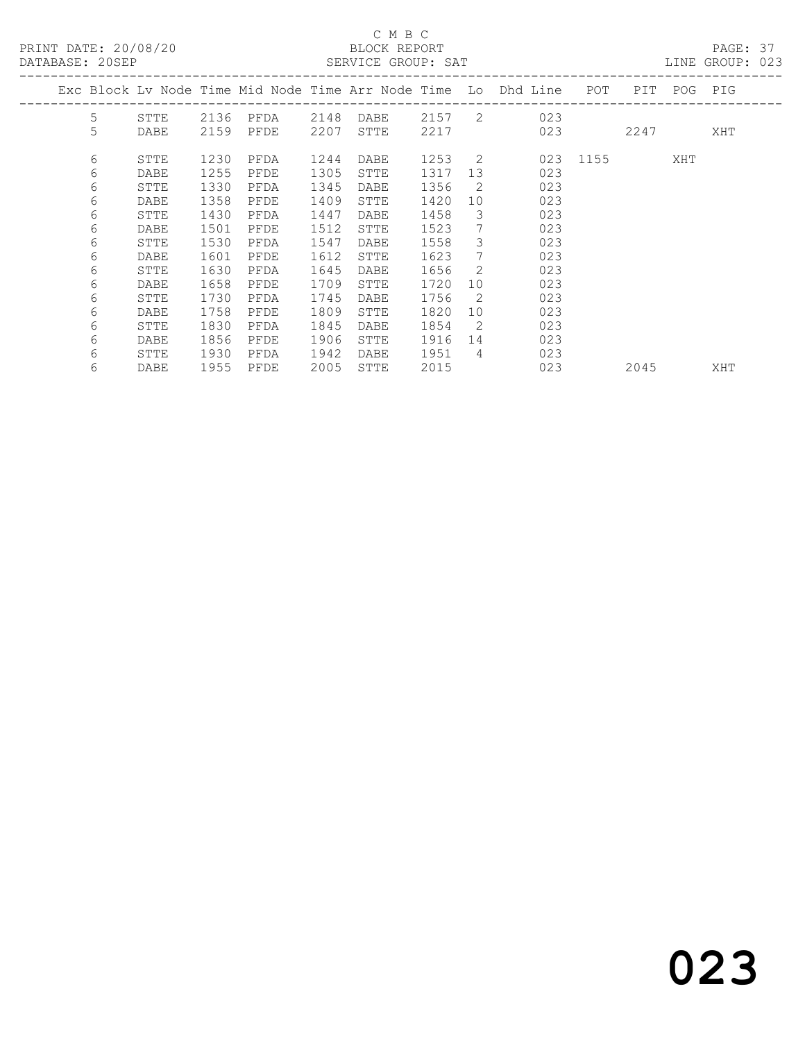### C M B C<br>BLOCK REPORT

| DATABASE: 20SEP |   |      |      |      |      | SERVICE GROUP: SAT |        |                 |                                                                    |          |             | LINE GROUP: 023 |  |
|-----------------|---|------|------|------|------|--------------------|--------|-----------------|--------------------------------------------------------------------|----------|-------------|-----------------|--|
|                 |   |      |      |      |      |                    |        |                 | Exc Block Lv Node Time Mid Node Time Arr Node Time Lo Dhd Line POT |          | PIT POG PIG |                 |  |
|                 | 5 | STTE | 2136 | PFDA | 2148 |                    |        |                 | DABE 2157 2 023                                                    |          |             |                 |  |
|                 | 5 | DABE | 2159 | PFDE | 2207 | STTE               | 2217   |                 | 023                                                                |          | 2247        | XHT             |  |
|                 | 6 | STTE | 1230 | PFDA | 1244 | DABE               | 1253 2 |                 |                                                                    | 023 1155 | XHT         |                 |  |
|                 | 6 | DABE | 1255 | PFDE | 1305 | STTE               | 1317   | 13              | 023                                                                |          |             |                 |  |
|                 | 6 | STTE | 1330 | PFDA | 1345 | DABE               | 1356   | - 2             | 023                                                                |          |             |                 |  |
|                 | 6 | DABE | 1358 | PFDE | 1409 | STTE               | 1420   | 10              | 023                                                                |          |             |                 |  |
|                 | 6 | STTE | 1430 | PFDA | 1447 | DABE               | 1458   | 3               | 023                                                                |          |             |                 |  |
|                 | 6 | DABE | 1501 | PFDE | 1512 | STTE               | 1523   | 7               | 023                                                                |          |             |                 |  |
|                 | 6 | STTE | 1530 | PFDA | 1547 | DABE               | 1558   | 3               | 023                                                                |          |             |                 |  |
|                 | 6 | DABE | 1601 | PFDE | 1612 | STTE               | 1623   | $7\phantom{.0}$ | 023                                                                |          |             |                 |  |
|                 | 6 | STTE | 1630 | PFDA | 1645 | DABE               | 1656   | 2               | 023                                                                |          |             |                 |  |
|                 | 6 | DABE | 1658 | PFDE | 1709 | STTE               | 1720   | 10              | 023                                                                |          |             |                 |  |
|                 | 6 | STTE | 1730 | PFDA | 1745 | DABE               | 1756   | -2              | 023                                                                |          |             |                 |  |
|                 | 6 | DABE | 1758 | PFDE | 1809 | STTE               | 1820   | 10              | 023                                                                |          |             |                 |  |
|                 | 6 | STTE | 1830 | PFDA | 1845 | DABE               | 1854   | $\overline{2}$  | 023                                                                |          |             |                 |  |
|                 | 6 | DABE | 1856 | PFDE | 1906 | STTE               | 1916   | 14              | 023                                                                |          |             |                 |  |
|                 | 6 | STTE | 1930 | PFDA | 1942 | DABE               | 1951   | $\overline{4}$  | 023                                                                |          |             |                 |  |
|                 | 6 | DABE | 1955 | PFDE | 2005 | STTE               | 2015   |                 | 023                                                                |          | 2045        | XHT             |  |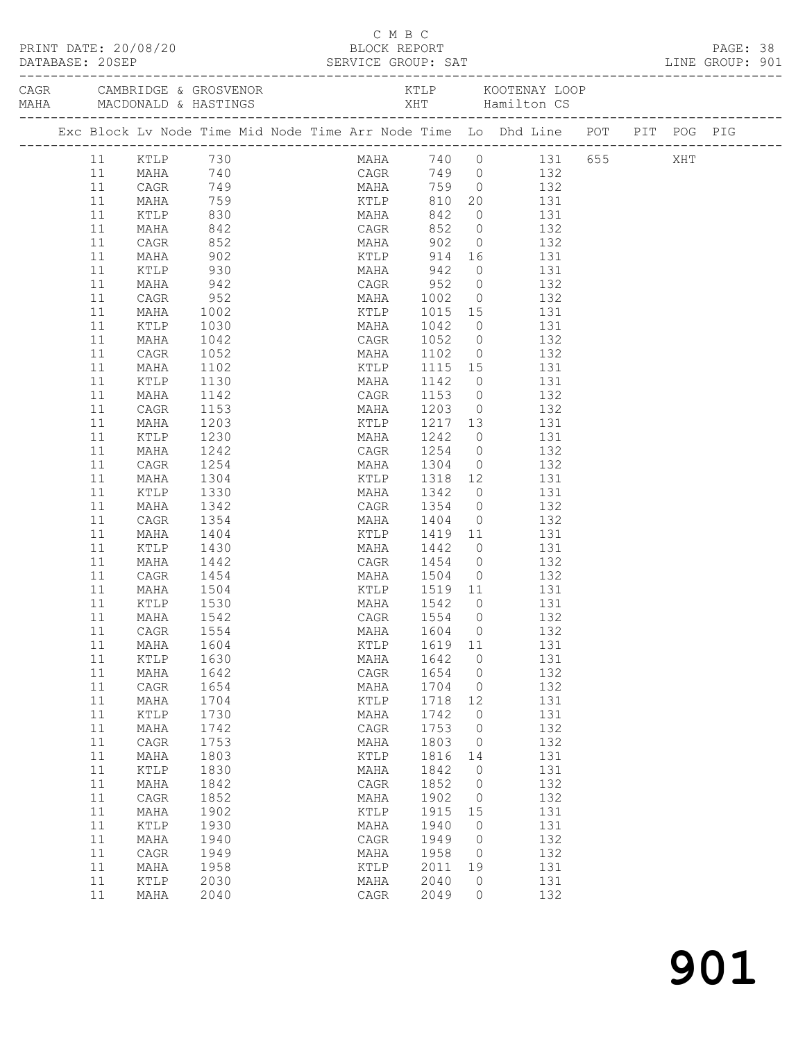| PRINT DATE: 20/08/20<br>BLOCK REPORT                                  |  |          |                                                                                    |              |                | C M B C         |              |                                     |                                  |                                                      |                                                             |                        | PAGE: 38 |  |  |
|-----------------------------------------------------------------------|--|----------|------------------------------------------------------------------------------------|--------------|----------------|-----------------|--------------|-------------------------------------|----------------------------------|------------------------------------------------------|-------------------------------------------------------------|------------------------|----------|--|--|
| DATABASE: 20SEP SERVICE GROUP: SAT LINE GROUP: 901<br>DATABASE: 20SEP |  |          |                                                                                    |              |                |                 |              |                                     |                                  |                                                      |                                                             |                        |          |  |  |
|                                                                       |  |          |                                                                                    |              |                |                 |              |                                     |                                  |                                                      |                                                             |                        |          |  |  |
|                                                                       |  |          | Exc Block Lv Node Time Mid Node Time Arr Node Time Lo Dhd Line POT PIT POG PIG     |              |                |                 |              |                                     |                                  |                                                      |                                                             |                        |          |  |  |
|                                                                       |  |          | 11 KTLP 730                                                                        |              |                |                 |              |                                     |                                  |                                                      |                                                             | MAHA 740 0 131 655 XHT |          |  |  |
|                                                                       |  | 11       |                                                                                    |              |                |                 |              |                                     |                                  |                                                      |                                                             |                        |          |  |  |
|                                                                       |  | 11       | 132 MAHA 740 CAGR 749 0 132<br>CAGR 749 MAHA 759 0 132<br>MAHA 759 KTLP 810 20 131 |              |                |                 |              |                                     |                                  |                                                      |                                                             |                        |          |  |  |
|                                                                       |  | 11       |                                                                                    |              |                |                 |              |                                     |                                  |                                                      |                                                             |                        |          |  |  |
|                                                                       |  | 11       | KTLP 830                                                                           |              | MAHA 842       |                 |              |                                     |                                  |                                                      | $0$ 131                                                     |                        |          |  |  |
|                                                                       |  | 11       | MAHA                                                                               | 842          | CAGR 852 0 132 |                 |              |                                     |                                  |                                                      |                                                             |                        |          |  |  |
|                                                                       |  | 11       | CAGR                                                                               | 852<br>902   |                |                 |              | MAHA 902 0 132<br>KTLP 914 16 131   |                                  |                                                      |                                                             |                        |          |  |  |
|                                                                       |  | 11<br>11 | MAHA<br>KTLP                                                                       | 930          |                | MAHA 942        |              |                                     |                                  | $0$ 131                                              |                                                             |                        |          |  |  |
|                                                                       |  | 11       | MAHA                                                                               | 942          |                |                 |              | CAGR 952 0 132                      |                                  |                                                      |                                                             |                        |          |  |  |
|                                                                       |  | 11       | CAGR                                                                               | 952          |                |                 |              |                                     |                                  |                                                      |                                                             |                        |          |  |  |
|                                                                       |  | 11       | MAHA                                                                               | 1002         |                |                 |              | MAHA 1002 0<br>KTLP 1015 15         |                                  |                                                      | $\begin{array}{ccc} 0 & 132 \\ 15 & 131 \end{array}$<br>131 |                        |          |  |  |
|                                                                       |  | 11       | KTLP                                                                               | 1030         |                |                 |              | MAHA 1042                           |                                  | $0$ 131                                              |                                                             |                        |          |  |  |
|                                                                       |  | 11       | MAHA                                                                               | 1042         |                |                 |              | CAGR 1052 0 132                     |                                  |                                                      |                                                             |                        |          |  |  |
|                                                                       |  | 11       | CAGR                                                                               | 1052         |                |                 |              |                                     | $\overline{0}$                   |                                                      | 132                                                         |                        |          |  |  |
|                                                                       |  | 11       | MAHA                                                                               | 1102         |                |                 |              | MAHA 1102 0<br>KTLP 1115 15         |                                  |                                                      | 131                                                         |                        |          |  |  |
|                                                                       |  | 11       | KTLP                                                                               | 1130         |                |                 |              | MAHA 1142                           |                                  | $0$ 131                                              |                                                             |                        |          |  |  |
|                                                                       |  | 11       | MAHA                                                                               | 1142         |                |                 |              | CAGR 1153 0 132                     |                                  |                                                      |                                                             |                        |          |  |  |
|                                                                       |  | 11       | CAGR                                                                               | 1153         |                |                 |              | MAHA 1203 0<br>KTLP 1217 13         |                                  | $0$ 132                                              |                                                             |                        |          |  |  |
|                                                                       |  | 11       | MAHA                                                                               | 1203         |                |                 |              |                                     |                                  |                                                      | 131                                                         |                        |          |  |  |
|                                                                       |  | 11       | KTLP                                                                               | 1230         |                |                 |              | MAHA 1242                           |                                  | $0$ 131                                              |                                                             |                        |          |  |  |
|                                                                       |  | 11       | MAHA                                                                               | 1242         |                |                 |              | CAGR 1254 0 132                     |                                  |                                                      |                                                             |                        |          |  |  |
|                                                                       |  | 11       | CAGR                                                                               | 1254         |                |                 |              | MAHA 1304                           |                                  | $0$ 132                                              |                                                             |                        |          |  |  |
|                                                                       |  | 11       | MAHA                                                                               | 1304         |                |                 |              | KTLP 1318 12 131<br>MAHA 1342 0 131 |                                  |                                                      |                                                             |                        |          |  |  |
|                                                                       |  | 11       | KTLP                                                                               | 1330         |                |                 |              |                                     |                                  |                                                      |                                                             |                        |          |  |  |
|                                                                       |  | 11<br>11 | MAHA                                                                               | 1342         |                |                 |              | CAGR 1354 0 132                     |                                  |                                                      |                                                             |                        |          |  |  |
|                                                                       |  | 11       | CAGR<br>MAHA                                                                       | 1354<br>1404 |                |                 |              | MAHA 1404<br>KTLP 1419 11           |                                  | $0$ 132                                              | 131                                                         |                        |          |  |  |
|                                                                       |  | 11       | KTLP                                                                               | 1430         |                |                 |              | MAHA 1442                           |                                  | $\begin{array}{ccc} 11 & 131 \\ 0 & 131 \end{array}$ |                                                             |                        |          |  |  |
|                                                                       |  | 11       | MAHA                                                                               | 1442         |                |                 |              | CAGR 1454 0 132                     |                                  |                                                      |                                                             |                        |          |  |  |
|                                                                       |  | 11       | CAGR                                                                               | 1454         |                |                 |              | MAHA 1504                           |                                  | $0$ 132                                              |                                                             |                        |          |  |  |
|                                                                       |  | 11       | MAHA                                                                               |              |                |                 |              |                                     |                                  |                                                      |                                                             |                        |          |  |  |
|                                                                       |  | 11       | KTLP                                                                               | 1504<br>1530 |                |                 |              | KTLP 1519 11<br>MAHA 1542 0         |                                  |                                                      | 131<br>131                                                  |                        |          |  |  |
|                                                                       |  |          | 11 MAHA 1542                                                                       |              |                | CAGR 1554 0 132 |              |                                     |                                  |                                                      |                                                             |                        |          |  |  |
|                                                                       |  | 11       | CAGR                                                                               | 1554         |                |                 | MAHA         | 1604                                | $\overline{0}$                   |                                                      | 132                                                         |                        |          |  |  |
|                                                                       |  | 11       | MAHA                                                                               | 1604         |                |                 | KTLP         | 1619 11                             |                                  |                                                      | 131                                                         |                        |          |  |  |
|                                                                       |  | 11       | KTLP                                                                               | 1630         |                |                 | MAHA         | 1642                                | $\overline{0}$                   |                                                      | 131                                                         |                        |          |  |  |
|                                                                       |  | 11       | MAHA                                                                               | 1642         |                |                 | CAGR         | 1654                                | $\overline{0}$                   |                                                      | 132                                                         |                        |          |  |  |
|                                                                       |  | 11       | CAGR                                                                               | 1654         |                |                 | MAHA         | 1704                                | $\overline{0}$                   |                                                      | 132                                                         |                        |          |  |  |
|                                                                       |  | 11       | MAHA                                                                               | 1704         |                |                 | KTLP         | 1718                                | 12                               |                                                      | 131                                                         |                        |          |  |  |
|                                                                       |  | 11       | $\verb KTLP $                                                                      | 1730         |                |                 | MAHA         | 1742                                | $\overline{0}$                   |                                                      | 131                                                         |                        |          |  |  |
|                                                                       |  | 11       | MAHA                                                                               | 1742         |                |                 | CAGR         | 1753                                | $\overline{0}$                   |                                                      | 132                                                         |                        |          |  |  |
|                                                                       |  | 11       | CAGR                                                                               | 1753         |                |                 | MAHA         | 1803                                | $\overline{0}$                   |                                                      | 132                                                         |                        |          |  |  |
|                                                                       |  | 11       | MAHA                                                                               | 1803         |                |                 | KTLP         | 1816                                | 14                               |                                                      | 131                                                         |                        |          |  |  |
|                                                                       |  | 11<br>11 | KTLP                                                                               | 1830<br>1842 |                |                 | MAHA         | 1842<br>1852                        | $\overline{0}$<br>$\overline{0}$ |                                                      | 131<br>132                                                  |                        |          |  |  |
|                                                                       |  | 11       | MAHA<br>CAGR                                                                       | 1852         |                |                 | CAGR<br>MAHA | 1902                                | $\circ$                          |                                                      | 132                                                         |                        |          |  |  |
|                                                                       |  | 11       | MAHA                                                                               | 1902         |                |                 | KTLP         | 1915                                | 15                               |                                                      | 131                                                         |                        |          |  |  |
|                                                                       |  | 11       | KTLP                                                                               | 1930         |                |                 | MAHA         | 1940                                | $\overline{0}$                   |                                                      | 131                                                         |                        |          |  |  |
|                                                                       |  | 11       | MAHA                                                                               | 1940         |                |                 | CAGR         | 1949                                | $\overline{0}$                   |                                                      | 132                                                         |                        |          |  |  |
|                                                                       |  | 11       | CAGR                                                                               | 1949         |                |                 | MAHA         | 1958                                | $\circ$                          |                                                      | 132                                                         |                        |          |  |  |
|                                                                       |  | 11       | MAHA                                                                               | 1958         |                |                 | KTLP         | 2011                                | 19                               |                                                      | 131                                                         |                        |          |  |  |
|                                                                       |  | 11       | KTLP                                                                               | 2030         |                |                 | MAHA         | 2040                                | $\circ$                          |                                                      | 131                                                         |                        |          |  |  |
|                                                                       |  | 11       | MAHA                                                                               | 2040         |                |                 | CAGR         | 2049                                | $\circ$                          |                                                      | 132                                                         |                        |          |  |  |
|                                                                       |  |          |                                                                                    |              |                |                 |              |                                     |                                  |                                                      |                                                             |                        |          |  |  |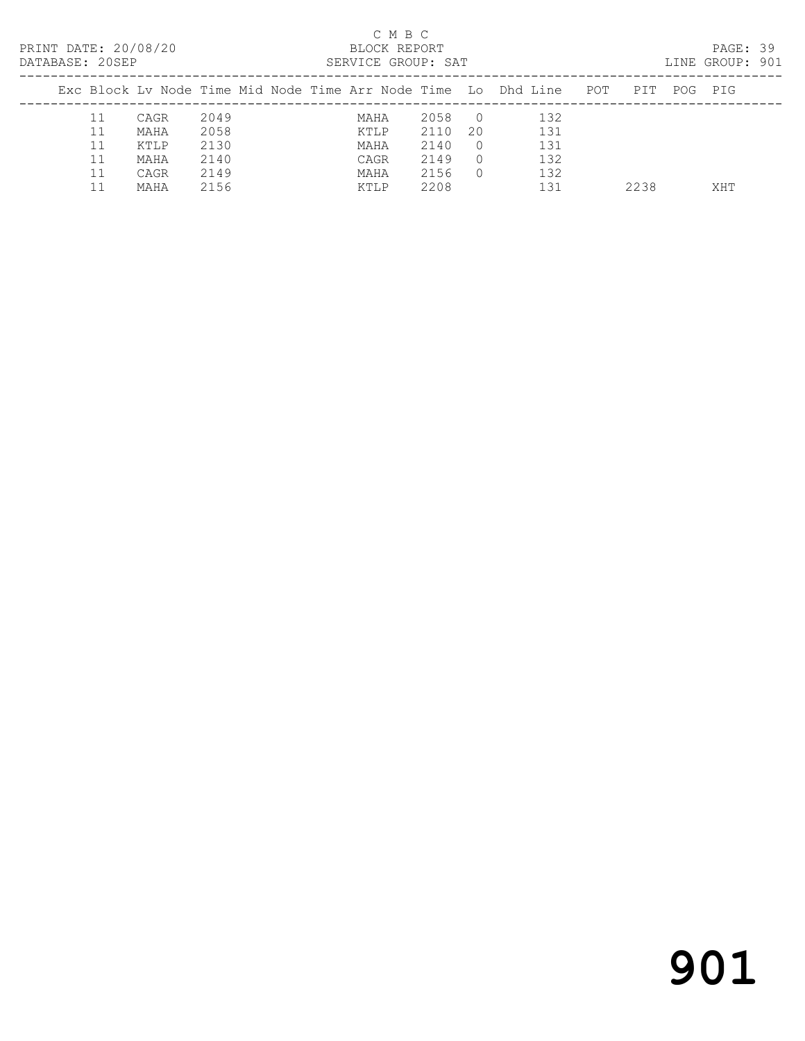| PRINT DATE: 20/08/20<br>DATABASE: 20SEP |    |      |      |  |      | C M B C<br>BLOCK REPORT | SERVICE GROUP: SAT |            |                                                                    |      |     | PAGE: 39<br>LINE GROUP: 901 |  |
|-----------------------------------------|----|------|------|--|------|-------------------------|--------------------|------------|--------------------------------------------------------------------|------|-----|-----------------------------|--|
|                                         |    |      |      |  |      |                         |                    |            | Exc Block Lv Node Time Mid Node Time Arr Node Time Lo Dhd Line POT | PTT  | POG | PIG                         |  |
|                                         | 11 | CAGR | 2049 |  | MAHA |                         | 2058               | $\bigcirc$ | 132                                                                |      |     |                             |  |
|                                         | 11 | MAHA | 2058 |  | KTLP |                         | 2110               | 20         | 131                                                                |      |     |                             |  |
|                                         | 11 | KTLP | 2130 |  | MAHA |                         | 2140               | $\Omega$   | 131                                                                |      |     |                             |  |
|                                         |    | MAHA | 2140 |  | CAGR |                         | 2149               | $\Omega$   | 132                                                                |      |     |                             |  |
|                                         | 11 | CAGR | 2149 |  | MAHA |                         | 2156               | $\Omega$   | 132                                                                |      |     |                             |  |
|                                         |    | MAHA | 2156 |  | KTLP |                         | 2208               |            | 131                                                                | 2238 |     | XHT                         |  |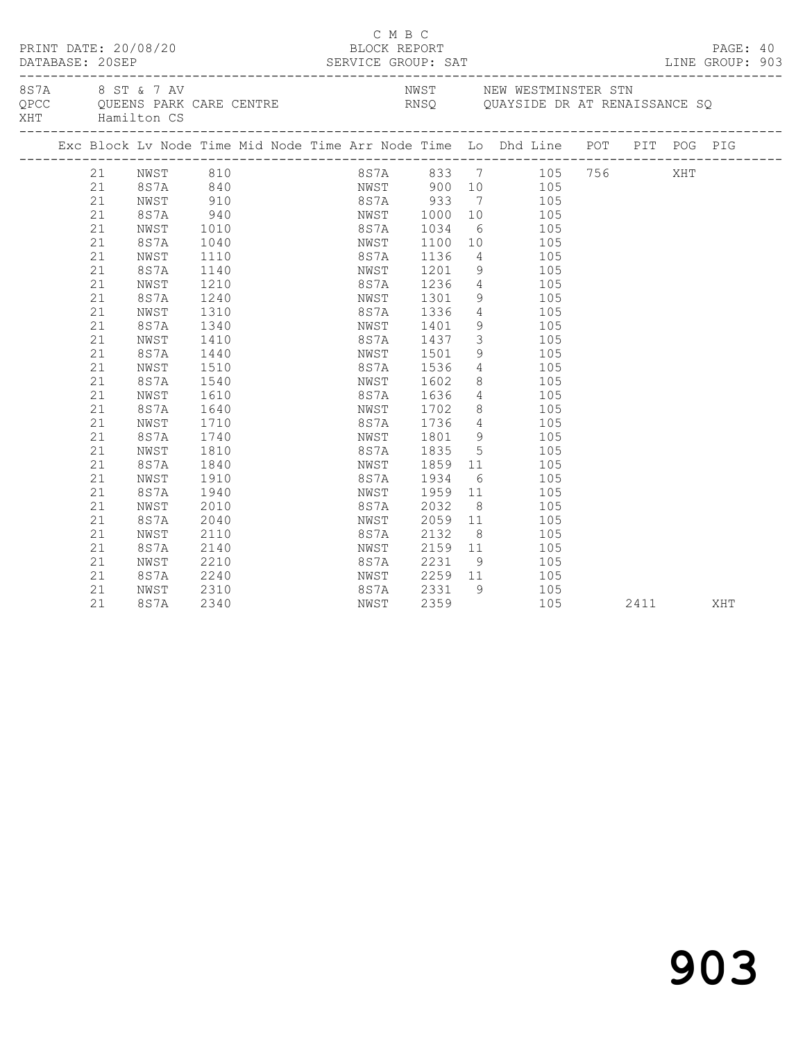| DATABASE: 20SEP |    | PRINT DATE: 20/08/20 |                  |  | BLOCK REPORT | C M B C |                                    |                |                                                                                                                                                      |      |     | PAGE: 40 |  |
|-----------------|----|----------------------|------------------|--|--------------|---------|------------------------------------|----------------|------------------------------------------------------------------------------------------------------------------------------------------------------|------|-----|----------|--|
|                 |    | XHT Hamilton CS      | 8S7A 8 ST & 7 AV |  |              |         | ---------------------------------- |                | NWST NEW WESTMINSTER STN<br>QUAYSIDE DR AT RENAISSANCE SQ<br>QUE QUEENS PARK CARE CENTRE THE RNSQ QUAYSIDE DR AT RENAISSANCE SQ                      |      |     |          |  |
|                 |    |                      |                  |  |              |         |                                    |                | Exc Block Lv Node Time Mid Node Time Arr Node Time Lo Dhd Line POT PIT POG PIG                                                                       |      |     |          |  |
|                 |    |                      | 21 NWST 810      |  |              |         |                                    |                | 8S7A 833 7 105 756                                                                                                                                   |      | XHT |          |  |
|                 | 21 |                      |                  |  |              |         |                                    |                | 8S7A 840 NWST 900 10 105                                                                                                                             |      |     |          |  |
|                 | 21 | NWST                 |                  |  |              |         |                                    |                |                                                                                                                                                      |      |     |          |  |
|                 | 21 | 8S7A                 |                  |  |              |         |                                    |                | 910 887A 933 7 105<br>940 NWST 1000 10 105<br>1010 887A 1034 6 105<br>1040 NWST 1100 10 105<br>8S7A 933 7 105<br>NWST 1000 10 105<br>8S7A 1034 6 105 |      |     |          |  |
|                 | 21 | NWST                 |                  |  |              |         |                                    |                |                                                                                                                                                      |      |     |          |  |
|                 | 21 | 8S7A                 |                  |  |              |         |                                    |                |                                                                                                                                                      |      |     |          |  |
|                 | 21 | NWST                 | 1110             |  | 8S7A         |         | 1136                               |                | 4 105                                                                                                                                                |      |     |          |  |
|                 | 21 | 8S7A                 | 1140             |  |              |         | NWST 1201<br>8S7A 1236             | $\frac{9}{4}$  | $\begin{array}{c} 105 \\ 105 \end{array}$                                                                                                            |      |     |          |  |
|                 | 21 | NWST                 | 1210             |  |              |         |                                    |                |                                                                                                                                                      |      |     |          |  |
|                 | 21 | 8S7A                 | 1240             |  |              |         | NWST 1301                          |                | 9 105                                                                                                                                                |      |     |          |  |
|                 | 21 | NWST                 | 1310             |  |              |         | 8S7A 1336                          |                | 4 105                                                                                                                                                |      |     |          |  |
|                 | 21 | 8S7A                 | 1340             |  | NWST         |         | 1401                               |                | 9 105                                                                                                                                                |      |     |          |  |
|                 | 21 | NWST                 | 1410             |  |              |         | 8S7A 1437<br>NWST 1501             |                | $\begin{array}{ccc} 3 & \hspace{1.5mm} 105 \\ 9 & \hspace{1.5mm} 105 \end{array}$                                                                    |      |     |          |  |
|                 | 21 | 8S7A                 | 1440             |  |              |         |                                    |                |                                                                                                                                                      |      |     |          |  |
|                 | 21 | NWST                 | 1510             |  |              |         | 8S7A 1536                          |                | 4 105                                                                                                                                                |      |     |          |  |
|                 | 21 | 8S7A                 | 1540             |  |              |         | NWST 1602                          |                | 8 105                                                                                                                                                |      |     |          |  |
|                 | 21 | NWST                 | 1610             |  | 8S7A         |         | 8S7A 1636<br>NWST 1702             |                | $\frac{4}{2}$ 105                                                                                                                                    |      |     |          |  |
|                 | 21 | 8S7A                 | 1640             |  |              |         |                                    |                | $\begin{array}{ccc} 8 & \hspace{1.5cm} 105 \\ 4 & \hspace{1.5cm} 105 \end{array}$                                                                    |      |     |          |  |
|                 | 21 | NWST                 | 1710             |  |              |         | 8S7A 1736                          |                |                                                                                                                                                      |      |     |          |  |
|                 | 21 | 8S7A                 | 1740             |  |              |         | NWST 1801                          |                | 9 105                                                                                                                                                |      |     |          |  |
|                 | 21 | NWST                 | 1810             |  | 8 S 7 A      |         | 1835                               |                | 5 105                                                                                                                                                |      |     |          |  |
|                 | 21 | 8S7A                 | 1840             |  | NWST         |         | 1859                               | $\frac{11}{6}$ | 105                                                                                                                                                  |      |     |          |  |
|                 | 21 | NWST                 | 1910             |  | 8S7A         |         | 1934                               |                | 105                                                                                                                                                  |      |     |          |  |
|                 | 21 | 8S7A                 | 1940             |  | NWST         |         | 1959                               |                | 11 105                                                                                                                                               |      |     |          |  |
|                 | 21 | NWST                 | 2010             |  | 8S7A         |         | 2032                               |                | $8 \overline{)}$<br>105                                                                                                                              |      |     |          |  |
|                 | 21 | 8S7A                 | 2040             |  | NWST         |         | 2059                               |                | 11 105                                                                                                                                               |      |     |          |  |
|                 | 21 | NWST                 | 2110             |  | 8S7A         |         | 2132                               | 8 <sup>1</sup> | 105                                                                                                                                                  |      |     |          |  |
|                 | 21 | 8S7A                 | 2140             |  | NWST         |         |                                    |                | 2152 0 105                                                                                                                                           |      |     |          |  |
|                 | 21 | NWST                 | 2210             |  | 8S7A         |         | 2231                               |                | 9 105                                                                                                                                                |      |     |          |  |
|                 | 21 | 8S7A                 | 2240             |  |              |         |                                    |                | NWST 2259 11 105                                                                                                                                     |      |     |          |  |
|                 | 21 | NWST                 | 2310             |  | 8S7A         |         | $2331$ 9<br>2359                   |                | 105                                                                                                                                                  |      |     |          |  |
|                 | 21 | 8S7A                 | 2340             |  | NWST         |         | 2359                               |                | 105                                                                                                                                                  | 2411 |     | XHT      |  |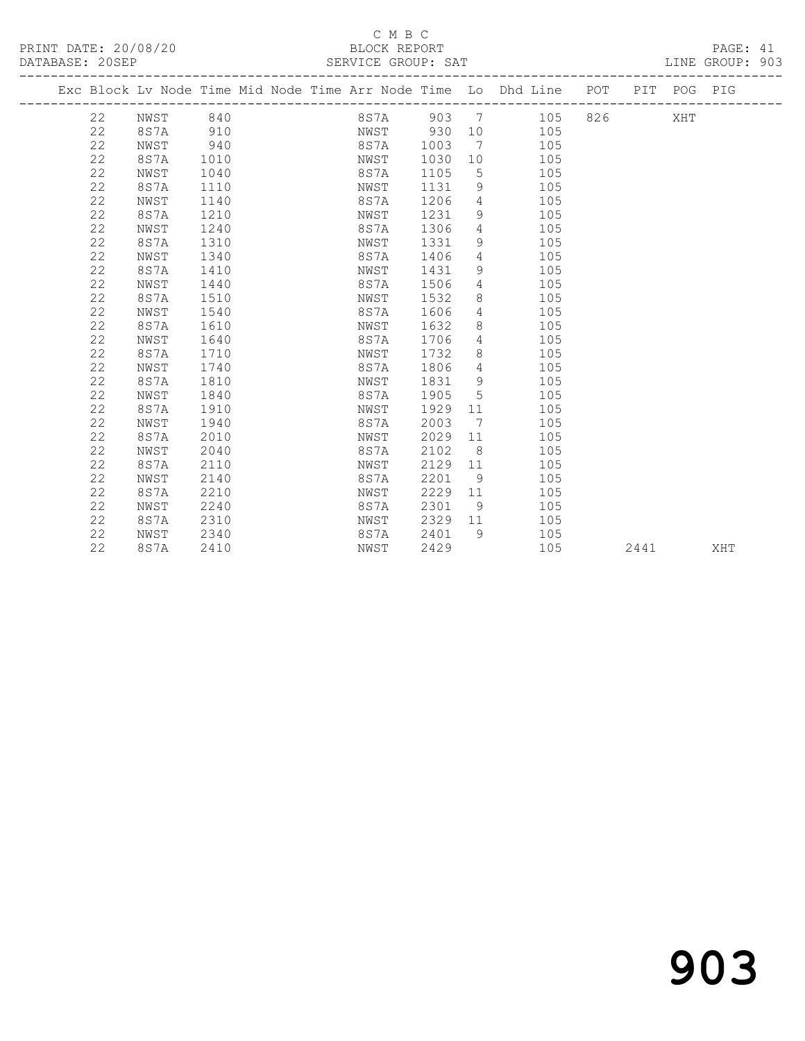#### C M B C<br>BLOCK REPORT DATABASE: 20SEP SERVICE GROUP: SAT SAT LINE GROUP: 903

 22 8S7A 1510 NWST 1532 8 105 22 NWST 1540 8S7A 1606 4 105 22 8S7A 1610 NWST 1632 8 105 22 NWST 1640 8S7A 1706 4 105 22 8S7A 1710 NWST 1732 8 105 22 NWST 1740 8S7A 1806 4 105 22 8S7A 1810 NWST 1831 9 105 22 NWST 1840 8S7A 1905 5 105 22 8S7A 1910 NWST 1929 11 105 22 NWST 1940 8S7A 2003 7 105 22 8S7A 2010 NWST 2029 11 105 22 NWST 2040 8S7A 2102 8 105 22 8S7A 2110 NWST 2129 11 105 22 NWST 2140 8S7A 2201 9 105 22 8S7A 2210 NWST 2229 11 105 22 NWST 2240 8S7A 2301 9 105 22 8S7A 2310 NWST 2329 11 105 22 NWST 2340 8S7A 2401 9 105

-------------------------------------------------------------------------------------------------

|  | Exc Block Ly Node Time Mid Node Time Arr Node Time Lo Dhd Line |      |      |  |      |      |     |     | POT | PIT | POG | PIG |
|--|----------------------------------------------------------------|------|------|--|------|------|-----|-----|-----|-----|-----|-----|
|  | 22                                                             | NWST | 840  |  | 8S7A | 903  |     | 105 | 826 |     | XHT |     |
|  | 22                                                             | 8S7A | 910  |  | NWST | 930  | 10  | 105 |     |     |     |     |
|  | 22                                                             | NWST | 940  |  | 8S7A | 1003 | - 7 | 105 |     |     |     |     |
|  | 22                                                             | 8S7A | 1010 |  | NWST | 1030 | 10  | 105 |     |     |     |     |
|  | 22                                                             | NWST | 1040 |  | 8S7A | 1105 | 5   | 105 |     |     |     |     |
|  | 22                                                             | 8S7A | 1110 |  | NWST | 1131 | 9   | 105 |     |     |     |     |
|  | 22                                                             | NWST | 1140 |  | 8S7A | 1206 | 4   | 105 |     |     |     |     |
|  | 22                                                             | 8S7A | 1210 |  | NWST | 1231 | 9   | 105 |     |     |     |     |
|  | 22                                                             | NWST | 1240 |  | 8S7A | 1306 | 4   | 105 |     |     |     |     |
|  | 22                                                             | 8S7A | 1310 |  | NWST | 1331 | 9   | 105 |     |     |     |     |
|  | 22                                                             | NWST | 1340 |  | 8S7A | 1406 | 4   | 105 |     |     |     |     |
|  | 22                                                             | 8S7A | 1410 |  | NWST | 1431 | 9   | 105 |     |     |     |     |
|  | 22                                                             | NWST | 1440 |  | 8S7A | 1506 | 4   | 105 |     |     |     |     |

22 8S7A 2410 NWST 2429 105 2441 XHT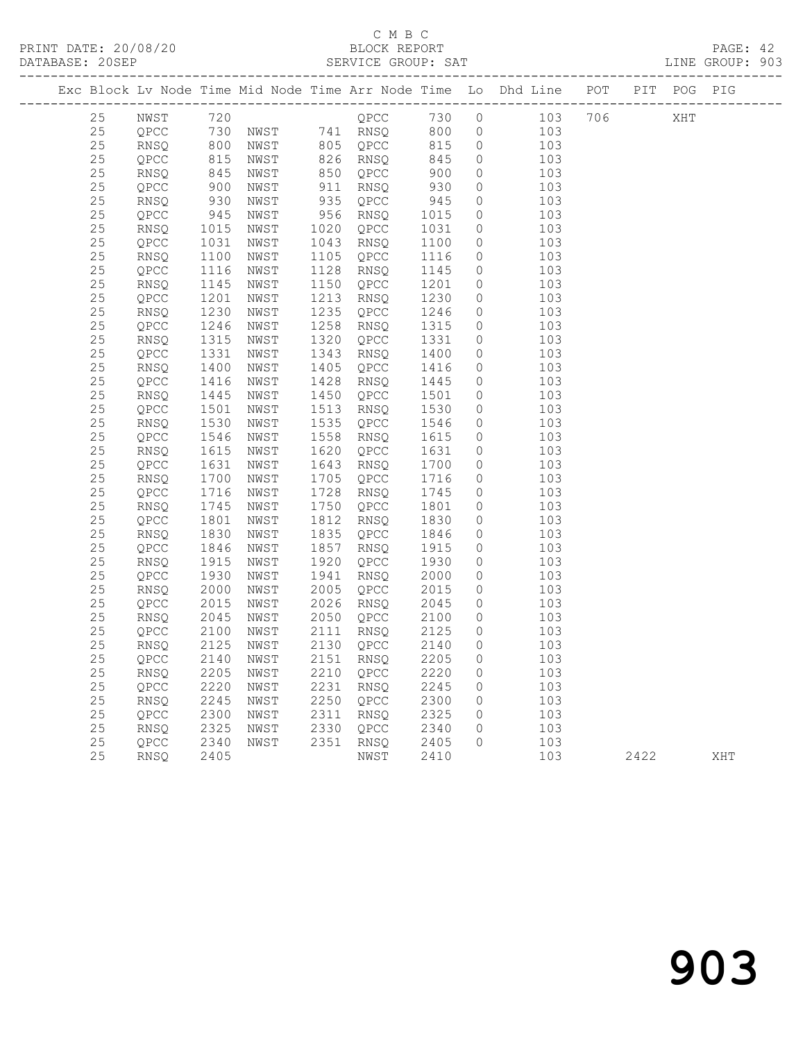### C M B C<br>BLOCK REPORT

|  | DATABASE: 20SEP |              |                    |              |              | SERVICE GROUP: SAT              |              |                | LINE GROUP: 903                                                                                                                              |  |  |  |
|--|-----------------|--------------|--------------------|--------------|--------------|---------------------------------|--------------|----------------|----------------------------------------------------------------------------------------------------------------------------------------------|--|--|--|
|  |                 |              |                    |              |              |                                 |              |                | Exc Block Lv Node Time Mid Node Time Arr Node Time Lo Dhd Line POT PIT POG PIG                                                               |  |  |  |
|  | 25              |              |                    |              |              |                                 |              |                | NWST 720 0 QPCC 730 0 103 706 XHT                                                                                                            |  |  |  |
|  | 25              |              |                    |              |              |                                 |              |                | OPCC 730 NWST 741 RNSQ 800 0 103<br>RNSQ 800 NWST 805 QPCC 815 0 103<br>QPCC 815 NWST 826 RNSQ 845 0 103<br>RNSQ 845 NWST 850 QPCC 900 0 103 |  |  |  |
|  | 25              |              |                    |              |              |                                 |              |                |                                                                                                                                              |  |  |  |
|  | 25              |              |                    |              |              |                                 |              |                |                                                                                                                                              |  |  |  |
|  | 25              |              |                    |              |              |                                 |              |                | $\overline{O}$                                                                                                                               |  |  |  |
|  | 25              | QPCC         | 900                | NWST         |              | 911 RNSQ                        | 930          |                | $\overline{0}$<br>103                                                                                                                        |  |  |  |
|  | 25              | RNSQ         |                    | NWST         |              | 935 QPCC                        | 945          | $\overline{0}$ | 103                                                                                                                                          |  |  |  |
|  | 25              | QPCC         | 930<br>945<br>1015 | NWST         |              | 956 RNSQ                        | 1015         | $\overline{0}$ | 103                                                                                                                                          |  |  |  |
|  | 25              | RNSQ         |                    | NWST         |              | 1020 QPCC                       | 1031         | $\overline{0}$ | 103                                                                                                                                          |  |  |  |
|  | 25              | QPCC         | 1031               | NWST         | 1043         | RNSQ                            | 1100         | $\circ$        | 103                                                                                                                                          |  |  |  |
|  | 25              | RNSQ         | 1100               | NWST         | 1105         | QPCC                            | 1116         | $\circ$        | 103                                                                                                                                          |  |  |  |
|  | 25              | QPCC         | 1116               | NWST         |              | 1128 RNSQ                       | 1145         | $\circ$        | 103                                                                                                                                          |  |  |  |
|  | 25              | RNSQ         | 1145               | NWST         |              | 1150 QPCC                       | 1201         | $\overline{0}$ | 103                                                                                                                                          |  |  |  |
|  | 25              | QPCC         | 1201               | NWST         | 1213         | RNSQ                            | 1230         |                | $\overline{0}$<br>103                                                                                                                        |  |  |  |
|  | $25$            | RNSQ         | 1230               | NWST         | 1235         | QPCC                            | 1246         |                | $\overline{0}$<br>103                                                                                                                        |  |  |  |
|  | 25              | QPCC         | $12 - 1$<br>1315   | NWST         | 1258         | RNSQ                            | 1315         | $\circ$        | 103                                                                                                                                          |  |  |  |
|  | 25              | RNSQ         |                    | NWST         | 1320         | QPCC                            | 1331         | $\overline{O}$ | 103                                                                                                                                          |  |  |  |
|  | 25              | QPCC         | 1331               | NWST         | 1343         | RNSQ                            | 1400         | $\overline{O}$ | 103                                                                                                                                          |  |  |  |
|  | $25$            | RNSQ         | 1400               | NWST         | 1405         | QPCC                            | 1416         | $\circ$        | 103                                                                                                                                          |  |  |  |
|  | 25              | QPCC         | 1416<br>1445       | NWST         | 1428         | RNSQ                            | 1445         | $\circ$        | 103                                                                                                                                          |  |  |  |
|  | 25              | RNSQ         | 1501               | NWST         |              | 1450 QPCC                       | 1501         | $\overline{0}$ | 103                                                                                                                                          |  |  |  |
|  | 25<br>25        | QPCC         | 1530               | NWST<br>NWST | 1513<br>1535 | RNSQ<br>QPCC                    | 1530<br>1546 | $\circ$        | 103<br>$\overline{0}$<br>103                                                                                                                 |  |  |  |
|  | 25              | RNSQ<br>QPCC | 1546               | NWST         | 1558         | RNSQ                            | 1615         | $\circ$        | 103                                                                                                                                          |  |  |  |
|  | 25              | RNSQ         | 1615               | NWST         | 1620         | QPCC                            | 1631         | $\overline{0}$ | 103                                                                                                                                          |  |  |  |
|  | 25              | QPCC         | 1631               | NWST         | 1643         | RNSQ                            | 1700         | $\overline{O}$ | 103                                                                                                                                          |  |  |  |
|  | 25              | RNSQ         | 1700               | NWST         | 1705         | QPCC                            | 1716         | $\circ$        | 103                                                                                                                                          |  |  |  |
|  | 25              | QPCC         | 1716               | NWST         | 1728         | RNSQ                            | 1745         | $\circ$        | 103                                                                                                                                          |  |  |  |
|  | 25              | RNSQ         | 1745               | NWST         |              | 1750 QPCC                       | 1801         | $\overline{0}$ | 103                                                                                                                                          |  |  |  |
|  | 25              | QPCC         | 1801               | NWST         | 1812         | RNSQ                            | 1830         | $\overline{0}$ | 103                                                                                                                                          |  |  |  |
|  | 25              | RNSQ         | 1830               | NWST         | 1835         | QPCC                            | 1846         |                | $\overline{0}$<br>103                                                                                                                        |  |  |  |
|  | 25              | QPCC         | 1846               | NWST         | 1857         | RNSQ                            | 1915         | $\circ$        | 103                                                                                                                                          |  |  |  |
|  | 25              | RNSQ         | 1915               | NWST         | 1920         | QPCC                            | 1930         | $\circ$        | 103                                                                                                                                          |  |  |  |
|  | 25              | QPCC         | 1930               | NWST         | 1941         | RNSQ                            | 2000         | $\circ$        | 103                                                                                                                                          |  |  |  |
|  | 25              | RNSQ         | 2000               | NWST         | 2005         | QPCC                            | 2015         |                | $\overline{0}$<br>103                                                                                                                        |  |  |  |
|  | 25              | QPCC         | 2015               | NWST         |              | 2026 RNSQ                       | 2045         | $\overline{0}$ | 103                                                                                                                                          |  |  |  |
|  | 25              | RNSQ         |                    | NWST         |              | 2050 QPCC                       | 2100         | $\overline{0}$ | 103                                                                                                                                          |  |  |  |
|  | 25              | QPCC         | 2045<br>2100       | NWST         |              | 2111 RNSQ                       | 2125         | $\overline{0}$ | 103                                                                                                                                          |  |  |  |
|  | 25              |              |                    |              |              | RNSQ 2125 NWST 2130 QPCC 2140 0 |              |                | 103                                                                                                                                          |  |  |  |
|  | 25              | QPCC         | 2140               | NWST         |              | 2151 RNSQ                       | 2205         | 0              | 103                                                                                                                                          |  |  |  |
|  | 25              | RNSQ         | 2205               | NWST         |              | 2210 QPCC                       | 2220         | $\circ$        | 103                                                                                                                                          |  |  |  |
|  | 25              | QPCC         | 2220               | NWST         | 2231         | RNSQ                            | 2245         | 0              | 103                                                                                                                                          |  |  |  |
|  | 25              | RNSQ         | 2245               | NWST         | 2250         | QPCC                            | 2300         | 0              | 103                                                                                                                                          |  |  |  |
|  | 25              | QPCC         | 2300               | NWST         | 2311         | RNSQ                            | 2325         | 0              | 103                                                                                                                                          |  |  |  |
|  | 25              | RNSQ         | 2325               | NWST         | 2330         | QPCC                            | 2340         | 0              | 103                                                                                                                                          |  |  |  |
|  | 25              | QPCC         | 2340               | NWST         | 2351         | RNSQ                            | 2405         | $\circ$        | 103                                                                                                                                          |  |  |  |

25 RNSQ 2405 NWST 2410 103 2422 XHT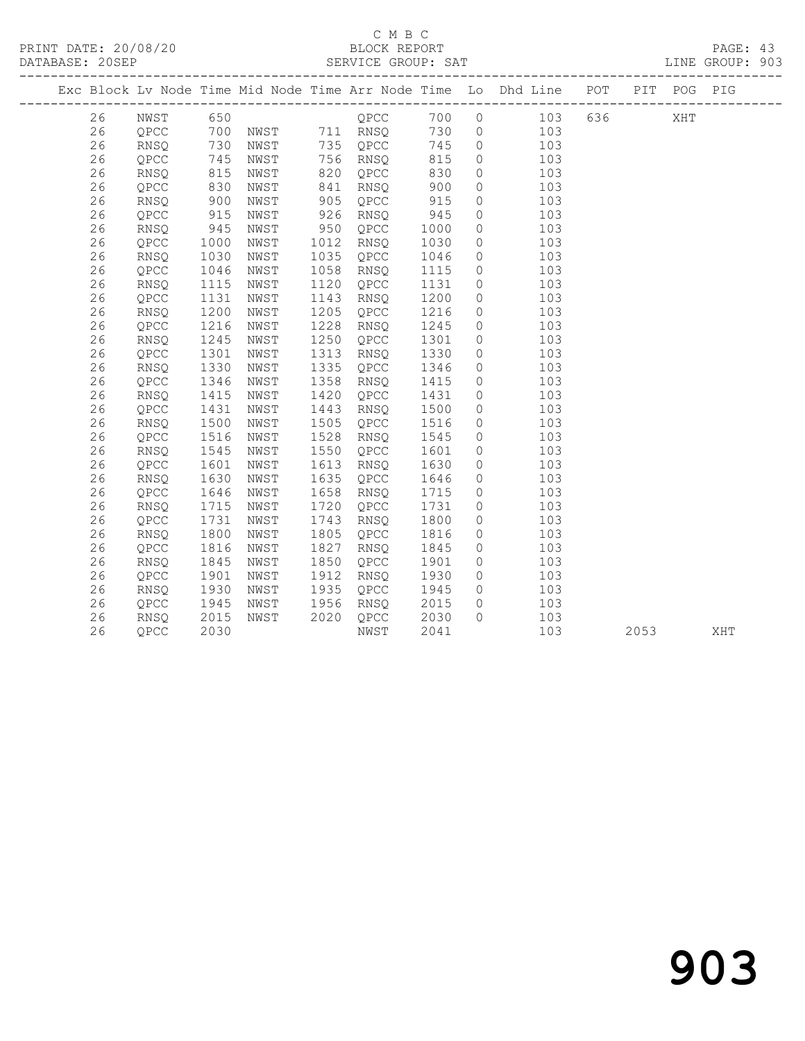PRINT DATE: 20/08/20 BLOCK REPORT BATABASE: 20SEP

## C M B C<br>BLOCK REPORT

PAGE: 43<br>LINE GROUP: 903

|  |    |             |                   |      |      |               |      |                | Exc Block Lv Node Time Mid Node Time Arr Node Time Lo Dhd Line POT PIT POG PIG |       |      |     |     |
|--|----|-------------|-------------------|------|------|---------------|------|----------------|--------------------------------------------------------------------------------|-------|------|-----|-----|
|  | 26 | NWST        | 650               |      |      | QPCC          | 700  |                | $0$ 103                                                                        | 636 7 |      | XHT |     |
|  | 26 | QPCC        | 700               |      |      | NWST 711 RNSQ | 730  |                | $0$ 103                                                                        |       |      |     |     |
|  | 26 | RNSQ        | 730<br>745<br>815 | NWST |      | 735 QPCC      | 745  | $\overline{0}$ | 103                                                                            |       |      |     |     |
|  | 26 | QPCC        |                   | NWST |      | 756 RNSQ      | 815  | $\overline{0}$ | 103                                                                            |       |      |     |     |
|  | 26 | RNSQ        |                   | NWST | 820  | QPCC          | 830  | $\circ$        | 103                                                                            |       |      |     |     |
|  | 26 | QPCC        | 830               | NWST | 841  | RNSO          | 900  | $\circ$        | 103                                                                            |       |      |     |     |
|  | 26 | RNSQ        | 900               | NWST | 905  | QPCC          | 915  | $\circ$        | 103                                                                            |       |      |     |     |
|  | 26 | QPCC        | 915               | NWST | 926  | RNSQ          | 945  | $\circ$        | 103                                                                            |       |      |     |     |
|  | 26 | RNSQ        | 945               | NWST | 950  | QPCC          | 1000 | $\circ$        | 103                                                                            |       |      |     |     |
|  | 26 | QPCC        | 1000              | NWST | 1012 | RNSQ          | 1030 | $\circ$        | 103                                                                            |       |      |     |     |
|  | 26 | RNSQ        | 1030              | NWST | 1035 | QPCC          | 1046 | $\circ$        | 103                                                                            |       |      |     |     |
|  | 26 | QPCC        | 1046              | NWST | 1058 | RNSQ          | 1115 | $\circ$        | 103                                                                            |       |      |     |     |
|  | 26 | <b>RNSQ</b> | 1115              | NWST | 1120 | QPCC          | 1131 | $\circ$        | 103                                                                            |       |      |     |     |
|  | 26 | QPCC        | 1131              | NWST | 1143 | RNSQ          | 1200 | $\circ$        | 103                                                                            |       |      |     |     |
|  | 26 | RNSQ        | 1200              | NWST | 1205 | QPCC          | 1216 | $\circ$        | 103                                                                            |       |      |     |     |
|  | 26 | QPCC        | 1216              | NWST | 1228 | RNSQ          | 1245 | $\circ$        | 103                                                                            |       |      |     |     |
|  | 26 | RNSQ        | 1245              | NWST | 1250 | QPCC          | 1301 | $\circ$        | 103                                                                            |       |      |     |     |
|  | 26 | QPCC        | 1301              | NWST | 1313 | RNSQ          | 1330 | $\circ$        | 103                                                                            |       |      |     |     |
|  | 26 | RNSQ        | 1330              | NWST | 1335 | QPCC          | 1346 | $\circ$        | 103                                                                            |       |      |     |     |
|  | 26 | QPCC        | 1346              | NWST | 1358 | RNSQ          | 1415 | $\circ$        | 103                                                                            |       |      |     |     |
|  | 26 | <b>RNSQ</b> | 1415              | NWST | 1420 | QPCC          | 1431 | $\circ$        | 103                                                                            |       |      |     |     |
|  | 26 | QPCC        | 1431              | NWST | 1443 | RNSQ          | 1500 | $\circ$        | 103                                                                            |       |      |     |     |
|  | 26 | <b>RNSO</b> | 1500              | NWST | 1505 | QPCC          | 1516 | $\circ$        | 103                                                                            |       |      |     |     |
|  | 26 | QPCC        | 1516              | NWST | 1528 | RNSQ          | 1545 | $\circ$        | 103                                                                            |       |      |     |     |
|  | 26 | RNSQ        | 1545              | NWST | 1550 | QPCC          | 1601 | $\circ$        | 103                                                                            |       |      |     |     |
|  | 26 | QPCC        | 1601              | NWST | 1613 | RNSQ          | 1630 | $\circ$        | 103                                                                            |       |      |     |     |
|  | 26 | <b>RNSQ</b> | 1630              | NWST | 1635 | QPCC          | 1646 | $\circ$        | 103                                                                            |       |      |     |     |
|  | 26 | QPCC        | 1646              | NWST | 1658 | RNSQ          | 1715 | $\circ$        | 103                                                                            |       |      |     |     |
|  | 26 | RNSO        | 1715              | NWST | 1720 | QPCC          | 1731 | $\circ$        | 103                                                                            |       |      |     |     |
|  | 26 | QPCC        | 1731              | NWST | 1743 | RNSQ          | 1800 | $\circ$        | 103                                                                            |       |      |     |     |
|  | 26 | RNSQ        | 1800              | NWST | 1805 | QPCC          | 1816 | $\circ$        | 103                                                                            |       |      |     |     |
|  | 26 | QPCC        | 1816              | NWST | 1827 | RNSQ          | 1845 | $\circ$        | 103                                                                            |       |      |     |     |
|  | 26 | RNSQ        | 1845              | NWST | 1850 | QPCC          | 1901 | $\circ$        | 103                                                                            |       |      |     |     |
|  | 26 | QPCC        | 1901              | NWST | 1912 | RNSQ          | 1930 | $\circ$        | 103                                                                            |       |      |     |     |
|  | 26 | RNSQ        | 1930              | NWST | 1935 | QPCC          | 1945 |                | 103<br>$\overline{0}$                                                          |       |      |     |     |
|  | 26 | QPCC        | 1945              | NWST | 1956 | RNSQ          | 2015 | $\circ$        | 103                                                                            |       |      |     |     |
|  | 26 | RNSQ        | 2015              | NWST | 2020 | QPCC          | 2030 | $\Omega$       | 103                                                                            |       |      |     |     |
|  | 26 | QPCC        | 2030              |      |      | NWST          | 2041 |                | 103                                                                            |       | 2053 |     | XHT |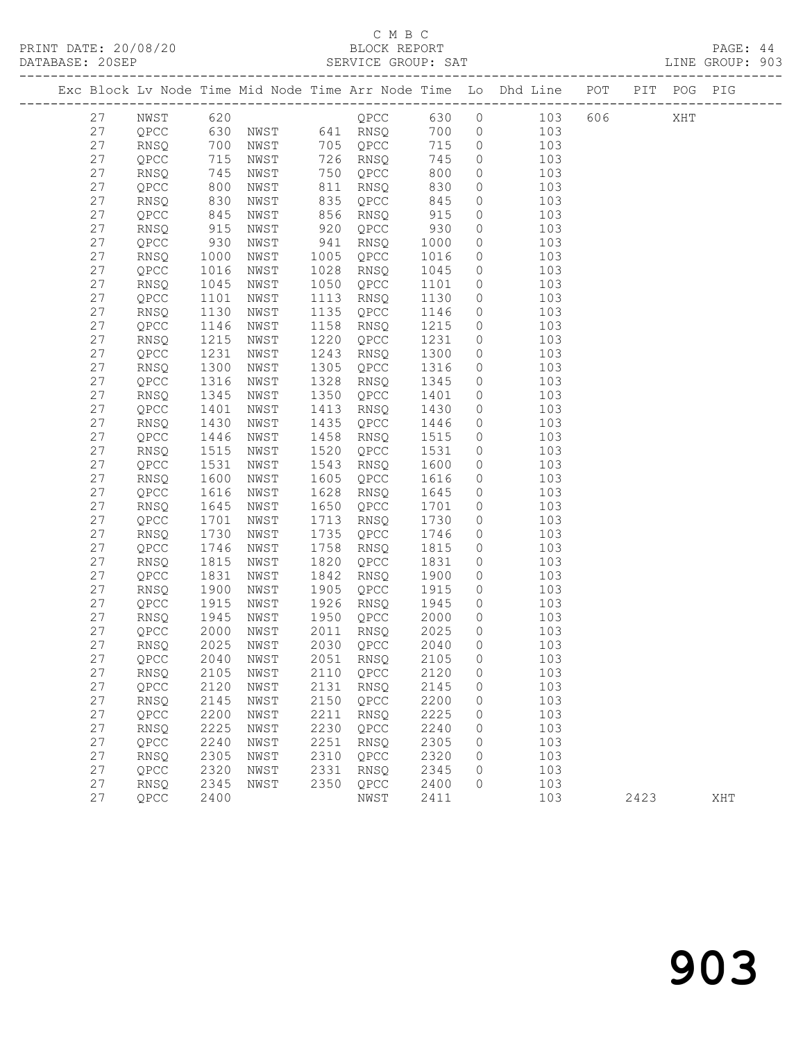## C M B C<br>BLOCK REPORT

|          |                |              |                                  |      |                        |              |                                  | Exc Block Lv Node Time Mid Node Time Arr Node Time Lo Dhd Line POT PIT POG PIG                                                               |  |  |  |
|----------|----------------|--------------|----------------------------------|------|------------------------|--------------|----------------------------------|----------------------------------------------------------------------------------------------------------------------------------------------|--|--|--|
|          |                |              |                                  |      |                        |              |                                  | 27 NWST 620 0 QPCC 630 0 103 606 XHT                                                                                                         |  |  |  |
| 27       |                |              |                                  |      |                        |              |                                  | QPCC 630 NWST 641 RNSQ 700 0 103<br>RNSQ 700 NWST 705 QPCC 715 0 103<br>QPCC 715 NWST 726 RNSQ 745 0 103<br>RNSQ 745 NWST 750 QPCC 800 0 103 |  |  |  |
| 27       |                |              |                                  |      |                        |              |                                  |                                                                                                                                              |  |  |  |
| 27       |                |              |                                  |      |                        |              |                                  |                                                                                                                                              |  |  |  |
| 27       |                |              |                                  |      |                        |              |                                  |                                                                                                                                              |  |  |  |
| 27       | QPCC           |              | 800 NWST                         |      | 811 RNSQ               | 830          | $\circ$                          | 103                                                                                                                                          |  |  |  |
| 27       | RNSQ           |              |                                  |      | 835 QPCC<br>856 RNSQ   | 845          | $\circ$                          | 103                                                                                                                                          |  |  |  |
| 27       | QPCC           |              | 830 NWST<br>845 NWST<br>915 NWST |      |                        | 915          | $\overline{0}$                   | 103                                                                                                                                          |  |  |  |
| 27       | RNSQ           |              |                                  |      | $920$ QPCC             | 930          | $\overline{0}$                   | 103                                                                                                                                          |  |  |  |
| 27       | QPCC           |              | 930 NWST                         |      | 941 RNSQ               | 1000         | $\overline{0}$                   | 103                                                                                                                                          |  |  |  |
| 27       | RNSQ           | 1000         | NWST                             |      | 1005 QPCC              | 1016         | $\circ$                          | 103                                                                                                                                          |  |  |  |
| 27       | QPCC           | 1016<br>1045 | NWST                             |      | 1028 RNSQ              | 1045<br>1101 | $\overline{0}$                   | 103<br>$\overline{0}$                                                                                                                        |  |  |  |
| 27       | RNSQ           | 1045         | NWST                             |      | 1050 QPCC              |              |                                  | 103                                                                                                                                          |  |  |  |
| 27       | QPCC           | 1101         | NWST                             |      | 1113 RNSQ              | 1130         | $\overline{0}$                   | 103                                                                                                                                          |  |  |  |
| 27       | RNSQ           | 1130         | NWST                             |      | 1135 QPCC              | 1146         | $\circ$                          | 103                                                                                                                                          |  |  |  |
| 27       | QPCC           | 1146         | NWST                             |      | 1158 RNSQ              | 1215<br>1231 | $\overline{0}$                   | 103                                                                                                                                          |  |  |  |
| 27       | RNSQ           | 1215         | NWST                             |      | 1220 QPCC              |              | $\overline{0}$                   | 103                                                                                                                                          |  |  |  |
| 27       | QPCC           | 1231         | NWST                             |      | 1243 RNSQ              | 1300         | $\overline{0}$                   | 103                                                                                                                                          |  |  |  |
| 27       | RNSO           | 1300         | NWST                             |      | 1305 QPCC              | 1316         | $\circ$                          | 103                                                                                                                                          |  |  |  |
| 27       | QPCC           | 1316         | NWST                             |      | 1328 RNSQ              | 1345<br>1401 |                                  | 103<br>$\overline{0}$                                                                                                                        |  |  |  |
| 27       | RNSQ           | 1345         | NWST                             |      | 1350 QPCC              |              | $\overline{0}$                   | 103                                                                                                                                          |  |  |  |
| 27       | QPCC           | 1401         | NWST                             |      | 1413 RNSQ              | 1430         | $\overline{0}$                   | 103                                                                                                                                          |  |  |  |
| 27       | RNSQ           | 1430         | NWST                             |      | 1435 QPCC              | 1446         | $\circ$                          | 103                                                                                                                                          |  |  |  |
| 27       | QPCC           | 1446<br>1515 | NWST                             |      | 1458 RNSQ              | 1515<br>1531 | $\overline{0}$                   | 103                                                                                                                                          |  |  |  |
| 27<br>27 | RNSQ           | 1531         | NWST                             |      | 1520 QPCC<br>1543 RNSQ | 1600         | $\overline{0}$<br>$\overline{0}$ | 103                                                                                                                                          |  |  |  |
| 27       | QPCC           | 1600         | NWST<br>NWST                     |      | 1605 QPCC              | 1616         | $\circ$                          | 103<br>103                                                                                                                                   |  |  |  |
| 27       | RNSQ<br>QPCC   | 1616         | NWST                             |      | 1628 RNSQ              |              | $\circ$                          | 103                                                                                                                                          |  |  |  |
| 27       | RNSQ           | 1645         | NWST                             |      | 1650 QPCC              | 1645<br>1701 | $\circ$                          | 103                                                                                                                                          |  |  |  |
| 27       | QPCC           | 1701         | NWST                             |      | 1713 RNSQ              | 1730         | $\circ$                          | 103                                                                                                                                          |  |  |  |
| 27       | RNSQ           | 1730         | NWST                             |      | 1735 QPCC              | 1746         | $\circ$                          | 103                                                                                                                                          |  |  |  |
| 27       | QPCC           | 1746         | NWST                             |      | 1758 RNSQ              | 1815         | $\circ$                          | 103                                                                                                                                          |  |  |  |
| 27       | RNSQ           | 1815         | NWST                             |      | 1820 QPCC              | 1831         | $\overline{0}$                   | 103                                                                                                                                          |  |  |  |
| 27       | QPCC           | 1831         | NWST                             |      | 1842 RNSQ              | 1900         | $\overline{0}$                   | 103                                                                                                                                          |  |  |  |
| 27       | RNSQ           |              | 1900 NWST                        |      | 1905 QPCC              | 1915         |                                  | $\overline{0}$<br>103                                                                                                                        |  |  |  |
| 27       | QPCC           | 1915         | NWST                             |      | 1926 RNSQ              | 1945         | $\overline{0}$                   | 103                                                                                                                                          |  |  |  |
| 27       | RNSQ           | 1945         | NWST                             |      | 1950 QPCC              | 2000         | $\overline{0}$                   | 103                                                                                                                                          |  |  |  |
| 27       | QPCC 2000 NWST |              |                                  |      |                        |              |                                  | 2011 RNSQ 2025 0 103                                                                                                                         |  |  |  |
| 27       | RNSQ           | 2025         | NWST                             | 2030 | QPCC                   | 2040         | 0                                | 103                                                                                                                                          |  |  |  |
| 27       | QPCC           | 2040         | NWST                             | 2051 | RNSQ                   | 2105         | 0                                | 103                                                                                                                                          |  |  |  |
| 27       | RNSQ           | 2105         | NWST                             | 2110 | QPCC                   | 2120         | 0                                | 103                                                                                                                                          |  |  |  |
| 27       | QPCC           | 2120         | NWST                             | 2131 | RNSQ                   | 2145         | 0                                | 103                                                                                                                                          |  |  |  |
| 27       | RNSQ           | 2145         | NWST                             | 2150 | QPCC                   | 2200         | 0                                | 103                                                                                                                                          |  |  |  |
| 27       | QPCC           | 2200         | NWST                             | 2211 | RNSQ                   | 2225         | 0                                | 103                                                                                                                                          |  |  |  |
| 27       | RNSQ           | 2225         | NWST                             | 2230 | QPCC                   | 2240         | 0                                | 103                                                                                                                                          |  |  |  |
| 27       | QPCC           | 2240         | NWST                             | 2251 | RNSQ                   | 2305         | 0                                | 103                                                                                                                                          |  |  |  |
| 27       | RNSQ           | 2305         | NWST                             | 2310 | QPCC                   | 2320         | 0                                | 103                                                                                                                                          |  |  |  |
| 27       | QPCC           | 2320         | NWST                             | 2331 | RNSQ                   | 2345         | 0                                | 103                                                                                                                                          |  |  |  |
| 27       | RNSQ           | 2345         | NWST                             | 2350 | QPCC                   | 2400         | 0                                | 103                                                                                                                                          |  |  |  |

27 QPCC 2400 NWST 2411 103 2423 XHT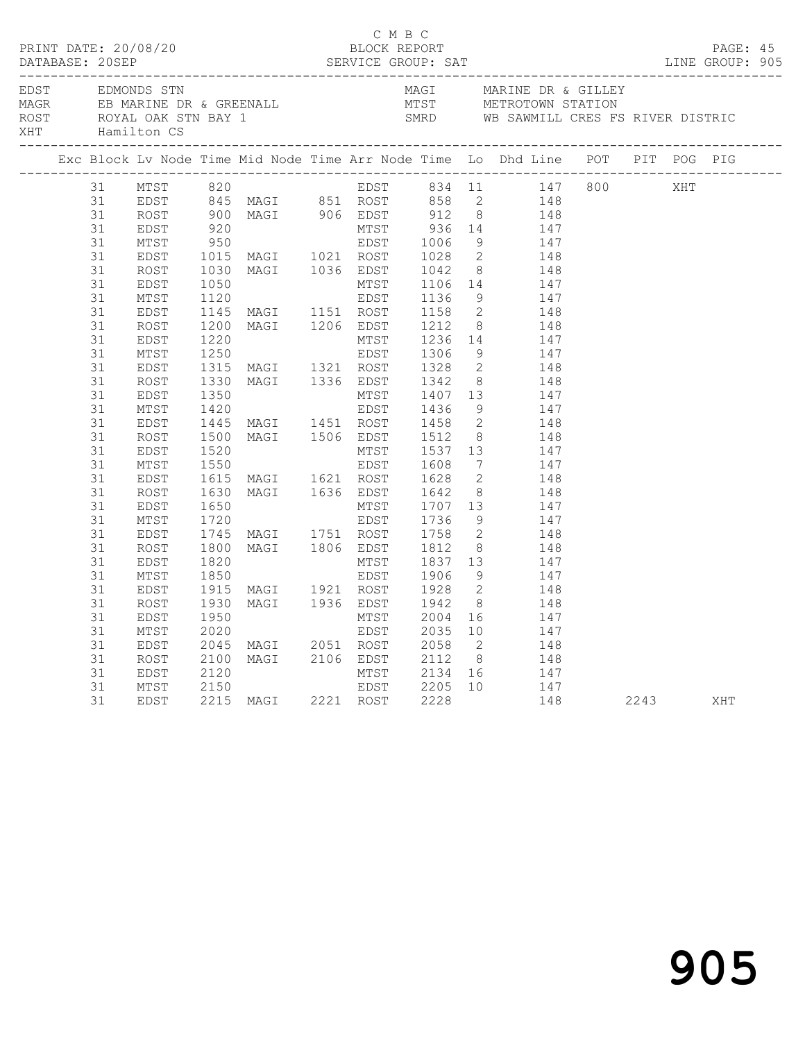|  |    |                 |  | C M B C |  |                                                                                                                                                                                                                                                                                                                      |  |  |  |
|--|----|-----------------|--|---------|--|----------------------------------------------------------------------------------------------------------------------------------------------------------------------------------------------------------------------------------------------------------------------------------------------------------------------|--|--|--|
|  |    | XHT Hamilton CS |  |         |  | EDST EDMONDS STN MAGI MARINE DR & GILLEY<br>MAGR EB MARINE DR & GREENALL MIST METROTOWN STATION<br>ROST ROYAL OAK STN BAY 1 SMRD WB SAWMILL CRES FS RIVER DISTRIC                                                                                                                                                    |  |  |  |
|  |    |                 |  |         |  | Exc Block Lv Node Time Mid Node Time Arr Node Time Lo Dhd Line POT PIT POG PIG                                                                                                                                                                                                                                       |  |  |  |
|  |    |                 |  |         |  |                                                                                                                                                                                                                                                                                                                      |  |  |  |
|  |    |                 |  |         |  |                                                                                                                                                                                                                                                                                                                      |  |  |  |
|  |    |                 |  |         |  |                                                                                                                                                                                                                                                                                                                      |  |  |  |
|  |    |                 |  |         |  |                                                                                                                                                                                                                                                                                                                      |  |  |  |
|  |    |                 |  |         |  |                                                                                                                                                                                                                                                                                                                      |  |  |  |
|  |    |                 |  |         |  |                                                                                                                                                                                                                                                                                                                      |  |  |  |
|  |    |                 |  |         |  |                                                                                                                                                                                                                                                                                                                      |  |  |  |
|  |    |                 |  |         |  |                                                                                                                                                                                                                                                                                                                      |  |  |  |
|  |    |                 |  |         |  |                                                                                                                                                                                                                                                                                                                      |  |  |  |
|  |    |                 |  |         |  |                                                                                                                                                                                                                                                                                                                      |  |  |  |
|  |    |                 |  |         |  |                                                                                                                                                                                                                                                                                                                      |  |  |  |
|  |    |                 |  |         |  |                                                                                                                                                                                                                                                                                                                      |  |  |  |
|  |    |                 |  |         |  |                                                                                                                                                                                                                                                                                                                      |  |  |  |
|  |    |                 |  |         |  |                                                                                                                                                                                                                                                                                                                      |  |  |  |
|  |    |                 |  |         |  |                                                                                                                                                                                                                                                                                                                      |  |  |  |
|  |    |                 |  |         |  |                                                                                                                                                                                                                                                                                                                      |  |  |  |
|  |    |                 |  |         |  |                                                                                                                                                                                                                                                                                                                      |  |  |  |
|  |    |                 |  |         |  |                                                                                                                                                                                                                                                                                                                      |  |  |  |
|  |    |                 |  |         |  |                                                                                                                                                                                                                                                                                                                      |  |  |  |
|  | 31 | EDST            |  |         |  |                                                                                                                                                                                                                                                                                                                      |  |  |  |
|  | 31 | MTST            |  |         |  |                                                                                                                                                                                                                                                                                                                      |  |  |  |
|  | 31 | EDST            |  |         |  |                                                                                                                                                                                                                                                                                                                      |  |  |  |
|  | 31 | ROST            |  |         |  |                                                                                                                                                                                                                                                                                                                      |  |  |  |
|  | 31 | EDST            |  |         |  |                                                                                                                                                                                                                                                                                                                      |  |  |  |
|  | 31 | MTST            |  |         |  |                                                                                                                                                                                                                                                                                                                      |  |  |  |
|  | 31 | EDST            |  |         |  |                                                                                                                                                                                                                                                                                                                      |  |  |  |
|  | 31 | ROST            |  |         |  |                                                                                                                                                                                                                                                                                                                      |  |  |  |
|  | 31 | EDST            |  |         |  |                                                                                                                                                                                                                                                                                                                      |  |  |  |
|  | 31 | MTST            |  |         |  |                                                                                                                                                                                                                                                                                                                      |  |  |  |
|  | 31 | EDST            |  |         |  |                                                                                                                                                                                                                                                                                                                      |  |  |  |
|  | 31 | ROST            |  |         |  |                                                                                                                                                                                                                                                                                                                      |  |  |  |
|  | 31 | EDST            |  |         |  | $\begin{tabular}{cccc} 1500 MAGI & 1506 EDST & 1512 & 8 & 148 \\ 1520 & MTST & 1537 & 13 & 147 \\ 1550 & EDST & 1608 & 7 & 147 \\ 1615 MAGI & 1621 ROST & 1628 & 2 & 148 \\ 1630 MAGI & 1636 EDST & 1642 & 8 & 148 \\ 1650 & MAGI & 1636 EDST & 1642 & 8 & 148 \\ 1650 & MTST & 1707 & 13 & 147 \\ 1720 & FDST & 17$ |  |  |  |
|  | 31 | MTST            |  |         |  |                                                                                                                                                                                                                                                                                                                      |  |  |  |
|  | 31 | EDST            |  |         |  |                                                                                                                                                                                                                                                                                                                      |  |  |  |
|  | 31 | ROST            |  |         |  |                                                                                                                                                                                                                                                                                                                      |  |  |  |
|  | 31 | EDST            |  |         |  |                                                                                                                                                                                                                                                                                                                      |  |  |  |
|  | 31 |                 |  |         |  |                                                                                                                                                                                                                                                                                                                      |  |  |  |
|  | 31 | MTST<br>EDST    |  |         |  | 1930 MAGI 1936 EDST 1942 8 148<br>1950 MTST 2004 16 147<br>2020 EDST 2035 10 147<br>2045 MAGI 2051 ROST 2058 2 148<br>2100 MAGI 2106 EDST 2112 8 148<br>2120 MTST 2134 16 147<br>2150 EDST 2205 10 147<br>2215 MAGI 2221 ROST 2228 148 2243                                                                          |  |  |  |
|  |    |                 |  |         |  |                                                                                                                                                                                                                                                                                                                      |  |  |  |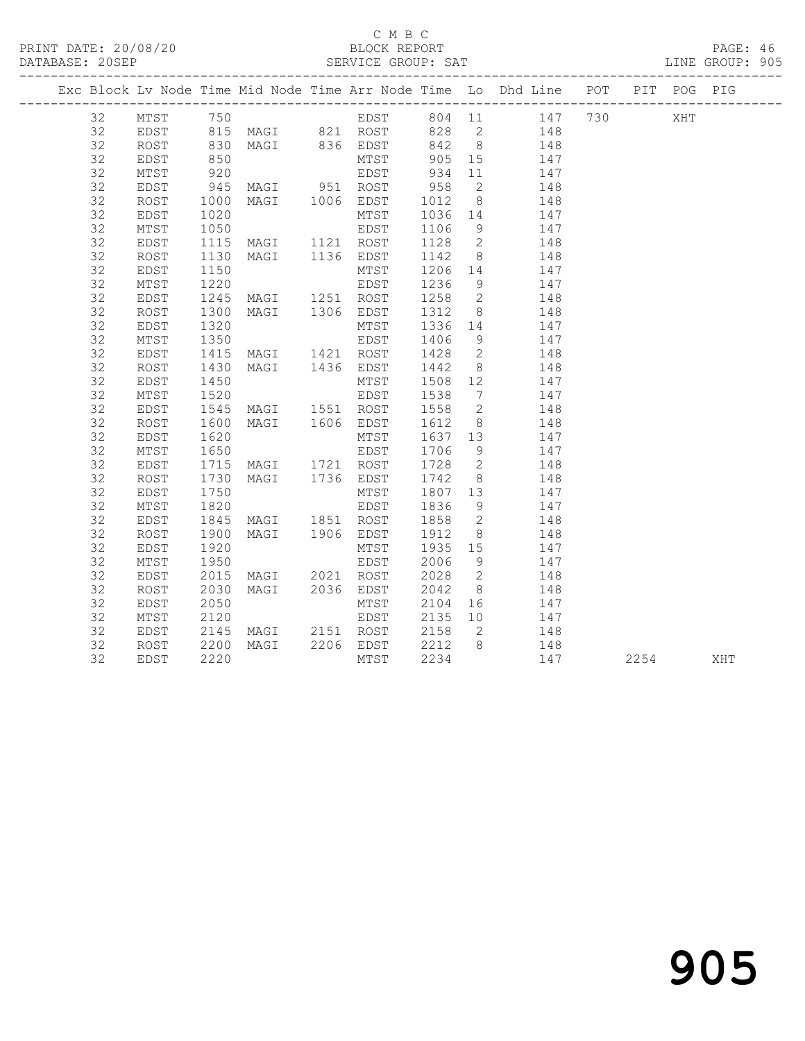PRINT DATE: 20/08/20 BLOCK REPORT BATABASE: 20SEP

#### C M B C<br>BLOCK REPORT

PAGE: 46<br>LINE GROUP: 905

|    |      |                      |                                |                                       |                | Exc Block Lv Node Time Mid Node Time Arr Node Time Lo Dhd Line POT PIT POG PIG |  |          |  |
|----|------|----------------------|--------------------------------|---------------------------------------|----------------|--------------------------------------------------------------------------------|--|----------|--|
| 32 |      |                      |                                |                                       |                | MTST 750 6 EDST 804 11 147 730 XHT                                             |  |          |  |
| 32 |      |                      |                                |                                       |                | EDST 815 MAGI 821 ROST 828 2 148                                               |  |          |  |
| 32 | ROST |                      |                                |                                       |                | 830 MAGI 836 EDST 842 8 148                                                    |  |          |  |
| 32 | EDST | 850<br>920           |                                |                                       |                | MTST 905 15 147<br>EDST 934 11 147                                             |  |          |  |
| 32 | MTST |                      |                                |                                       |                |                                                                                |  |          |  |
| 32 | EDST |                      | 945 MAGI 951 ROST 958          |                                       | $\overline{2}$ | 148                                                                            |  |          |  |
| 32 | ROST | 1000                 |                                |                                       |                | MAGI 1006 EDST 1012 8 148<br>MTST 1036 14 147<br>EDST 1106 9 147               |  |          |  |
| 32 | EDST | 1020                 |                                |                                       |                |                                                                                |  |          |  |
| 32 | MTST | 1050                 |                                |                                       |                |                                                                                |  |          |  |
| 32 | EDST |                      |                                |                                       |                | 1115 MAGI 1121 ROST 1128 2 148                                                 |  |          |  |
| 32 | ROST |                      |                                |                                       |                | MAGI 1136 EDST 1142 8 148                                                      |  |          |  |
| 32 | EDST | 1130<br>1150<br>1220 |                                |                                       |                | MTST 1206 14 147<br>EDST 1236 9 147                                            |  |          |  |
| 32 | MTST |                      |                                |                                       |                |                                                                                |  |          |  |
| 32 | EDST |                      | 1245 MAGI 1251 ROST 1258 2 148 |                                       |                |                                                                                |  |          |  |
| 32 | ROST | 1300<br>1320<br>1350 |                                |                                       |                |                                                                                |  |          |  |
| 32 | EDST |                      |                                |                                       |                |                                                                                |  |          |  |
| 32 | MTST |                      |                                |                                       |                | MAGI 1306 EDST 1312 8 148<br>MTST 1336 14 147<br>EDST 1406 9 147               |  |          |  |
| 32 | EDST |                      |                                |                                       |                | 1415 MAGI 1421 ROST 1428 2 148                                                 |  |          |  |
| 32 | ROST | 1430<br>1450         |                                | MAGI 1436 EDST 1442 8<br>MTST 1508 12 | 8 <sup>8</sup> | 148                                                                            |  |          |  |
| 32 | EDST |                      |                                |                                       |                | MTST 1508 12 147<br>EDST 1538 7 147                                            |  |          |  |
| 32 | MTST | 1520                 |                                |                                       |                |                                                                                |  |          |  |
| 32 | EDST |                      | 1545 MAGI 1551 ROST 1558 2     |                                       |                | 148                                                                            |  |          |  |
| 32 | ROST | 1600<br>1620         |                                |                                       |                | MAGI 1606 EDST 1612 8 148<br>MTST 1637 13 147<br>EDST 1706 9 147               |  |          |  |
| 32 | EDST | 1620                 |                                |                                       |                |                                                                                |  |          |  |
| 32 | MTST | 1650                 |                                |                                       |                |                                                                                |  |          |  |
| 32 | EDST |                      |                                |                                       |                | 1715 MAGI 1721 ROST 1728 2 148                                                 |  |          |  |
| 32 | ROST | 1730<br>1750         |                                | MAGI 1736 EDST 1742 8<br>MTST 1807 13 | 8 <sup>1</sup> | 148                                                                            |  |          |  |
| 32 | EDST |                      |                                |                                       |                | 147                                                                            |  |          |  |
| 32 | MTST | 1820                 |                                | EDST 1836                             | 9              | 147                                                                            |  |          |  |
| 32 | EDST |                      | 1845 MAGI 1851 ROST 1858 2     |                                       |                | 148                                                                            |  |          |  |
| 32 | ROST |                      |                                |                                       |                | 1900 MAGI 1906 EDST 1912 8 148<br>1920 MTST 1935 15 147                        |  |          |  |
| 32 | EDST |                      |                                |                                       |                |                                                                                |  |          |  |
| 32 | MTST | 1950                 |                                | EDST 2006 9                           |                | 147                                                                            |  |          |  |
| 32 | EDST | 2015                 |                                |                                       |                |                                                                                |  |          |  |
| 32 | ROST | 2030                 |                                |                                       |                | MAGI 2021 ROST 2028 2 148<br>MAGI 2036 EDST 2042 8 148<br>MTST 2104 16 147     |  |          |  |
| 32 | EDST | 2050                 |                                |                                       |                |                                                                                |  |          |  |
| 32 | MTST | 2120                 |                                |                                       |                | EDST 2135 10 147                                                               |  |          |  |
| 32 | EDST |                      |                                |                                       |                | 148                                                                            |  |          |  |
| 32 | ROST |                      |                                |                                       |                | 148                                                                            |  |          |  |
| 32 | EDST |                      |                                |                                       |                | 147                                                                            |  | 2254 XHT |  |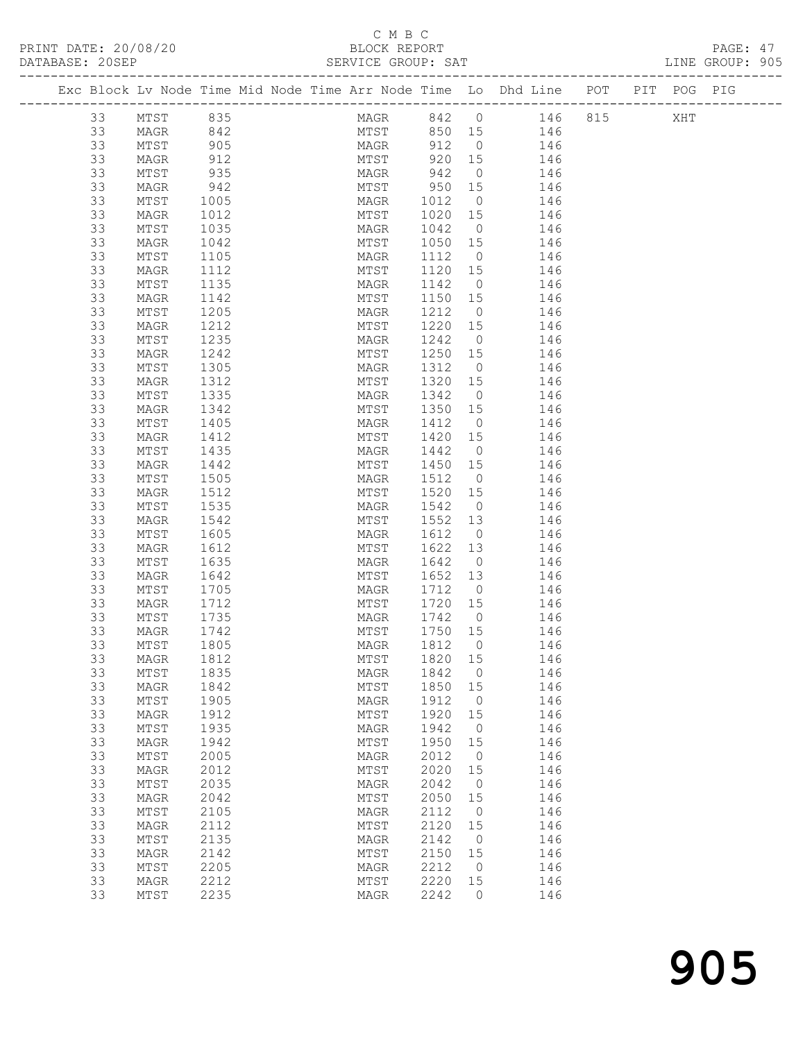### C M B C

| DATABASE: 20SEP |    |                 |      |                                                                                | SERVICE GROUP: SAT        |         |                |                        |  | LINE GROUP: 905 |  |
|-----------------|----|-----------------|------|--------------------------------------------------------------------------------|---------------------------|---------|----------------|------------------------|--|-----------------|--|
|                 |    |                 |      | Exc Block Lv Node Time Mid Node Time Arr Node Time Lo Dhd Line POT PIT POG PIG |                           |         |                |                        |  |                 |  |
|                 | 33 | MTST            | 835  |                                                                                |                           |         |                | MAGR 842 0 146 815 XHT |  |                 |  |
|                 | 33 | MAGR            | 842  |                                                                                |                           |         |                | MTST 850 15 146        |  |                 |  |
|                 | 33 | MTST            | 905  |                                                                                | MAGR 912 0                |         |                | 146                    |  |                 |  |
|                 | 33 | MAGR            | 912  |                                                                                | MTST 920 15<br>MAGR 942 0 |         |                | 146                    |  |                 |  |
|                 | 33 | MTST            | 935  |                                                                                |                           |         |                | 146                    |  |                 |  |
|                 | 33 | MAGR            | 942  |                                                                                | MTST 950 15               |         |                | 146                    |  |                 |  |
|                 | 33 | MTST            | 1005 |                                                                                | MAGR 1012                 |         | $\overline{0}$ | 146                    |  |                 |  |
|                 | 33 | MAGR            | 1012 |                                                                                | MTST 1020 15              |         |                | 146                    |  |                 |  |
|                 | 33 | MTST            | 1035 |                                                                                | MAGR                      | 1042 0  |                | 146                    |  |                 |  |
|                 | 33 | MAGR            | 1042 |                                                                                | MTST 1050 15              |         |                | 146                    |  |                 |  |
|                 | 33 | MTST            | 1105 |                                                                                | MAGR                      | 1112    | $\overline{0}$ | 146                    |  |                 |  |
|                 | 33 | MAGR            | 1112 |                                                                                | MTST                      | 1120 15 |                | 146                    |  |                 |  |
|                 | 33 | MTST            | 1135 |                                                                                | MAGR                      | 1142    | $\overline{0}$ | 146                    |  |                 |  |
|                 | 33 | MAGR            | 1142 |                                                                                | MTST 1150 15              |         |                | 146                    |  |                 |  |
|                 | 33 | MTST            | 1205 |                                                                                | MAGR                      | 1212 0  |                | 146                    |  |                 |  |
|                 | 33 | MAGR            | 1212 |                                                                                | MTST                      | 1220 15 |                | 146                    |  |                 |  |
|                 | 33 | MTST            | 1235 |                                                                                | MAGR                      | 1242 0  |                | 146                    |  |                 |  |
|                 | 33 | MAGR            | 1242 |                                                                                | MTST 1250 15              |         |                | 146                    |  |                 |  |
|                 | 33 | MTST            | 1305 |                                                                                | MAGR                      | 1312    | $\overline{0}$ | 146                    |  |                 |  |
|                 | 33 | MAGR            | 1312 |                                                                                | MTST                      | 1320 15 |                | 146                    |  |                 |  |
|                 | 33 | MTST            | 1335 |                                                                                | MAGR 1342                 |         | $\overline{0}$ | 146                    |  |                 |  |
|                 | 33 | MAGR            | 1342 |                                                                                | MTST 1350 15              |         |                | 146                    |  |                 |  |
|                 | 33 | MTST            | 1405 |                                                                                | MAGR 1412                 |         | $\overline{0}$ | 146                    |  |                 |  |
|                 | 33 | MAGR            | 1412 |                                                                                | MTST                      | 1420 15 |                | 146                    |  |                 |  |
|                 | 33 | MTST            | 1435 |                                                                                | MAGR                      | 1442    | $\overline{0}$ | 146                    |  |                 |  |
|                 | 33 | MAGR            | 1442 |                                                                                | MTST 1450 15              |         |                | 146                    |  |                 |  |
|                 | 33 | MTST            | 1505 |                                                                                | MAGR 1512                 |         | $\overline{0}$ | 146                    |  |                 |  |
|                 | 33 | MAGR            | 1512 |                                                                                | MTST                      | 1520 15 |                | 146                    |  |                 |  |
|                 | 33 | MTST            | 1535 |                                                                                | MAGR                      | 1542    | $\overline{0}$ | 146                    |  |                 |  |
|                 | 33 | MAGR            | 1542 |                                                                                | MTST                      | 1552 13 |                | 146                    |  |                 |  |
|                 | 33 | MTST            | 1605 |                                                                                | MAGR                      | 1612    | $\overline{0}$ | 146                    |  |                 |  |
|                 | 33 | MAGR            | 1612 |                                                                                | MTST                      | 1622 13 |                | 146                    |  |                 |  |
|                 | 33 | MTST            | 1635 |                                                                                | MAGR                      | 1642 0  |                | 146                    |  |                 |  |
|                 | 33 | MAGR            | 1642 |                                                                                | MTST                      | 1652 13 |                | 146                    |  |                 |  |
|                 | 33 | MTST            | 1705 |                                                                                | MAGR                      | 1712 0  |                | 146                    |  |                 |  |
|                 | 33 | MAGR            | 1712 |                                                                                | MTST                      | 1720 15 |                | 146                    |  |                 |  |
|                 | 33 | MTST            | 1735 |                                                                                | MAGR                      | 1742 0  |                | 146                    |  |                 |  |
|                 | 33 | MAGR            | 1742 |                                                                                | MTST                      | 1750 15 |                | 146                    |  |                 |  |
|                 | 33 | MTST            | 1805 |                                                                                | MAGR 1812 0 146           |         |                |                        |  |                 |  |
|                 | 33 | MAGR            | 1812 |                                                                                | MTST                      | 1820    | 15             | 146                    |  |                 |  |
|                 | 33 | MTST            | 1835 |                                                                                | MAGR                      | 1842    | $\overline{0}$ | 146                    |  |                 |  |
|                 | 33 | MAGR            | 1842 |                                                                                | MTST                      | 1850    | 15             | 146                    |  |                 |  |
|                 | 33 | MTST            | 1905 |                                                                                | MAGR                      | 1912    | $\overline{0}$ | 146                    |  |                 |  |
|                 | 33 | MAGR            | 1912 |                                                                                | MTST                      | 1920    | 15             | 146                    |  |                 |  |
|                 | 33 | $\mathtt{MTST}$ | 1935 |                                                                                | MAGR                      | 1942    | $\overline{0}$ | 146                    |  |                 |  |
|                 | 33 | MAGR            | 1942 |                                                                                | MTST                      | 1950    | 15             | 146                    |  |                 |  |
|                 | 33 | MTST            | 2005 |                                                                                | MAGR                      | 2012    | $\overline{0}$ | 146                    |  |                 |  |
|                 | 33 | MAGR            | 2012 |                                                                                | MTST                      | 2020    | 15             | 146                    |  |                 |  |
|                 | 33 | MTST            | 2035 |                                                                                | MAGR                      | 2042    | $\overline{0}$ | 146                    |  |                 |  |
|                 | 33 | MAGR            | 2042 |                                                                                | MTST                      | 2050    | 15             | 146                    |  |                 |  |
|                 | 33 | $\mathtt{MTST}$ | 2105 |                                                                                | MAGR                      | 2112    | $\overline{0}$ | 146                    |  |                 |  |
|                 | 33 | MAGR            | 2112 |                                                                                | MTST                      | 2120    | 15             | 146                    |  |                 |  |
|                 | 33 | MTST            | 2135 |                                                                                | MAGR                      | 2142    | $\overline{0}$ | 146                    |  |                 |  |
|                 | 33 | MAGR            | 2142 |                                                                                | MTST                      | 2150    | 15             | 146                    |  |                 |  |
|                 | 33 | MTST            | 2205 |                                                                                | MAGR                      | 2212    | $\overline{0}$ | 146                    |  |                 |  |
|                 | 33 | MAGR            | 2212 |                                                                                | MTST                      | 2220 15 |                | 146                    |  |                 |  |

33 MTST 2235 MAGR 2242 0 146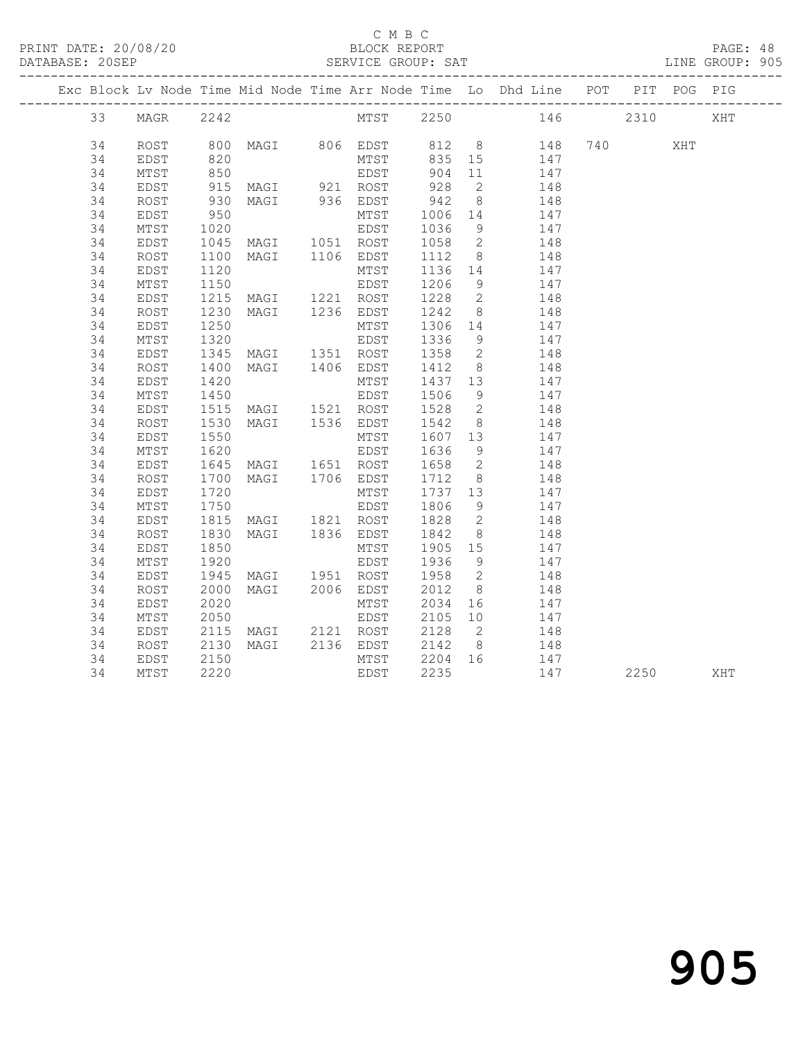#### C M B C<br>BLOCK REPORT

| DATABASE: 20SEP |          |              |              |                                  | SERVICE GROUP: SAT |              |                          |                                                                                |          |                                                                                                                                                                                                                                 |      | LINE GROUP: 905 |
|-----------------|----------|--------------|--------------|----------------------------------|--------------------|--------------|--------------------------|--------------------------------------------------------------------------------|----------|---------------------------------------------------------------------------------------------------------------------------------------------------------------------------------------------------------------------------------|------|-----------------|
|                 |          |              |              |                                  |                    |              |                          | Exc Block Lv Node Time Mid Node Time Arr Node Time Lo Dhd Line POT PIT POG PIG |          |                                                                                                                                                                                                                                 |      |                 |
|                 | 33       | MAGR         | 2242         |                                  | MTST 2250          |              |                          |                                                                                | 146 2310 |                                                                                                                                                                                                                                 |      | XHT             |
|                 | 34       | ROST         | 800          |                                  | MAGI 806 EDST      |              |                          | 812 8<br>148                                                                   |          | 740 — 740 — 740 — 740 — 740 — 740 — 740 — 750 — 750 — 750 — 750 — 750 — 750 — 750 — 750 — 750 — 750 — 750 — 750 — 750 — 750 — 750 — 750 — 750 — 750 — 750 — 750 — 750 — 750 — 750 — 750 — 750 — 750 — 750 — 750 — 750 — 750 — 7 | XHT  |                 |
|                 | 34       | EDST         | 820<br>850   |                                  | MTST               | 835          | 15                       | 147                                                                            |          |                                                                                                                                                                                                                                 |      |                 |
|                 | 34       | MTST         |              |                                  | EDST               | 904          | 11                       | 147                                                                            |          |                                                                                                                                                                                                                                 |      |                 |
|                 | 34       | EDST         | 915          | MAGI 921 ROST                    |                    | 928          | $\overline{2}$           | 148                                                                            |          |                                                                                                                                                                                                                                 |      |                 |
|                 | 34       | ROST         | 930          | MAGI 936 EDST                    |                    | 942          | 8 <sup>8</sup>           | 148                                                                            |          |                                                                                                                                                                                                                                 |      |                 |
|                 | 34       | EDST         | 950          |                                  | MTST               | 1006         | 14                       | 147                                                                            |          |                                                                                                                                                                                                                                 |      |                 |
|                 | 34       | MTST         | 1020         |                                  | EDST               | 1036         | - 9                      | 147                                                                            |          |                                                                                                                                                                                                                                 |      |                 |
|                 | 34       | EDST         | 1045         | MAGI 1051 ROST<br>MAGI 1106 EDST |                    | 1058         | $\overline{2}$           | 148                                                                            |          |                                                                                                                                                                                                                                 |      |                 |
|                 | 34       | ROST         | 1100         |                                  |                    | 1112         | 8 <sup>8</sup>           | 148                                                                            |          |                                                                                                                                                                                                                                 |      |                 |
|                 | 34       | EDST         | 1120         |                                  | MTST               | 1136 14      |                          | 147                                                                            |          |                                                                                                                                                                                                                                 |      |                 |
|                 | 34       | MTST         | 1150         |                                  | EDST               | 1206         | 9                        | 147                                                                            |          |                                                                                                                                                                                                                                 |      |                 |
|                 | 34       | EDST         | 1215         | MAGI 1221 ROST                   |                    | 1228         | $\overline{2}$           | 148                                                                            |          |                                                                                                                                                                                                                                 |      |                 |
|                 | 34       | ROST         | 1230         | MAGI 1236 EDST                   |                    | 1242         | 8 <sup>8</sup>           | 148                                                                            |          |                                                                                                                                                                                                                                 |      |                 |
|                 | 34       | EDST         | 1250         |                                  | MTST               | 1306         | 14                       | 147                                                                            |          |                                                                                                                                                                                                                                 |      |                 |
|                 | 34       | MTST         | 1320         |                                  | EDST               | 1336         | 9                        | 147                                                                            |          |                                                                                                                                                                                                                                 |      |                 |
|                 | 34       | EDST         | 1345         | MAGI 1351 ROST                   |                    | 1358         | $\overline{2}$           | 148                                                                            |          |                                                                                                                                                                                                                                 |      |                 |
|                 | 34       | ROST         | 1400         | MAGI 1406 EDST                   |                    | 1412         | 8 <sup>8</sup>           | 148                                                                            |          |                                                                                                                                                                                                                                 |      |                 |
|                 | 34       | EDST         | 1420         |                                  | MTST               | 1437 13      |                          | 147                                                                            |          |                                                                                                                                                                                                                                 |      |                 |
|                 | 34       | MTST         | 1450         |                                  | EDST               | 1506         | 9                        | 147                                                                            |          |                                                                                                                                                                                                                                 |      |                 |
|                 | 34       | EDST         | 1515         | MAGI 1521 ROST                   |                    | 1528         | $\overline{2}$           | 148                                                                            |          |                                                                                                                                                                                                                                 |      |                 |
|                 | 34       | ROST         | 1530         | MAGI 1536 EDST                   |                    | 1542         | 8 <sup>8</sup>           | 148                                                                            |          |                                                                                                                                                                                                                                 |      |                 |
|                 | 34       | EDST         | 1550         |                                  | MTST               | 1607         | 13                       | 147                                                                            |          |                                                                                                                                                                                                                                 |      |                 |
|                 | 34       | MTST         | 1620         |                                  | EDST               | 1636         | 9                        | 147                                                                            |          |                                                                                                                                                                                                                                 |      |                 |
|                 | 34       | EDST         | 1645         | MAGI 1651 ROST                   |                    | 1658         | $\overline{2}$           | 148                                                                            |          |                                                                                                                                                                                                                                 |      |                 |
|                 | 34       | ROST         | 1700         | MAGI 1706 EDST                   |                    | 1712         | 8 <sup>8</sup>           | 148                                                                            |          |                                                                                                                                                                                                                                 |      |                 |
|                 | 34       | EDST         | 1720         |                                  | MTST               | 1737 13      |                          | 147                                                                            |          |                                                                                                                                                                                                                                 |      |                 |
|                 | 34       | MTST         | 1750         |                                  | EDST               | 1806         | - 9                      | 147                                                                            |          |                                                                                                                                                                                                                                 |      |                 |
|                 | 34       | EDST         | 1815         | MAGI 1821 ROST<br>MAGI 1836 EDST |                    | 1828         | $\overline{2}$           | 148                                                                            |          |                                                                                                                                                                                                                                 |      |                 |
|                 | 34       | ROST         | 1830         |                                  |                    | 1842         | 8                        | 148                                                                            |          |                                                                                                                                                                                                                                 |      |                 |
|                 | 34<br>34 | EDST<br>MTST | 1850<br>1920 |                                  | MTST<br>EDST       | 1905<br>1936 | 15<br>9 <sup>°</sup>     | 147                                                                            |          |                                                                                                                                                                                                                                 |      |                 |
|                 |          |              |              |                                  |                    |              | $\overline{\phantom{a}}$ | 147                                                                            |          |                                                                                                                                                                                                                                 |      |                 |
|                 | 34<br>34 | EDST<br>ROST | 1945         | MAGI 1951 ROST<br>MAGI 2006 EDST |                    | 1958<br>2012 | 8 <sup>8</sup>           | 148<br>148                                                                     |          |                                                                                                                                                                                                                                 |      |                 |
|                 | 34       | EDST         | 2000<br>2020 |                                  | MTST               | 2034         | 16                       | 147                                                                            |          |                                                                                                                                                                                                                                 |      |                 |
|                 | 34       | MTST         | 2050         |                                  | EDST               | 2105         | 10                       | 147                                                                            |          |                                                                                                                                                                                                                                 |      |                 |
|                 | 34       | EDST         | 2115         | MAGI 2121 ROST                   |                    | 2128         | $\overline{2}$           | 148                                                                            |          |                                                                                                                                                                                                                                 |      |                 |
|                 | 34       | ROST         | 2130         | MAGI                             | 2136 EDST          |              | 8 <sup>8</sup>           | 148                                                                            |          |                                                                                                                                                                                                                                 |      |                 |
|                 | 34       | EDST         | 2150         |                                  | MTST               | 2142<br>2204 | 16                       | 147                                                                            |          |                                                                                                                                                                                                                                 |      |                 |
|                 | 34       | MTST         | 2220         |                                  | EDST               | 2235         |                          | 147                                                                            |          |                                                                                                                                                                                                                                 | 2250 | XHT             |
|                 |          |              |              |                                  |                    |              |                          |                                                                                |          |                                                                                                                                                                                                                                 |      |                 |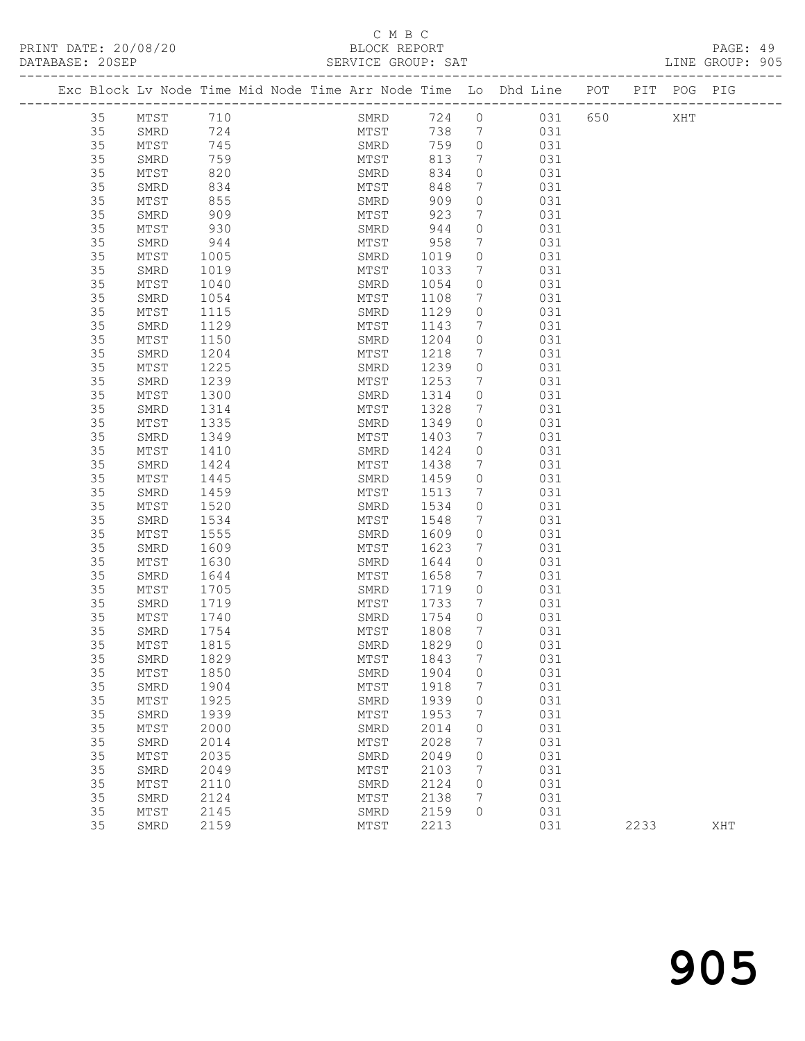### C M B C

| PRINT DATE: 20/08/20<br>DATABASE: 20SEP |          |              |                   |  |                        |              |                                   | 20<br>BLOCK REPORT<br>SERVICE GROUP: SAT                                              |      |     | PAGE: 49<br>LINE GROUP: 905 |  |
|-----------------------------------------|----------|--------------|-------------------|--|------------------------|--------------|-----------------------------------|---------------------------------------------------------------------------------------|------|-----|-----------------------------|--|
|                                         |          |              |                   |  |                        |              |                                   | Exc Block Lv Node Time Mid Node Time Arr Node Time Lo Dhd Line POT PIT POG PIG        |      |     |                             |  |
|                                         | 35 MTST  |              | 710               |  |                        |              |                                   | SMRD 724 0 031 650                                                                    |      | XHT |                             |  |
|                                         | 35       | SMRD         | 724<br>745<br>759 |  |                        |              |                                   | MTST 738 7 031<br>SMRD 759 0 031                                                      |      |     |                             |  |
|                                         | 35       | MTST         |                   |  |                        |              |                                   |                                                                                       |      |     |                             |  |
|                                         | 35       | SMRD         |                   |  | MTST                   | 813          |                                   | 7 031                                                                                 |      |     |                             |  |
|                                         | 35       | MTST         | 820               |  | SMRD                   | 834          |                                   | $0$ $031$                                                                             |      |     |                             |  |
|                                         | 35       | SMRD         | 834               |  | MTST<br>SMRD           | 848          |                                   | $\begin{array}{ccc} 7 & \hspace{1.5cm} & 031 \\ 0 & \hspace{1.5cm} & 031 \end{array}$ |      |     |                             |  |
|                                         | 35       | MTST         | 855               |  |                        | 909          |                                   |                                                                                       |      |     |                             |  |
|                                         | 35       | SMRD         | 909               |  | MTST                   | 923          |                                   | 7 031                                                                                 |      |     |                             |  |
|                                         | 35       | MTST         | 930               |  | SMRD                   | 944          |                                   | $0$ 031                                                                               |      |     |                             |  |
|                                         | 35       | SMRD         | 944               |  | MTST 958<br>SMRD 1019  |              |                                   | $\begin{array}{c}\n7\n\end{array}$<br>031<br>031                                      |      |     |                             |  |
|                                         | 35<br>35 | MTST<br>SMRD | 1005              |  | MTST 1033              |              | $\overline{0}$<br>$7\phantom{.0}$ | 031                                                                                   |      |     |                             |  |
|                                         | 35       | MTST         | 1019<br>1040      |  | SMRD                   | 1054         | $\circ$                           | 031                                                                                   |      |     |                             |  |
|                                         | 35       | SMRD         | 1054              |  | MTST                   | 1108         |                                   | $7\overline{ }$<br>031                                                                |      |     |                             |  |
|                                         | 35       | MTST         | 1115              |  | SMRD                   | 1129         | $\overline{0}$                    | 031                                                                                   |      |     |                             |  |
|                                         | 35       | SMRD         | 1129              |  | MTST                   | 1143         |                                   | 7 031                                                                                 |      |     |                             |  |
|                                         | 35       | MTST         | 1150              |  | SMRD                   | 1204         |                                   | $0$ 031                                                                               |      |     |                             |  |
|                                         | 35       | SMRD         | 1204              |  | MTST                   | 1218         |                                   | $7\overline{ }$<br>031                                                                |      |     |                             |  |
|                                         | 35       | MTST         | 1225              |  | SMRD                   | 1239         | $\overline{0}$                    | 031                                                                                   |      |     |                             |  |
|                                         | 35       | SMRD         | 1239              |  | MTST 1253              |              | $7\phantom{.0}$                   | 031                                                                                   |      |     |                             |  |
|                                         | 35       | MTST         | 1300              |  | SMRD 1314              |              |                                   | $0$ 031                                                                               |      |     |                             |  |
|                                         | 35       | SMRD         | 1314              |  | MTST                   | 1328         |                                   | 7 031                                                                                 |      |     |                             |  |
|                                         | 35       | MTST         | 1335              |  | SMRD                   | 1349         | $\overline{0}$                    | 031                                                                                   |      |     |                             |  |
|                                         | 35       | SMRD         | 1349              |  | MTST                   | 1403         |                                   | $\begin{array}{ccc} 7 & 031 \end{array}$                                              |      |     |                             |  |
|                                         | 35       | MTST         | 1410              |  | SMRD 1424              |              |                                   | $0$ 031                                                                               |      |     |                             |  |
|                                         | 35       | SMRD         | 1424              |  | MTST                   | 1438         |                                   | 7 031                                                                                 |      |     |                             |  |
|                                         | 35       | MTST         | 1445              |  | SMRD                   | 1459         | $\overline{0}$                    | 031                                                                                   |      |     |                             |  |
|                                         | 35       | SMRD         | 1459              |  | MTST                   | 1513         | $7\overline{ }$                   | 031                                                                                   |      |     |                             |  |
|                                         | 35       | MTST         | 1520              |  | SMRD 1534              |              | $\circ$                           | 031                                                                                   |      |     |                             |  |
|                                         | 35       | SMRD         | 1534              |  | MTST                   | 1548         |                                   | $7\overline{}$<br>031                                                                 |      |     |                             |  |
|                                         | 35       | MTST         | 1555              |  | SMRD                   | 1609<br>1623 | $\circ$                           | 031                                                                                   |      |     |                             |  |
|                                         | 35       | SMRD         | 1609              |  | MTST<br>SMRD 1644      |              | 7                                 | 031<br>$\overline{0}$                                                                 |      |     |                             |  |
|                                         | 35<br>35 | MTST<br>SMRD | 1630              |  | MTST                   |              |                                   | 031                                                                                   |      |     |                             |  |
|                                         | 35       | MTST         | 1644<br>1705      |  |                        | 1658         | $\overline{O}$                    | 7 031                                                                                 |      |     |                             |  |
|                                         | 35       | SMRD         | 1719              |  | SMRD 1719<br>MTST 1733 |              | $7\overline{ }$                   | 031<br>031                                                                            |      |     |                             |  |
|                                         | 35       | MTST         | 1740              |  | SMRD                   | 1754         | $\bigcirc$                        | 031                                                                                   |      |     |                             |  |
|                                         | 35       | SMRD         | 1754              |  | MTST                   | 1808         |                                   | 031                                                                                   |      |     |                             |  |
|                                         | 35       | MTST         | 1815              |  | SMRD                   | 1829         | 0                                 | 031                                                                                   |      |     |                             |  |
|                                         | 35       | SMRD         | 1829              |  | MTST                   | 1843         | 7                                 | 031                                                                                   |      |     |                             |  |
|                                         | 35       | MTST         | 1850              |  | SMRD                   | 1904         | 0                                 | 031                                                                                   |      |     |                             |  |
|                                         | 35       | SMRD         | 1904              |  | MTST                   | 1918         | 7                                 | 031                                                                                   |      |     |                             |  |
|                                         | 35       | MTST         | 1925              |  | SMRD                   | 1939         | 0                                 | 031                                                                                   |      |     |                             |  |
|                                         | 35       | SMRD         | 1939              |  | MTST                   | 1953         | 7                                 | 031                                                                                   |      |     |                             |  |
|                                         | 35       | $MTST$       | 2000              |  | SMRD                   | 2014         | 0                                 | 031                                                                                   |      |     |                             |  |
|                                         | 35       | SMRD         | 2014              |  | MTST                   | 2028         | 7                                 | 031                                                                                   |      |     |                             |  |
|                                         | 35       | $MTST$       | 2035              |  | SMRD                   | 2049         | 0                                 | 031                                                                                   |      |     |                             |  |
|                                         | 35       | SMRD         | 2049              |  | MTST                   | 2103         | 7                                 | 031                                                                                   |      |     |                             |  |
|                                         | 35       | MTST         | 2110              |  | SMRD                   | 2124         | $\circ$                           | 031                                                                                   |      |     |                             |  |
|                                         | 35       | SMRD         | 2124              |  | MTST                   | 2138         | 7                                 | 031                                                                                   |      |     |                             |  |
|                                         | 35       | MTST         | 2145              |  | SMRD                   | 2159         | $\circ$                           | 031                                                                                   |      |     |                             |  |
|                                         | 35       | SMRD         | 2159              |  | MTST                   | 2213         |                                   | 031                                                                                   | 2233 |     | XHT                         |  |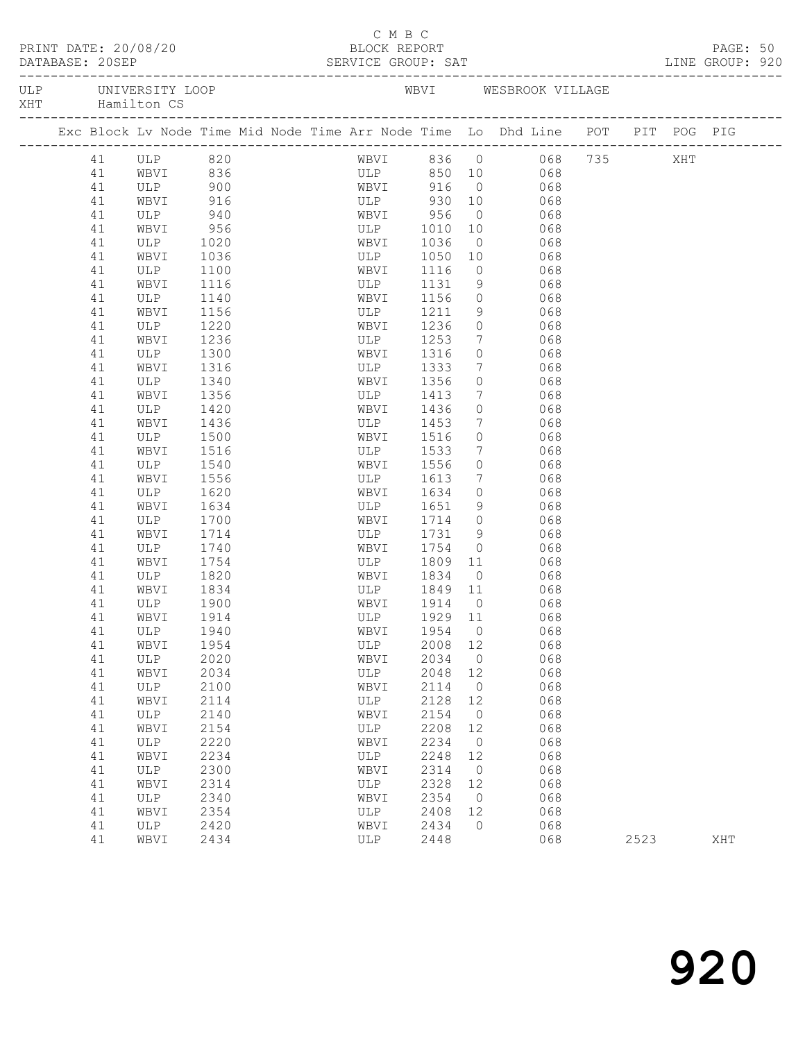| PRINT DATE: 20/08/20                   |    |            |            |  | C M B C<br>BLOCK REPORT  |         |                 |                                                                                |      |     | PAGE: 50<br>LINE GROUP: 920 |  |
|----------------------------------------|----|------------|------------|--|--------------------------|---------|-----------------|--------------------------------------------------------------------------------|------|-----|-----------------------------|--|
| ULP UNIVERSITY LOOP<br>XHT Hamilton CS |    |            |            |  |                          |         |                 | WBVI WESBROOK VILLAGE                                                          |      |     |                             |  |
|                                        |    |            |            |  |                          |         |                 | Exc Block Lv Node Time Mid Node Time Arr Node Time Lo Dhd Line POT PIT POG PIG |      |     |                             |  |
|                                        |    | 41 ULP 820 |            |  |                          |         |                 | WBVI 836 0 068 735                                                             |      | XHT |                             |  |
|                                        | 41 | WBVI 836   |            |  |                          |         |                 | ULP 850 10 068                                                                 |      |     |                             |  |
|                                        | 41 | ULP        |            |  |                          |         | $\overline{0}$  | 068                                                                            |      |     |                             |  |
|                                        | 41 | WBVI       | 900<br>916 |  | WBVI 916 0<br>ULP 930 10 |         |                 | 068                                                                            |      |     |                             |  |
|                                        | 41 | ULP        | 940        |  | WBVI 956                 |         | $\overline{0}$  | 068                                                                            |      |     |                             |  |
|                                        | 41 | WBVI       | 956        |  | ULP 1010                 |         | 10              | 068                                                                            |      |     |                             |  |
|                                        | 41 | ULP        | 1020       |  | WBVI                     | 1036    | $\overline{0}$  | 068                                                                            |      |     |                             |  |
|                                        | 41 | WBVI       | 1036       |  | ULP                      | 1050    | 10              | 068                                                                            |      |     |                             |  |
|                                        | 41 | ULP        | 1100       |  | WBVI                     | 1116    | $\overline{0}$  | 068                                                                            |      |     |                             |  |
|                                        | 41 | WBVI       | 1116       |  | ULP                      | 1131    | 9               | 068                                                                            |      |     |                             |  |
|                                        | 41 | ULP        | 1140       |  | WBVI                     | 1156    | $\circ$         | 068                                                                            |      |     |                             |  |
|                                        | 41 | WBVI       | 1156       |  | ULP                      | 1211    | 9               | 068                                                                            |      |     |                             |  |
|                                        | 41 | ULP        | 1220       |  | WBVI                     | 1236    | $\circ$         | 068                                                                            |      |     |                             |  |
|                                        | 41 | WBVI       | 1236       |  | ULP                      | 1253    | $7\phantom{.0}$ | 068                                                                            |      |     |                             |  |
|                                        | 41 | ULP        | 1300       |  | WBVI                     | 1316    | $\circ$         | 068                                                                            |      |     |                             |  |
|                                        | 41 | WBVI       | 1316       |  | ULP                      | 1333    | $7\overline{ }$ | 068                                                                            |      |     |                             |  |
|                                        | 41 | ULP        | 1340       |  | WBVI 1356                |         | $\circ$         | 068                                                                            |      |     |                             |  |
|                                        | 41 | WBVI       | 1356       |  | ULP 1413                 |         | 7 <sup>7</sup>  | 068                                                                            |      |     |                             |  |
|                                        | 41 | ULP        | 1420       |  | WBVI                     | 1436    | $\circ$         | 068                                                                            |      |     |                             |  |
|                                        | 41 | WBVI       | 1436       |  | ULP                      | 1453    | $7\phantom{.0}$ | 068                                                                            |      |     |                             |  |
|                                        | 41 | ULP        | 1500       |  | WBVI                     | 1516    | $\circ$         | 068                                                                            |      |     |                             |  |
|                                        | 41 | WBVI       | 1516       |  | ULP                      | 1533    | 7 <sup>7</sup>  | 068                                                                            |      |     |                             |  |
|                                        | 41 | ULP        | 1540       |  | WBVI                     | 1556    | $\circ$         | 068                                                                            |      |     |                             |  |
|                                        | 41 | WBVI       | 1556       |  | ULP                      | 1613    | 7 <sup>7</sup>  | 068                                                                            |      |     |                             |  |
|                                        | 41 | ULP        | 1620       |  | WBVI                     | 1634    | $\circ$         | 068                                                                            |      |     |                             |  |
|                                        | 41 | WBVI       | 1634       |  | ULP                      | 1651    | 9               | 068                                                                            |      |     |                             |  |
|                                        | 41 | ULP        | 1700       |  | WBVI                     | 1714    | $\circ$         | 068                                                                            |      |     |                             |  |
|                                        | 41 | WBVI       | 1714       |  | ULP                      | 1731    | 9               | 068                                                                            |      |     |                             |  |
|                                        | 41 | ULP        | 1740       |  | WBVI                     | 1754    | $\overline{0}$  | 068                                                                            |      |     |                             |  |
|                                        | 41 | WBVI       | 1754       |  | ULP                      | 1809    | 11              | 068                                                                            |      |     |                             |  |
|                                        | 41 | ULP        | 1820       |  | WBVI                     | 1834    | $\overline{O}$  | 068                                                                            |      |     |                             |  |
|                                        | 41 | WBVI       | 1834       |  | ULP                      | 1849 11 |                 | 068                                                                            |      |     |                             |  |
|                                        | 41 | ULP        | 1900       |  | WBVI                     | 1914    | $\overline{0}$  | 068                                                                            |      |     |                             |  |
|                                        | 41 | WBVI 1914  |            |  |                          |         |                 | ULP 1929 11 068                                                                |      |     |                             |  |
|                                        | 41 | ULP        | 1940       |  | WBVI                     | 1954    | $\overline{0}$  | 068                                                                            |      |     |                             |  |
|                                        | 41 | WBVI       | 1954       |  | ULP                      | 2008    | 12              | 068                                                                            |      |     |                             |  |
|                                        | 41 | ULP        | 2020       |  | WBVI                     | 2034    | $\overline{0}$  | 068                                                                            |      |     |                             |  |
|                                        | 41 | WBVI       | 2034       |  | ULP                      | 2048    | 12              | 068                                                                            |      |     |                             |  |
|                                        | 41 | ULP        | 2100       |  | WBVI                     | 2114    | $\overline{0}$  | 068                                                                            |      |     |                             |  |
|                                        | 41 | WBVI       | 2114       |  | ULP                      | 2128    | 12              | 068                                                                            |      |     |                             |  |
|                                        | 41 | ULP        | 2140       |  | WBVI                     | 2154    | $\overline{0}$  | 068                                                                            |      |     |                             |  |
|                                        | 41 | WBVI       | 2154       |  | ULP                      | 2208    | 12              | 068                                                                            |      |     |                             |  |
|                                        | 41 | ULP        | 2220       |  | WBVI                     | 2234    | $\overline{0}$  | 068                                                                            |      |     |                             |  |
|                                        | 41 | WBVI       | 2234       |  | ULP                      | 2248    | 12              | 068                                                                            |      |     |                             |  |
|                                        | 41 | ULP        | 2300       |  | WBVI                     | 2314    | $\overline{0}$  | 068                                                                            |      |     |                             |  |
|                                        | 41 | WBVI       | 2314       |  | ULP                      | 2328    | 12              | 068                                                                            |      |     |                             |  |
|                                        | 41 | ULP        | 2340       |  | WBVI                     | 2354    | $\overline{0}$  | 068                                                                            |      |     |                             |  |
|                                        | 41 | WBVI       | 2354       |  | ULP                      | 2408    | 12              | 068                                                                            |      |     |                             |  |
|                                        | 41 | ULP        | 2420       |  | WBVI                     | 2434    | $\circ$         | 068                                                                            |      |     |                             |  |
|                                        | 41 | WBVI       | 2434       |  | ULP                      | 2448    |                 | 068                                                                            | 2523 |     | XHT                         |  |
|                                        |    |            |            |  |                          |         |                 |                                                                                |      |     |                             |  |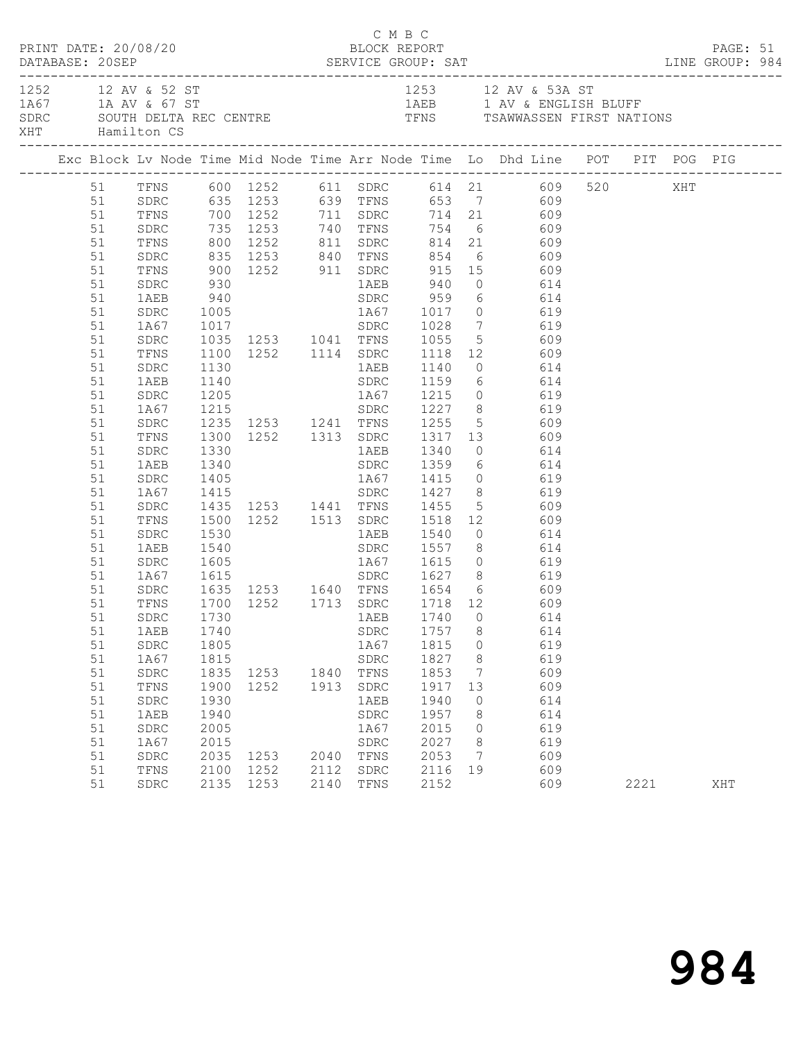|          | PRINT DATE: 20/08/20 |              |                          |      | C M B C<br>BLOCK REPORT |              |              |                                                                                                            |      | PAGE: 51 |  |
|----------|----------------------|--------------|--------------------------|------|-------------------------|--------------|--------------|------------------------------------------------------------------------------------------------------------|------|----------|--|
|          | XHT Hamilton CS      |              |                          |      |                         |              |              | 1252 12 AV & 52 ST<br>1A67 1A AV & 67 ST<br>SDRC SOUTH DELTA REC CENTRE TENS TENS TRAWWASSEN FIRST NATIONS |      |          |  |
|          |                      |              |                          |      |                         |              |              |                                                                                                            |      |          |  |
|          |                      |              |                          |      |                         |              |              | 51 TFNS 600 1252 611 SDRC 614 21 609 520 XHT<br>51 SDRC 635 1253 639 TFNS 653 7 609                        |      |          |  |
|          |                      |              |                          |      |                         |              |              |                                                                                                            |      |          |  |
| 51       |                      |              |                          |      |                         |              |              | TFNS 700 1252 711 SDRC 714 21 609                                                                          |      |          |  |
| 51       | SDRC                 |              |                          |      |                         |              |              | 735 1253 740 TFNS 754 6 609<br>800 1252 811 SDRC 814 21 609<br>835 1253 840 TFNS 854 6 609                 |      |          |  |
| 51       | TFNS                 |              |                          |      |                         |              |              |                                                                                                            |      |          |  |
| 51       | SDRC                 |              |                          |      |                         |              |              |                                                                                                            |      |          |  |
| 51       | TFNS                 |              |                          |      |                         |              |              | 900 1252 911 SDRC 915 15 609                                                                               |      |          |  |
| 51       | SDRC                 | 930          |                          |      |                         |              |              | 1AEB 940 0 614                                                                                             |      |          |  |
| 51       | 1AEB                 |              | $940$<br>$1005$          |      |                         |              |              | SDRC 959 6 614<br>1A67 1017 0 619                                                                          |      |          |  |
| 51       | SDRC                 |              |                          |      |                         |              |              |                                                                                                            |      |          |  |
| 51       |                      |              |                          |      |                         |              |              | 1867 1017<br>1867 1017 1041 1788 1028 7 619<br>SDRC 1035 1253 1041 TFNS 1055 5 609                         |      |          |  |
| 51       |                      |              |                          |      |                         |              |              |                                                                                                            |      |          |  |
| 51       | TFNS                 |              |                          |      |                         |              |              | 1100 1252 1114 SDRC 1118 12 609<br>1130 1AEB 1140 0 614                                                    |      |          |  |
| 51<br>51 | SDRC<br>1AEB         | 1140         |                          |      |                         |              |              | SDRC 1159 6 614                                                                                            |      |          |  |
| 51       | SDRC                 |              |                          |      |                         |              |              |                                                                                                            |      |          |  |
| 51       | 1A67                 |              |                          |      |                         |              |              |                                                                                                            |      |          |  |
| 51       | SDRC                 |              |                          |      |                         |              |              | 1205 1867 1215 0 619<br>1215 1253 1241 TFNS 1255 5 609<br>1300 1252 1313 SDRC 1317 13 609                  |      |          |  |
| 51       | TFNS                 |              |                          |      |                         |              |              |                                                                                                            |      |          |  |
| 51       | SDRC                 | 1330         |                          |      |                         |              |              | 1AEB 1340 0 614                                                                                            |      |          |  |
| 51       | 1AEB                 | 1340         |                          |      |                         |              |              |                                                                                                            |      |          |  |
| 51       | SDRC                 |              |                          |      |                         |              |              | SDRC 1359 6 614<br>1A67 1415 0 619<br>SDRC 1427 8 619                                                      |      |          |  |
| 51       | 1A67                 |              | $1405$<br>$1415$         |      |                         |              |              |                                                                                                            |      |          |  |
| 51       | SDRC                 |              | 1435 1253 1441 TFNS 1455 |      |                         |              |              | 5 609                                                                                                      |      |          |  |
| 51       | TFNS                 |              |                          |      |                         |              |              | 1500 1252 1513 SDRC 1518 12 609                                                                            |      |          |  |
| 51       | SDRC                 |              |                          |      |                         |              |              | 1530 1AEB 1540 0 614<br>1540 1557 8 614                                                                    |      |          |  |
| 51       | 1AEB                 |              |                          |      |                         |              |              |                                                                                                            |      |          |  |
| 51       | SDRC                 |              |                          |      |                         |              |              | 1605 1A67 1615 0 619                                                                                       |      |          |  |
| 51       | 1A67                 |              |                          |      |                         |              |              |                                                                                                            |      |          |  |
| 51       | SDRC                 |              |                          |      |                         |              |              |                                                                                                            |      |          |  |
| 51       | TFNS                 |              |                          |      |                         |              |              |                                                                                                            |      |          |  |
|          |                      |              |                          |      |                         |              |              | 51 SDRC 1730 1AEB 1740 0 614                                                                               |      |          |  |
| 51<br>51 | 1AEB                 | 1740         |                          |      | SDRC                    | 1757<br>1815 | 8            | 614<br>619                                                                                                 |      |          |  |
| 51       | SDRC<br>1A67         | 1805<br>1815 |                          |      | 1A67<br>${\tt SDRC}$    | 1827         | $\circ$<br>8 | 619                                                                                                        |      |          |  |
| 51       | SDRC                 | 1835         | 1253 1840 TFNS           |      |                         | 1853         | 7            | 609                                                                                                        |      |          |  |
| 51       | TFNS                 | 1900         | 1252                     | 1913 | SDRC                    | 1917         | 13           | 609                                                                                                        |      |          |  |
| 51       | SDRC                 | 1930         |                          |      | 1AEB                    | 1940         | 0            | 614                                                                                                        |      |          |  |
| 51       | 1AEB                 | 1940         |                          |      | SDRC                    | 1957         | 8            | 614                                                                                                        |      |          |  |
| 51       | SDRC                 | 2005         |                          |      | 1A67                    | 2015         | $\circ$      | 619                                                                                                        |      |          |  |
| 51       | 1A67                 | 2015         |                          |      | SDRC                    | 2027         | 8            | 619                                                                                                        |      |          |  |
| 51       | ${\tt SDRC}$         | 2035         | 1253                     |      | 2040 TFNS               | 2053         | 7            | 609                                                                                                        |      |          |  |
| 51       | TFNS                 | 2100         | 1252                     | 2112 | ${\tt SDRC}$            | 2116         | 19           | 609                                                                                                        |      |          |  |
| 51       | SDRC                 |              | 2135 1253                | 2140 | TFNS                    | 2152         |              | 609                                                                                                        | 2221 | XHT      |  |
|          |                      |              |                          |      |                         |              |              |                                                                                                            |      |          |  |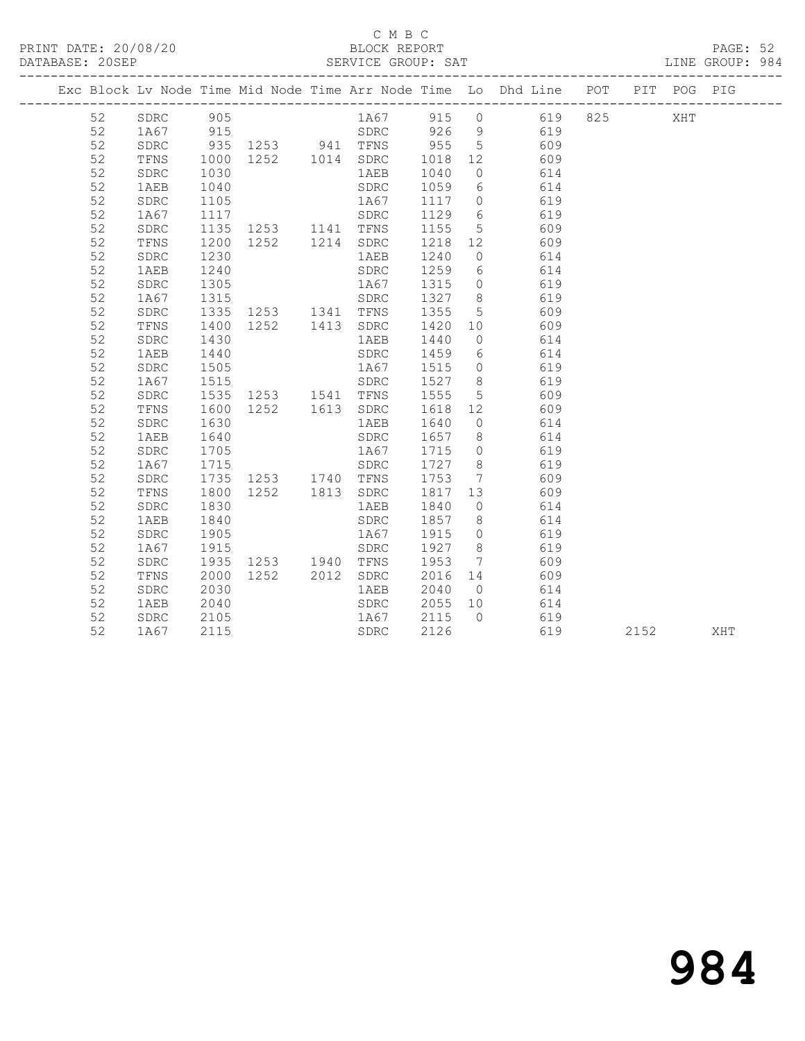### C M B C<br>BLOCK REPORT

|  | DATABASE: 20SEP |      |     |          | SERVICE GROUP: SAT |       |                |                                                                                |  |     | LINE GROUP: 984 |  |
|--|-----------------|------|-----|----------|--------------------|-------|----------------|--------------------------------------------------------------------------------|--|-----|-----------------|--|
|  |                 |      |     |          |                    |       |                | Exc Block Ly Node Time Mid Node Time Arr Node Time Lo Dhd Line POT PIT POG PIG |  |     |                 |  |
|  | 52              | SDRC | 905 |          | 1 A 6 7            | 915 0 |                | 619 825                                                                        |  | XHT |                 |  |
|  | 52              | 1A67 | 915 |          | SDRC               | 926   | $\overline{9}$ | 619                                                                            |  |     |                 |  |
|  | 52              | SDRC |     | 935 1253 | TFNS               | 955 5 |                | 609                                                                            |  |     |                 |  |

52 1AEB 1240 SDRC 1259 6 614

 52 TFNS 1000 1252 1014 SDRC 1018 12 609 52 SDRC 1030 1AEB 1040 0 614 52 1AEB 1040 SDRC 1059 6 614 52 SDRC 1105 1A67 1117 0 619 52 1A67 1117 SDRC 1129 6 619 52 SDRC 1135 1253 1141 TFNS 1155 5 609 52 TFNS 1200 1252 1214 SDRC 1218 12 609 52 SDRC 1230 1AEB 1240 0 614

 52 SDRC 1305 1A67 1315 0 619 52 1A67 1315 SDRC 1327 8 619 52 SDRC 1335 1253 1341 TFNS 1355 5 609 52 TFNS 1400 1252 1413 SDRC 1420 10 609 52 SDRC 1430 1AEB 1440 0 614 52 1AEB 1440 SDRC 1459 6 614

 52 SDRC 1505 1A67 1515 0 619 52 1A67 1515 SDRC 1527 8 619 52 SDRC 1535 1253 1541 TFNS 1555 5 609 52 TFNS 1600 1252 1613 SDRC 1618 12 609 52 SDRC 1630 1AEB 1640 0 614 52 1AEB 1640 SDRC 1657 8 614 52 SDRC 1705 1A67 1715 0 619 52 1A67 1715 SDRC 1727 8 619 52 SDRC 1735 1253 1740 TFNS 1753 7 609 52 TFNS 1800 1252 1813 SDRC 1817 13 609 52 SDRC 1830 1AEB 1840 0 614 52 1AEB 1840 SDRC 1857 8 614 52 SDRC 1905 1A67 1915 0 619 52 1A67 1915 SDRC 1927 8 619 52 SDRC 1935 1253 1940 TFNS 1953 7 609 52 TFNS 2000 1252 2012 SDRC 2016 14 609 52 SDRC 2030 1AEB 2040 0 614 52 1AEB 2040 SDRC 2055 10 614<br>
52 SDRC 2105 1A67 2115 0 619<br>
52 1A67 2115 SDRC 2126 619 52 SDRC 2105 1A67 2115 0 619 52 1A67 2115 SDRC 2126 619 2152 XHT

# 984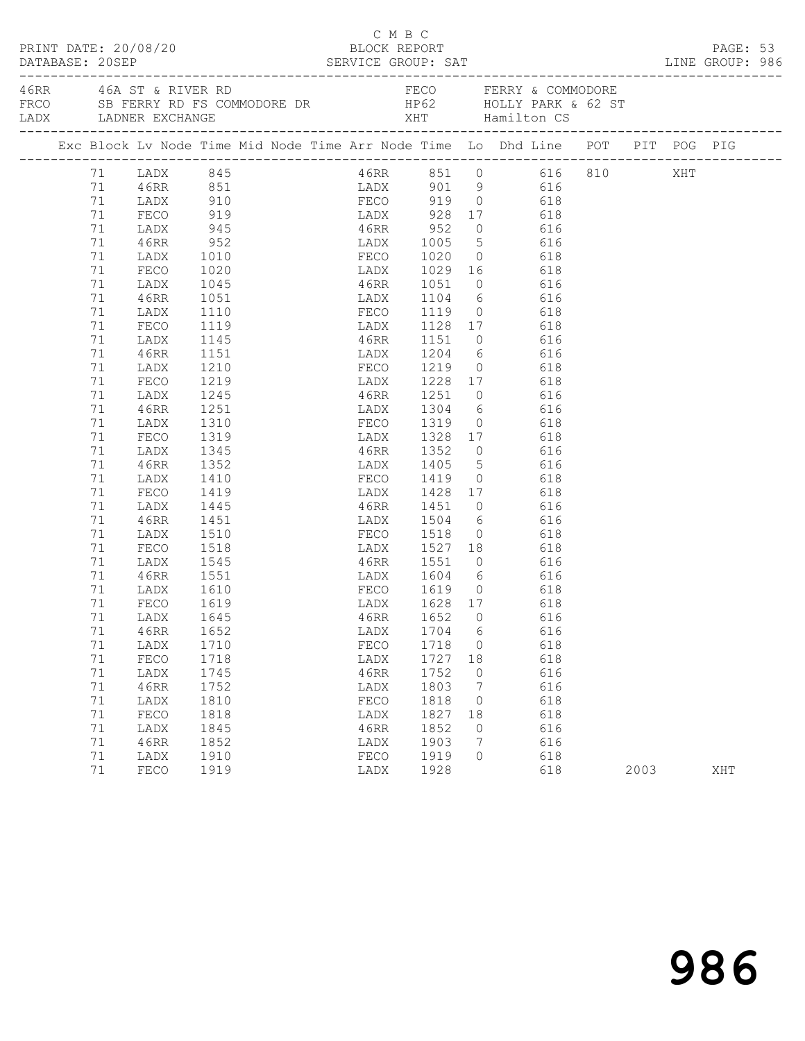| PRINT DATE: 20/08/20 |  |          |                                                                                                            |                 |  |  |              | C M B C | BLOCK REPORT                                         |                |                        |      | PAGE: 53 |  |
|----------------------|--|----------|------------------------------------------------------------------------------------------------------------|-----------------|--|--|--------------|---------|------------------------------------------------------|----------------|------------------------|------|----------|--|
|                      |  |          | 46RR 46A ST & RIVER RD<br>FRCO SB FERRY RD FS COMMODORE DR FRCO HOLLY PARK & 62 ST<br>LADX LADNER EXCHANGE |                 |  |  |              |         |                                                      |                | FECO FERRY & COMMODORE |      |          |  |
|                      |  |          | Exc Block Lv Node Time Mid Node Time Arr Node Time Lo Dhd Line POT PIT POG PIG                             |                 |  |  |              |         |                                                      |                |                        |      |          |  |
|                      |  |          | 71 LADX 845<br>71 46RR 851<br>71 LADX 910                                                                  |                 |  |  |              |         |                                                      |                | 46RR 851 0 616 810 XHT |      |          |  |
|                      |  |          |                                                                                                            |                 |  |  |              |         | LADX 901 9 616<br>FECO 919 0 618                     |                | 616                    |      |          |  |
|                      |  |          |                                                                                                            |                 |  |  |              |         |                                                      |                |                        |      |          |  |
|                      |  | 71       | FECO 919 LADX 928 17 618                                                                                   |                 |  |  |              |         |                                                      |                |                        |      |          |  |
|                      |  | 71       | LADX                                                                                                       | 945             |  |  |              |         | 46RR 952 0 616<br>LADX 1005 5 616<br>FECO 1020 0 618 |                |                        |      |          |  |
|                      |  | 71       | 46RR                                                                                                       | $952$<br>$1010$ |  |  |              |         |                                                      |                |                        |      |          |  |
|                      |  | 71       | LADX                                                                                                       |                 |  |  |              |         |                                                      |                |                        |      |          |  |
|                      |  | 71       | FECO                                                                                                       | 1020            |  |  |              |         | LADX 1029 16 618                                     |                |                        |      |          |  |
|                      |  | 71       | LADX                                                                                                       | 1045            |  |  |              |         | 46RR 1051 0 616                                      |                |                        |      |          |  |
|                      |  | 71       | 46RR<br>LADX                                                                                               | 1051            |  |  |              |         | LADX 1104 6 616<br>FECO 1119 0 618                   |                |                        |      |          |  |
|                      |  | 71<br>71 | FECO                                                                                                       | 1110<br>1119    |  |  |              |         | LADX 1128 17 618                                     |                |                        |      |          |  |
|                      |  | 71       | LADX                                                                                                       | 1145            |  |  |              |         | 46RR 1151 0 616                                      |                |                        |      |          |  |
|                      |  | 71       | 46RR                                                                                                       | 1151            |  |  |              |         |                                                      |                |                        |      |          |  |
|                      |  | 71       | LADX                                                                                                       | 1210            |  |  |              |         | LADX 1204 6 616<br>FECO 1219 0 618                   |                |                        |      |          |  |
|                      |  | 71       | FECO                                                                                                       | 1219            |  |  |              |         | LADX 1228 17 618                                     |                |                        |      |          |  |
|                      |  | 71       | LADX                                                                                                       | 1245            |  |  |              |         | 46RR 1251 0 616                                      |                |                        |      |          |  |
|                      |  | 71       | 46RR                                                                                                       | 1251            |  |  |              |         |                                                      |                |                        |      |          |  |
|                      |  | 71       | LADX                                                                                                       |                 |  |  |              |         | LADX 1304 6 616<br>FECO 1319 0 618                   |                |                        |      |          |  |
|                      |  | 71       | FECO                                                                                                       | 1310<br>1319    |  |  |              |         | LADX 1328 17 618                                     |                |                        |      |          |  |
|                      |  | 71       | LADX                                                                                                       | 1345            |  |  |              |         | 46RR 1352 0 616                                      |                |                        |      |          |  |
|                      |  | 71       | 46RR                                                                                                       | 1352            |  |  |              |         | LADX 1405 5 616                                      |                |                        |      |          |  |
|                      |  | 71       | LADX                                                                                                       | 1410            |  |  |              |         | FECO 1419                                            | $\overline{0}$ | 618                    |      |          |  |
|                      |  | 71       | FECO                                                                                                       | 1419            |  |  |              |         | LADX 1428 17 618                                     |                |                        |      |          |  |
|                      |  | 71       | LADX                                                                                                       | 1445            |  |  |              |         | 46RR 1451 0 616                                      |                |                        |      |          |  |
|                      |  | 71       | 46RR                                                                                                       | 1451            |  |  |              |         | LADX 1504 6 616                                      |                |                        |      |          |  |
|                      |  | 71       | LADX                                                                                                       | 1510<br>1518    |  |  |              |         | FECO 1518 0 618<br>LADX 1527 18 618                  |                |                        |      |          |  |
|                      |  | 71       | FECO                                                                                                       |                 |  |  |              |         |                                                      |                |                        |      |          |  |
|                      |  | 71       | LADX                                                                                                       | 1545            |  |  |              |         | 46RR 1551 0 616                                      |                |                        |      |          |  |
|                      |  | 71       | 46RR                                                                                                       | 1551            |  |  |              |         | LADX 1604 6 616                                      |                |                        |      |          |  |
|                      |  | 71       | LADX                                                                                                       | 1610<br>1619    |  |  |              |         | FECO 1619 0 618<br>LADX 1628 17 618                  |                |                        |      |          |  |
|                      |  | 71       | FECO                                                                                                       |                 |  |  |              |         |                                                      |                |                        |      |          |  |
|                      |  |          | 71 LADX 1645                                                                                               |                 |  |  |              |         | 46RR 1652 0 616                                      |                |                        |      |          |  |
|                      |  | 71<br>71 | 46RR                                                                                                       | 1652            |  |  | LADX         |         | 1704                                                 | 6              | 616<br>618             |      |          |  |
|                      |  | 71       | LADX<br>FECO                                                                                               | 1710<br>1718    |  |  | FECO         |         | 1718<br>1727                                         | $\overline{0}$ | 618                    |      |          |  |
|                      |  | 71       | LADX                                                                                                       | 1745            |  |  | LADX<br>46RR |         | 1752                                                 | 18<br>$\circ$  | 616                    |      |          |  |
|                      |  | $71\,$   | 46RR                                                                                                       | 1752            |  |  | LADX         |         | 1803                                                 | 7              | 616                    |      |          |  |
|                      |  | 71       | LADX                                                                                                       | 1810            |  |  | FECO         |         | 1818                                                 | $\circ$        | 618                    |      |          |  |
|                      |  | 71       | FECO                                                                                                       | 1818            |  |  | LADX         |         | 1827                                                 | 18             | 618                    |      |          |  |
|                      |  | 71       | LADX                                                                                                       | 1845            |  |  | 46RR         |         | 1852                                                 | 0              | 616                    |      |          |  |
|                      |  | 71       | 46RR                                                                                                       | 1852            |  |  | LADX         |         | 1903                                                 | 7              | 616                    |      |          |  |
|                      |  | 71       | LADX                                                                                                       | 1910            |  |  | FECO         |         | 1919                                                 | $\Omega$       | 618                    |      |          |  |
|                      |  | 71       | FECO                                                                                                       | 1919            |  |  | LADX         |         | 1928                                                 |                | 618                    | 2003 | XHT      |  |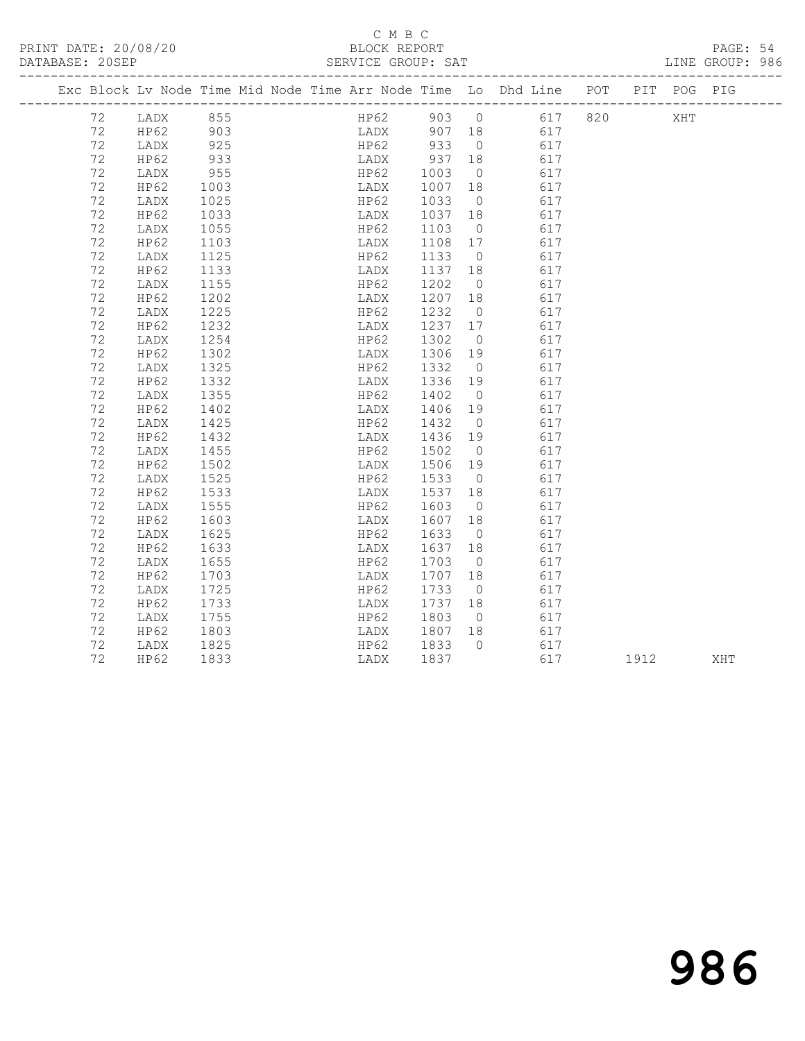### C M B C<br>BLOCK REPORT

PAGE: 54<br>LINE GROUP: 986

|  |    |      |            | Exc Block Lv Node Time Mid Node Time Arr Node Time Lo Dhd Line POT PIT POG PIG |      |                |                    |      |     |     |
|--|----|------|------------|--------------------------------------------------------------------------------|------|----------------|--------------------|------|-----|-----|
|  | 72 | LADX | 855        |                                                                                |      |                | HP62 903 0 617 820 |      | XHT |     |
|  | 72 | HP62 | 903<br>925 |                                                                                |      |                |                    |      |     |     |
|  | 72 | LADX |            |                                                                                |      |                |                    |      |     |     |
|  | 72 | HP62 | 933        | 11 - 2<br>LADX 937                                                             |      | 18             | 617                |      |     |     |
|  | 72 | LADX | 955        | HP62                                                                           | 1003 | $\overline{0}$ | 617                |      |     |     |
|  | 72 | HP62 | 1003       | LADX                                                                           | 1007 | 18             | 617                |      |     |     |
|  | 72 | LADX | 1025       | HP62                                                                           | 1033 | $\overline{0}$ | 617                |      |     |     |
|  | 72 | HP62 | 1033       | LADX                                                                           | 1037 | 18             | 617                |      |     |     |
|  | 72 | LADX | 1055       | HP62                                                                           | 1103 | $\overline{0}$ | 617                |      |     |     |
|  | 72 | HP62 | 1103       | LADX                                                                           | 1108 | 17             | 617                |      |     |     |
|  | 72 | LADX | 1125       | HP62                                                                           | 1133 | $\overline{0}$ | 617                |      |     |     |
|  | 72 | HP62 | 1133       | LADX                                                                           | 1137 | 18             | 617                |      |     |     |
|  | 72 | LADX | 1155       | HP62                                                                           | 1202 | $\overline{0}$ | 617                |      |     |     |
|  | 72 | HP62 | 1202       | LADX                                                                           | 1207 | 18             | 617                |      |     |     |
|  | 72 | LADX | 1225       | HP62                                                                           | 1232 | $\overline{0}$ | 617                |      |     |     |
|  | 72 | HP62 | 1232       | LADX                                                                           | 1237 | 17             | 617                |      |     |     |
|  | 72 | LADX | 1254       | HP62                                                                           | 1302 | $\overline{0}$ | 617                |      |     |     |
|  | 72 | HP62 | 1302       | LADX                                                                           | 1306 | 19             | 617                |      |     |     |
|  | 72 | LADX | 1325       | HP62                                                                           | 1332 | $\overline{0}$ | 617                |      |     |     |
|  | 72 | HP62 | 1332       | LADX                                                                           | 1336 | 19             | 617                |      |     |     |
|  | 72 | LADX | 1355       | HP62                                                                           | 1402 | $\overline{0}$ | 617                |      |     |     |
|  | 72 | HP62 | 1402       | LADX                                                                           | 1406 | 19             | 617                |      |     |     |
|  | 72 | LADX | 1425       | HP62                                                                           | 1432 | $\overline{0}$ | 617                |      |     |     |
|  | 72 | HP62 | 1432       | LADX                                                                           | 1436 | 19             | 617                |      |     |     |
|  | 72 | LADX | 1455       | HP62                                                                           | 1502 | $\overline{0}$ | 617                |      |     |     |
|  | 72 | HP62 | 1502       | LADX                                                                           | 1506 | 19             | 617                |      |     |     |
|  | 72 | LADX | 1525       | HP62                                                                           | 1533 | $\overline{0}$ | 617                |      |     |     |
|  | 72 | HP62 | 1533       | LADX                                                                           | 1537 | 18             | 617                |      |     |     |
|  | 72 | LADX | 1555       | HP62                                                                           | 1603 | $\overline{0}$ | 617                |      |     |     |
|  | 72 | HP62 | 1603       | LADX                                                                           | 1607 | 18             | 617                |      |     |     |
|  | 72 | LADX | 1625       | HP62                                                                           | 1633 | $\overline{0}$ | 617                |      |     |     |
|  | 72 | HP62 | 1633       | LADX                                                                           | 1637 | 18             | 617                |      |     |     |
|  | 72 | LADX | 1655       | HP62                                                                           | 1703 | $\overline{0}$ | 617                |      |     |     |
|  | 72 | HP62 | 1703       | LADX                                                                           | 1707 | 18             | 617                |      |     |     |
|  | 72 | LADX | 1725       | HP62                                                                           | 1733 | $\overline{0}$ | 617                |      |     |     |
|  | 72 | HP62 | 1733       | LADX                                                                           | 1737 | 18             | 617                |      |     |     |
|  | 72 | LADX | 1755       | HP62                                                                           | 1803 | $\overline{0}$ | 617                |      |     |     |
|  | 72 | HP62 | 1803       | LADX                                                                           | 1807 | 18             | 617                |      |     |     |
|  | 72 | LADX | 1825       | HP62                                                                           | 1833 | $\bigcirc$     | 617                |      |     |     |
|  | 72 | HP62 | 1833       | LADX                                                                           | 1837 |                | 617                | 1912 |     | XHT |
|  |    |      |            |                                                                                |      |                |                    |      |     |     |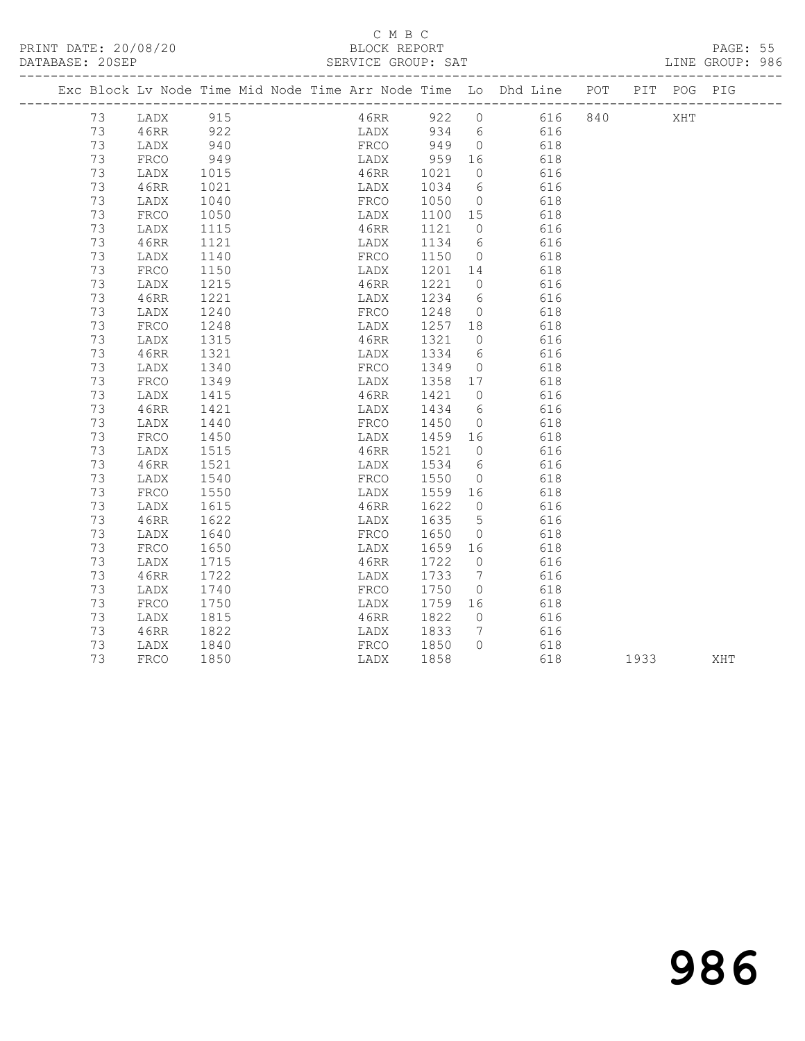PRINT DATE: 20/08/20 BLOCK REPORT BATABASE: 20SEP

### C M B C<br>BLOCK REPORT

PAGE: 55<br>LINE GROUP: 986

|    |      |          |  |      |      |                             |                | Exc Block Lv Node Time Mid Node Time Arr Node Time Lo Dhd Line POT |     |      |     | PIT POG PIG |
|----|------|----------|--|------|------|-----------------------------|----------------|--------------------------------------------------------------------|-----|------|-----|-------------|
| 73 |      | LADX 915 |  |      |      |                             |                | 46RR 922 0 616                                                     | 840 |      | XHT |             |
| 73 | 46RR | 922      |  |      |      |                             |                | LADX 934 6 616                                                     |     |      |     |             |
| 73 | LADX | 940      |  |      |      | FRCO 949 0                  |                | 618                                                                |     |      |     |             |
| 73 | FRCO | 949      |  |      |      |                             |                | 618                                                                |     |      |     |             |
| 73 | LADX | 1015     |  |      |      | LADX 959 16<br>46RR 1021 0  | $\overline{0}$ | 616                                                                |     |      |     |             |
| 73 | 46RR | 1021     |  |      |      | LADX 1034 6                 |                | 616                                                                |     |      |     |             |
| 73 | LADX | 1040     |  |      |      | FRCO 1050 0                 |                | 618                                                                |     |      |     |             |
| 73 | FRCO | 1050     |  |      |      | LADX 1100 15<br>46RR 1121 0 |                | 618                                                                |     |      |     |             |
| 73 | LADX | 1115     |  |      |      |                             |                | 616                                                                |     |      |     |             |
| 73 | 46RR | 1121     |  |      |      | LADX 1134 6                 |                | 616                                                                |     |      |     |             |
| 73 | LADX | 1140     |  |      |      | FRCO 1150 0                 |                | 618                                                                |     |      |     |             |
| 73 | FRCO | 1150     |  | LADX |      | 1201 14                     |                | 618                                                                |     |      |     |             |
| 73 | LADX | 1215     |  | 46RR |      | 1221 0                      |                | 616                                                                |     |      |     |             |
| 73 | 46RR | 1221     |  |      |      | LADX 1234 6                 |                | 616                                                                |     |      |     |             |
| 73 | LADX | 1240     |  | FRCO |      | 1248 0                      |                | 618                                                                |     |      |     |             |
| 73 | FRCO | 1248     |  | LADX |      | 1257 18                     |                | 618                                                                |     |      |     |             |
| 73 | LADX | 1315     |  |      |      | 1237 18<br>46RR 1321 0      |                | 616                                                                |     |      |     |             |
| 73 | 46RR | 1321     |  |      |      | LADX 1334 6                 |                | 616                                                                |     |      |     |             |
| 73 | LADX | 1340     |  |      |      | FRCO 1349                   | $\overline{0}$ | 618                                                                |     |      |     |             |
| 73 | FRCO | 1349     |  | LADX |      | 1358 17                     |                | 618                                                                |     |      |     |             |
| 73 | LADX | 1415     |  |      |      | 46RR 1421 0                 |                | 616                                                                |     |      |     |             |
| 73 | 46RR | 1421     |  | LADX |      | 1434 6                      |                | 616                                                                |     |      |     |             |
| 73 | LADX | 1440     |  |      | FRCO | 1450 0                      |                | 618                                                                |     |      |     |             |
| 73 | FRCO | 1450     |  | LADX |      | 1459 16                     |                | 618                                                                |     |      |     |             |
| 73 | LADX | 1515     |  |      |      | 46RR 1521 0                 |                | 616                                                                |     |      |     |             |
| 73 | 46RR | 1521     |  |      |      | LADX 1534 6                 |                | 616                                                                |     |      |     |             |
| 73 | LADX | 1540     |  | FRCO |      | 1550                        | $\overline{0}$ | 618                                                                |     |      |     |             |
| 73 | FRCO | 1550     |  | LADX |      | 1559 16                     |                | 618                                                                |     |      |     |             |
| 73 | LADX | 1615     |  |      |      | 46RR 1622 0                 |                | 616                                                                |     |      |     |             |
| 73 | 46RR | 1622     |  | LADX |      | 1635 5                      |                | 616                                                                |     |      |     |             |
| 73 | LADX | 1640     |  | FRCO |      | 1650                        | $\overline{0}$ | 618                                                                |     |      |     |             |
| 73 | FRCO | 1650     |  | LADX |      | 1659 16                     |                | 618                                                                |     |      |     |             |
| 73 | LADX | 1715     |  | 46RR |      | 1722 0                      |                | 616                                                                |     |      |     |             |
| 73 | 46RR | 1722     |  | LADX |      | 1733 7                      |                | 616                                                                |     |      |     |             |
| 73 | LADX | 1740     |  | FRCO |      | 1750                        | $\overline{0}$ | 618                                                                |     |      |     |             |
| 73 | FRCO | 1750     |  | LADX |      | 1759 16                     |                | 618                                                                |     |      |     |             |
| 73 | LADX | 1815     |  |      |      | 46RR 1822                   | $\overline{0}$ | 616                                                                |     |      |     |             |
| 73 | 46RR | 1822     |  | LADX |      | 1833                        | $\overline{7}$ | 616                                                                |     |      |     |             |
| 73 | LADX | 1840     |  | FRCO |      | 1850                        | $\bigcirc$     | 618                                                                |     |      |     |             |
| 73 | FRCO | 1850     |  | LADX |      | 1858                        |                | 618                                                                |     | 1933 |     | XHT         |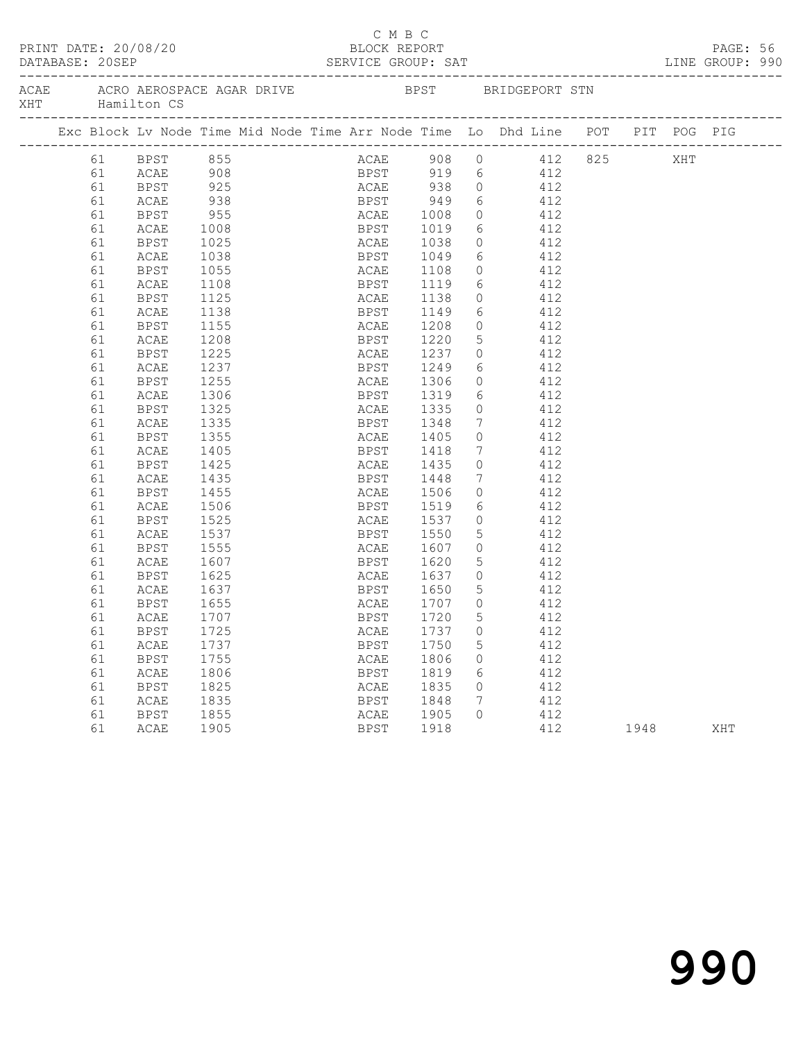|     | PRINT DATE: 20/08/20<br>DATABASE: 20SEP |    |                            |               |     |  | C M B C<br>BLOCK REPORT |      |                 | SERVICE GROUP: SAT                                                             |      | PAGE: 56<br>LINE GROUP: 990 |  |
|-----|-----------------------------------------|----|----------------------------|---------------|-----|--|-------------------------|------|-----------------|--------------------------------------------------------------------------------|------|-----------------------------|--|
| XHT |                                         |    | Hamilton CS                |               |     |  |                         |      |                 |                                                                                |      |                             |  |
|     |                                         |    |                            |               |     |  |                         |      |                 | Exc Block Lv Node Time Mid Node Time Arr Node Time Lo Dhd Line POT PIT POG PIG |      |                             |  |
|     |                                         |    | 61 BPST 855<br>61 ACAE 908 |               |     |  |                         |      |                 | ACAE 908 0 412 825 XHT                                                         |      |                             |  |
|     |                                         |    |                            |               |     |  |                         |      |                 | BPST 919 6 412                                                                 |      |                             |  |
|     |                                         | 61 | BPST                       |               | 925 |  |                         |      |                 | ACAE 938 0 412                                                                 |      |                             |  |
|     |                                         | 61 | <b>ACAE</b>                |               | 938 |  |                         |      |                 | BPST 949 6 412<br>ACAE 1008 0 412<br>BPST 1019 6 412                           |      |                             |  |
|     |                                         | 61 | BPST                       |               |     |  |                         |      |                 |                                                                                |      |                             |  |
|     |                                         | 61 | <b>ACAE</b>                | $955$<br>1008 |     |  |                         |      |                 |                                                                                |      |                             |  |
|     |                                         | 61 | BPST                       | 1025          |     |  | ACAE 1038               |      |                 | $0$ 412                                                                        |      |                             |  |
|     |                                         | 61 | ACAE                       | 1038          |     |  | BPST 1049               |      |                 | 6 412                                                                          |      |                             |  |
|     |                                         | 61 | BPST                       | 1055          |     |  |                         |      |                 |                                                                                |      |                             |  |
|     |                                         | 61 | ACAE                       | 1108          |     |  | ACAE 1108<br>BPST 1119  |      |                 | $\begin{array}{ccc} 0 & & 412 \\ 6 & & 412 \end{array}$                        |      |                             |  |
|     |                                         | 61 | BPST                       | 1125          |     |  | ACAE 1138               |      |                 | $0$ 412                                                                        |      |                             |  |
|     |                                         | 61 | ACAE                       | 1138          |     |  | BPST 1149               |      |                 | 6 412                                                                          |      |                             |  |
|     |                                         | 61 | BPST                       | 1155          |     |  |                         |      |                 |                                                                                |      |                             |  |
|     |                                         | 61 | ACAE                       | 1208          |     |  | ACAE 1208<br>BPST 1220  |      |                 | $\begin{array}{ccc} 0 & & 412 \\ 5 & & 412 \end{array}$                        |      |                             |  |
|     |                                         | 61 | BPST                       | 1225          |     |  |                         |      |                 | ACAE 1237 0 412                                                                |      |                             |  |
|     |                                         | 61 | ACAE                       | 1237          |     |  | BPST 1249               |      |                 | 6 412                                                                          |      |                             |  |
|     |                                         | 61 | BPST                       | 1255          |     |  |                         |      |                 |                                                                                |      |                             |  |
|     |                                         | 61 | ACAE                       | 1306          |     |  | ACAE 1306<br>BPST 1319  |      |                 | $\begin{array}{ccc} 0 & & 412 \\ 6 & & 412 \end{array}$                        |      |                             |  |
|     |                                         | 61 | BPST                       | 1325          |     |  | ACAE 1335               |      |                 | $0$ 412                                                                        |      |                             |  |
|     |                                         | 61 | ACAE                       | 1335          |     |  | BPST 1348               |      |                 | $7 \qquad \qquad 412$                                                          |      |                             |  |
|     |                                         | 61 | BPST                       | 1355          |     |  |                         |      | $\circ$         | 412                                                                            |      |                             |  |
|     |                                         | 61 | ACAE                       | 1405          |     |  | ACAE 1405<br>BPST 1418  |      | $7\overline{ }$ | 412                                                                            |      |                             |  |
|     |                                         | 61 | BPST                       | 1425          |     |  | ACAE 1435               |      |                 | $0$ 412                                                                        |      |                             |  |
|     |                                         | 61 | ACAE                       | 1435          |     |  | BPST 1448               |      |                 | 7 412                                                                          |      |                             |  |
|     |                                         | 61 | BPST                       | 1455          |     |  | ACAE 1506               |      |                 | $0 \t 412$                                                                     |      |                             |  |
|     |                                         | 61 | ACAE                       | 1506          |     |  | BPST 1519               |      |                 |                                                                                |      |                             |  |
|     |                                         | 61 | BPST                       | 1525          |     |  | ACAE 1537               |      |                 | $\begin{array}{ccc} 6 & & 412 \\ 0 & & 412 \end{array}$                        |      |                             |  |
|     |                                         | 61 | ACAE                       | 1537          |     |  | BPST 1550               |      |                 | 5 412                                                                          |      |                             |  |
|     |                                         | 61 | BPST                       | 1555          |     |  |                         |      |                 | $0$ 412                                                                        |      |                             |  |
|     |                                         | 61 | ACAE                       | 1607          |     |  | ACAE 1607<br>BPST 1620  |      |                 | 5 <sub>5</sub><br>412                                                          |      |                             |  |
|     |                                         | 61 | BPST                       | 1625          |     |  |                         |      |                 | ACAE 1637 0 412                                                                |      |                             |  |
|     |                                         | 61 | ACAE                       | 1637          |     |  |                         |      |                 | BPST 1650 5 412                                                                |      |                             |  |
|     |                                         | 61 | BPST                       | 1655          |     |  | <b>ACAE</b>             | 1707 | $\overline{0}$  | 412                                                                            |      |                             |  |
|     |                                         |    | 61 ACAE 1707               |               |     |  | BPST 1720 5             |      |                 | 412                                                                            |      |                             |  |
|     |                                         | 61 | BPST                       | 1725          |     |  | ACAE                    | 1737 | $\circ$         | 412                                                                            |      |                             |  |
|     |                                         | 61 | ACAE                       | 1737          |     |  | <b>BPST</b>             | 1750 | 5               | 412                                                                            |      |                             |  |
|     |                                         | 61 | <b>BPST</b>                | 1755          |     |  | ACAE                    | 1806 | 0               | 412                                                                            |      |                             |  |
|     |                                         | 61 | ACAE                       | 1806          |     |  | BPST                    | 1819 | 6               | 412                                                                            |      |                             |  |
|     |                                         | 61 | <b>BPST</b>                | 1825          |     |  | ACAE                    | 1835 | 0               | 412                                                                            |      |                             |  |
|     |                                         | 61 | ACAE                       | 1835          |     |  | BPST                    | 1848 | 7               | 412                                                                            |      |                             |  |
|     |                                         | 61 | <b>BPST</b>                | 1855          |     |  | ACAE                    | 1905 | 0               | 412                                                                            |      |                             |  |
|     |                                         | 61 | ACAE                       | 1905          |     |  | <b>BPST</b>             | 1918 |                 | 412                                                                            | 1948 | XHT                         |  |
|     |                                         |    |                            |               |     |  |                         |      |                 |                                                                                |      |                             |  |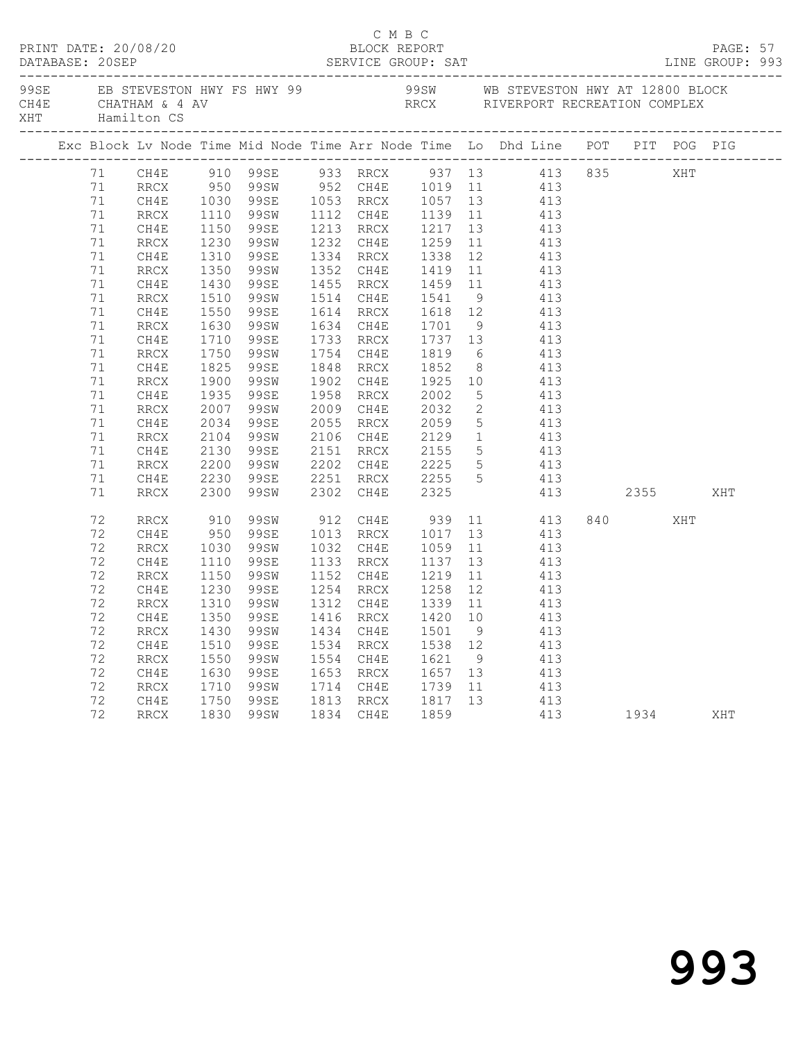|  |          | PRINT DATE: 20/08/20 |              |                        |      | C M B C<br>BLOCK REPORT                            |         |                |                                                                                                                                  |                |     | PAGE: 57 |  |
|--|----------|----------------------|--------------|------------------------|------|----------------------------------------------------|---------|----------------|----------------------------------------------------------------------------------------------------------------------------------|----------------|-----|----------|--|
|  |          | XHT Hamilton CS      |              |                        |      |                                                    |         |                |                                                                                                                                  |                |     |          |  |
|  |          |                      |              |                        |      |                                                    |         |                | Exc Block Lv Node Time Mid Node Time Arr Node Time Lo Dhd Line POT PIT POG PIG                                                   |                |     |          |  |
|  |          |                      |              |                        |      |                                                    |         |                | 71 CH4E 910 99SE 933 RRCX 937 13 413 835 XHT<br>71 RRCX 950 99SW 952 CH4E 1019 11 413<br>71 CH4E 1030 99SE 1053 RRCX 1057 13 413 |                |     |          |  |
|  |          |                      |              |                        |      |                                                    |         |                |                                                                                                                                  |                |     |          |  |
|  |          |                      |              |                        |      |                                                    |         |                |                                                                                                                                  |                |     |          |  |
|  | 71       | RRCX                 |              | 1110 99SW              |      |                                                    |         |                | 1112 CH4E 1139 11 413                                                                                                            |                |     |          |  |
|  | 71       | CH4E                 | 1150         | 99se                   |      |                                                    |         |                |                                                                                                                                  |                |     |          |  |
|  | 71       | RRCX                 |              | 99SW                   |      |                                                    |         |                |                                                                                                                                  |                |     |          |  |
|  | 71       | CH4E                 | 1230<br>1310 | 99se                   |      |                                                    |         |                | 1213 RRCX 1217 13 413<br>1232 CH4E 1259 11 413<br>1334 RRCX 1338 12 413                                                          |                |     |          |  |
|  | 71       | RRCX                 | 1350         | 99SW                   |      |                                                    |         |                | 1352 CH4E 1419 11 413                                                                                                            |                |     |          |  |
|  | 71       | CH4E                 | 1430         | 99se                   |      |                                                    |         |                | 1455 RRCX 1459 11 413                                                                                                            |                |     |          |  |
|  | 71       | RRCX                 |              | 99SW                   |      |                                                    |         |                |                                                                                                                                  |                |     |          |  |
|  | 71       | CH4E                 | 1510<br>1550 | 99SE                   |      |                                                    |         |                | 1514 CH4E 1541 9 413<br>1614 RRCX 1618 12 413                                                                                    |                |     |          |  |
|  | 71       | RRCX                 | 1630         | 99SW                   |      |                                                    |         |                | 1634 CH4E 1701 9 413                                                                                                             |                |     |          |  |
|  | 71       | CH4E                 | 1710         | 99SE                   |      |                                                    |         |                | 1733 RRCX 1737 13 413                                                                                                            |                |     |          |  |
|  | 71       | RRCX                 |              | 99SW                   |      |                                                    |         |                |                                                                                                                                  |                |     |          |  |
|  | 71       | CH4E                 | 1750<br>1825 | 99se                   |      | 1754 CH4E 1819<br>1848 RRCX 1852                   |         |                | $\begin{array}{ccc} 6 & & 413 \\ 8 & & 413 \end{array}$                                                                          |                |     |          |  |
|  | 71       | RRCX                 | 1900         | 99SW                   |      |                                                    |         |                | 1902 CH4E 1925 10 413                                                                                                            |                |     |          |  |
|  | 71       | CH4E                 | 1935         | 99SE                   |      | 1958 RRCX 2002                                     |         |                | 5 413                                                                                                                            |                |     |          |  |
|  | 71       | <b>RRCX</b>          | 2007         | 99SW                   |      |                                                    |         |                | $\begin{array}{ccc} 2 & 413 \\ 5 & 413 \end{array}$                                                                              |                |     |          |  |
|  | 71       | CH4E                 | 2007<br>2034 | 99se                   |      | 2009 CH4E 2032<br>2055 RRCX 2059<br>2106 CH4E 2129 |         | 5 <sup>5</sup> | 413                                                                                                                              |                |     |          |  |
|  | 71       | RRCX                 |              | 2104 99SW              |      |                                                    |         |                | $\frac{1}{1}$ 413                                                                                                                |                |     |          |  |
|  | 71       | CH4E                 | 2130         | 99SE                   |      | 2151 RRCX 2155                                     |         |                | 5 413                                                                                                                            |                |     |          |  |
|  | 71       | RRCX                 | 2200         | 99SW                   |      | 2202 CH4E                                          |         |                | 5 413                                                                                                                            |                |     |          |  |
|  | 71       | CH4E                 |              | 99se                   |      |                                                    |         |                | 413                                                                                                                              |                |     |          |  |
|  | 71       | RRCX                 | 2230<br>2300 | 99SW                   |      | 2202 CH4E 2225<br>2251 RRCX 2255<br>2302 CH4E 2325 |         | $\overline{5}$ | 413 2355                                                                                                                         |                |     | XHT      |  |
|  |          |                      |              |                        |      |                                                    |         |                |                                                                                                                                  |                |     |          |  |
|  | 72       | RRCX                 | 910<br>950   |                        |      |                                                    |         |                | 99SW 912 CH4E 939 11 413                                                                                                         | 840 and $\sim$ | XHT |          |  |
|  | 72<br>72 | CH4E                 | 1030         | 99se                   |      | 1013 RRCX 1017 13                                  | 1059    |                | 413<br>$\overline{11}$ $\overline{413}$                                                                                          |                |     |          |  |
|  |          | RRCX                 |              | 99SW                   |      | 1032 CH4E                                          |         |                | 1133 RRCX 1137 13 413                                                                                                            |                |     |          |  |
|  | 72       | CH4E                 | 1110         | 99se                   |      |                                                    |         |                |                                                                                                                                  |                |     |          |  |
|  | 72       | RRCX                 | 1150         | 99SW                   |      |                                                    |         |                | 1152 CH4E 1219 11 413<br>1254 RRCX 1258 12 413<br>1312 CH4E 1339 11 413                                                          |                |     |          |  |
|  | 72       | CH4E                 |              | 1230 99SE<br>1310 99SW |      |                                                    |         |                |                                                                                                                                  |                |     |          |  |
|  | 72       | RRCX                 |              |                        |      |                                                    |         |                |                                                                                                                                  |                |     |          |  |
|  |          |                      |              |                        |      |                                                    |         |                | 72 CH4E 1350 99SE 1416 RRCX 1420 10 413                                                                                          |                |     |          |  |
|  | 72       | RRCX                 | 1430         | 99SW                   | 1434 | CH4E                                               | 1501    | $\overline{9}$ | 413                                                                                                                              |                |     |          |  |
|  | 72       | CH4E                 | 1510         | 99se                   |      | 1534 RRCX                                          | 1538 12 |                | 413                                                                                                                              |                |     |          |  |
|  | 72       | RRCX                 | 1550         | 99SW                   | 1554 | CH4E                                               | 1621    | 9              | 413                                                                                                                              |                |     |          |  |
|  | 72       | CH4E                 | 1630         | 99SE                   | 1653 | RRCX                                               | 1657    | 13             | 413                                                                                                                              |                |     |          |  |
|  | 72       | RRCX                 | 1710         | 99SW                   | 1714 | CH4E                                               | 1739    | 11             | 413                                                                                                                              |                |     |          |  |
|  | 72       | CH4E                 | 1750         | 99SE                   | 1813 | $\rm RRCX$                                         | 1817    | 13             | 413                                                                                                                              |                |     |          |  |
|  | 72       | RRCX                 | 1830         | 99SW                   | 1834 | CH4E                                               | 1859    |                | 413                                                                                                                              | 1934           |     | XHT      |  |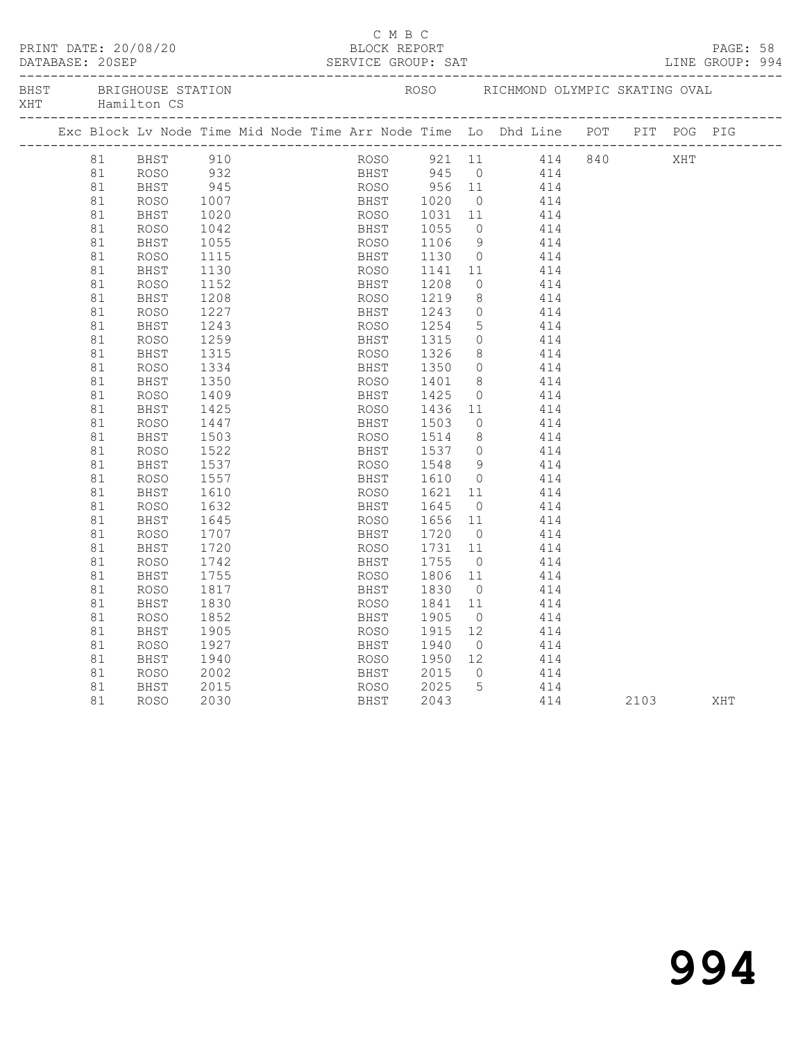|     | DATABASE: 20SEP | PRINT DATE: 20/08/20                  |              |  | C M B C<br>BLOCK REPORT<br>SERVICE GROUP: SAT |      |                |                                                                                                                    |  |     | PAGE: 58<br>LINE GROUP: 994 |  |
|-----|-----------------|---------------------------------------|--------------|--|-----------------------------------------------|------|----------------|--------------------------------------------------------------------------------------------------------------------|--|-----|-----------------------------|--|
| XHT |                 | BHST BRIGHOUSE STATION<br>Hamilton CS |              |  |                                               |      |                | ROSO RICHMOND OLYMPIC SKATING OVAL                                                                                 |  |     |                             |  |
|     |                 |                                       |              |  |                                               |      |                | Exc Block Lv Node Time Mid Node Time Arr Node Time Lo Dhd Line POT PIT POG PIG                                     |  |     |                             |  |
|     |                 |                                       |              |  |                                               |      |                | ROSO 921 11 414 840<br>BHST 945 0 414<br>ROSO 956 11 414<br>BHST 1020 0 414<br>ROSO 1031 11 414<br>BHST 1055 0 414 |  | XHT |                             |  |
|     |                 |                                       |              |  |                                               |      |                |                                                                                                                    |  |     |                             |  |
|     |                 |                                       |              |  |                                               |      |                |                                                                                                                    |  |     |                             |  |
|     |                 |                                       |              |  |                                               |      |                |                                                                                                                    |  |     |                             |  |
|     |                 |                                       |              |  |                                               |      |                |                                                                                                                    |  |     |                             |  |
|     | 81              | ROSO                                  | 1042         |  |                                               |      |                |                                                                                                                    |  |     |                             |  |
|     | 81              | BHST                                  | 1055         |  | ROSO 1106<br>BHST 1130                        |      |                | 9 414                                                                                                              |  |     |                             |  |
|     | 81              | <b>ROSO</b>                           | 1115         |  |                                               |      | $\bigcirc$     | 414                                                                                                                |  |     |                             |  |
|     | 81              | BHST                                  | 1130         |  | ROSO 1141                                     |      |                | 11 414                                                                                                             |  |     |                             |  |
|     | 81              | <b>ROSO</b>                           | 1152         |  | BHST 1208                                     |      | $\overline{0}$ | 414                                                                                                                |  |     |                             |  |
|     | 81              | BHST                                  | 1208         |  | ROSO 1219                                     |      |                | 8 414                                                                                                              |  |     |                             |  |
|     | 81              | <b>ROSO</b>                           | 1227         |  | BHST 1243                                     |      | $\overline{0}$ | 414                                                                                                                |  |     |                             |  |
|     | 81              | BHST                                  | 1243         |  | ROSO 1254                                     |      |                | $5$ $414$                                                                                                          |  |     |                             |  |
|     | 81              | ROSO                                  | 1259         |  | BHST                                          | 1315 | $\overline{0}$ | 414                                                                                                                |  |     |                             |  |
|     | 81              | BHST                                  | 1315         |  | ROSO 1326                                     |      | 8              | 414                                                                                                                |  |     |                             |  |
|     | 81              | <b>ROSO</b>                           | 1334         |  | BHST                                          | 1350 | $\overline{0}$ | 414                                                                                                                |  |     |                             |  |
|     | 81              | BHST                                  | 1350         |  | ROSO 1401                                     |      |                | $\begin{array}{c}\n 8 \\  \hline\n 8\n \end{array}\n \qquad\n \begin{array}{c}\n 414 \\  \end{array}$              |  |     |                             |  |
|     | 81              | ROSO                                  | 1409         |  |                                               |      |                |                                                                                                                    |  |     |                             |  |
|     | 81              | BHST                                  | 1425         |  | BHST 1425<br>ROSO 1436                        |      |                | $\begin{array}{ccc} 0 & 414 \\ 11 & 414 \end{array}$                                                               |  |     |                             |  |
|     | 81              | ROSO                                  | 1447         |  |                                               |      | $\overline{0}$ | 414                                                                                                                |  |     |                             |  |
|     | 81              | BHST                                  | 1503         |  | BHST 1503<br>ROSO 1514                        |      | 8 <sup>8</sup> | 414                                                                                                                |  |     |                             |  |
|     | 81              | ROSO                                  | 1522         |  |                                               |      |                |                                                                                                                    |  |     |                             |  |
|     | 81              | BHST                                  | 1537         |  | BHST 1537<br>ROSO 1548                        |      |                | $\begin{array}{ccc} 0 & & 414 \\ 9 & & 414 \end{array}$                                                            |  |     |                             |  |
|     | 81              | ROSO                                  | 1557         |  |                                               |      |                |                                                                                                                    |  |     |                             |  |
|     | 81              | BHST                                  | 1610         |  |                                               |      |                | BHST 1610 0 414<br>ROSO 1621 11 414                                                                                |  |     |                             |  |
|     | 81              | ROSO                                  | 1632         |  |                                               |      |                | 414                                                                                                                |  |     |                             |  |
|     | 81              | BHST                                  | 1645         |  | BHST 1645 0<br>ROSO 1656 11                   |      |                | 414                                                                                                                |  |     |                             |  |
|     | 81              | ROSO                                  | 1707         |  |                                               |      | $\overline{0}$ | 414                                                                                                                |  |     |                             |  |
|     | 81              | BHST                                  | 1720         |  | BHST 1720 0<br>ROSO 1731 11                   |      |                | 414                                                                                                                |  |     |                             |  |
|     | 81              | <b>ROSO</b>                           | 1742         |  | BHST 1755                                     |      |                | $\overline{O}$<br>414                                                                                              |  |     |                             |  |
|     | 81              | BHST                                  | 1755         |  | ROSO 1806 11                                  |      |                | 414                                                                                                                |  |     |                             |  |
|     | 81              | ROSO                                  | 1817         |  | BHST 1830                                     |      |                | $0 \t 414$                                                                                                         |  |     |                             |  |
|     | 81              | BHST                                  | 1830         |  | ROSO 1841 11                                  |      |                | 414                                                                                                                |  |     |                             |  |
|     | 81              | ROSO                                  | 1852         |  | BHST 1905                                     |      |                | $0 \t 414$                                                                                                         |  |     |                             |  |
|     | 81              | BHST                                  | 1905         |  | ROSO 1915                                     |      | 12             | 414                                                                                                                |  |     |                             |  |
|     | 81              | ROSO                                  | 1927         |  | BHST 1940                                     |      |                | $0$ 414                                                                                                            |  |     |                             |  |
|     | 81              | BHST                                  | 1940         |  | ROSO 1950                                     |      | 12             | 414                                                                                                                |  |     |                             |  |
|     | 81              | ROSO                                  | 2002         |  | BHST                                          | 2015 |                | $\begin{array}{ccc}\n 12 & 414 \\  \hline\n 0 & 414\n \end{array}$                                                 |  |     |                             |  |
|     |                 |                                       |              |  |                                               |      |                |                                                                                                                    |  |     |                             |  |
|     | 81              | BHST                                  | 2015<br>2030 |  | ROSO 2025<br>EXECT 2043                       |      |                | $\begin{array}{cccc} 5 & 414 & 2103 & \text{XHT} \end{array}$                                                      |  |     |                             |  |
|     | 81              | ROSO                                  |              |  |                                               |      |                |                                                                                                                    |  |     |                             |  |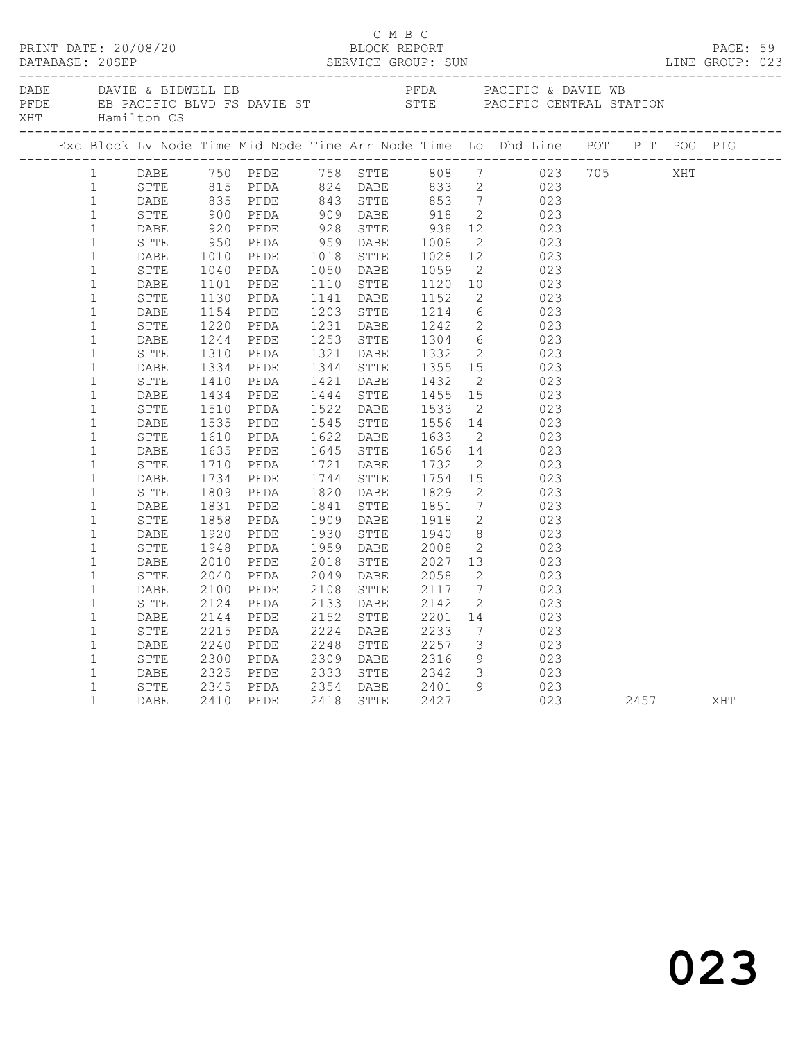| DAVIE & BIDWELL EB<br>PEDA PACIFIC & DAVIE WB<br>PEDE EB PACIFIC BLVD FS DAVIE ST STTE PACIFIC CENTRAL STATION<br>XHT Hamilton CS<br>Exc Block Lv Node Time Mid Node Time Arr Node Time Lo Dhd Line POT PIT POG PIG<br>1 DABE 750 PFDE 758 STTE 808 7 023 705 XHT<br>1<br>STTE<br>DABE<br>STTE<br>DABE<br>STTE<br>DABE<br>$\mathbf{1}$<br>$\mathbf{1}$<br>$\mathbf{1}$<br>$\mathbf{1}$<br>$\mathbf{1}$<br>$\mathbf{1}$<br>STTE<br>$\mathbf{1}$<br>DABE<br>$\mathbf{1}$<br>STTE<br>$\mathbf{1}$<br>DABE<br>$\mathbf{1}$<br>STTE<br>$\mathbf{1}$<br>DABE<br>$\mathbf{1}$<br>STTE<br>$\mathbf{1}$<br>DABE<br>$\mathbf{1}$<br>STTE<br>$\mathbf{1}$<br>DABE<br>$\mathbf{1}$<br>STTE<br>$\mathbf{1}$<br>DABE<br>$\mathbf{1}$<br>STTE<br>$\mathbf{1}$<br>DABE<br>$\mathbf{1}$<br>STTE<br>$\mathbf{1}$<br>DABE<br>$\mathbf{1}$<br>STTE<br>$\mathbf{1}$<br>DABE<br>$\mathbf{1}$<br>STTE<br>$\mathbf{1}$<br>DABE<br>$\mathbf{1}$<br>STTE<br>PFDE 2018 STTE 2027 13 023<br>PFDA 2049 DABE 2058 2 023<br>2010<br>$1\,$<br>DABE<br>PFDE<br>2040<br>$1\,$<br>STTE<br>2100<br>2108 STTE 2117 7 023<br>2133 DABE 2142 2 023<br>$\mathbf{1}$<br>DABE<br>PFDE<br>2124<br>$\mathbf{1}$<br>STTE<br>PFDA<br>PFDE 2152 STTE 2201 14<br>PFDA 2224 DABE 2233 7<br>PFDE 2248 STTE 2257 3<br>2144 PFDE<br>023<br>$1\,$<br>DABE<br>2215 PFDA<br>2240 PFDE<br>$7\overline{ }$<br>$\mathbf{1}$<br>023<br>STTE<br>3 023<br>$\mathbf{1}$<br>DABE<br>2300 PFDA 2309 DABE 2316<br>2325 PFDE 2333 STTE 2342<br>$\mathbf{1}$<br>STTE<br>$\begin{array}{ccc} 9 & & 023 \\ 3 & & 023 \end{array}$<br>$\mathbf{1}$<br>DABE<br>STTE 2345 PFDA 2354 DABE 2401 9 023<br>DABE 2410 PFDE 2418 STTE 2427 023 2457 XHT<br>$\mathbf{1}$<br>$\mathbf{1}$ | C M B C<br>PRINT DATE: 20/08/20<br>BLOCK REPORT BLOCK PRESSER SUN DATABASE: 20SEP SERVICE GROUP: SUN SERVICE GROUP: SUN LINE GROUP: 023<br>PAGE: 59<br>LINE GROUP: 023 |  |  |  |  |  |  |  |  |  |  |  |  |  |
|-----------------------------------------------------------------------------------------------------------------------------------------------------------------------------------------------------------------------------------------------------------------------------------------------------------------------------------------------------------------------------------------------------------------------------------------------------------------------------------------------------------------------------------------------------------------------------------------------------------------------------------------------------------------------------------------------------------------------------------------------------------------------------------------------------------------------------------------------------------------------------------------------------------------------------------------------------------------------------------------------------------------------------------------------------------------------------------------------------------------------------------------------------------------------------------------------------------------------------------------------------------------------------------------------------------------------------------------------------------------------------------------------------------------------------------------------------------------------------------------------------------------------------------------------------------------------------------------------------------------------------------------------------------------------------------------------------------|------------------------------------------------------------------------------------------------------------------------------------------------------------------------|--|--|--|--|--|--|--|--|--|--|--|--|--|
|                                                                                                                                                                                                                                                                                                                                                                                                                                                                                                                                                                                                                                                                                                                                                                                                                                                                                                                                                                                                                                                                                                                                                                                                                                                                                                                                                                                                                                                                                                                                                                                                                                                                                                           |                                                                                                                                                                        |  |  |  |  |  |  |  |  |  |  |  |  |  |
|                                                                                                                                                                                                                                                                                                                                                                                                                                                                                                                                                                                                                                                                                                                                                                                                                                                                                                                                                                                                                                                                                                                                                                                                                                                                                                                                                                                                                                                                                                                                                                                                                                                                                                           |                                                                                                                                                                        |  |  |  |  |  |  |  |  |  |  |  |  |  |
|                                                                                                                                                                                                                                                                                                                                                                                                                                                                                                                                                                                                                                                                                                                                                                                                                                                                                                                                                                                                                                                                                                                                                                                                                                                                                                                                                                                                                                                                                                                                                                                                                                                                                                           |                                                                                                                                                                        |  |  |  |  |  |  |  |  |  |  |  |  |  |
|                                                                                                                                                                                                                                                                                                                                                                                                                                                                                                                                                                                                                                                                                                                                                                                                                                                                                                                                                                                                                                                                                                                                                                                                                                                                                                                                                                                                                                                                                                                                                                                                                                                                                                           |                                                                                                                                                                        |  |  |  |  |  |  |  |  |  |  |  |  |  |
|                                                                                                                                                                                                                                                                                                                                                                                                                                                                                                                                                                                                                                                                                                                                                                                                                                                                                                                                                                                                                                                                                                                                                                                                                                                                                                                                                                                                                                                                                                                                                                                                                                                                                                           |                                                                                                                                                                        |  |  |  |  |  |  |  |  |  |  |  |  |  |
|                                                                                                                                                                                                                                                                                                                                                                                                                                                                                                                                                                                                                                                                                                                                                                                                                                                                                                                                                                                                                                                                                                                                                                                                                                                                                                                                                                                                                                                                                                                                                                                                                                                                                                           |                                                                                                                                                                        |  |  |  |  |  |  |  |  |  |  |  |  |  |
|                                                                                                                                                                                                                                                                                                                                                                                                                                                                                                                                                                                                                                                                                                                                                                                                                                                                                                                                                                                                                                                                                                                                                                                                                                                                                                                                                                                                                                                                                                                                                                                                                                                                                                           |                                                                                                                                                                        |  |  |  |  |  |  |  |  |  |  |  |  |  |
|                                                                                                                                                                                                                                                                                                                                                                                                                                                                                                                                                                                                                                                                                                                                                                                                                                                                                                                                                                                                                                                                                                                                                                                                                                                                                                                                                                                                                                                                                                                                                                                                                                                                                                           |                                                                                                                                                                        |  |  |  |  |  |  |  |  |  |  |  |  |  |
|                                                                                                                                                                                                                                                                                                                                                                                                                                                                                                                                                                                                                                                                                                                                                                                                                                                                                                                                                                                                                                                                                                                                                                                                                                                                                                                                                                                                                                                                                                                                                                                                                                                                                                           |                                                                                                                                                                        |  |  |  |  |  |  |  |  |  |  |  |  |  |
|                                                                                                                                                                                                                                                                                                                                                                                                                                                                                                                                                                                                                                                                                                                                                                                                                                                                                                                                                                                                                                                                                                                                                                                                                                                                                                                                                                                                                                                                                                                                                                                                                                                                                                           |                                                                                                                                                                        |  |  |  |  |  |  |  |  |  |  |  |  |  |
|                                                                                                                                                                                                                                                                                                                                                                                                                                                                                                                                                                                                                                                                                                                                                                                                                                                                                                                                                                                                                                                                                                                                                                                                                                                                                                                                                                                                                                                                                                                                                                                                                                                                                                           |                                                                                                                                                                        |  |  |  |  |  |  |  |  |  |  |  |  |  |
|                                                                                                                                                                                                                                                                                                                                                                                                                                                                                                                                                                                                                                                                                                                                                                                                                                                                                                                                                                                                                                                                                                                                                                                                                                                                                                                                                                                                                                                                                                                                                                                                                                                                                                           |                                                                                                                                                                        |  |  |  |  |  |  |  |  |  |  |  |  |  |
|                                                                                                                                                                                                                                                                                                                                                                                                                                                                                                                                                                                                                                                                                                                                                                                                                                                                                                                                                                                                                                                                                                                                                                                                                                                                                                                                                                                                                                                                                                                                                                                                                                                                                                           |                                                                                                                                                                        |  |  |  |  |  |  |  |  |  |  |  |  |  |
|                                                                                                                                                                                                                                                                                                                                                                                                                                                                                                                                                                                                                                                                                                                                                                                                                                                                                                                                                                                                                                                                                                                                                                                                                                                                                                                                                                                                                                                                                                                                                                                                                                                                                                           |                                                                                                                                                                        |  |  |  |  |  |  |  |  |  |  |  |  |  |
|                                                                                                                                                                                                                                                                                                                                                                                                                                                                                                                                                                                                                                                                                                                                                                                                                                                                                                                                                                                                                                                                                                                                                                                                                                                                                                                                                                                                                                                                                                                                                                                                                                                                                                           |                                                                                                                                                                        |  |  |  |  |  |  |  |  |  |  |  |  |  |
|                                                                                                                                                                                                                                                                                                                                                                                                                                                                                                                                                                                                                                                                                                                                                                                                                                                                                                                                                                                                                                                                                                                                                                                                                                                                                                                                                                                                                                                                                                                                                                                                                                                                                                           |                                                                                                                                                                        |  |  |  |  |  |  |  |  |  |  |  |  |  |
|                                                                                                                                                                                                                                                                                                                                                                                                                                                                                                                                                                                                                                                                                                                                                                                                                                                                                                                                                                                                                                                                                                                                                                                                                                                                                                                                                                                                                                                                                                                                                                                                                                                                                                           |                                                                                                                                                                        |  |  |  |  |  |  |  |  |  |  |  |  |  |
|                                                                                                                                                                                                                                                                                                                                                                                                                                                                                                                                                                                                                                                                                                                                                                                                                                                                                                                                                                                                                                                                                                                                                                                                                                                                                                                                                                                                                                                                                                                                                                                                                                                                                                           |                                                                                                                                                                        |  |  |  |  |  |  |  |  |  |  |  |  |  |
|                                                                                                                                                                                                                                                                                                                                                                                                                                                                                                                                                                                                                                                                                                                                                                                                                                                                                                                                                                                                                                                                                                                                                                                                                                                                                                                                                                                                                                                                                                                                                                                                                                                                                                           |                                                                                                                                                                        |  |  |  |  |  |  |  |  |  |  |  |  |  |
|                                                                                                                                                                                                                                                                                                                                                                                                                                                                                                                                                                                                                                                                                                                                                                                                                                                                                                                                                                                                                                                                                                                                                                                                                                                                                                                                                                                                                                                                                                                                                                                                                                                                                                           |                                                                                                                                                                        |  |  |  |  |  |  |  |  |  |  |  |  |  |
|                                                                                                                                                                                                                                                                                                                                                                                                                                                                                                                                                                                                                                                                                                                                                                                                                                                                                                                                                                                                                                                                                                                                                                                                                                                                                                                                                                                                                                                                                                                                                                                                                                                                                                           |                                                                                                                                                                        |  |  |  |  |  |  |  |  |  |  |  |  |  |
|                                                                                                                                                                                                                                                                                                                                                                                                                                                                                                                                                                                                                                                                                                                                                                                                                                                                                                                                                                                                                                                                                                                                                                                                                                                                                                                                                                                                                                                                                                                                                                                                                                                                                                           |                                                                                                                                                                        |  |  |  |  |  |  |  |  |  |  |  |  |  |
|                                                                                                                                                                                                                                                                                                                                                                                                                                                                                                                                                                                                                                                                                                                                                                                                                                                                                                                                                                                                                                                                                                                                                                                                                                                                                                                                                                                                                                                                                                                                                                                                                                                                                                           |                                                                                                                                                                        |  |  |  |  |  |  |  |  |  |  |  |  |  |
|                                                                                                                                                                                                                                                                                                                                                                                                                                                                                                                                                                                                                                                                                                                                                                                                                                                                                                                                                                                                                                                                                                                                                                                                                                                                                                                                                                                                                                                                                                                                                                                                                                                                                                           |                                                                                                                                                                        |  |  |  |  |  |  |  |  |  |  |  |  |  |
|                                                                                                                                                                                                                                                                                                                                                                                                                                                                                                                                                                                                                                                                                                                                                                                                                                                                                                                                                                                                                                                                                                                                                                                                                                                                                                                                                                                                                                                                                                                                                                                                                                                                                                           |                                                                                                                                                                        |  |  |  |  |  |  |  |  |  |  |  |  |  |
|                                                                                                                                                                                                                                                                                                                                                                                                                                                                                                                                                                                                                                                                                                                                                                                                                                                                                                                                                                                                                                                                                                                                                                                                                                                                                                                                                                                                                                                                                                                                                                                                                                                                                                           |                                                                                                                                                                        |  |  |  |  |  |  |  |  |  |  |  |  |  |
|                                                                                                                                                                                                                                                                                                                                                                                                                                                                                                                                                                                                                                                                                                                                                                                                                                                                                                                                                                                                                                                                                                                                                                                                                                                                                                                                                                                                                                                                                                                                                                                                                                                                                                           |                                                                                                                                                                        |  |  |  |  |  |  |  |  |  |  |  |  |  |
|                                                                                                                                                                                                                                                                                                                                                                                                                                                                                                                                                                                                                                                                                                                                                                                                                                                                                                                                                                                                                                                                                                                                                                                                                                                                                                                                                                                                                                                                                                                                                                                                                                                                                                           |                                                                                                                                                                        |  |  |  |  |  |  |  |  |  |  |  |  |  |
|                                                                                                                                                                                                                                                                                                                                                                                                                                                                                                                                                                                                                                                                                                                                                                                                                                                                                                                                                                                                                                                                                                                                                                                                                                                                                                                                                                                                                                                                                                                                                                                                                                                                                                           |                                                                                                                                                                        |  |  |  |  |  |  |  |  |  |  |  |  |  |
|                                                                                                                                                                                                                                                                                                                                                                                                                                                                                                                                                                                                                                                                                                                                                                                                                                                                                                                                                                                                                                                                                                                                                                                                                                                                                                                                                                                                                                                                                                                                                                                                                                                                                                           |                                                                                                                                                                        |  |  |  |  |  |  |  |  |  |  |  |  |  |
|                                                                                                                                                                                                                                                                                                                                                                                                                                                                                                                                                                                                                                                                                                                                                                                                                                                                                                                                                                                                                                                                                                                                                                                                                                                                                                                                                                                                                                                                                                                                                                                                                                                                                                           |                                                                                                                                                                        |  |  |  |  |  |  |  |  |  |  |  |  |  |
|                                                                                                                                                                                                                                                                                                                                                                                                                                                                                                                                                                                                                                                                                                                                                                                                                                                                                                                                                                                                                                                                                                                                                                                                                                                                                                                                                                                                                                                                                                                                                                                                                                                                                                           |                                                                                                                                                                        |  |  |  |  |  |  |  |  |  |  |  |  |  |
|                                                                                                                                                                                                                                                                                                                                                                                                                                                                                                                                                                                                                                                                                                                                                                                                                                                                                                                                                                                                                                                                                                                                                                                                                                                                                                                                                                                                                                                                                                                                                                                                                                                                                                           |                                                                                                                                                                        |  |  |  |  |  |  |  |  |  |  |  |  |  |
|                                                                                                                                                                                                                                                                                                                                                                                                                                                                                                                                                                                                                                                                                                                                                                                                                                                                                                                                                                                                                                                                                                                                                                                                                                                                                                                                                                                                                                                                                                                                                                                                                                                                                                           |                                                                                                                                                                        |  |  |  |  |  |  |  |  |  |  |  |  |  |
|                                                                                                                                                                                                                                                                                                                                                                                                                                                                                                                                                                                                                                                                                                                                                                                                                                                                                                                                                                                                                                                                                                                                                                                                                                                                                                                                                                                                                                                                                                                                                                                                                                                                                                           |                                                                                                                                                                        |  |  |  |  |  |  |  |  |  |  |  |  |  |
|                                                                                                                                                                                                                                                                                                                                                                                                                                                                                                                                                                                                                                                                                                                                                                                                                                                                                                                                                                                                                                                                                                                                                                                                                                                                                                                                                                                                                                                                                                                                                                                                                                                                                                           |                                                                                                                                                                        |  |  |  |  |  |  |  |  |  |  |  |  |  |
|                                                                                                                                                                                                                                                                                                                                                                                                                                                                                                                                                                                                                                                                                                                                                                                                                                                                                                                                                                                                                                                                                                                                                                                                                                                                                                                                                                                                                                                                                                                                                                                                                                                                                                           |                                                                                                                                                                        |  |  |  |  |  |  |  |  |  |  |  |  |  |
|                                                                                                                                                                                                                                                                                                                                                                                                                                                                                                                                                                                                                                                                                                                                                                                                                                                                                                                                                                                                                                                                                                                                                                                                                                                                                                                                                                                                                                                                                                                                                                                                                                                                                                           |                                                                                                                                                                        |  |  |  |  |  |  |  |  |  |  |  |  |  |
|                                                                                                                                                                                                                                                                                                                                                                                                                                                                                                                                                                                                                                                                                                                                                                                                                                                                                                                                                                                                                                                                                                                                                                                                                                                                                                                                                                                                                                                                                                                                                                                                                                                                                                           |                                                                                                                                                                        |  |  |  |  |  |  |  |  |  |  |  |  |  |
|                                                                                                                                                                                                                                                                                                                                                                                                                                                                                                                                                                                                                                                                                                                                                                                                                                                                                                                                                                                                                                                                                                                                                                                                                                                                                                                                                                                                                                                                                                                                                                                                                                                                                                           |                                                                                                                                                                        |  |  |  |  |  |  |  |  |  |  |  |  |  |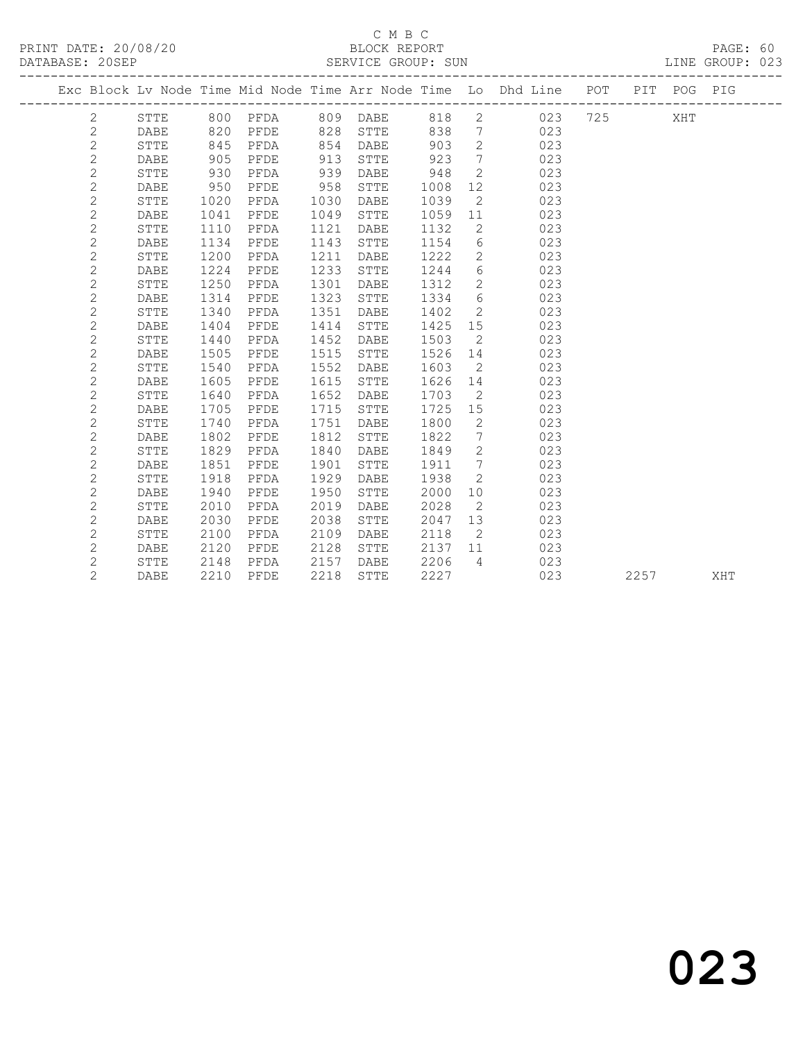|                |              |      |      |      |              |      |                              | Exc Block Lv Node Time Mid Node Time Arr Node Time Lo Dhd Line POT |     |      | PIT POG PIG |     |
|----------------|--------------|------|------|------|--------------|------|------------------------------|--------------------------------------------------------------------|-----|------|-------------|-----|
| $\mathbf{2}$   | STTE         |      |      |      |              | 818  | $\overline{2}$               | 023                                                                | 725 |      | XHT         |     |
| $\mathbf{2}$   | DABE         | 820  | PFDE | 828  | STTE         | 838  | $7\overline{ }$              | 023                                                                |     |      |             |     |
| $\mathbf{2}$   | STTE         | 845  | PFDA | 854  | DABE         | 903  | $\overline{2}$               | 023                                                                |     |      |             |     |
| $\sqrt{2}$     | DABE         | 905  | PFDE | 913  | STTE         | 923  | $\overline{7}$               | 023                                                                |     |      |             |     |
| $\mathbf{2}$   | STTE         | 930  | PFDA | 939  | DABE         | 948  | $\overline{2}$               | 023                                                                |     |      |             |     |
| $\mathbf{2}$   | DABE         | 950  | PFDE | 958  | STTE         | 1008 | 12                           | 023                                                                |     |      |             |     |
| $\mathbf{2}$   | STTE         | 1020 | PFDA | 1030 | DABE         | 1039 | 2                            | 023                                                                |     |      |             |     |
| $\mathbf{2}$   | DABE         | 1041 | PFDE | 1049 | STTE         | 1059 | 11                           | 023                                                                |     |      |             |     |
| $\mathbf{2}$   | STTE         | 1110 | PFDA | 1121 | DABE         | 1132 | $\mathbf{2}$                 | 023                                                                |     |      |             |     |
| $\mathbf{2}$   | DABE         | 1134 | PFDE | 1143 | ${\tt STTE}$ | 1154 | 6                            | 023                                                                |     |      |             |     |
| $\mathbf{2}$   | STTE         | 1200 | PFDA | 1211 | DABE         | 1222 | $2^{\circ}$                  | 023                                                                |     |      |             |     |
| $\mathbf{2}$   | <b>DABE</b>  | 1224 | PFDE | 1233 | STTE         | 1244 | 6                            | 023                                                                |     |      |             |     |
| $\mathbf{2}$   | <b>STTE</b>  | 1250 | PFDA | 1301 | DABE         | 1312 | $\overline{2}$               | 023                                                                |     |      |             |     |
| $\mathbf{2}$   | <b>DABE</b>  | 1314 | PFDE | 1323 | STTE         | 1334 | 6                            | 023                                                                |     |      |             |     |
| $\mathbf{2}$   | ${\tt STTE}$ | 1340 | PFDA | 1351 | DABE         | 1402 | $2^{\circ}$                  | 023                                                                |     |      |             |     |
| $\mathbf{2}$   | DABE         | 1404 | PFDE | 1414 | STTE         | 1425 | 15                           | 023                                                                |     |      |             |     |
| $\mathbf{2}$   | STTE         | 1440 | PFDA | 1452 | DABE         | 1503 | $\overline{2}$               | 023                                                                |     |      |             |     |
| $\mathbf{2}$   | <b>DABE</b>  | 1505 | PFDE | 1515 | STTE         | 1526 | 14                           | 023                                                                |     |      |             |     |
| $\mathbf{2}$   | STTE         | 1540 | PFDA | 1552 | DABE         | 1603 | $\overline{2}$               | 023                                                                |     |      |             |     |
| $\mathbf{2}$   | <b>DABE</b>  | 1605 | PFDE | 1615 | STTE         | 1626 | 14                           | 023                                                                |     |      |             |     |
| $\mathbf{2}$   | STTE         | 1640 | PFDA | 1652 | DABE         | 1703 | $\overline{2}$               | 023                                                                |     |      |             |     |
| $\mathbf{2}$   | <b>DABE</b>  | 1705 | PFDE | 1715 | STTE         | 1725 | 15                           | 023                                                                |     |      |             |     |
| $\mathbf{2}$   | STTE         | 1740 | PFDA | 1751 | DABE         | 1800 | $\mathbf{2}$                 | 023                                                                |     |      |             |     |
| $\mathbf{2}$   | <b>DABE</b>  | 1802 | PFDE | 1812 | STTE         | 1822 | $7\phantom{.0}\phantom{.0}7$ | 023                                                                |     |      |             |     |
| $\mathbf{2}$   | STTE         | 1829 | PFDA | 1840 | DABE         | 1849 | $\overline{2}$               | 023                                                                |     |      |             |     |
| $\mathbf{2}$   | <b>DABE</b>  | 1851 | PFDE | 1901 | STTE         | 1911 | $7\phantom{.0}\phantom{.0}7$ | 023                                                                |     |      |             |     |
| $\overline{c}$ | <b>STTE</b>  | 1918 | PFDA | 1929 | DABE         | 1938 | $\overline{2}$               | 023                                                                |     |      |             |     |
| $\mathbf{2}$   | <b>DABE</b>  | 1940 | PFDE | 1950 | STTE         | 2000 | 10                           | 023                                                                |     |      |             |     |
| $\mathbf{2}$   | <b>STTE</b>  | 2010 | PFDA | 2019 | DABE         | 2028 | $\overline{2}$               | 023                                                                |     |      |             |     |
| $\mathbf{2}$   | <b>DABE</b>  | 2030 | PFDE | 2038 | STTE         | 2047 | 13                           | 023                                                                |     |      |             |     |
| $\mathbf{2}$   | <b>STTE</b>  | 2100 | PFDA | 2109 | DABE         | 2118 | 2                            | 023                                                                |     |      |             |     |
| $\mathbf{2}$   | <b>DABE</b>  | 2120 | PFDE | 2128 | STTE         | 2137 | 11                           | 023                                                                |     |      |             |     |
| $\mathbf{2}$   | STTE         | 2148 | PFDA | 2157 | DABE         | 2206 | $\overline{4}$               | 023                                                                |     |      |             |     |
| $\overline{2}$ | DABE         | 2210 | PFDE | 2218 | STTE         | 2227 |                              | 023                                                                |     | 2257 |             | XHT |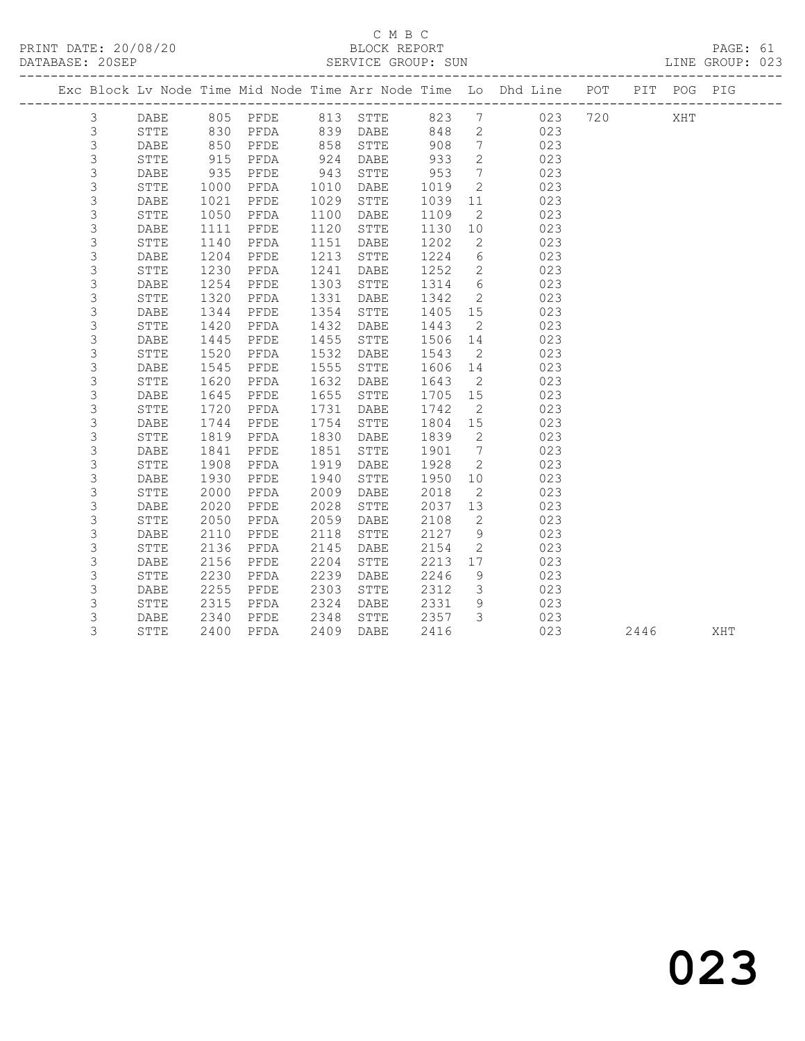#### C M B C<br>BLOCK REPORT SERVICE GROUP: SUN

------------------------------------------------------------------------------------------------- Exc Block Lv Node Time Mid Node Time Arr Node Time Lo Dhd Line POT PIT POG PIG -------------------------------------------------------------------------------------------------

| $\mathsf 3$ | DABE            | 805  | PFDE         | 813  | <b>STTE</b>     | 823  | 7                | 023 | 720 | XHT  |     |
|-------------|-----------------|------|--------------|------|-----------------|------|------------------|-----|-----|------|-----|
| 3           | <b>STTE</b>     | 830  | PFDA         | 839  | <b>DABE</b>     | 848  | $\mathbf{2}$     | 023 |     |      |     |
| 3           | DABE            | 850  | PFDE         | 858  | ${\tt STTE}$    | 908  | $\overline{7}$   | 023 |     |      |     |
| 3           | ${\tt STTE}$    | 915  | PFDA         | 924  | <b>DABE</b>     | 933  | $\overline{c}$   | 023 |     |      |     |
| 3           | DABE            | 935  | ${\tt PFDE}$ | 943  | ${\tt STTE}$    | 953  | $\boldsymbol{7}$ | 023 |     |      |     |
| 3           | ${\tt STTE}$    | 1000 | PFDA         | 1010 | $\mathtt{DABE}$ | 1019 | $\overline{c}$   | 023 |     |      |     |
| 3           | DABE            | 1021 | PFDE         | 1029 | ${\tt STTE}$    | 1039 | 11               | 023 |     |      |     |
| 3           | <b>STTE</b>     | 1050 | PFDA         | 1100 | <b>DABE</b>     | 1109 | $\mathbf{2}$     | 023 |     |      |     |
| 3           | DABE            | 1111 | PFDE         | 1120 | STTE            | 1130 | 10               | 023 |     |      |     |
| 3           | ${\tt STTE}$    | 1140 | ${\tt PFDA}$ | 1151 | DABE            | 1202 | $\mathbf{2}$     | 023 |     |      |     |
| 3           | DABE            | 1204 | ${\tt PFDE}$ | 1213 | ${\tt STTE}$    | 1224 | 6                | 023 |     |      |     |
| 3           | ${\tt STTE}$    | 1230 | ${\tt PFDA}$ | 1241 | <b>DABE</b>     | 1252 | 2                | 023 |     |      |     |
| 3           | DABE            | 1254 | ${\tt PFDE}$ | 1303 | ${\tt STTE}$    | 1314 | 6                | 023 |     |      |     |
| $\mathsf 3$ | ${\tt STTE}$    | 1320 | ${\tt PFDA}$ | 1331 | <b>DABE</b>     | 1342 | $\mathbf{2}$     | 023 |     |      |     |
| 3           | DABE            | 1344 | PFDE         | 1354 | STTE            | 1405 | 15               | 023 |     |      |     |
| 3           | ${\tt STTE}$    | 1420 | PFDA         | 1432 | <b>DABE</b>     | 1443 | $\mathbf{2}$     | 023 |     |      |     |
| $\mathsf 3$ | <b>DABE</b>     | 1445 | PFDE         | 1455 | STTE            | 1506 | 14               | 023 |     |      |     |
| $\mathsf 3$ | <b>STTE</b>     | 1520 | PFDA         | 1532 | <b>DABE</b>     | 1543 | 2                | 023 |     |      |     |
| $\mathsf 3$ | <b>DABE</b>     | 1545 | ${\tt PFDE}$ | 1555 | STTE            | 1606 | 14               | 023 |     |      |     |
| $\mathsf 3$ | <b>STTE</b>     | 1620 | ${\tt PFDA}$ | 1632 | <b>DABE</b>     | 1643 | $\mathbf{2}$     | 023 |     |      |     |
| $\mathsf 3$ | DABE            | 1645 | ${\tt PFDE}$ | 1655 | <b>STTE</b>     | 1705 | 15               | 023 |     |      |     |
| 3           | STTE            | 1720 | PFDA         | 1731 | DABE            | 1742 | $\mathbf{2}$     | 023 |     |      |     |
| $\mathsf 3$ | DABE            | 1744 | PFDE         | 1754 | ${\tt STTE}$    | 1804 | $15$             | 023 |     |      |     |
| 3           | ${\tt STTE}$    | 1819 | PFDA         | 1830 | <b>DABE</b>     | 1839 | $\mathbf{2}$     | 023 |     |      |     |
| $\mathsf 3$ | <b>DABE</b>     | 1841 | ${\tt PFDE}$ | 1851 | ${\tt STTE}$    | 1901 | $\boldsymbol{7}$ | 023 |     |      |     |
| 3           | ${\tt STTE}$    | 1908 | ${\tt PFDA}$ | 1919 | DABE            | 1928 | $\mathbf{2}$     | 023 |     |      |     |
| 3           | DABE            | 1930 | PFDE         | 1940 | <b>STTE</b>     | 1950 | 10               | 023 |     |      |     |
| 3           | STTE            | 2000 | PFDA         | 2009 | DABE            | 2018 | 2                | 023 |     |      |     |
| $\mathsf 3$ | DABE            | 2020 | PFDE         | 2028 | STTE            | 2037 | 13               | 023 |     |      |     |
| $\mathsf 3$ | STTE            | 2050 | ${\tt PFDA}$ | 2059 | <b>DABE</b>     | 2108 | 2                | 023 |     |      |     |
| 3           | <b>DABE</b>     | 2110 | ${\tt PFDE}$ | 2118 | ${\tt STTE}$    | 2127 | 9                | 023 |     |      |     |
| 3           | <b>STTE</b>     | 2136 | PFDA         | 2145 | <b>DABE</b>     | 2154 | 2                | 023 |     |      |     |
| $\mathsf 3$ | <b>DABE</b>     | 2156 | ${\tt PFDE}$ | 2204 | STTE            | 2213 | 17               | 023 |     |      |     |
| $\mathsf 3$ | ${\tt STTE}$    | 2230 | PFDA         | 2239 | DABE            | 2246 | 9                | 023 |     |      |     |
| $\mathsf 3$ | DABE            | 2255 | PFDE         | 2303 | ${\tt STTE}$    | 2312 | 3                | 023 |     |      |     |
| $\mathsf 3$ | STTE            | 2315 | ${\tt PFDA}$ | 2324 | DABE            | 2331 | 9                | 023 |     |      |     |
| 3           | $\mathtt{DABE}$ | 2340 | ${\tt PFDE}$ | 2348 | STTE            | 2357 | 3                | 023 |     |      |     |
| 3           | ${\tt STTE}$    | 2400 | PFDA         | 2409 | DABE            | 2416 |                  | 023 |     | 2446 | XHT |
|             |                 |      |              |      |                 |      |                  |     |     |      |     |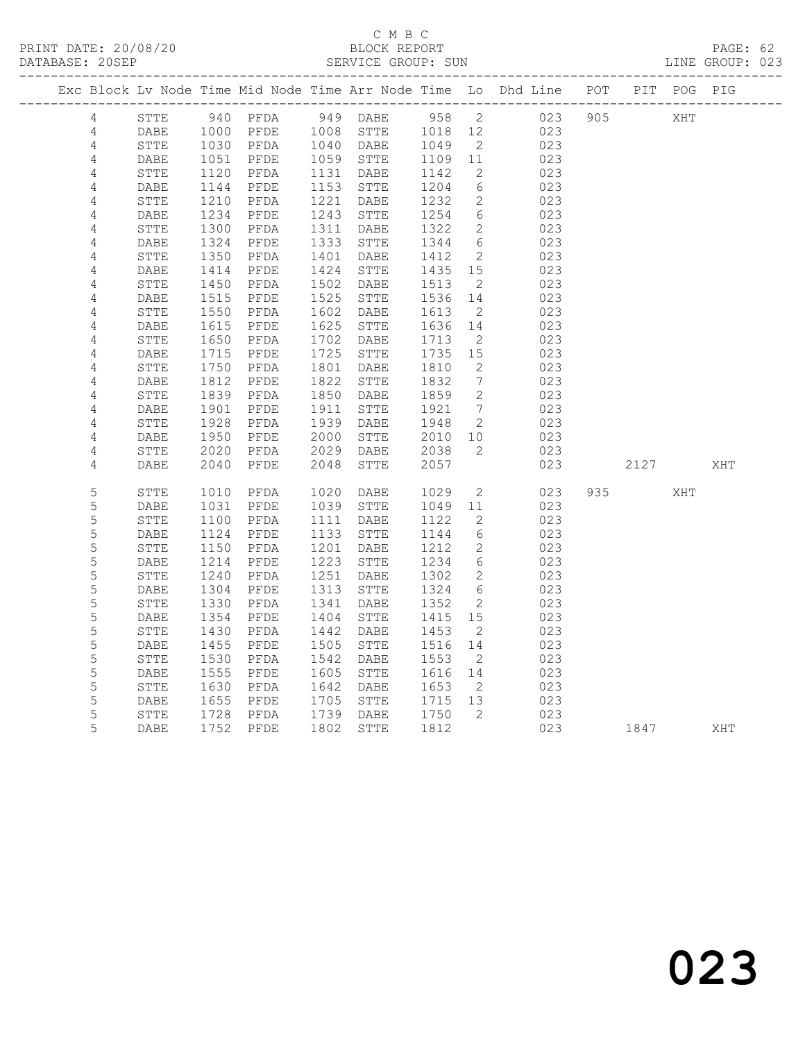#### C M B C DATABASE: 20SEP SERVICE GROUP: SUN LINE GROUP: 023

|                |                 |                     |                                                                   |      |              |         |                              | Exc Block Lv Node Time Mid Node Time Arr Node Time Lo Dhd Line POT PIT POG PIG |     |      |     |     |
|----------------|-----------------|---------------------|-------------------------------------------------------------------|------|--------------|---------|------------------------------|--------------------------------------------------------------------------------|-----|------|-----|-----|
| 4              | STTE            |                     |                                                                   |      |              |         |                              | 940 PFDA 949 DABE 958 2 023                                                    | 905 |      | XHT |     |
| $\overline{4}$ | DABE            |                     | 1000 PFDE 1008 STTE                                               |      |              | 1018 12 |                              | 023                                                                            |     |      |     |     |
| $\sqrt{4}$     | ${\tt STTE}$    |                     | 1030 PFDA 1040 DABE<br>1051 PFDE 1059 STTE<br>1120 PFDA 1131 DABE |      |              | 1049    | $\overline{2}$               | 023                                                                            |     |      |     |     |
| $\sqrt{4}$     | DABE            |                     |                                                                   |      |              | 1109 11 |                              | 023                                                                            |     |      |     |     |
| 4              | STTE            |                     |                                                                   |      |              | 1142    | 2                            | 023                                                                            |     |      |     |     |
| 4              | DABE            |                     | PFDE                                                              |      | 1153 STTE    | 1204    | 6                            | 023                                                                            |     |      |     |     |
| 4              | STTE            | $11$<br>1210<br>234 | PFDA                                                              |      | 1221 DABE    | 1232    | 2                            | 023                                                                            |     |      |     |     |
| $\sqrt{4}$     | DABE            | 1234                | PFDE                                                              |      | 1243 STTE    | 1254    | $6\overline{6}$              | 023                                                                            |     |      |     |     |
| $\sqrt{4}$     | ${\tt STTE}$    | 1234<br>1300        | PFDA                                                              |      | 1311 DABE    | 1322    | 2                            | 023                                                                            |     |      |     |     |
| $\sqrt{4}$     | DABE            | 1324<br>1350        | PFDE                                                              |      | 1333 STTE    | 1344    | 6                            | 023                                                                            |     |      |     |     |
| $\sqrt{4}$     | ${\tt STTE}$    | 1350                | PFDA                                                              |      | 1401 DABE    | 1412    | $\overline{2}$               | 023                                                                            |     |      |     |     |
| $\sqrt{4}$     | DABE            | 1414                | PFDE                                                              |      | 1424 STTE    | 1435 15 |                              | 023                                                                            |     |      |     |     |
| $\sqrt{4}$     | STTE            | 1450                | PFDA                                                              | 1502 | DABE         | 1513    | $\overline{2}$               | 023                                                                            |     |      |     |     |
| 4              | DABE            | 1515                | PFDE                                                              | 1525 | STTE         | 1536    | 14                           | 023                                                                            |     |      |     |     |
| $\sqrt{4}$     | STTE            | 1550                | PFDA                                                              | 1602 | DABE         | 1613    | $\overline{2}$               | 023                                                                            |     |      |     |     |
| $\sqrt{4}$     | DABE            | 1615                | PFDE                                                              | 1625 | STTE         | 1636    | 14                           | 023                                                                            |     |      |     |     |
| $\sqrt{4}$     | ${\tt STTE}$    | 1650                | PFDA                                                              |      | 1702 DABE    | 1713    | $\overline{\phantom{0}}^2$   | 023                                                                            |     |      |     |     |
| $\sqrt{4}$     | $\mathtt{DABE}$ | 1715                | PFDE                                                              |      | 1725 STTE    | 1735    | 15                           | 023                                                                            |     |      |     |     |
| $\sqrt{4}$     | STTE            | 1750                | PFDA                                                              |      | 1801 DABE    | 1810    | $\overline{\phantom{a}}$     | 023                                                                            |     |      |     |     |
| $\sqrt{4}$     | DABE            | 1812                | PFDE                                                              | 1822 | STTE         | 1832    | $7\phantom{.0}\phantom{.0}7$ | 023                                                                            |     |      |     |     |
| $\sqrt{4}$     | STTE            | 1839                | PFDA                                                              |      | 1850 DABE    | 1859    | $\overline{\phantom{0}}^2$   | 023                                                                            |     |      |     |     |
| 4              | DABE            | 1901                | PFDE                                                              | 1911 | STTE         | 1921    | $\overline{7}$               | 023                                                                            |     |      |     |     |
| $\sqrt{4}$     | STTE            | 1928                | PFDA                                                              | 1939 | DABE         | 1948    | $\overline{2}$               | 023                                                                            |     |      |     |     |
| 4              | DABE            | 1950                | PFDE                                                              | 2000 | STTE         | 2010    | 10                           | 023                                                                            |     |      |     |     |
| $\sqrt{4}$     | STTE            | 2020                | PFDA                                                              | 2029 | DABE         | 2038    | 2                            | 023                                                                            |     |      |     |     |
| 4              | DABE            | 2040                | PFDE                                                              | 2048 | ${\tt STTE}$ | 2057    |                              | 023                                                                            |     | 2127 |     | XHT |
|                |                 |                     |                                                                   |      |              |         |                              |                                                                                |     |      |     |     |
| 5              | STTE            | 1010                | PFDA                                                              | 1020 | DABE         | 1029    | $\overline{2}$               | 023                                                                            | 935 |      | XHT |     |
| $\mathsf S$    | DABE            | 1031                | PFDE                                                              | 1039 | STTE         | 1049    | 11                           | 023                                                                            |     |      |     |     |
| 5              | STTE            | 1100                | PFDA                                                              |      | 1111 DABE    | 1122    | 2                            | 023                                                                            |     |      |     |     |
| 5              | DABE            | 1124                | PFDE                                                              |      | 1133 STTE    | 1144    | 6                            | 023                                                                            |     |      |     |     |
| 5              | STTE            | 1150                | PFDA                                                              | 1201 | DABE         | 1212    | 2                            | 023                                                                            |     |      |     |     |
| 5              | DABE            | 1214                | PFDE                                                              | 1223 | STTE         | 1234    | 6                            | 023                                                                            |     |      |     |     |
| 5              | ${\tt STTE}$    | 1240                | PFDA                                                              |      | 1251 DABE    | 1302    | $\overline{2}$               | 023                                                                            |     |      |     |     |
| 5              | DABE            | 1304                | PFDE                                                              |      | 1313 STTE    | 1324    | 6                            | 023                                                                            |     |      |     |     |
| 5              | STTE            | 1330                | PFDA                                                              | 1341 | DABE         | 1352    | $\overline{2}$               | 023                                                                            |     |      |     |     |
| 5              | DABE            | 1354                | PFDE                                                              |      | 1404 STTE    | 1415    | 15                           | 023                                                                            |     |      |     |     |
| 5              | STTE            | 1430                | PFDA                                                              | 1442 | DABE         | 1453    | $\overline{2}$               | 023                                                                            |     |      |     |     |
| 5              | DABE            | 1455                | PFDE                                                              |      | 1505 STTE    | 1516    | 14                           | 023                                                                            |     |      |     |     |
| 5              | STTE            | 1530                | PFDA                                                              | 1542 | DABE         | 1553    | $\overline{2}$               | 023                                                                            |     |      |     |     |
| 5              | DABE            | 1555                | PFDE                                                              | 1605 | STTE         | 1616 14 |                              | 023                                                                            |     |      |     |     |
| 5              | STTE            | 1630                | PFDA                                                              |      | 1642 DABE    | 1653    | $\overline{2}$               | 023                                                                            |     |      |     |     |
| 5              | DABE            | 1655                | PFDE                                                              | 1705 | STTE         | 1715 13 |                              | 023                                                                            |     |      |     |     |
| 5              | STTE            | 1728                | PFDA                                                              |      | 1739 DABE    | 1750    | $\overline{2}$               | 023                                                                            |     |      |     |     |
| 5              | DABE            | 1752                | PFDE                                                              | 1802 | STTE         | 1812    |                              | 023                                                                            |     | 1847 |     | XHT |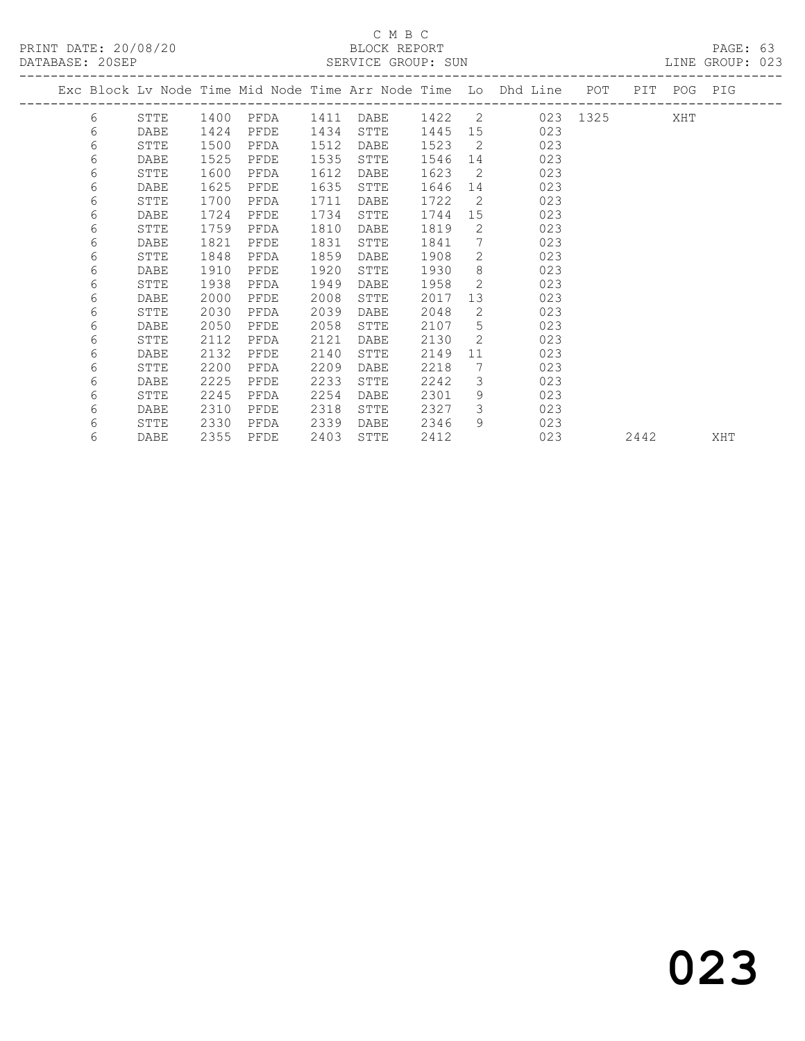|  |   |             |      |      |      |      |      |              | Exc Block Lv Node Time Mid Node Time Arr Node Time Lo Dhd Line POT |          | PIT  | POG PIG |     |
|--|---|-------------|------|------|------|------|------|--------------|--------------------------------------------------------------------|----------|------|---------|-----|
|  | 6 | STTE        | 1400 | PFDA | 1411 | DABE |      |              | 1422 2                                                             | 023 1325 |      | XHT     |     |
|  | 6 | <b>DABE</b> | 1424 | PFDE | 1434 | STTE | 1445 | 15           | 023                                                                |          |      |         |     |
|  | 6 | STTE        | 1500 | PFDA | 1512 | DABE | 1523 | 2            | 023                                                                |          |      |         |     |
|  | 6 | DABE        | 1525 | PFDE | 1535 | STTE | 1546 | 14           | 023                                                                |          |      |         |     |
|  | 6 | STTE        | 1600 | PFDA | 1612 | DABE | 1623 | 2            | 023                                                                |          |      |         |     |
|  | 6 | <b>DABE</b> | 1625 | PFDE | 1635 | STTE | 1646 | 14           | 023                                                                |          |      |         |     |
|  | 6 | STTE        | 1700 | PFDA | 1711 | DABE | 1722 | 2            | 023                                                                |          |      |         |     |
|  | 6 | DABE        | 1724 | PFDE | 1734 | STTE | 1744 | 15           | 023                                                                |          |      |         |     |
|  | 6 | STTE        | 1759 | PFDA | 1810 | DABE | 1819 | 2            | 023                                                                |          |      |         |     |
|  | 6 | <b>DABE</b> | 1821 | PFDE | 1831 | STTE | 1841 | 7            | 023                                                                |          |      |         |     |
|  | 6 | STTE        | 1848 | PFDA | 1859 | DABE | 1908 | 2            | 023                                                                |          |      |         |     |
|  | 6 | <b>DABE</b> | 1910 | PFDE | 1920 | STTE | 1930 | 8            | 023                                                                |          |      |         |     |
|  | 6 | STTE        | 1938 | PFDA | 1949 | DABE | 1958 | 2            | 023                                                                |          |      |         |     |
|  | 6 | DABE        | 2000 | PFDE | 2008 | STTE | 2017 | 13           | 023                                                                |          |      |         |     |
|  | 6 | STTE        | 2030 | PFDA | 2039 | DABE | 2048 | $\mathbf{2}$ | 023                                                                |          |      |         |     |
|  | 6 | DABE        | 2050 | PFDE | 2058 | STTE | 2107 | 5            | 023                                                                |          |      |         |     |
|  | 6 | STTE        | 2112 | PFDA | 2121 | DABE | 2130 | 2            | 023                                                                |          |      |         |     |
|  | 6 | <b>DABE</b> | 2132 | PFDE | 2140 | STTE | 2149 | 11           | 023                                                                |          |      |         |     |
|  | 6 | STTE        | 2200 | PFDA | 2209 | DABE | 2218 | 7            | 023                                                                |          |      |         |     |
|  | 6 | DABE        | 2225 | PFDE | 2233 | STTE | 2242 | 3            | 023                                                                |          |      |         |     |
|  | 6 | STTE        | 2245 | PFDA | 2254 | DABE | 2301 | 9            | 023                                                                |          |      |         |     |
|  | 6 | DABE        | 2310 | PFDE | 2318 | STTE | 2327 | 3            | 023                                                                |          |      |         |     |
|  | 6 | STTE        | 2330 | PFDA | 2339 | DABE | 2346 | 9            | 023                                                                |          |      |         |     |
|  | 6 | DABE        | 2355 | PFDE | 2403 | STTE | 2412 |              | 023                                                                |          | 2442 |         | XHT |
|  |   |             |      |      |      |      |      |              |                                                                    |          |      |         |     |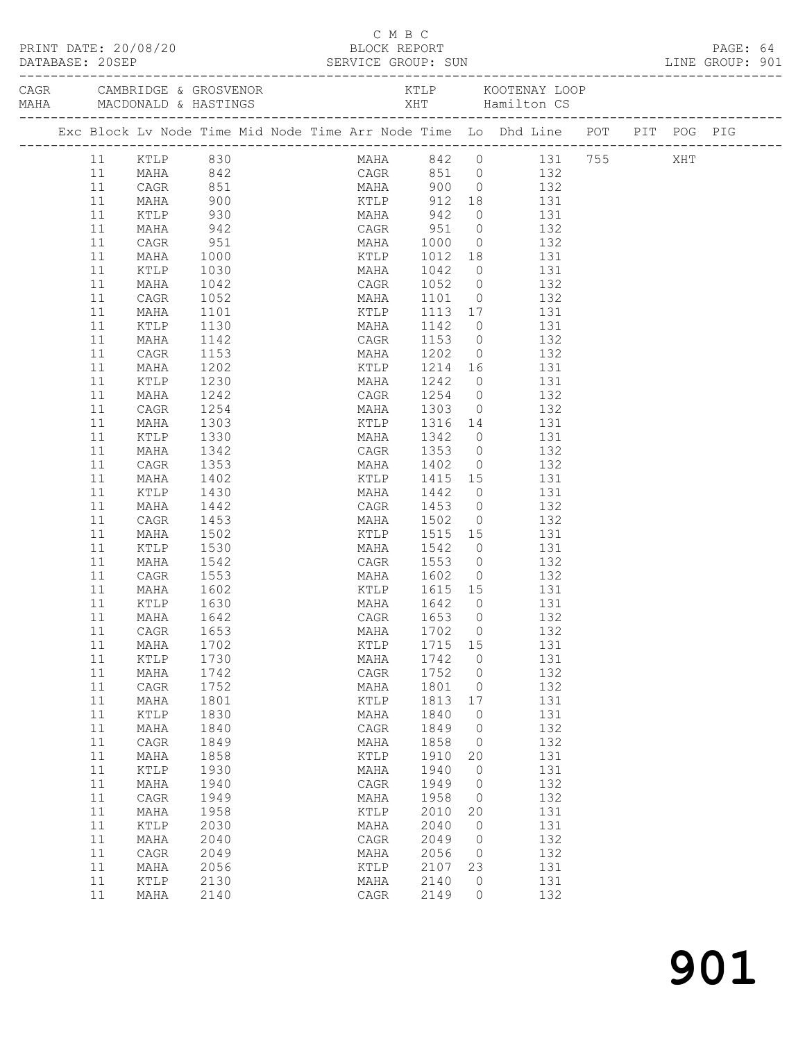|            |               |              |  | C M B C                    |              |              |                                                                                                                                                             |  | PAGE: 64<br>LINE GROUP: 901 |  |
|------------|---------------|--------------|--|----------------------------|--------------|--------------|-------------------------------------------------------------------------------------------------------------------------------------------------------------|--|-----------------------------|--|
|            |               |              |  |                            |              |              |                                                                                                                                                             |  |                             |  |
|            |               |              |  |                            |              |              | Exc Block Lv Node Time Mid Node Time Arr Node Time Lo Dhd Line POT PIT POG PIG                                                                              |  |                             |  |
|            |               |              |  |                            |              |              | MAHA 842 0 131 755 XHT<br>CAGR 851 0 132<br>11 KTLP 830<br>11 MAHA 842 CAGR 851 0<br>11 MAHA 842 CAGR 851 0<br>132 MAHA 900 0 132<br>KTLP 912 18 131<br>131 |  |                             |  |
|            |               |              |  |                            |              |              |                                                                                                                                                             |  |                             |  |
|            |               |              |  |                            |              |              |                                                                                                                                                             |  |                             |  |
|            |               |              |  |                            |              |              |                                                                                                                                                             |  |                             |  |
|            | KTLP          | 930<br>942   |  |                            |              |              | MAHA 942 0 131<br>CAGR 951 0 132<br>MAHA 1000 0 132                                                                                                         |  |                             |  |
| 11         | MAHA          | 951          |  |                            |              |              |                                                                                                                                                             |  |                             |  |
| 11         | CAGR          |              |  |                            |              |              |                                                                                                                                                             |  |                             |  |
| 11<br>11   | MAHA          | 1000         |  |                            |              |              | KTLP 1012 18 131                                                                                                                                            |  |                             |  |
| 11         | KTLP<br>MAHA  | 1030<br>1042 |  |                            |              |              | MAHA 1042 0 131<br>CAGR 1052 0 132                                                                                                                          |  |                             |  |
| 11         | CAGR          | 1052         |  |                            |              |              | MAHA 1101 0 132                                                                                                                                             |  |                             |  |
| 11         | MAHA          | 1101         |  |                            |              |              | KTLP 1113 17 131                                                                                                                                            |  |                             |  |
| 11         | KTLP          | 1130         |  |                            |              |              |                                                                                                                                                             |  |                             |  |
| 11         | MAHA          | 1142         |  |                            |              |              | MAHA 1142 0 131<br>CAGR 1153 0 132                                                                                                                          |  |                             |  |
| 11         | CAGR          | 1153         |  |                            |              |              | MAHA 1202 0 132                                                                                                                                             |  |                             |  |
| 11         | MAHA          | 1202         |  |                            |              |              | KTLP 1214 16 131                                                                                                                                            |  |                             |  |
| 11         | KTLP          | 1230         |  | MAHA 1242                  |              |              | $0$ 131                                                                                                                                                     |  |                             |  |
| 11         | MAHA          | 1242         |  |                            |              |              |                                                                                                                                                             |  |                             |  |
| 11         | CAGR          | 1254         |  |                            |              |              | CAGR 1254 0 132<br>MAHA 1303 0 132                                                                                                                          |  |                             |  |
| 11         | MAHA          | 1303         |  |                            |              |              | KTLP 1316 14 131                                                                                                                                            |  |                             |  |
| 11         | KTLP          | 1330         |  |                            |              |              | MAHA 1342 0 131                                                                                                                                             |  |                             |  |
| 11         | MAHA          | 1342         |  |                            |              |              | CAGR 1353 0 132<br>MAHA 1402 0 132                                                                                                                          |  |                             |  |
| 11         | CAGR          | 1353         |  |                            |              |              |                                                                                                                                                             |  |                             |  |
| 11         | MAHA          | 1402         |  |                            |              |              | KTLP 1415 15 131                                                                                                                                            |  |                             |  |
| 11         | KTLP          | 1430         |  | MAHA 1442                  |              |              | $0$ 131                                                                                                                                                     |  |                             |  |
| 11         | MAHA          | 1442         |  | CAGR 1453<br>MAHA 1502     |              |              | $\begin{array}{ccc} 0 & \hspace{1.5cm} & 132 \\ 0 & \hspace{1.5cm} & 132 \end{array}$                                                                       |  |                             |  |
| 11         | CAGR          | 1453         |  |                            |              |              |                                                                                                                                                             |  |                             |  |
| 11         | MAHA          | 1502         |  |                            |              |              | KTLP 1515 15 131                                                                                                                                            |  |                             |  |
| 11         | KTLP          | 1530         |  |                            |              |              | MAHA 1542 0 131                                                                                                                                             |  |                             |  |
| 11         | MAHA          | 1542         |  | CAGR 1553 0<br>MAHA 1602 0 |              |              | 132                                                                                                                                                         |  |                             |  |
| 11<br>11   | CAGR<br>MAHA  | 1553<br>1602 |  | KTLP 1615 15               |              |              | 132<br>131                                                                                                                                                  |  |                             |  |
| 11         | KTLP          | 1630         |  | MAHA 1642                  |              | $\bigcirc$   | 131                                                                                                                                                         |  |                             |  |
|            | 11 MAHA       | 1642         |  | CAGR 1653 0                |              |              | 132                                                                                                                                                         |  |                             |  |
| 11         | CAGR          | 1653         |  | MAHA                       | 1702         | 0            | 132                                                                                                                                                         |  |                             |  |
| $11$       | MAHA          | 1702         |  | KTLP                       | 1715         | 15           | 131                                                                                                                                                         |  |                             |  |
| 11         | $\verb KTLP $ | 1730         |  | MAHA                       | 1742         | 0            | 131                                                                                                                                                         |  |                             |  |
| $11$       | MAHA          | 1742         |  | CAGR                       | 1752         | 0            | 132                                                                                                                                                         |  |                             |  |
| $11$       | CAGR          | 1752         |  | MAHA                       | 1801         | 0            | 132                                                                                                                                                         |  |                             |  |
| $11$       | MAHA          | 1801         |  | KTLP                       | 1813         | 17           | 131                                                                                                                                                         |  |                             |  |
| 11         | $\verb KTLP $ | 1830         |  | MAHA                       | 1840         | 0            | 131                                                                                                                                                         |  |                             |  |
| $11$       | MAHA          | 1840         |  | CAGR                       | 1849         | 0            | 132                                                                                                                                                         |  |                             |  |
| $11$       | CAGR          | 1849         |  | MAHA                       | 1858         | 0            | 132                                                                                                                                                         |  |                             |  |
| $11$       | MAHA          | 1858         |  | KTLP                       | 1910         | 20           | 131                                                                                                                                                         |  |                             |  |
| 11         | KTLP          | 1930         |  | MAHA                       | 1940         | 0            | 131                                                                                                                                                         |  |                             |  |
| $11$       | MAHA          | 1940         |  | CAGR                       | 1949         | 0            | 132                                                                                                                                                         |  |                             |  |
| $11$       | CAGR          | 1949         |  | MAHA                       | 1958         | 0            | 132                                                                                                                                                         |  |                             |  |
| 11         | MAHA          | 1958         |  | KTLP                       | 2010         | 20           | 131                                                                                                                                                         |  |                             |  |
| $11$       | KTLP          | 2030         |  | MAHA                       | 2040         | 0            | 131                                                                                                                                                         |  |                             |  |
| 11         | MAHA          | 2040         |  | CAGR                       | 2049         | $\mathbf{0}$ | 132                                                                                                                                                         |  |                             |  |
| $11$       | CAGR          | 2049         |  | MAHA                       | 2056         | 0            | 132                                                                                                                                                         |  |                             |  |
| 11         | MAHA          | 2056         |  | $\verb KTLP $              | 2107         | 23           | 131                                                                                                                                                         |  |                             |  |
| $11$<br>11 | KTLP<br>MAHA  | 2130<br>2140 |  | MAHA<br>CAGR               | 2140<br>2149 | 0<br>$\circ$ | 131<br>132                                                                                                                                                  |  |                             |  |
|            |               |              |  |                            |              |              |                                                                                                                                                             |  |                             |  |

## 901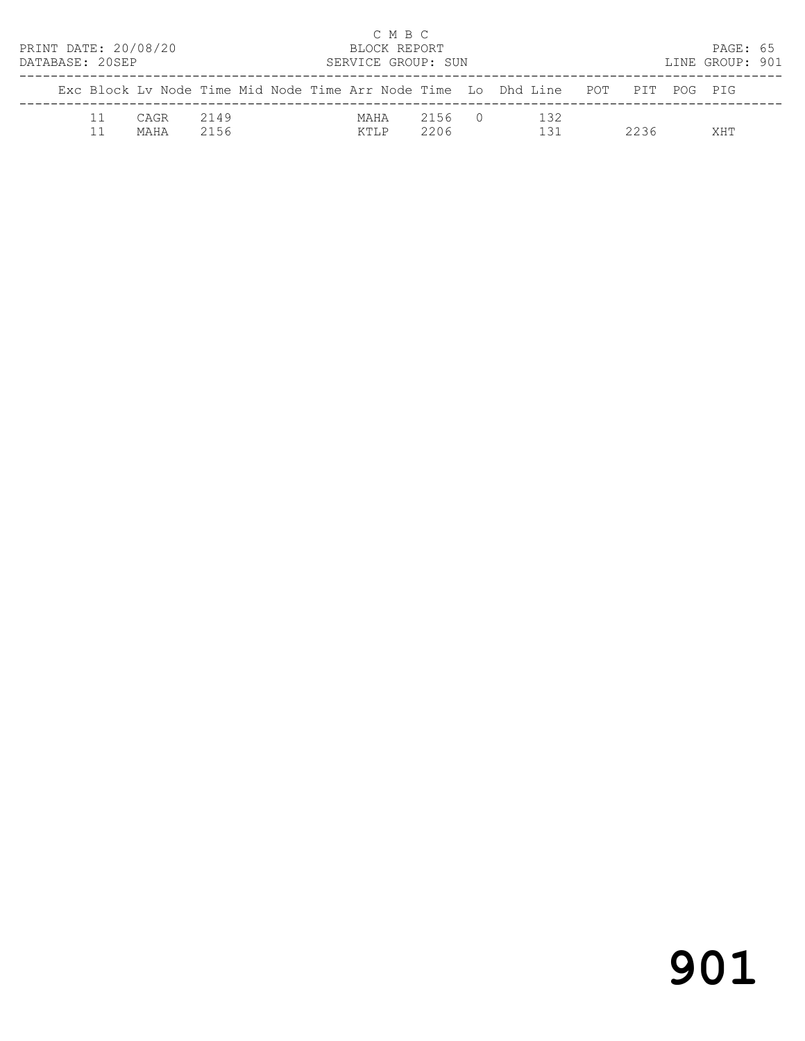| PRINT DATE: 20/08/20<br>DATABASE: 20SEP |                                                                                |              |  |               | C M B C<br>BLOCK REPORT | SERVICE GROUP: SUN |  |            |      | PAGE: 65<br>LINE GROUP: 901 |  |
|-----------------------------------------|--------------------------------------------------------------------------------|--------------|--|---------------|-------------------------|--------------------|--|------------|------|-----------------------------|--|
|                                         | Exc Block Ly Node Time Mid Node Time Arr Node Time Lo Dhd Line POT PIT POG PIG |              |  |               |                         |                    |  |            |      |                             |  |
|                                         | CAGR<br>MAHA                                                                   | 2149<br>2156 |  | MAHA<br>KTI.P |                         | 2156 0<br>2206     |  | 132<br>131 | 2236 | XНТ                         |  |

# 901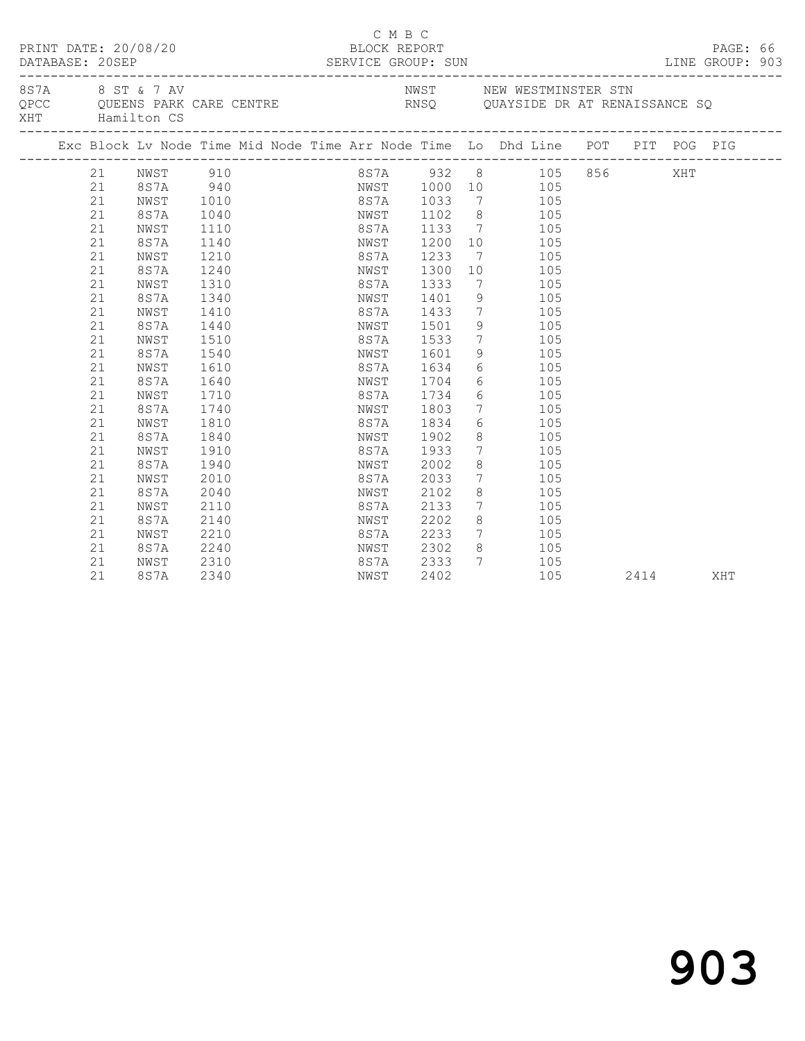|     |          | PRINT DATE: 20/08/20 |                  | C M B C<br>BLOCK REPORT             |      |                                    |                                           |  |      | PAGE: 66<br>LINE GROUP: 903 |  |
|-----|----------|----------------------|------------------|-------------------------------------|------|------------------------------------|-------------------------------------------|--|------|-----------------------------|--|
| XHT |          | Hamilton CS          | 8S7A 8 ST & 7 AV |                                     |      |                                    | NWST NEW WESTMINSTER STN                  |  |      |                             |  |
|     |          |                      |                  |                                     |      |                                    |                                           |  |      |                             |  |
|     | 21       | NWST                 | 910              |                                     |      |                                    | 8S7A 932 8 105 856 XHT                    |  |      |                             |  |
|     | 21       | 8S7A 940             |                  |                                     |      |                                    | NWST 1000 10 105                          |  |      |                             |  |
|     | 21       | NWST                 | 1010             | 8S7A 1033<br>NWST 1102<br>8S7A 1133 |      |                                    | 7 105                                     |  |      |                             |  |
|     | 21       | 8S7A                 | 1040             |                                     |      |                                    | 8 105<br>7 105                            |  |      |                             |  |
|     | 21       | NWST                 | 1110             |                                     |      |                                    |                                           |  |      |                             |  |
|     | 21       | 8S7A                 | 1140             | NWST                                | 1200 |                                    | $\begin{array}{c}\n10 \\ 10\n\end{array}$ |  |      |                             |  |
|     | 21       | NWST                 | 1210             | 8S7A 1233                           |      | $\overline{7}$                     | 105                                       |  |      |                             |  |
|     | 21       | 8S7A                 | 1240             | NWST 1300                           |      | 10                                 | 105                                       |  |      |                             |  |
|     | 21       | NWST                 | 1310             | 8S7A                                | 1333 | $\overline{7}$                     | 105                                       |  |      |                             |  |
|     | 21       | 8S7A                 | 1340             | NWST                                | 1401 |                                    | 9 105                                     |  |      |                             |  |
|     | 21       | NWST                 | 1410             | 8S7A                                | 1433 |                                    | $7\overline{ }$<br>105                    |  |      |                             |  |
|     | 21       | 8S7A                 | 1440             | NWST<br>8S7A 1533                   | 1501 | 9                                  | 105<br>105                                |  |      |                             |  |
|     | 21       | NWST                 | 1510             | NWST 1601                           |      | $7\overline{ }$                    | 105                                       |  |      |                             |  |
|     | 21       | 8S7A                 | 1540             |                                     |      | 9                                  |                                           |  |      |                             |  |
|     | 21       | NWST                 | 1610             | 8S7A 1634                           |      |                                    | 6 105                                     |  |      |                             |  |
|     | 21       | 8S7A                 | 1640             | NWST 1704                           |      |                                    | $6 \quad \text{or}$<br>105                |  |      |                             |  |
|     | 21       | NWST                 | 1710             | 8S7A                                | 1734 |                                    | $6\overline{6}$<br>105                    |  |      |                             |  |
|     | 21       | 8S7A                 | 1740             | NWST                                | 1803 |                                    | $7\overline{ }$<br>105                    |  |      |                             |  |
|     | 21       | NWST                 | 1810             | 8S7A                                | 1834 |                                    | $6\overline{6}$<br>105                    |  |      |                             |  |
|     | 21       | 8S7A                 | 1840             | NWST                                | 1902 | 8                                  | 105<br>105                                |  |      |                             |  |
|     | 21       | NWST                 | 1910             | 8S7A                                | 1933 | $7\overline{ }$                    | 105                                       |  |      |                             |  |
|     | 21       | 8S7A                 | 1940             | NWST                                | 2002 | 8                                  |                                           |  |      |                             |  |
|     | 21       | NWST                 | 2010             | 8S7A                                | 2033 |                                    | 7 105                                     |  |      |                             |  |
|     | 21       | 8S7A                 | 2040             | NWST 2102                           |      | 8                                  | 105                                       |  |      |                             |  |
|     | 21       | NWST                 | 2110             | 8S7A                                | 2133 | $7\overline{ }$                    | 105                                       |  |      |                             |  |
|     | 21       | 8S7A                 | 2140             | NWST                                | 2202 |                                    | 8<br>105                                  |  |      |                             |  |
|     | 21       | NWST                 | 2210             | 8S7A 2233<br>NWST 2302              |      | $\begin{array}{c}\n7\n\end{array}$ | 105                                       |  |      |                             |  |
|     | 21<br>21 | 8S7A                 | 2240             | 8S7A 2333                           |      | 8 <sup>8</sup><br>$7\phantom{0}$   | 105<br>105                                |  |      |                             |  |
|     |          | NWST                 | 2310             |                                     |      |                                    |                                           |  |      |                             |  |
|     | 21       | 8S7A                 | 2340             | NWST                                | 2402 |                                    | 105                                       |  | 2414 | XHT                         |  |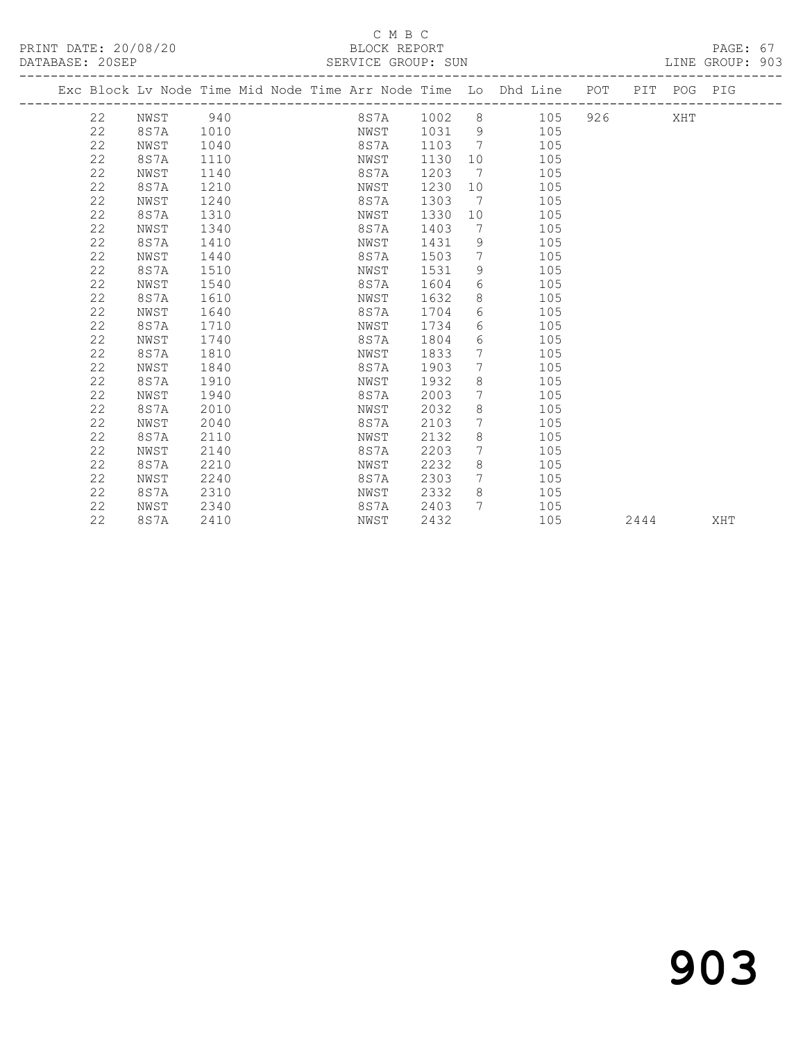|  |    |      |      |  |           |      |                 | Exc Block Lv Node Time Mid Node Time Arr Node Time Lo Dhd Line POT |     |      | PIT POG PIG |     |
|--|----|------|------|--|-----------|------|-----------------|--------------------------------------------------------------------|-----|------|-------------|-----|
|  | 22 | NWST | 940  |  | 8 S 7 A   | 1002 |                 | 105                                                                | 926 |      | XHT         |     |
|  | 22 | 8S7A | 1010 |  | NWST 1031 |      | - 9             | 105                                                                |     |      |             |     |
|  | 22 | NWST | 1040 |  | 8S7A      | 1103 | $7\phantom{0}7$ | 105                                                                |     |      |             |     |
|  | 22 | 8S7A | 1110 |  | NWST      | 1130 | 10              | 105                                                                |     |      |             |     |
|  | 22 | NWST | 1140 |  | 8S7A      | 1203 | $\overline{7}$  | 105                                                                |     |      |             |     |
|  | 22 | 8S7A | 1210 |  | NWST      | 1230 | 10              | 105                                                                |     |      |             |     |
|  | 22 | NWST | 1240 |  | 8S7A      | 1303 | 7               | 105                                                                |     |      |             |     |
|  | 22 | 8S7A | 1310 |  | NWST      | 1330 | 10              | 105                                                                |     |      |             |     |
|  | 22 | NWST | 1340 |  | 8S7A      | 1403 | 7               | 105                                                                |     |      |             |     |
|  | 22 | 8S7A | 1410 |  | NWST      | 1431 | 9               | 105                                                                |     |      |             |     |
|  | 22 | NWST | 1440 |  | 8S7A      | 1503 | 7               | 105                                                                |     |      |             |     |
|  | 22 | 8S7A | 1510 |  | NWST      | 1531 | 9               | 105                                                                |     |      |             |     |
|  | 22 | NWST | 1540 |  | 8S7A      | 1604 | 6               | 105                                                                |     |      |             |     |
|  | 22 | 8S7A | 1610 |  | NWST      | 1632 | 8               | 105                                                                |     |      |             |     |
|  | 22 | NWST | 1640 |  | 8S7A      | 1704 | 6               | 105                                                                |     |      |             |     |
|  | 22 | 8S7A | 1710 |  | NWST      | 1734 | 6               | 105                                                                |     |      |             |     |
|  | 22 | NWST | 1740 |  | 8S7A      | 1804 | 6               | 105                                                                |     |      |             |     |
|  | 22 | 8S7A | 1810 |  | NWST      | 1833 | 7               | 105                                                                |     |      |             |     |
|  | 22 | NWST | 1840 |  | 8S7A      | 1903 | 7               | 105                                                                |     |      |             |     |
|  | 22 | 8S7A | 1910 |  | NWST      | 1932 | 8               | 105                                                                |     |      |             |     |
|  | 22 | NWST | 1940 |  | 8S7A      | 2003 | 7               | 105                                                                |     |      |             |     |
|  | 22 | 8S7A | 2010 |  | NWST      | 2032 | 8               | 105                                                                |     |      |             |     |
|  | 22 | NWST | 2040 |  | 8S7A      | 2103 | 7               | 105                                                                |     |      |             |     |
|  | 22 | 8S7A | 2110 |  | NWST      | 2132 | 8               | 105                                                                |     |      |             |     |
|  | 22 | NWST | 2140 |  | 8S7A      | 2203 | 7               | 105                                                                |     |      |             |     |
|  | 22 | 8S7A | 2210 |  | NWST      | 2232 | 8               | 105                                                                |     |      |             |     |
|  | 22 | NWST | 2240 |  | 8S7A      | 2303 | $7\phantom{.0}$ | 105                                                                |     |      |             |     |
|  | 22 | 8S7A | 2310 |  | NWST      | 2332 | 8               | 105                                                                |     |      |             |     |
|  | 22 | NWST | 2340 |  | 8S7A      | 2403 | 7               | 105                                                                |     |      |             |     |
|  | 22 | 8S7A | 2410 |  | NWST      | 2432 |                 | 105                                                                |     | 2444 |             | XHT |
|  |    |      |      |  |           |      |                 |                                                                    |     |      |             |     |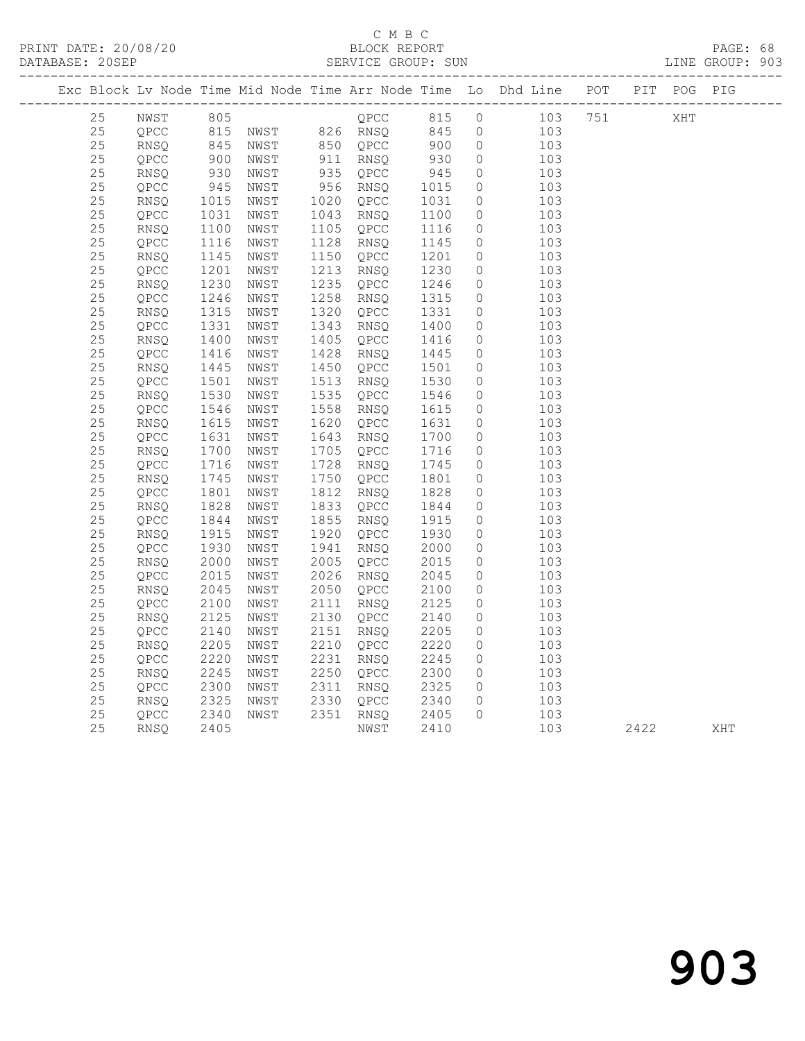### C M B C<br>BLOCK REPORT

PRINT DATE: 20/08/20 BLOCK REPORT BATABASE: 20SEP

PAGE: 68<br>LINE GROUP: 903

|  |          |              |                         |                                                                                                         |                                                                                                                                                                |                                                                     |                     | Exc Block Lv Node Time Mid Node Time Arr Node Time Lo Dhd Line POT PIT POG PIG |      |     |     |
|--|----------|--------------|-------------------------|---------------------------------------------------------------------------------------------------------|----------------------------------------------------------------------------------------------------------------------------------------------------------------|---------------------------------------------------------------------|---------------------|--------------------------------------------------------------------------------|------|-----|-----|
|  | 25       | NWST         |                         | 805<br>815 NWST 826 RNSQ 845<br>845 NWST 850 QPCC 900<br>900 NWST 911 RNSQ 930<br>930 NWST 935 QPCC 945 |                                                                                                                                                                |                                                                     | $\circ$             | $103$ 751                                                                      |      | XHT |     |
|  | 25       | QPCC         |                         |                                                                                                         |                                                                                                                                                                |                                                                     | $\overline{0}$      | 103                                                                            |      |     |     |
|  | 25       | RNSQ         |                         |                                                                                                         | 850 QPCC<br>911 RNSQ<br>935 QPCC                                                                                                                               |                                                                     | $\overline{0}$      | 103                                                                            |      |     |     |
|  | 25       | QPCC         |                         |                                                                                                         |                                                                                                                                                                |                                                                     | $\overline{0}$      | 103                                                                            |      |     |     |
|  | 25       | RNSQ         |                         |                                                                                                         |                                                                                                                                                                |                                                                     | $\circ$             | 103                                                                            |      |     |     |
|  | 25       | QPCC         |                         | NWST                                                                                                    | 956 RNSQ                                                                                                                                                       | $\begin{array}{r} 1015 \\ 1031 \\ 1100 \\ 1116 \\ 1145 \end{array}$ | $\circ$             | 103                                                                            |      |     |     |
|  | 25       | RNSQ         | $945$<br>$1015$<br>1015 | NWST                                                                                                    | 1020 QPCC                                                                                                                                                      |                                                                     | $\circ$             | 103                                                                            |      |     |     |
|  | 25       | QPCC         | 1031                    | NWST                                                                                                    | 1043 RIVE                                                                                                                                                      |                                                                     | $\circ$             | 103                                                                            |      |     |     |
|  | 25       | RNSQ         | 1100                    | NWST                                                                                                    |                                                                                                                                                                |                                                                     | $\circ$             | 103                                                                            |      |     |     |
|  | 25       | QPCC         | 1116                    | NWST                                                                                                    | 1128 RNSQ 1145<br>1150 QPCC 1201                                                                                                                               |                                                                     | $\circ$             | 103                                                                            |      |     |     |
|  | 25       | RNSQ         | 1145                    | NWST                                                                                                    |                                                                                                                                                                |                                                                     | $\circ$             | 103                                                                            |      |     |     |
|  | 25       | QPCC         | 1201                    | NWST                                                                                                    | 1213 RNSQ                                                                                                                                                      |                                                                     | $\circ$             | 103                                                                            |      |     |     |
|  | 25       | RNSQ         | 1230                    | NWST                                                                                                    | 1235 QPCC                                                                                                                                                      | $\begin{array}{c} 1230 \\ 1230 \\ 1246 \\ 1315 \end{array}$         | $\circ$             | 103                                                                            |      |     |     |
|  | 25       | QPCC         | 1246                    | NWST                                                                                                    | 1258 RNSQ                                                                                                                                                      |                                                                     | $\circ$             | 103                                                                            |      |     |     |
|  | 25       | RNSQ         | 1315<br>1331            | NWST                                                                                                    | 1320 QPCC 1331<br>1343 RNSQ 1400                                                                                                                               |                                                                     | $\overline{0}$      | 103                                                                            |      |     |     |
|  | 25       | QPCC         |                         | NWST                                                                                                    | 1343 RNSQ                                                                                                                                                      |                                                                     | $\circ$             | 103                                                                            |      |     |     |
|  | 25       | RNSQ         | 1400                    | NWST                                                                                                    | 1405 QPCC 1416<br>1428 RNSQ 1445                                                                                                                               |                                                                     | $\circ$             | 103                                                                            |      |     |     |
|  | 25       | QPCC         | 1416                    | NWST                                                                                                    |                                                                                                                                                                |                                                                     | $\circ$             | 103                                                                            |      |     |     |
|  | 25       | RNSQ         | 1445<br>1501            | NWST                                                                                                    | 1450 QPCC<br>1513 RNSQ                                                                                                                                         | 1501<br>1530                                                        | $\circ$             | 103                                                                            |      |     |     |
|  | 25       | QPCC         | 1501                    | NWST                                                                                                    |                                                                                                                                                                |                                                                     | $\circ$             | 103                                                                            |      |     |     |
|  | 25<br>25 | RNSQ<br>QPCC | 1530<br>1546            | NWST<br>NWST                                                                                            |                                                                                                                                                                |                                                                     | $\circ$<br>$\circ$  | 103<br>103                                                                     |      |     |     |
|  | 25       | RNSQ         | 1615                    | NWST                                                                                                    |                                                                                                                                                                |                                                                     | $\circ$             | 103                                                                            |      |     |     |
|  | 25       | QPCC         | 1631                    | NWST                                                                                                    | 1515 KNSQ 1550<br>1535 QPCC 1546<br>1558 KNSQ 1615<br>1620 QPCC 1631<br>1643 KNSQ 1700<br>1705 QPCC 1716<br>1728 KNSQ 1745<br>1750 QPCC 1801<br>1912 RNSQ 1745 |                                                                     | $\circ$             | 103                                                                            |      |     |     |
|  | 25       | RNSQ         | 1700                    | NWST                                                                                                    |                                                                                                                                                                |                                                                     | $\circ$             | 103                                                                            |      |     |     |
|  | $2\,5$   | QPCC         | 1716                    | NWST                                                                                                    |                                                                                                                                                                |                                                                     | $\circ$             | 103                                                                            |      |     |     |
|  | 25       | RNSQ         | 1745                    | NWST                                                                                                    |                                                                                                                                                                |                                                                     | $\circ$             | 103                                                                            |      |     |     |
|  | 25       | QPCC         | 1801                    | NWST                                                                                                    |                                                                                                                                                                |                                                                     | $\circ$             | 103                                                                            |      |     |     |
|  | $2\,5$   | RNSQ         | 1828                    | NWST                                                                                                    | 1812 RNSQ 1828<br>1833 QPCC 1844                                                                                                                               |                                                                     | $\circ$             | 103                                                                            |      |     |     |
|  | $2\,5$   | QPCC         | 1844                    | NWST                                                                                                    | 1855 RNSQ                                                                                                                                                      |                                                                     | $\circ$             | 103                                                                            |      |     |     |
|  | 25       | RNSQ         |                         | NWST                                                                                                    | 1920 QPCC                                                                                                                                                      |                                                                     | $\circ$             | 103                                                                            |      |     |     |
|  | 25       | QPCC         | 1915<br>1930            | NWST                                                                                                    | 1941 RNSQ                                                                                                                                                      | $\begin{array}{c} 1915 \\ 1930 \\ 2000 \end{array}$                 | $\circ$             | 103                                                                            |      |     |     |
|  | 25       | RNSQ         | 2000                    | NWST                                                                                                    | 2005 QPCC                                                                                                                                                      | 2015<br>2045                                                        | $\circ$             | 103                                                                            |      |     |     |
|  | 25       | QPCC         | 2015                    | NWST                                                                                                    | 2026 RNSQ                                                                                                                                                      |                                                                     | $\circ$             | 103                                                                            |      |     |     |
|  | 25       | RNSQ         | 2045<br>2100            | NWST                                                                                                    | 2050 QPCC<br>2111 RNSQ                                                                                                                                         | 2100<br>2125                                                        | $\circ$             | 103                                                                            |      |     |     |
|  | 25       | QPCC         |                         | NWST                                                                                                    |                                                                                                                                                                |                                                                     | $\circ$             | 103                                                                            |      |     |     |
|  | 25       | RNSQ         | 2125                    | NWST                                                                                                    | 2130 QPCC                                                                                                                                                      | 2140<br>2205                                                        | $\circ$             | 103                                                                            |      |     |     |
|  | 25       | QPCC         | 2140                    | NWST                                                                                                    | 2151 RNSQ                                                                                                                                                      |                                                                     | $\circ$             | 103                                                                            |      |     |     |
|  | 25       | RNSQ         | 2205                    | NWST                                                                                                    | 2210 QPCC                                                                                                                                                      | $\frac{2220}{2245}$                                                 | $\circ$             | 103                                                                            |      |     |     |
|  | 25       | QPCC         | 2220<br>2220<br>2245    | NWST                                                                                                    | 2231 RNSQ                                                                                                                                                      |                                                                     | $\circ$             | 103                                                                            |      |     |     |
|  | 25       | RNSO         |                         | NWST                                                                                                    | 2250 QPCC                                                                                                                                                      |                                                                     | $\overline{0}$      | 103                                                                            |      |     |     |
|  | 25       | QPCC         | 2300<br>2300<br>2325    | NWST                                                                                                    | 2311 RNSQ                                                                                                                                                      | 2325<br>2340                                                        | $\overline{0}$      | 103                                                                            |      |     |     |
|  | 25<br>25 | RNSQ         |                         | NWST                                                                                                    | 2330 QPCC                                                                                                                                                      |                                                                     | $\circ$<br>$\Omega$ | 103                                                                            |      |     |     |
|  | 25       | QPCC         | 2340<br>2405            | NWST                                                                                                    | 2351 RNSQ 2405<br>NWST 2410                                                                                                                                    |                                                                     |                     | 103                                                                            |      |     |     |
|  |          | RNSQ         |                         |                                                                                                         |                                                                                                                                                                |                                                                     |                     | 103                                                                            | 2422 |     | XHT |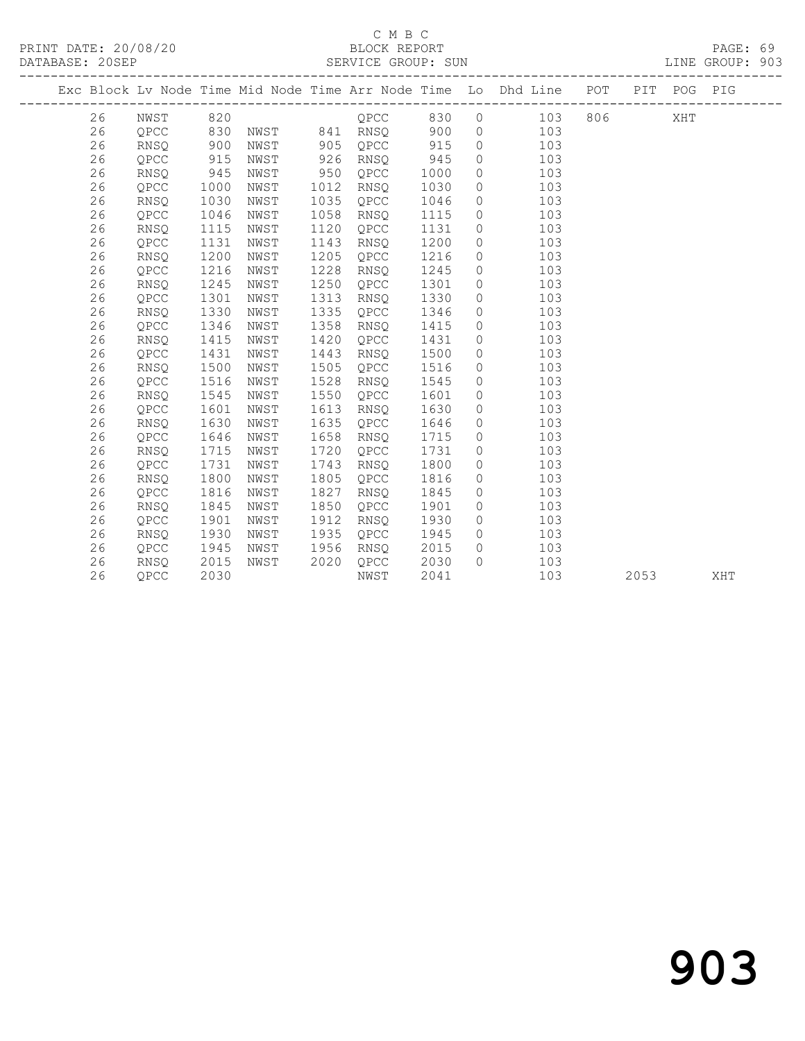|  |    |             |      |      |      |          |      |           | Exc Block Lv Node Time Mid Node Time Arr Node Time Lo Dhd Line POT |     |      | PIT POG PIG |     |
|--|----|-------------|------|------|------|----------|------|-----------|--------------------------------------------------------------------|-----|------|-------------|-----|
|  |    |             |      |      |      |          |      |           |                                                                    |     |      |             |     |
|  | 26 | NWST        | 820  |      |      | QPCC     | 830  | $\circ$   | 103                                                                | 806 |      | XHT         |     |
|  | 26 | QPCC        | 830  | NWST |      | 841 RNSQ | 900  | $\circ$   | 103                                                                |     |      |             |     |
|  | 26 | <b>RNSQ</b> | 900  | NWST | 905  | QPCC     | 915  | $\circ$   | 103                                                                |     |      |             |     |
|  | 26 | QPCC        | 915  | NWST | 926  | RNSO     | 945  | $\circ$   | 103                                                                |     |      |             |     |
|  | 26 | <b>RNSO</b> | 945  | NWST | 950  | QPCC     | 1000 | $\circ$   | 103                                                                |     |      |             |     |
|  | 26 | QPCC        | 1000 | NWST | 1012 | RNSQ     | 1030 | $\circ$   | 103                                                                |     |      |             |     |
|  | 26 | RNSQ        | 1030 | NWST | 1035 | QPCC     | 1046 | $\circ$   | 103                                                                |     |      |             |     |
|  | 26 | QPCC        | 1046 | NWST | 1058 | RNSQ     | 1115 | $\circ$   | 103                                                                |     |      |             |     |
|  | 26 | RNSQ        | 1115 | NWST | 1120 | QPCC     | 1131 | $\circ$   | 103                                                                |     |      |             |     |
|  | 26 | QPCC        | 1131 | NWST | 1143 | RNSQ     | 1200 | $\circ$   | 103                                                                |     |      |             |     |
|  | 26 | RNSQ        | 1200 | NWST | 1205 | QPCC     | 1216 | $\circ$   | 103                                                                |     |      |             |     |
|  | 26 | QPCC        | 1216 | NWST | 1228 | RNSQ     | 1245 | $\circ$   | 103                                                                |     |      |             |     |
|  | 26 | RNSQ        | 1245 | NWST | 1250 | QPCC     | 1301 | $\circ$   | 103                                                                |     |      |             |     |
|  | 26 | QPCC        | 1301 | NWST | 1313 | RNSQ     | 1330 | $\circ$   | 103                                                                |     |      |             |     |
|  | 26 | RNSQ        | 1330 | NWST | 1335 | QPCC     | 1346 | $\circ$   | 103                                                                |     |      |             |     |
|  | 26 | QPCC        | 1346 | NWST | 1358 | RNSQ     | 1415 | $\circ$   | 103                                                                |     |      |             |     |
|  | 26 | RNSQ        | 1415 | NWST | 1420 | QPCC     | 1431 | $\circ$   | 103                                                                |     |      |             |     |
|  | 26 | QPCC        | 1431 | NWST | 1443 | RNSQ     | 1500 | $\circ$   | 103                                                                |     |      |             |     |
|  | 26 | RNSQ        | 1500 | NWST | 1505 | QPCC     | 1516 | $\circ$   | 103                                                                |     |      |             |     |
|  | 26 | QPCC        | 1516 | NWST | 1528 | RNSQ     | 1545 | $\circ$   | 103                                                                |     |      |             |     |
|  | 26 | <b>RNSO</b> | 1545 | NWST | 1550 | OPCC     | 1601 | $\circ$   | 103                                                                |     |      |             |     |
|  | 26 | OPCC        | 1601 | NWST | 1613 | RNSO     | 1630 | $\circ$   | 103                                                                |     |      |             |     |
|  | 26 | <b>RNSO</b> | 1630 | NWST | 1635 | QPCC     | 1646 | $\circ$   | 103                                                                |     |      |             |     |
|  | 26 | OPCC        | 1646 | NWST | 1658 | RNSQ     | 1715 | $\circ$   | 103                                                                |     |      |             |     |
|  | 26 | RNSQ        | 1715 | NWST | 1720 | QPCC     | 1731 | $\circ$   | 103                                                                |     |      |             |     |
|  | 26 | QPCC        | 1731 | NWST | 1743 | RNSQ     | 1800 | $\circ$   | 103                                                                |     |      |             |     |
|  | 26 | <b>RNSO</b> | 1800 | NWST | 1805 | QPCC     | 1816 | $\circ$   | 103                                                                |     |      |             |     |
|  | 26 | QPCC        | 1816 | NWST | 1827 | RNSQ     | 1845 | $\circ$   | 103                                                                |     |      |             |     |
|  | 26 | RNSQ        | 1845 | NWST | 1850 | QPCC     | 1901 | $\circ$   | 103                                                                |     |      |             |     |
|  | 26 | QPCC        | 1901 | NWST | 1912 | RNSQ     | 1930 | $\circ$   | 103                                                                |     |      |             |     |
|  | 26 | RNSQ        | 1930 | NWST | 1935 | QPCC     | 1945 | $\circ$   | 103                                                                |     |      |             |     |
|  | 26 | QPCC        | 1945 | NWST | 1956 | RNSQ     | 2015 | $\circ$   | 103                                                                |     |      |             |     |
|  | 26 | RNSQ        | 2015 | NWST | 2020 | QPCC     | 2030 | $\bigcap$ | 103                                                                |     |      |             |     |
|  | 26 | OPCC        | 2030 |      |      | NWST     | 2041 |           | 103                                                                |     | 2053 |             | XHT |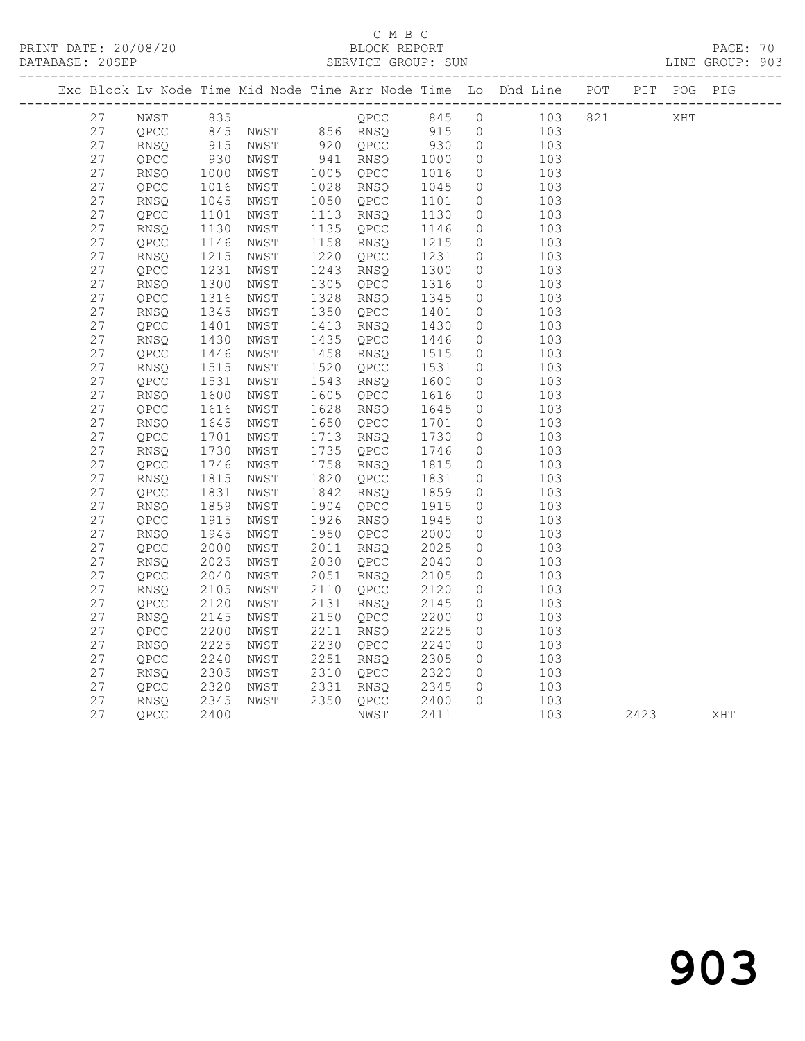| Exc Block Lv Node Time Mid Node Time Arr Node Time Lo |             |      |      |      |      |      |                  | Dhd Line | POT | PIT | POG | PIG |
|-------------------------------------------------------|-------------|------|------|------|------|------|------------------|----------|-----|-----|-----|-----|
| 27                                                    | NWST        | 835  |      |      | OPCC | 845  | $\left( \right)$ | 103      | 821 |     | XHT |     |
| 27                                                    | OPCC        | 845  | NWST | 856  | RNSO | 915  | - 0              | 103      |     |     |     |     |
| 27                                                    | RNSO        | 915  | NWST | 920  | OPCC | 930  | $\overline{0}$   | 103      |     |     |     |     |
| 27                                                    | OPCC        | 930  | NWST | 941  | RNSO | 1000 | $\bigcirc$       | 103      |     |     |     |     |
| 27                                                    | <b>RNSO</b> | 1000 | NWST | 1005 | OPCC | 1016 | $\bigcirc$       | 103      |     |     |     |     |
| 27                                                    | OPCC        | 1016 | NWST | 1028 | RNSO | 1045 | $\bigcirc$       | 103      |     |     |     |     |
| 27                                                    | RNSO        | 1045 | NWST | 1050 | OPCC | 1101 | $\cup$           | 103      |     |     |     |     |
| 27                                                    | OPCC        | 1101 | NWST | 1113 | RNSO | 1130 | $\bigcirc$       | 103      |     |     |     |     |
| 27                                                    | RNSO        | 1130 | NWST | 1135 | OPCC | 1146 |                  | 103      |     |     |     |     |

| $\angle$ / | V.FUU       | TTOT | <b>IAMPT</b> | TTT2 | RNPA | TTSA | U       | TUR |      |     |
|------------|-------------|------|--------------|------|------|------|---------|-----|------|-----|
| 27         | <b>RNSQ</b> | 1130 | NWST         | 1135 | QPCC | 1146 | 0       | 103 |      |     |
| 27         | QPCC        | 1146 | NWST         | 1158 | RNSQ | 1215 | 0       | 103 |      |     |
| 27         | RNSQ        | 1215 | NWST         | 1220 | QPCC | 1231 | 0       | 103 |      |     |
| 27         | QPCC        | 1231 | NWST         | 1243 | RNSQ | 1300 | 0       | 103 |      |     |
| 27         | RNSQ        | 1300 | NWST         | 1305 | OPCC | 1316 | 0       | 103 |      |     |
| 27         | QPCC        | 1316 | NWST         | 1328 | RNSQ | 1345 | $\circ$ | 103 |      |     |
| 27         | RNSQ        | 1345 | NWST         | 1350 | QPCC | 1401 | $\circ$ | 103 |      |     |
| 27         | QPCC        | 1401 | NWST         | 1413 | RNSO | 1430 | 0       | 103 |      |     |
| 27         | RNSQ        | 1430 | NWST         | 1435 | QPCC | 1446 | 0       | 103 |      |     |
| 27         | QPCC        | 1446 | NWST         | 1458 | RNSO | 1515 | $\circ$ | 103 |      |     |
| 27         | RNSQ        | 1515 | NWST         | 1520 | QPCC | 1531 | 0       | 103 |      |     |
| 27         | QPCC        | 1531 | NWST         | 1543 | RNSQ | 1600 | 0       | 103 |      |     |
| 27         | RNSQ        | 1600 | NWST         | 1605 | QPCC | 1616 | 0       | 103 |      |     |
| 27         | QPCC        | 1616 | NWST         | 1628 | RNSQ | 1645 | 0       | 103 |      |     |
| 27         | RNSQ        | 1645 | NWST         | 1650 | QPCC | 1701 | 0       | 103 |      |     |
| 27         | QPCC        | 1701 | NWST         | 1713 | RNSQ | 1730 | 0       | 103 |      |     |
| 27         | RNSQ        | 1730 | NWST         | 1735 | QPCC | 1746 | 0       | 103 |      |     |
| 27         | QPCC        | 1746 | NWST         | 1758 | RNSQ | 1815 | 0       | 103 |      |     |
| 27         | RNSQ        | 1815 | NWST         | 1820 | QPCC | 1831 | 0       | 103 |      |     |
| 27         | QPCC        | 1831 | NWST         | 1842 | RNSQ | 1859 | 0       | 103 |      |     |
| 27         | RNSQ        | 1859 | NWST         | 1904 | QPCC | 1915 | 0       | 103 |      |     |
| 27         | QPCC        | 1915 | NWST         | 1926 | RNSQ | 1945 | 0       | 103 |      |     |
| 27         | RNSQ        | 1945 | NWST         | 1950 | QPCC | 2000 | 0       | 103 |      |     |
| 27         | QPCC        | 2000 | NWST         | 2011 | RNSQ | 2025 | 0       | 103 |      |     |
| 27         | RNSQ        | 2025 | NWST         | 2030 | QPCC | 2040 | 0       | 103 |      |     |
| 27         | QPCC        | 2040 | NWST         | 2051 | RNSO | 2105 | 0       | 103 |      |     |
| 27         | RNSQ        | 2105 | NWST         | 2110 | QPCC | 2120 | 0       | 103 |      |     |
| 27         | QPCC        | 2120 | NWST         | 2131 | RNSQ | 2145 | 0       | 103 |      |     |
| 27         | RNSQ        | 2145 | NWST         | 2150 | QPCC | 2200 | 0       | 103 |      |     |
| 27         | QPCC        | 2200 | NWST         | 2211 | RNSQ | 2225 | 0       | 103 |      |     |
| 27         | <b>RNSQ</b> | 2225 | NWST         | 2230 | QPCC | 2240 | 0       | 103 |      |     |
| 27         | QPCC        | 2240 | NWST         | 2251 | RNSQ | 2305 | 0       | 103 |      |     |
| 27         | RNSQ        | 2305 | NWST         | 2310 | QPCC | 2320 | 0       | 103 |      |     |
| 27         | QPCC        | 2320 | NWST         | 2331 | RNSO | 2345 | 0       | 103 |      |     |
| 27         | RNSQ        | 2345 | NWST         | 2350 | QPCC | 2400 | 0       | 103 |      |     |
| 27         | OPCC        | 2400 |              |      | NWST | 2411 |         | 103 | 2423 | XHT |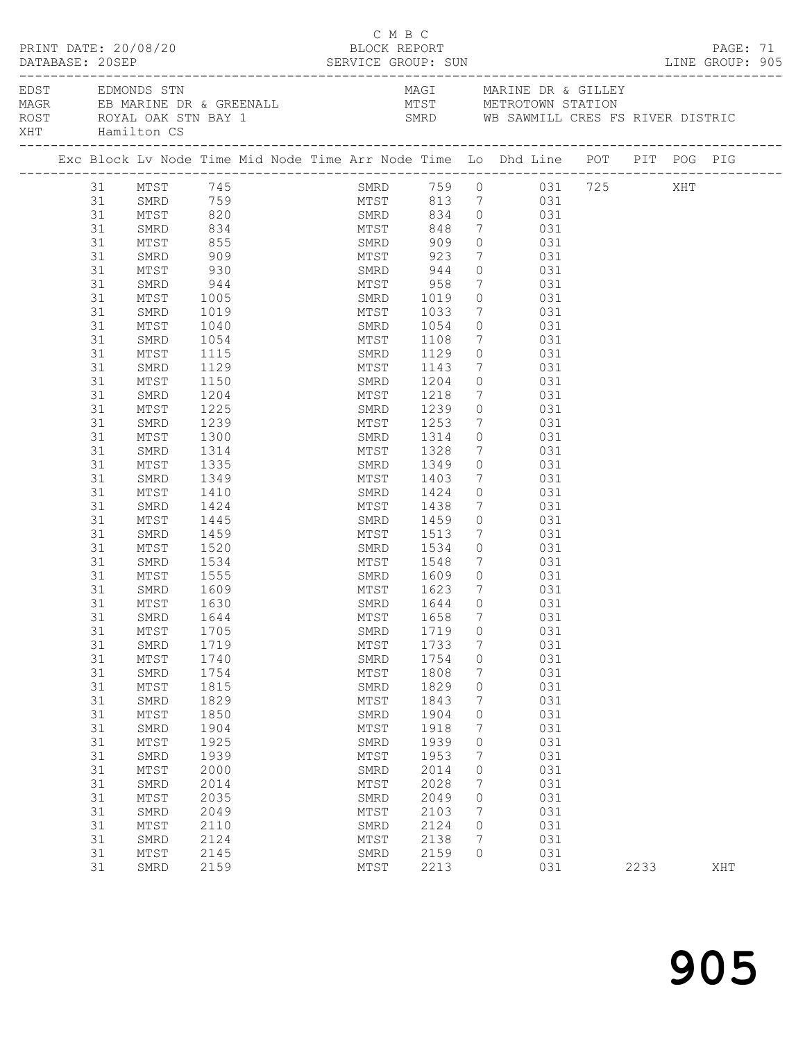|     | PRINT DATE: 20/08/20<br>DATABASE: 20SEP |          |                                                                                                                                                                     |                  |  |  |  | BLOCK REPORT | СМВС |                        |                 |                                                                                       |            |                                                                  |      | PAGE: 71 |  |
|-----|-----------------------------------------|----------|---------------------------------------------------------------------------------------------------------------------------------------------------------------------|------------------|--|--|--|--------------|------|------------------------|-----------------|---------------------------------------------------------------------------------------|------------|------------------------------------------------------------------|------|----------|--|
| XHT |                                         |          | EDST EDMONDS STN<br>ROST ROYAL OAK STN BAY 1<br>Hamilton CS                                                                                                         |                  |  |  |  |              |      |                        |                 |                                                                                       |            | MAGI MARINE DR & GILLEY<br>SMRD WB SAWMILL CRES FS RIVER DISTRIC |      |          |  |
|     |                                         |          | Exc Block Lv Node Time Mid Node Time Arr Node Time Lo Dhd Line POT PIT POG PIG                                                                                      |                  |  |  |  |              |      |                        |                 |                                                                                       |            |                                                                  |      |          |  |
|     |                                         |          | 31 MTST 745<br>31 SMRD 759<br>31 SMRD 759<br>31 MTST 813 7<br>31 SMRD 834 0 031<br>31 MTST 848 7 031<br>31 MTST 848 7 031<br>31 MTST 848 7 031<br>31 MTST 848 7 031 |                  |  |  |  |              |      |                        |                 |                                                                                       |            | SMRD 759 0 031 725 XHT<br>MTST 813 7 031                         |      |          |  |
|     |                                         |          |                                                                                                                                                                     |                  |  |  |  |              |      |                        |                 |                                                                                       |            |                                                                  |      |          |  |
|     |                                         |          |                                                                                                                                                                     |                  |  |  |  |              |      |                        |                 |                                                                                       |            |                                                                  |      |          |  |
|     |                                         |          |                                                                                                                                                                     |                  |  |  |  |              |      |                        |                 |                                                                                       |            |                                                                  |      |          |  |
|     |                                         |          |                                                                                                                                                                     | 855<br>909       |  |  |  |              |      |                        |                 | $\begin{array}{ccc} 0 & \hspace{1.5cm} & 031 \\ 7 & \hspace{1.5cm} & 031 \end{array}$ |            |                                                                  |      |          |  |
|     |                                         | 31       | SMRD                                                                                                                                                                |                  |  |  |  |              |      |                        |                 |                                                                                       |            |                                                                  |      |          |  |
|     |                                         | 31       | MTST                                                                                                                                                                | 930              |  |  |  |              |      | SMRD 944               |                 | $0$ 031                                                                               |            |                                                                  |      |          |  |
|     |                                         | 31       | SMRD                                                                                                                                                                | 944              |  |  |  |              |      | MTST 958               | $7\overline{ }$ | 031                                                                                   |            |                                                                  |      |          |  |
|     |                                         | 31       | MTST                                                                                                                                                                | 1005             |  |  |  |              |      | SMRD 1019<br>MTST 1033 | $\overline{0}$  |                                                                                       | 031        |                                                                  |      |          |  |
|     |                                         | 31       | SMRD                                                                                                                                                                | 1019             |  |  |  |              |      | SMRD 1054              | 7               | 031                                                                                   | 031        |                                                                  |      |          |  |
|     |                                         | 31       | MTST                                                                                                                                                                | 1040             |  |  |  |              |      |                        | $\circ$         |                                                                                       |            |                                                                  |      |          |  |
|     |                                         | 31       | SMRD                                                                                                                                                                | 1054             |  |  |  |              |      | MTST 1108              | $7\overline{ }$ | 031                                                                                   |            |                                                                  |      |          |  |
|     |                                         | 31<br>31 | MTST<br>SMRD                                                                                                                                                        | 1115<br>1129     |  |  |  | SMRD<br>MTST |      | 1129<br>1143           | 7               | $\overline{0}$                                                                        | 031<br>031 |                                                                  |      |          |  |
|     |                                         | 31       | MTST                                                                                                                                                                | 1150             |  |  |  |              |      | SMRD 1204              |                 | $0$ 031                                                                               |            |                                                                  |      |          |  |
|     |                                         | 31       | SMRD                                                                                                                                                                | 1204             |  |  |  |              |      | MTST 1218              | $\overline{7}$  | 031                                                                                   |            |                                                                  |      |          |  |
|     |                                         | 31       | MTST                                                                                                                                                                | 1225             |  |  |  |              |      |                        | $\circ$         | 031                                                                                   |            |                                                                  |      |          |  |
|     |                                         | 31       | SMRD                                                                                                                                                                | 1239             |  |  |  |              |      | SMRD 1239<br>MTST 1253 | 7               |                                                                                       | 031        |                                                                  |      |          |  |
|     |                                         | 31       | MTST                                                                                                                                                                | 1300             |  |  |  |              |      | SMRD 1314              | $\circ$         | 031                                                                                   |            |                                                                  |      |          |  |
|     |                                         | 31       | SMRD                                                                                                                                                                | 1314             |  |  |  |              |      | MTST 1328              | $\overline{7}$  | 031                                                                                   |            |                                                                  |      |          |  |
|     |                                         | 31       | MTST                                                                                                                                                                | 1335             |  |  |  | SMRD         |      | 1349                   |                 | $0$ 031                                                                               |            |                                                                  |      |          |  |
|     |                                         | 31       | SMRD                                                                                                                                                                | 1349             |  |  |  |              |      |                        | 7               |                                                                                       | 031        |                                                                  |      |          |  |
|     |                                         | 31       | MTST                                                                                                                                                                | 1410             |  |  |  |              |      | MTST 1403<br>SMRD 1424 |                 | 0 031                                                                                 |            |                                                                  |      |          |  |
|     |                                         | 31       | SMRD                                                                                                                                                                | 1424             |  |  |  |              |      | MTST 1438              | $7\overline{ }$ | 031                                                                                   |            |                                                                  |      |          |  |
|     |                                         | 31       | MTST                                                                                                                                                                | 1445             |  |  |  |              |      | SMRD 1459              | $\circ$         | 031                                                                                   |            |                                                                  |      |          |  |
|     |                                         | 31       | SMRD                                                                                                                                                                | 1459             |  |  |  |              |      | MTST 1513<br>SMRD 1534 | $7\overline{ }$ |                                                                                       | 031        |                                                                  |      |          |  |
|     |                                         | 31       | MTST                                                                                                                                                                | 1520             |  |  |  |              |      |                        |                 | $\begin{matrix} 0 & 0 & 0 \\ 0 & 0 & 0 \end{matrix}$                                  |            |                                                                  |      |          |  |
|     |                                         | 31       | SMRD                                                                                                                                                                | 1534             |  |  |  |              |      | MTST 1548              |                 | 7 031                                                                                 |            |                                                                  |      |          |  |
|     |                                         | 31       | MTST                                                                                                                                                                | 1555             |  |  |  |              |      | SMRD 1609              |                 | $0$ 031                                                                               |            |                                                                  |      |          |  |
|     |                                         | 31       | SMRD                                                                                                                                                                | $1609$<br>$1630$ |  |  |  |              |      | MTST 1623<br>SMRD 1644 | $7\overline{ }$ |                                                                                       | 031<br>031 |                                                                  |      |          |  |
|     |                                         | 31       | MTST                                                                                                                                                                | 1630             |  |  |  |              |      |                        | $\overline{0}$  |                                                                                       |            |                                                                  |      |          |  |
|     |                                         | 31       | SMRD 1644                                                                                                                                                           |                  |  |  |  |              |      | MTST 1658 7 031        |                 |                                                                                       |            |                                                                  |      |          |  |
|     |                                         | 31       | MTST                                                                                                                                                                | 1705             |  |  |  | SMRD         |      | 1719                   | 0               |                                                                                       | 031        |                                                                  |      |          |  |
|     |                                         | 31       | SMRD                                                                                                                                                                | 1719             |  |  |  | MTST         |      | 1733                   | 7               |                                                                                       | 031        |                                                                  |      |          |  |
|     |                                         | 31       | MTST                                                                                                                                                                | 1740             |  |  |  | SMRD         |      | 1754                   | 0               |                                                                                       | 031        |                                                                  |      |          |  |
|     |                                         | 31<br>31 | SMRD<br>MTST                                                                                                                                                        | 1754<br>1815     |  |  |  | MTST<br>SMRD |      | 1808<br>1829           | 7<br>0          |                                                                                       | 031<br>031 |                                                                  |      |          |  |
|     |                                         | 31       | SMRD                                                                                                                                                                | 1829             |  |  |  | MTST         |      | 1843                   | 7               |                                                                                       | 031        |                                                                  |      |          |  |
|     |                                         | 31       | ${\tt MTST}$                                                                                                                                                        | 1850             |  |  |  | SMRD         |      | 1904                   | 0               |                                                                                       | 031        |                                                                  |      |          |  |
|     |                                         | 31       | SMRD                                                                                                                                                                | 1904             |  |  |  | MTST         |      | 1918                   | 7               |                                                                                       | 031        |                                                                  |      |          |  |
|     |                                         | 31       | MTST                                                                                                                                                                | 1925             |  |  |  | SMRD         |      | 1939                   | 0               |                                                                                       | 031        |                                                                  |      |          |  |
|     |                                         | 31       | SMRD                                                                                                                                                                | 1939             |  |  |  | MTST         |      | 1953                   | 7               |                                                                                       | 031        |                                                                  |      |          |  |
|     |                                         | 31       | MTST                                                                                                                                                                | 2000             |  |  |  | SMRD         |      | 2014                   | 0               |                                                                                       | 031        |                                                                  |      |          |  |
|     |                                         | 31       | SMRD                                                                                                                                                                | 2014             |  |  |  | MTST         |      | 2028                   | 7               |                                                                                       | 031        |                                                                  |      |          |  |
|     |                                         | 31       | MTST                                                                                                                                                                | 2035             |  |  |  | SMRD         |      | 2049                   | 0               |                                                                                       | 031        |                                                                  |      |          |  |
|     |                                         | 31       | SMRD                                                                                                                                                                | 2049             |  |  |  | MTST         |      | 2103                   | 7               |                                                                                       | 031        |                                                                  |      |          |  |
|     |                                         | 31       | MTST                                                                                                                                                                | 2110             |  |  |  | SMRD         |      | 2124                   | 0               |                                                                                       | 031        |                                                                  |      |          |  |
|     |                                         | 31       | SMRD                                                                                                                                                                | 2124             |  |  |  | MTST         |      | 2138                   | 7               |                                                                                       | 031        |                                                                  |      |          |  |
|     |                                         | 31       | MTST                                                                                                                                                                | 2145             |  |  |  | SMRD         |      | 2159                   | $\Omega$        |                                                                                       | 031        |                                                                  |      |          |  |
|     |                                         | 31       | SMRD                                                                                                                                                                | 2159             |  |  |  | MTST         |      | 2213                   |                 |                                                                                       | 031        |                                                                  | 2233 | XHT      |  |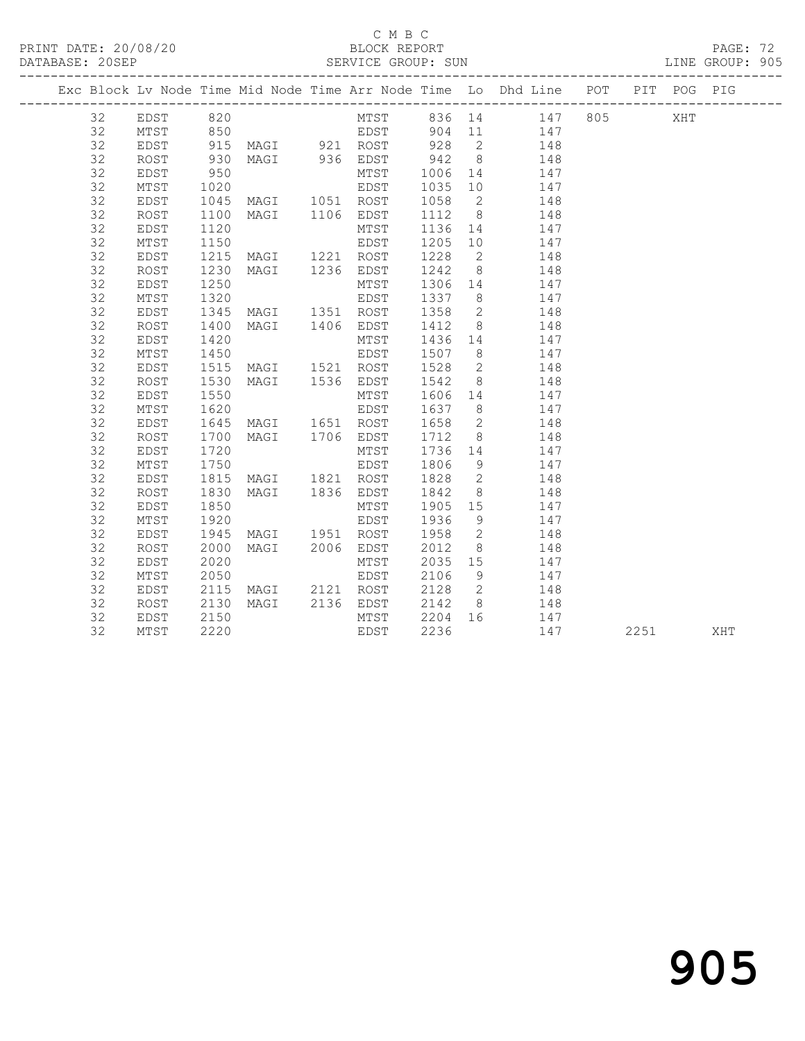### C M B C<br>BLOCK REPORT

#### SERVICE GROUP: SUN

|  |    |          |      |                     |                     |         |                 | Exc Block Lv Node Time Mid Node Time Arr Node Time Lo Dhd Line POT PIT POG PIG |  |  |
|--|----|----------|------|---------------------|---------------------|---------|-----------------|--------------------------------------------------------------------------------|--|--|
|  | 32 | EDST 820 |      |                     |                     |         |                 | MTST 836 14 147 805 XHT                                                        |  |  |
|  | 32 | MTST     | 850  |                     | EDST 904 11         |         |                 | 147                                                                            |  |  |
|  | 32 | EDST     | 915  |                     | MAGI 921 ROST 928 2 |         |                 | 148                                                                            |  |  |
|  | 32 | ROST     | 930  | MAGI 936 EDST       |                     | 942 8   |                 | 148                                                                            |  |  |
|  | 32 | EDST     | 950  |                     | MTST                | 1006    |                 | 147<br>14                                                                      |  |  |
|  | 32 | MTST     | 1020 |                     | EDST                | 1035 10 |                 | 147                                                                            |  |  |
|  | 32 | EDST     |      | 1045 MAGI 1051 ROST |                     | 1058 2  |                 | 148                                                                            |  |  |
|  | 32 | ROST     | 1100 | MAGI 1106 EDST      |                     | 1112    |                 | $8 \overline{)}$<br>148                                                        |  |  |
|  | 32 | EDST     | 1120 |                     | MTST                | 1136    |                 | 147<br>14 \,                                                                   |  |  |
|  | 32 | MTST     | 1150 |                     | EDST                | 1205    | 10 <sub>1</sub> | 147                                                                            |  |  |
|  | 32 | EDST     | 1215 | MAGI 1221 ROST      |                     | 1228    | $\overline{2}$  | 148                                                                            |  |  |
|  | 32 | ROST     | 1230 | MAGI 1236 EDST      |                     | 1242    |                 | 148<br>$8 \overline{)}$                                                        |  |  |
|  | 32 | EDST     | 1250 |                     | MTST                | 1306 14 |                 | 147                                                                            |  |  |
|  | 32 | MTST     | 1320 |                     | EDST                | 1337 8  |                 | 147                                                                            |  |  |
|  | 32 | EDST     |      | 1345 MAGI 1351 ROST |                     | 1358 2  |                 | 148                                                                            |  |  |
|  | 32 | ROST     | 1400 | MAGI 1406 EDST      |                     | 1412    |                 | $8 - 8$<br>148                                                                 |  |  |
|  | 32 | EDST     | 1420 |                     | MTST                | 1436    |                 | 147<br>14 and $\overline{a}$                                                   |  |  |
|  | 32 | MTST     | 1450 |                     | EDST                | 1507    |                 | $8\overline{)}$<br>147                                                         |  |  |
|  | 32 | EDST     | 1515 | MAGI 1521 ROST      |                     | 1528    |                 | $\overline{2}$<br>148                                                          |  |  |
|  | 32 | ROST     | 1530 | MAGI 1536 EDST      |                     | 1542    |                 | 8 <sup>1</sup><br>148                                                          |  |  |
|  | 32 | EDST     | 1550 |                     | MTST                | 1606 14 |                 | 147                                                                            |  |  |
|  | 32 | MTST     | 1620 |                     | EDST                | 1637 8  |                 | 147                                                                            |  |  |
|  | 32 | EDST     | 1645 | MAGI 1651 ROST      |                     | 1658 2  |                 | 148                                                                            |  |  |
|  | 32 | ROST     | 1700 | MAGI 1706 EDST      |                     | 1712    |                 | $8 - 8$<br>148                                                                 |  |  |
|  | 32 | EDST     | 1720 |                     | MTST                | 1736    |                 | 14 \,<br>147                                                                   |  |  |
|  | 32 | MTST     | 1750 |                     | EDST                | 1806    |                 | $9 \left( \frac{1}{2} \right)$<br>147                                          |  |  |
|  | 32 | EDST     | 1815 | MAGI 1821 ROST      |                     | 1828    |                 | $\overline{2}$<br>148                                                          |  |  |
|  | 32 | ROST     | 1830 | MAGI 1836 EDST      |                     | 1842    |                 | $8 \overline{)}$<br>148                                                        |  |  |
|  | 32 | EDST     | 1850 |                     | MTST                | 1905 15 |                 | 147                                                                            |  |  |
|  | 32 | MTST     | 1920 |                     | EDST                | 1936 9  |                 | 147                                                                            |  |  |

 32 EDST 1945 MAGI 1951 ROST 1958 2 148 32 ROST 2000 MAGI 2006 EDST 2012 8 148

 32 MTST 2050 EDST 2106 9 147 32 EDST 2115 MAGI 2121 ROST 2128 2 148 32 ROST 2130 MAGI 2136 EDST 2142 8 148

32 EDST 2020 MTST 2035 15 147

32 EDST 2150 MTST 2204 16 147<br>32 MTST 2220 EDST 2236 147

905

2251 XHT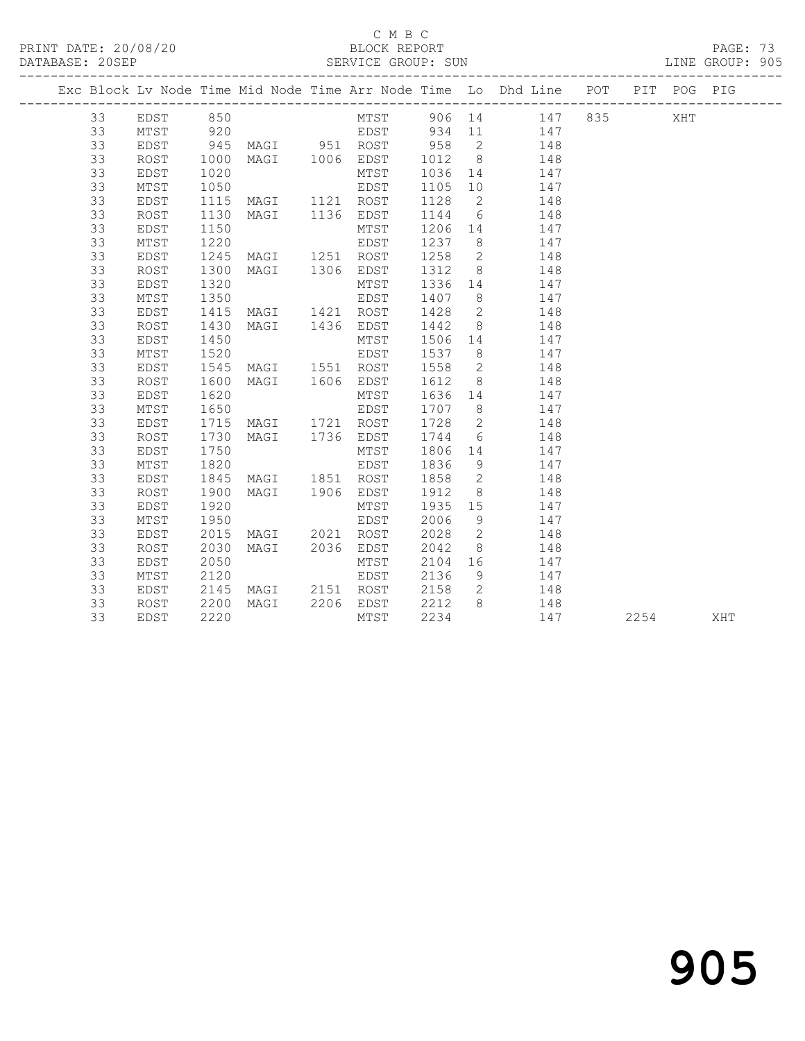PRINT DATE: 20/08/20 BLOCK REPORT PAGE: 73

#### C M B C<br>BLOCK REPORT

#### DATABASE: 20SEP SERVICE GROUP: SUN

|    |      |      |      |      |      |        |      | Exc Block Ly Node Time Mid Node Time Arr Node Time Lo Dhd Line | POT | PTT | POG PIG |  |
|----|------|------|------|------|------|--------|------|----------------------------------------------------------------|-----|-----|---------|--|
| 33 | EDST | 850  |      |      | MTST | 906 14 |      | 147                                                            | 835 |     | XHT     |  |
| 33 | MTST | 920  |      |      | EDST | 934    | - 11 | 147                                                            |     |     |         |  |
| 33 | EDST | 945  | MAGI | 951  | ROST | 958    | - 2  | 148                                                            |     |     |         |  |
| 33 | ROST | 1000 | MAGI | 1006 | EDST | 1012   | - 8  | 148                                                            |     |     |         |  |
| 33 | EDST | 1020 |      |      | MTST | 1036   | 14   | 147                                                            |     |     |         |  |
| 33 | MTST | 1050 |      |      | EDST | 1105   | 1 O  | 147                                                            |     |     |         |  |

 33 EDST 1115 MAGI 1121 ROST 1128 2 148 33 ROST 1130 MAGI 1136 EDST 1144 6 148 33 EDST 1150 MTST 1206 14 147 33 MTST 1220 EDST 1237 8 147 33 EDST 1245 MAGI 1251 ROST 1258 2 148 33 ROST 1300 MAGI 1306 EDST 1312 8 148 33 EDST 1320 MTST 1336 14 147 33 MTST 1350 EDST 1407 8 147 33 EDST 1415 MAGI 1421 ROST 1428 2 148 33 ROST 1430 MAGI 1436 EDST 1442 8 148 33 EDST 1450 MTST 1506 14 147 33 MTST 1520 EDST 1537 8 147 33 EDST 1545 MAGI 1551 ROST 1558 2 148 33 ROST 1600 MAGI 1606 EDST 1612 8 148 33 EDST 1620 MTST 1636 14 147 33 MTST 1650 EDST 1707 8 147 33 EDST 1715 MAGI 1721 ROST 1728 2 148 33 ROST 1730 MAGI 1736 EDST 1744 6 148 33 EDST 1750 MTST 1806 14 147 33 MTST 1820 EDST 1836 9 147 33 EDST 1845 MAGI 1851 ROST 1858 2 148 33 ROST 1900 MAGI 1906 EDST 1912 8 148 33 EDST 1920 MTST 1935 15 147 33 MTST 1950 EDST 2006 9 147 33 EDST 2015 MAGI 2021 ROST 2028 2 148 33 ROST 2030 MAGI 2036 EDST 2042 8 148 33 EDST 2050 MTST 2104 16 147 33 MTST 2120 EDST 2136 9 147 33 EDST 2145 MAGI 2151 ROST 2158 2 148 33 ROST 2200 MAGI 2206 EDST 2212 8 148

33 EDST 2220 MTST 2234 147 2254 XHT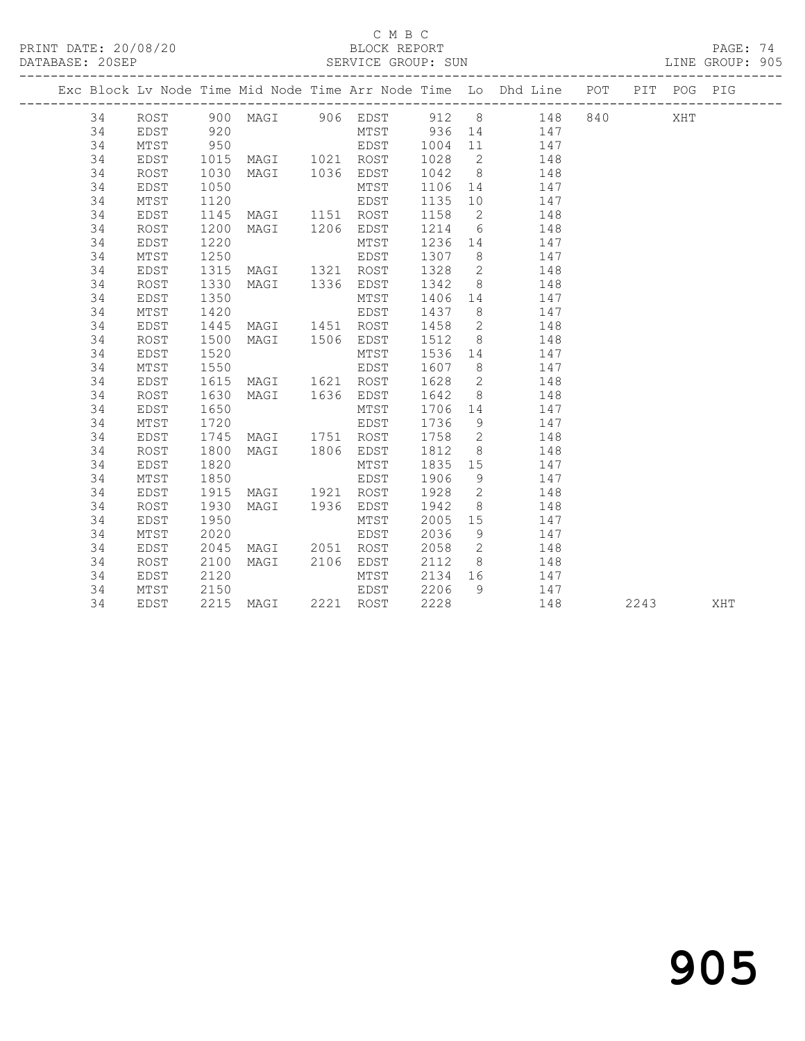PRINT DATE: 20/08/20 BLOCK REPORT BATABASE: 20SEP

### C M B C<br>BLOCK REPORT

PAGE: 74<br>LINE GROUP: 905

|  |    |             |      |                |           |         |                | Exc Block Lv Node Time Mid Node Time Arr Node Time Lo Dhd Line POT PIT POG PIG |      |     |     |
|--|----|-------------|------|----------------|-----------|---------|----------------|--------------------------------------------------------------------------------|------|-----|-----|
|  | 34 |             |      |                |           |         |                | ROST 900 MAGI 906 EDST 912 8 148 840                                           |      | XHT |     |
|  | 34 | EDST        | 920  |                |           |         |                | MTST 936 14 147                                                                |      |     |     |
|  | 34 | MTST        | 950  | <b>EDST</b>    |           |         |                | 1004 11 147                                                                    |      |     |     |
|  | 34 | EDST        | 1015 | MAGI 1021 ROST |           | 1028    |                | 2 148                                                                          |      |     |     |
|  | 34 | ROST        | 1030 | MAGI 1036 EDST |           |         |                | 1042 8 148                                                                     |      |     |     |
|  | 34 | EDST        | 1050 |                | MTST      | 1106    |                | 14 147                                                                         |      |     |     |
|  | 34 | MTST        | 1120 |                | EDST      | 1135    |                | 10 147                                                                         |      |     |     |
|  | 34 | EDST        | 1145 | MAGI 1151 ROST |           | 1158    | $\overline{2}$ | 148                                                                            |      |     |     |
|  | 34 | <b>ROST</b> | 1200 | MAGI 1206 EDST |           | 1214 6  |                | 148                                                                            |      |     |     |
|  | 34 | EDST        | 1220 |                | MTST      | 1236 14 |                | 147                                                                            |      |     |     |
|  | 34 | MTST        | 1250 |                | EDST      | 1307 8  |                | 147                                                                            |      |     |     |
|  | 34 | EDST        | 1315 | MAGI 1321 ROST |           | 1328    | $\overline{2}$ | 148                                                                            |      |     |     |
|  | 34 | ROST        | 1330 | MAGI 1336 EDST |           | 1342    | 8 <sup>8</sup> | 148                                                                            |      |     |     |
|  | 34 | EDST        | 1350 |                | MTST      |         |                | 1406 14 147                                                                    |      |     |     |
|  | 34 | MTST        | 1420 |                | EDST      |         |                | 1437 8 147                                                                     |      |     |     |
|  | 34 | EDST        | 1445 | MAGI 1451 ROST |           | 1458    |                | 2 148                                                                          |      |     |     |
|  | 34 | ROST        | 1500 | MAGI 1506 EDST |           | 1512    |                | 8 148                                                                          |      |     |     |
|  | 34 | EDST        | 1520 |                | MTST      |         |                | 1536 14 147                                                                    |      |     |     |
|  | 34 | MTST        | 1550 |                | EDST      | 1607    | 8 <sup>8</sup> | 147                                                                            |      |     |     |
|  | 34 | EDST        | 1615 | MAGI 1621 ROST |           | 1628    | $\overline{2}$ | 148                                                                            |      |     |     |
|  | 34 | ROST        | 1630 | MAGI 1636 EDST |           | 1642    | 8 <sup>8</sup> | 148                                                                            |      |     |     |
|  | 34 | EDST        | 1650 |                | MTST      | 1706 14 |                | 147                                                                            |      |     |     |
|  | 34 | MTST        | 1720 |                | EDST      | 1736    | 9              | 147                                                                            |      |     |     |
|  | 34 | EDST        | 1745 | MAGI 1751 ROST |           | 1758    | $\overline{2}$ | 148                                                                            |      |     |     |
|  | 34 | ROST        | 1800 | MAGI 1806 EDST |           | 1812    | 8 <sup>8</sup> | 148                                                                            |      |     |     |
|  | 34 | EDST        | 1820 |                | MTST      | 1835 15 |                | 147                                                                            |      |     |     |
|  | 34 | MTST        | 1850 |                | EDST      | 1906    | 9              | 147                                                                            |      |     |     |
|  | 34 | EDST        | 1915 | MAGI 1921 ROST |           | 1928    |                | 2 148                                                                          |      |     |     |
|  | 34 | ROST        | 1930 | MAGI 1936 EDST |           | 1942    |                | 8<br>148                                                                       |      |     |     |
|  | 34 | EDST        | 1950 |                | MTST      | 2005    |                | 15 147                                                                         |      |     |     |
|  | 34 | MTST        | 2020 |                | EDST      | 2036    | 9              | 147                                                                            |      |     |     |
|  | 34 | EDST        | 2045 | MAGI 2051 ROST |           | 2058    | $\overline{2}$ | 148                                                                            |      |     |     |
|  | 34 | ROST        | 2100 | MAGI           | 2106 EDST | 2112    | 8 <sup>1</sup> | 148                                                                            |      |     |     |
|  | 34 | EDST        | 2120 |                | MTST      | 2134 16 |                | 147                                                                            |      |     |     |
|  | 34 | MTST        | 2150 |                | EDST      | 2206    | 9              | 147                                                                            |      |     |     |
|  | 34 | EDST        |      | 2215 MAGI      | 2221 ROST | 2228    |                | 148                                                                            | 2243 |     | XHT |

# 905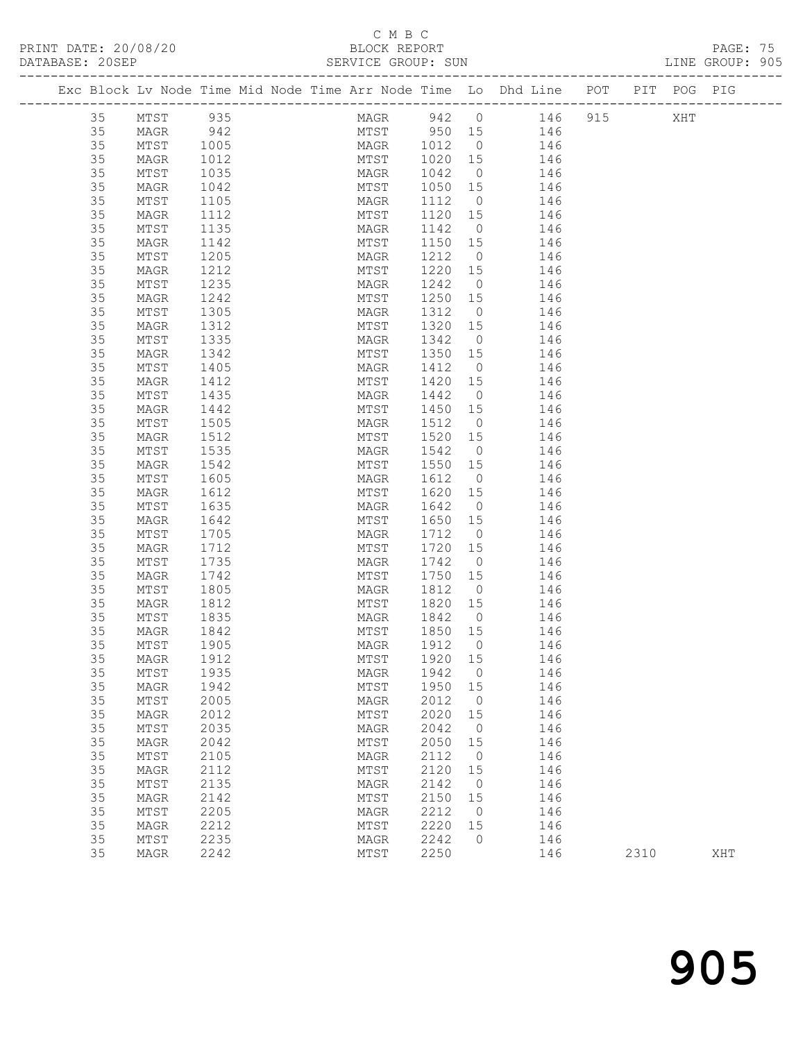PRINT DATE: 20/08/20 BLOCK REPORT PAGE: 75

# C M B C<br>BLOCK REPORT

|  | DATABASE: 20SEP |                 |                   |  | SERVICE GROUP: SUN |         |                |                                                                                |  | LINE GROUP: 905 |  |
|--|-----------------|-----------------|-------------------|--|--------------------|---------|----------------|--------------------------------------------------------------------------------|--|-----------------|--|
|  |                 |                 |                   |  |                    |         |                | Exc Block Lv Node Time Mid Node Time Arr Node Time Lo Dhd Line POT PIT POG PIG |  |                 |  |
|  | 35              | MTST 935        |                   |  |                    |         |                | MAGR 942 0 146 915 XHT                                                         |  |                 |  |
|  | 35              | MAGR            | 942               |  |                    |         |                | MTST 950 15 146                                                                |  |                 |  |
|  | 35              | MTST            | 1005              |  |                    |         |                | MAGR 1012 0 146                                                                |  |                 |  |
|  | 35              | MAGR            | 1012              |  | MTST               | 1020 15 |                | 146                                                                            |  |                 |  |
|  | 35              | MTST            | 1035              |  | MAGR               |         |                | $1042$ 0 $146$                                                                 |  |                 |  |
|  | 35              | MAGR            | 1042              |  | MTST               |         |                | 1050 15 146                                                                    |  |                 |  |
|  | 35              | MTST            | 1105              |  | MAGR               |         |                | 1112 0 146                                                                     |  |                 |  |
|  | 35              | MAGR            | 1112              |  | MTST               | 1120 15 |                | 146                                                                            |  |                 |  |
|  | 35              | MTST            | $\frac{1}{1135}$  |  | MAGR               | 1142 0  |                | 146                                                                            |  |                 |  |
|  | 35              | MAGR            | 1142              |  | MTST               |         |                | 1150 15 146                                                                    |  |                 |  |
|  | 35              | MTST            | 1205              |  | MAGR               | 1212    |                | $0 \qquad \qquad 146$                                                          |  |                 |  |
|  | 35              | MAGR            | 1212              |  | MTST               | 1220 15 |                | 146                                                                            |  |                 |  |
|  | 35              | MTST            | $\frac{1}{1235}$  |  | MAGR               | 1242 0  |                | 146                                                                            |  |                 |  |
|  | 35              | MAGR            | 1242              |  | MTST               |         |                | 1250 15 146                                                                    |  |                 |  |
|  | 35              | MTST            | 1305              |  | MAGR               |         |                | 1312 0 146                                                                     |  |                 |  |
|  | 35              | MAGR            | 1312<br>1335      |  | MTST               | 1320 15 |                | 146                                                                            |  |                 |  |
|  | 35              | MTST            |                   |  | MAGR               | 1342 0  |                | 146                                                                            |  |                 |  |
|  | 35              | MAGR            | 1342              |  | MTST               |         |                | 1350 15 146                                                                    |  |                 |  |
|  | 35              | MTST            | 1405              |  | MAGR               | 1412    |                | $0 \t 146$                                                                     |  |                 |  |
|  | 35              | MAGR            | 1412              |  | MTST               |         |                | 1420 15 146                                                                    |  |                 |  |
|  | 35              | MTST            | 1435              |  | MAGR               | 1442 0  |                | 146<br>1450 15 146                                                             |  |                 |  |
|  | 35              | MAGR            | 1442              |  | MTST               |         |                |                                                                                |  |                 |  |
|  | 35              | MTST            | 1505              |  | MAGR               |         |                | 1512 0 146                                                                     |  |                 |  |
|  | 35              | MAGR            | 1512              |  | MTST               |         |                | 1520 15 146                                                                    |  |                 |  |
|  | 35<br>35        | MTST            | 1535<br>1542      |  | MAGR<br>MTST       | 1542 0  |                | 146<br>1550 15 146                                                             |  |                 |  |
|  |                 | MAGR            |                   |  |                    |         |                |                                                                                |  |                 |  |
|  | 35<br>35        | MTST            | 1605              |  | MAGR<br>MTST       | 1620 15 |                | 1612 0 146                                                                     |  |                 |  |
|  | 35              | MAGR<br>MTST    | 1612<br>1635      |  | MAGR               | 1642 0  |                | 146<br>146                                                                     |  |                 |  |
|  | 35              | MAGR            | 1642              |  | MTST               |         |                | $1650$ $15$ $146$                                                              |  |                 |  |
|  | 35              | MTST            | 1705              |  | MAGR               |         |                | 1712 0 146                                                                     |  |                 |  |
|  | 35              | MAGR            | 1712              |  | MTST               | 1720 15 |                | 146                                                                            |  |                 |  |
|  | 35              | MTST            | 1735              |  | MAGR               | 1742 0  |                | 146                                                                            |  |                 |  |
|  | 35              | MAGR            | $\frac{1}{1}$ 742 |  | MTST               | 1750 15 |                | 146                                                                            |  |                 |  |
|  | 35              | MTST            | 1805              |  | MAGR               |         |                | 1812 0 146                                                                     |  |                 |  |
|  | 35              | MAGR            | 1812              |  | MTST               |         |                | 1820 15 146                                                                    |  |                 |  |
|  | 35              | MTST            |                   |  | MAGR               | 1842 0  |                | 146                                                                            |  |                 |  |
|  | 35              | MAGR            | 1835<br>1842      |  | MTST               | 1850 15 |                | 146                                                                            |  |                 |  |
|  | 35              | MTST 1905       |                   |  |                    |         |                | MAGR 1912 0 146                                                                |  |                 |  |
|  | 35              | MAGR            | 1912              |  | MTST               | 1920 15 |                | 146                                                                            |  |                 |  |
|  | 35              | MTST            | 1935              |  | MAGR               | 1942    | $\overline{0}$ | 146                                                                            |  |                 |  |
|  | 35              | MAGR            | 1942              |  | MTST               | 1950    | 15             | 146                                                                            |  |                 |  |
|  | 35              | MTST            | 2005              |  | MAGR               | 2012    | $\overline{0}$ | 146                                                                            |  |                 |  |
|  | 35              | MAGR            | 2012              |  | MTST               | 2020    | 15             | 146                                                                            |  |                 |  |
|  | 35              | $\mathtt{MTST}$ | 2035              |  | MAGR               | 2042    | $\overline{0}$ | 146                                                                            |  |                 |  |
|  | 35              | MAGR            | 2042              |  | MTST               | 2050    | 15             | 146                                                                            |  |                 |  |
|  | 35              | MTST            | 2105              |  | MAGR               | 2112    | $\overline{0}$ | 146                                                                            |  |                 |  |
|  | 35              | MAGR            | 2112              |  | MTST               | 2120 15 |                | 146                                                                            |  |                 |  |
|  |                 |                 |                   |  |                    |         |                |                                                                                |  |                 |  |

 35 MTST 2135 MAGR 2142 0 146 35 MAGR 2142 MTST 2150 15 146 35 MTST 2205 MAGR 2212 0 146 35 MAGR 2212 MTST 2220 15 146 35 MTST 2235 MAGR 2242 0 146

35 MAGR 2242 MTST 2250 146 2310 XHT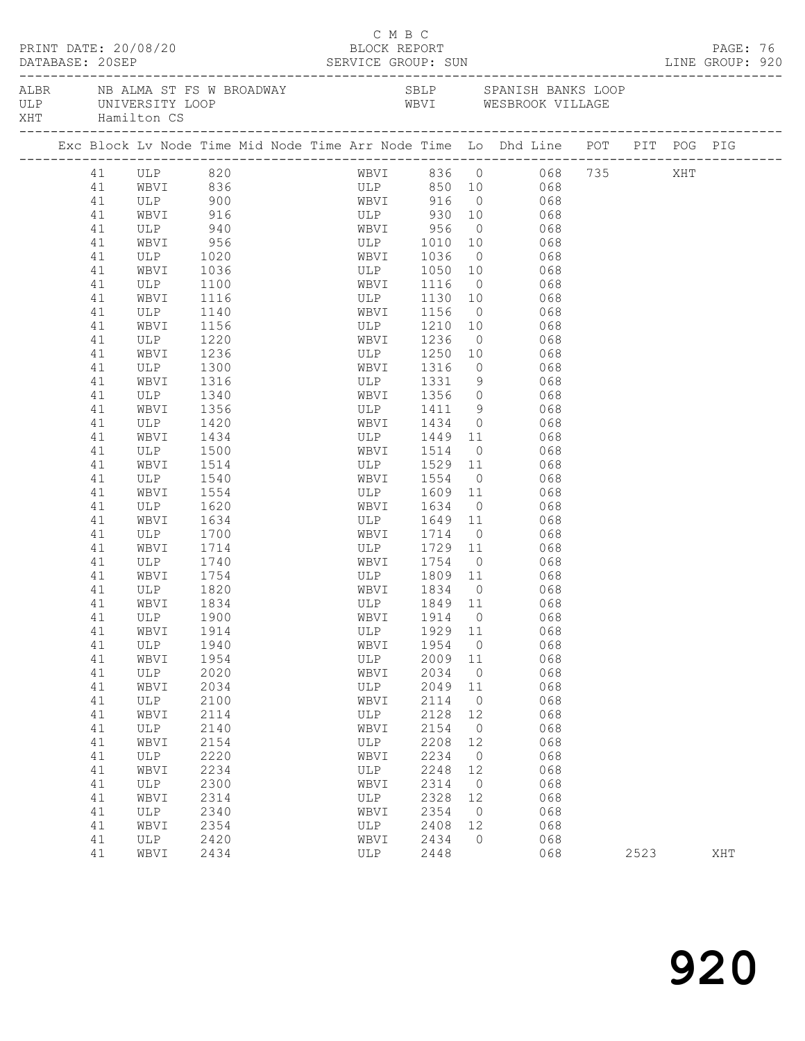| PRINT DATE: 20/08/20<br>DATABASE: 20SEP SERVICE GROUP: SUN LINE GROUP: 920 |                                                                                                                                                                                                                |                                                                                                                                                                                                                                                                                                                                                                                      |                                                                                                                                                                                                                              |  |  | BLOCK REPORT                                                                                          | C M B C |                                                                                                                                                                                                                                                                                   |                                                                                                                                                                |                                                                                                                                                                                                                                                                                |                                                                                                |                        |      | PAGE: 76 |  |
|----------------------------------------------------------------------------|----------------------------------------------------------------------------------------------------------------------------------------------------------------------------------------------------------------|--------------------------------------------------------------------------------------------------------------------------------------------------------------------------------------------------------------------------------------------------------------------------------------------------------------------------------------------------------------------------------------|------------------------------------------------------------------------------------------------------------------------------------------------------------------------------------------------------------------------------|--|--|-------------------------------------------------------------------------------------------------------|---------|-----------------------------------------------------------------------------------------------------------------------------------------------------------------------------------------------------------------------------------------------------------------------------------|----------------------------------------------------------------------------------------------------------------------------------------------------------------|--------------------------------------------------------------------------------------------------------------------------------------------------------------------------------------------------------------------------------------------------------------------------------|------------------------------------------------------------------------------------------------|------------------------|------|----------|--|
| XHT Hamilton CS                                                            |                                                                                                                                                                                                                |                                                                                                                                                                                                                                                                                                                                                                                      |                                                                                                                                                                                                                              |  |  |                                                                                                       |         |                                                                                                                                                                                                                                                                                   |                                                                                                                                                                |                                                                                                                                                                                                                                                                                |                                                                                                |                        |      |          |  |
|                                                                            |                                                                                                                                                                                                                | Exc Block Lv Node Time Mid Node Time Arr Node Time Lo Dhd Line POT PIT POG PIG                                                                                                                                                                                                                                                                                                       |                                                                                                                                                                                                                              |  |  |                                                                                                       |         |                                                                                                                                                                                                                                                                                   |                                                                                                                                                                |                                                                                                                                                                                                                                                                                |                                                                                                |                        |      |          |  |
|                                                                            | 41<br>41<br>41<br>41<br>41<br>41<br>41<br>41<br>41<br>41<br>41<br>41<br>41<br>41<br>41<br>41<br>41<br>41<br>41<br>41<br>41<br>41<br>41<br>41<br>41<br>41<br>41<br>41<br>41<br>41<br>41<br>41<br>41<br>41<br>41 | ULP 820<br>WBVI 836<br>ULP 900 WBVI 916<br>WBVI 916 ULP 930 10<br>ULP 940 WBVI 956 0<br>ULP 940 WBVI 956 0<br>TITE 1010 10<br>WBVI 956<br>ULP 1020<br>WBVI<br>ULP<br>WBVI<br>ULP<br>WBVI<br>ULP<br>WBVI<br>ULP<br>WBVI<br>ULP<br>WBVI<br>ULP<br>WBVI<br>ULP<br>WBVI<br>ULP<br>WBVI<br>ULP<br>WBVI<br>ULP<br>WBVI<br>ULP<br>WBVI<br>ULP<br>WBVI<br>41 ULP 1900<br>WBVI<br>ULP<br>WBVI | 1036<br>1100<br>1116<br>1140<br>1156<br>1220<br>1236<br>1300<br>1316<br>1340<br>1356<br>1420<br>1434<br>1500<br>1514<br>1540<br>1554<br>1620<br>1634<br>1700<br>1714<br>1740<br>1754<br>1820<br>1834<br>1914<br>1940<br>1954 |  |  | ULP<br>WBVI<br>ULP<br>WBVI<br>WBVI<br>$ULP$ <sup>-</sup><br>ULP<br>ULP<br>WBVI<br>ULP                 |         | ULP 1010 10<br>WBVI 1036 0<br>WBVI 1116<br>1130 10<br>1156<br>ULP 1210 10<br>WBVI 1236<br>1250<br>1316<br>1434 0<br>1449 11<br>WBVI 1514<br>1529 11<br>1609 11<br>WBVI 1634<br>ULP 1649 11<br>WBVI 1714 0<br>ULP 1729 11<br>WBVI 1834 0<br>ULP 1849 11<br>1929 11<br>1954<br>2009 | $\overline{0}$<br>$\overline{0}$<br>$\overline{0}$<br>$\overline{0}$<br>10<br>$\overline{0}$<br>$\overline{0}$<br>$\overline{0}$<br>11                         | ULP 850 10 068<br>WBVI 916 0 068<br>ULP 930 10 068<br>068<br>068<br>ULP 1050 10 068<br>068<br>068<br>068<br>068<br>068<br>$ULP$ 1331 9 068<br>WBVI 1356 0 068<br>ULP 1411 9 068<br>$0$ 068<br>068<br>$0 0 068$<br>068<br>WBVI 1754 0 068<br>ULP 1809 11 068<br>WBVI 1914 0 068 | 068<br>068<br>068<br>068<br>068<br>068<br>068<br>068<br>068<br>068<br>068<br>068<br>068<br>068 | WBVI 836 0 068 735 XHT |      |          |  |
|                                                                            | 41<br>41<br>41<br>41<br>41<br>41<br>41<br>41<br>41<br>41<br>41<br>41<br>41<br>41                                                                                                                               | ULP<br>WBVI<br>ULP<br>WBVI<br>ULP<br>WBVI<br>ULP<br>WBVI<br>ULP<br>WBVI<br>ULP<br>WBVI<br>ULP<br>WBVI                                                                                                                                                                                                                                                                                | 2020<br>2034<br>2100<br>2114<br>2140<br>2154<br>2220<br>2234<br>2300<br>2314<br>2340<br>2354<br>2420<br>2434                                                                                                                 |  |  | WBVI<br>ULP<br>WBVI<br>ULP<br>WBVI<br>ULP<br>WBVI<br>ULP<br>WBVI<br>ULP<br>WBVI<br>ULP<br>WBVI<br>ULP |         | 2034<br>2049<br>2114<br>2128<br>2154<br>2208<br>2234<br>2248<br>2314<br>2328<br>2354<br>2408<br>2434<br>2448                                                                                                                                                                      | $\overline{0}$<br>11<br>$\overline{0}$<br>12<br>$\overline{0}$<br>12<br>$\overline{0}$<br>12<br>$\overline{0}$<br>12<br>$\overline{0}$<br>12<br>$\overline{0}$ |                                                                                                                                                                                                                                                                                | 068<br>068<br>068<br>068<br>068<br>068<br>068<br>068<br>068<br>068<br>068<br>068<br>068<br>068 |                        | 2523 | XHT      |  |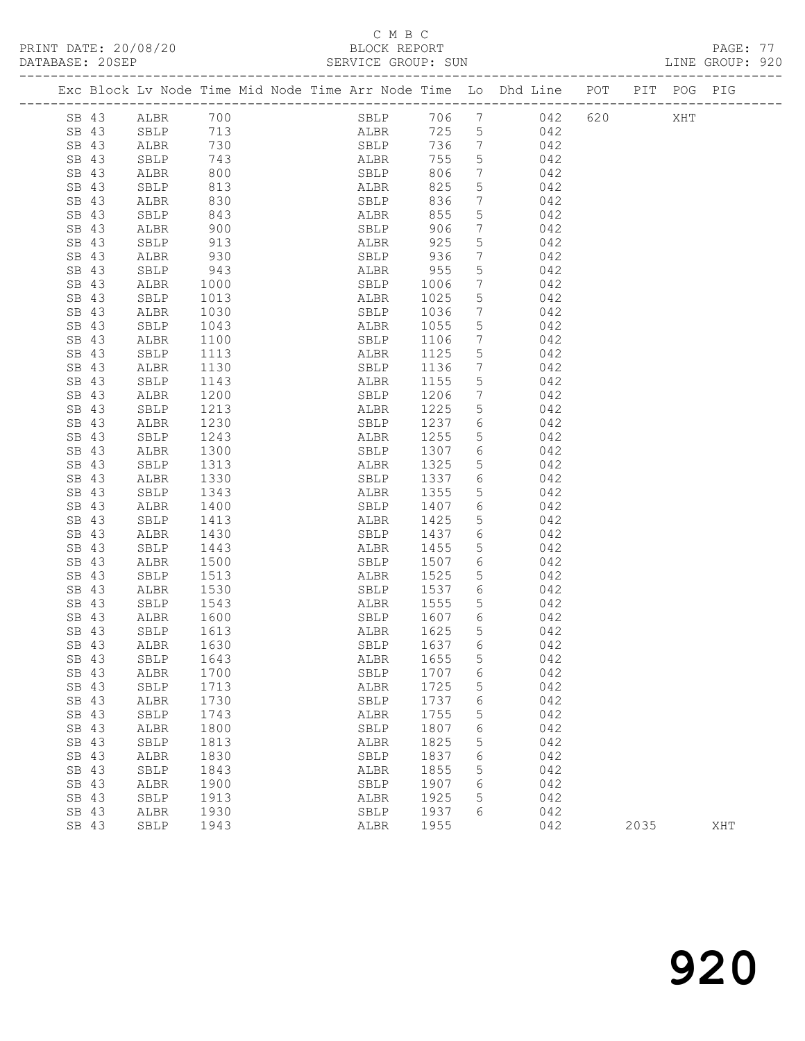## C M B C<br>BLOCK REPORT

PRINT DATE: 20/08/20 BLOCK REPORT PAGE: 77 SERVICE GROUP: SUN ------------------------------------------------------------------------------------------------- Exc Block Lv Node Time Mid Node Time Arr Node Time Lo Dhd Line POT PIT POG PIG ------------------------------------------------------------------------------------------------- SB 43 ALBR 700 SBLP 706 7 042 620 XHT SB 43 SBLP 713 ALBR 725 5 042 SB 43 SBLP 713 ALBR 725 5 042 SB 43 ALBR 730 SBLP 736 7 042 SB 43 SBLP 743 ALBR 755 5 042 SB 43 ALBR 800 SBLP 806 7 042 SB 43 SBLP 813 ALBR 825 5 042 SB 43 ALBR 830 SBLP 836 7 042 SB 43 SBLP 843 ALBR 855 5 042 SB 43 ALBR 900 SBLP 906 7 042 SB 43 SBLP 913 ALBR 925 5 042 SB 43 ALBR 930 SBLP 936 7 042 SB 43 SBLP 943 ALBR 955 5 042 SB 43 ALBR 1000 SBLP 1006 7 042 SB 43 SBLP 1013 ALBR 1025 5 042 SB 43 ALBR 1030 SBLP 1036 7 042 SB 43 SBLP 1043 ALBR 1055 5 042 SB 43 ALBR 1100 SBLP 1106 7 042 SB 43 SBLP 1113 ALBR 1125 5 042 SB 43 ALBR 1130 SBLP 1136 7 042 SB 43 SBLP 1143 ALBR 1155 5 042 SB 43 ALBR 1200 SBLP 1206 7 042 SB 43 SBLP 1213 ALBR 1225 5 042 SB 43 ALBR 1230 SBLP 1237 6 042 SB 43 SBLP 1243 ALBR 1255 5 042 SB 43 ALBR 1300 SBLP 1307 6 042 SB 43 SBLP 1313 ALBR 1325 5 042 SB 43 ALBR 1330 SBLP 1337 6 042 SB 43 SBLP 1343 ALBR 1355 5 042 SB 43 ALBR 1400 SBLP 1407 6 042 SB 43 SBLP 1413 ALBR 1425 5 042 SB 43 ALBR 1430 SBLP 1437 6 042 SB 43 SBLP 1443 ALBR 1455 5 042 SB 43 ALBR 1500 SBLP 1507 6 042 SB 43 SBLP 1513 ALBR 1525 5 042 SB 43 ALBR 1530 SBLP 1537 6 042 SB 43 SBLP 1543 ALBR 1555 5 042 SB 43 ALBR 1600 SBLP 1607 6 042 SB 43 SBLP 1613 ALBR 1625 5 042 SB 43 ALBR 1630 SBLP 1637 6 042 SB 43 SBLP 1643 ALBR 1655 5 042 SB 43 ALBR 1700 SBLP 1707 6 042 SB 43 SBLP 1713 ALBR 1725 5 042 SB 43 ALBR 1730 SBLP 1737 6 042 SB 43 SBLP 1743 ALBR 1755 5 042 SB 43 ALBR 1800 SBLP 1807 6 042 SB 43 SBLP 1813 ALBR 1825 5 042 SB 43 ALBR 1830 SBLP 1837 6 042 SB 43 SBLP 1843 ALBR 1855 5 042 SB 43 ALBR 1900 SBLP 1907 6 042 SB 43 SBLP 1913 ALBR 1925 5 042 SB 43 ALBR 1930 SBLP 1937 6 042 SB 43 SBLP 1943 ALBR 1955 042 2035 XHT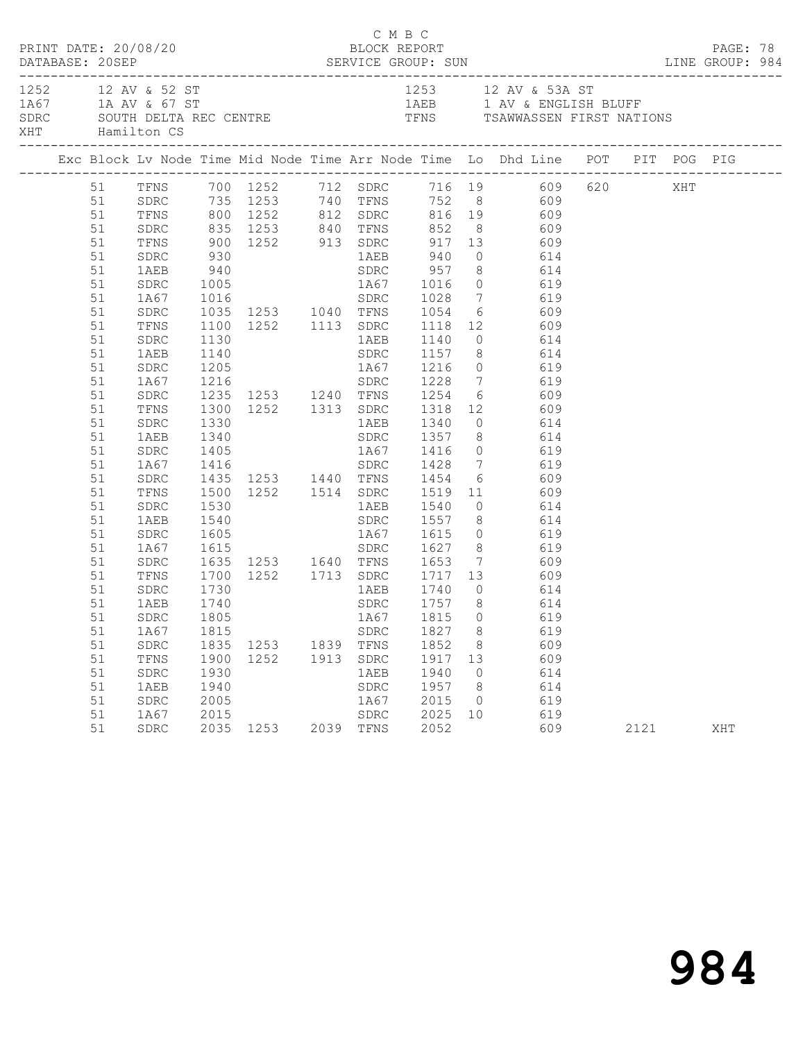| 1252 12 AV & 52 ST<br>1A67 1A AV & 67 ST<br>SDRC SOUTH DELTA REC CENTRE TENS TRIMES TO TENS TRAWWASSEN FIRST NATIONS<br>XHT Hamilton CS<br>Exc Block Lv Node Time Mid Node Time Arr Node Time Lo Dhd Line POT PIT POG PIG<br>TENS 700 1252 712 SDRC 716 19 609 620 XHT<br>51 SDRC 735 1253 740 TENS 752 8 609<br>51 TENS 800 1252 812 SDRC 816 19 609<br>51<br>SDRC<br>51<br>TFNS<br>51<br>SDRC<br>1AEB 940 SDRC 957 8 614<br>51<br>1005<br>1016<br>1016<br>1016<br>1035 1253<br>1040 TFNS<br>1054<br>1054<br>105<br>1035 1253<br>1040 TFNS<br>1054<br>1054<br>609<br>1100<br>1252<br>1113<br>SDRC<br>1118<br>1054<br>60<br>1054<br>60<br>109<br>1054<br>609<br>51<br>SDRC<br>51<br>1A67<br>SDRC<br>51<br>SDRC<br>TFNS<br>51<br>51<br>SDRC<br>1130<br>1AEB 1140 0 614<br>51<br>1140<br>1205<br>1205<br>1216<br>1216<br>1228 7 619<br>1AEB<br>51<br>SDRC<br>1A67<br>51<br>1235 1253 1240 TFNS 1254 6 609<br>51<br>SDRC<br>51<br>1300 1252 1313 SDRC 1318 12 609<br>1330 1AEB 1340 0 614<br>1340 SDRC 1357 8 614<br>TFNS<br>51<br>SDRC<br>1AEB<br>51<br>1405<br>1405<br>1416<br>1416<br>1416<br>1416<br>1467<br>1416<br>1467<br>1416<br>1416<br>SDRC<br>1428<br>7<br>619<br>619<br>1455<br>1253<br>1440 TFNS<br>1454<br>6 609<br>1500<br>1252<br>1514<br>SDRC<br>1519<br>1154<br>1600<br>1519<br>1154<br>1609<br>51<br>SDRC<br>51<br>1A67<br>51<br>${\tt SDRC}$<br>TFNS<br>51<br>1AEB 1540<br>$0$ 614<br>51<br>1530<br>SDRC<br>SDRC 1557 8 614<br>51<br>1AEB<br>1540<br>1605<br>1615<br>1A67 1615 0 619<br>SDRC 1627 8 619<br>51<br>SDRC<br>1A67<br>51<br>1635 1253 1640 TFNS 1653 7 609<br>51<br>SDRC<br>1252 1713 SDRC 1717 13 609<br>51<br>TFNS<br>1700<br>51<br>1730<br>1740<br>1AEB 1740 0 614<br>SDRC 1757 8 614<br>SDRC<br>1AEB<br>51<br>51 SDRC 1805 1A67 1815 0 619<br>8<br>51<br>1827<br>619<br>1A67<br>1815<br>SDRC<br>51<br>1835<br>1852<br>609<br>SDRC<br>1253<br>1839 TFNS<br>8<br>609<br>51<br>TFNS<br>1900<br>1252<br>1913<br>${\tt SDRC}$<br>1917<br>13<br>51<br>1930<br>1940<br>614<br>SDRC<br>1AEB<br>$\circ$ | PRINT DATE: 20/08/20 |      |      |  | C M B C | BLOCK REPORT |     |     |  | PAGE: 78 |  |
|--------------------------------------------------------------------------------------------------------------------------------------------------------------------------------------------------------------------------------------------------------------------------------------------------------------------------------------------------------------------------------------------------------------------------------------------------------------------------------------------------------------------------------------------------------------------------------------------------------------------------------------------------------------------------------------------------------------------------------------------------------------------------------------------------------------------------------------------------------------------------------------------------------------------------------------------------------------------------------------------------------------------------------------------------------------------------------------------------------------------------------------------------------------------------------------------------------------------------------------------------------------------------------------------------------------------------------------------------------------------------------------------------------------------------------------------------------------------------------------------------------------------------------------------------------------------------------------------------------------------------------------------------------------------------------------------------------------------------------------------------------------------------------------------------------------------------------------------------------------------------------------------------------------------------------------------------------------------------------------------------------------------------------|----------------------|------|------|--|---------|--------------|-----|-----|--|----------|--|
|                                                                                                                                                                                                                                                                                                                                                                                                                                                                                                                                                                                                                                                                                                                                                                                                                                                                                                                                                                                                                                                                                                                                                                                                                                                                                                                                                                                                                                                                                                                                                                                                                                                                                                                                                                                                                                                                                                                                                                                                                                |                      |      |      |  |         |              |     |     |  |          |  |
|                                                                                                                                                                                                                                                                                                                                                                                                                                                                                                                                                                                                                                                                                                                                                                                                                                                                                                                                                                                                                                                                                                                                                                                                                                                                                                                                                                                                                                                                                                                                                                                                                                                                                                                                                                                                                                                                                                                                                                                                                                |                      |      |      |  |         |              |     |     |  |          |  |
|                                                                                                                                                                                                                                                                                                                                                                                                                                                                                                                                                                                                                                                                                                                                                                                                                                                                                                                                                                                                                                                                                                                                                                                                                                                                                                                                                                                                                                                                                                                                                                                                                                                                                                                                                                                                                                                                                                                                                                                                                                |                      |      |      |  |         |              |     |     |  |          |  |
|                                                                                                                                                                                                                                                                                                                                                                                                                                                                                                                                                                                                                                                                                                                                                                                                                                                                                                                                                                                                                                                                                                                                                                                                                                                                                                                                                                                                                                                                                                                                                                                                                                                                                                                                                                                                                                                                                                                                                                                                                                |                      |      |      |  |         |              |     |     |  |          |  |
|                                                                                                                                                                                                                                                                                                                                                                                                                                                                                                                                                                                                                                                                                                                                                                                                                                                                                                                                                                                                                                                                                                                                                                                                                                                                                                                                                                                                                                                                                                                                                                                                                                                                                                                                                                                                                                                                                                                                                                                                                                |                      |      |      |  |         |              |     |     |  |          |  |
|                                                                                                                                                                                                                                                                                                                                                                                                                                                                                                                                                                                                                                                                                                                                                                                                                                                                                                                                                                                                                                                                                                                                                                                                                                                                                                                                                                                                                                                                                                                                                                                                                                                                                                                                                                                                                                                                                                                                                                                                                                |                      |      |      |  |         |              |     |     |  |          |  |
|                                                                                                                                                                                                                                                                                                                                                                                                                                                                                                                                                                                                                                                                                                                                                                                                                                                                                                                                                                                                                                                                                                                                                                                                                                                                                                                                                                                                                                                                                                                                                                                                                                                                                                                                                                                                                                                                                                                                                                                                                                |                      |      |      |  |         |              |     |     |  |          |  |
|                                                                                                                                                                                                                                                                                                                                                                                                                                                                                                                                                                                                                                                                                                                                                                                                                                                                                                                                                                                                                                                                                                                                                                                                                                                                                                                                                                                                                                                                                                                                                                                                                                                                                                                                                                                                                                                                                                                                                                                                                                |                      |      |      |  |         |              |     |     |  |          |  |
|                                                                                                                                                                                                                                                                                                                                                                                                                                                                                                                                                                                                                                                                                                                                                                                                                                                                                                                                                                                                                                                                                                                                                                                                                                                                                                                                                                                                                                                                                                                                                                                                                                                                                                                                                                                                                                                                                                                                                                                                                                |                      |      |      |  |         |              |     |     |  |          |  |
|                                                                                                                                                                                                                                                                                                                                                                                                                                                                                                                                                                                                                                                                                                                                                                                                                                                                                                                                                                                                                                                                                                                                                                                                                                                                                                                                                                                                                                                                                                                                                                                                                                                                                                                                                                                                                                                                                                                                                                                                                                |                      |      |      |  |         |              |     |     |  |          |  |
|                                                                                                                                                                                                                                                                                                                                                                                                                                                                                                                                                                                                                                                                                                                                                                                                                                                                                                                                                                                                                                                                                                                                                                                                                                                                                                                                                                                                                                                                                                                                                                                                                                                                                                                                                                                                                                                                                                                                                                                                                                |                      |      |      |  |         |              |     |     |  |          |  |
|                                                                                                                                                                                                                                                                                                                                                                                                                                                                                                                                                                                                                                                                                                                                                                                                                                                                                                                                                                                                                                                                                                                                                                                                                                                                                                                                                                                                                                                                                                                                                                                                                                                                                                                                                                                                                                                                                                                                                                                                                                |                      |      |      |  |         |              |     |     |  |          |  |
|                                                                                                                                                                                                                                                                                                                                                                                                                                                                                                                                                                                                                                                                                                                                                                                                                                                                                                                                                                                                                                                                                                                                                                                                                                                                                                                                                                                                                                                                                                                                                                                                                                                                                                                                                                                                                                                                                                                                                                                                                                |                      |      |      |  |         |              |     |     |  |          |  |
|                                                                                                                                                                                                                                                                                                                                                                                                                                                                                                                                                                                                                                                                                                                                                                                                                                                                                                                                                                                                                                                                                                                                                                                                                                                                                                                                                                                                                                                                                                                                                                                                                                                                                                                                                                                                                                                                                                                                                                                                                                |                      |      |      |  |         |              |     |     |  |          |  |
|                                                                                                                                                                                                                                                                                                                                                                                                                                                                                                                                                                                                                                                                                                                                                                                                                                                                                                                                                                                                                                                                                                                                                                                                                                                                                                                                                                                                                                                                                                                                                                                                                                                                                                                                                                                                                                                                                                                                                                                                                                |                      |      |      |  |         |              |     |     |  |          |  |
|                                                                                                                                                                                                                                                                                                                                                                                                                                                                                                                                                                                                                                                                                                                                                                                                                                                                                                                                                                                                                                                                                                                                                                                                                                                                                                                                                                                                                                                                                                                                                                                                                                                                                                                                                                                                                                                                                                                                                                                                                                |                      |      |      |  |         |              |     |     |  |          |  |
|                                                                                                                                                                                                                                                                                                                                                                                                                                                                                                                                                                                                                                                                                                                                                                                                                                                                                                                                                                                                                                                                                                                                                                                                                                                                                                                                                                                                                                                                                                                                                                                                                                                                                                                                                                                                                                                                                                                                                                                                                                |                      |      |      |  |         |              |     |     |  |          |  |
|                                                                                                                                                                                                                                                                                                                                                                                                                                                                                                                                                                                                                                                                                                                                                                                                                                                                                                                                                                                                                                                                                                                                                                                                                                                                                                                                                                                                                                                                                                                                                                                                                                                                                                                                                                                                                                                                                                                                                                                                                                |                      |      |      |  |         |              |     |     |  |          |  |
|                                                                                                                                                                                                                                                                                                                                                                                                                                                                                                                                                                                                                                                                                                                                                                                                                                                                                                                                                                                                                                                                                                                                                                                                                                                                                                                                                                                                                                                                                                                                                                                                                                                                                                                                                                                                                                                                                                                                                                                                                                |                      |      |      |  |         |              |     |     |  |          |  |
|                                                                                                                                                                                                                                                                                                                                                                                                                                                                                                                                                                                                                                                                                                                                                                                                                                                                                                                                                                                                                                                                                                                                                                                                                                                                                                                                                                                                                                                                                                                                                                                                                                                                                                                                                                                                                                                                                                                                                                                                                                |                      |      |      |  |         |              |     |     |  |          |  |
|                                                                                                                                                                                                                                                                                                                                                                                                                                                                                                                                                                                                                                                                                                                                                                                                                                                                                                                                                                                                                                                                                                                                                                                                                                                                                                                                                                                                                                                                                                                                                                                                                                                                                                                                                                                                                                                                                                                                                                                                                                |                      |      |      |  |         |              |     |     |  |          |  |
|                                                                                                                                                                                                                                                                                                                                                                                                                                                                                                                                                                                                                                                                                                                                                                                                                                                                                                                                                                                                                                                                                                                                                                                                                                                                                                                                                                                                                                                                                                                                                                                                                                                                                                                                                                                                                                                                                                                                                                                                                                |                      |      |      |  |         |              |     |     |  |          |  |
|                                                                                                                                                                                                                                                                                                                                                                                                                                                                                                                                                                                                                                                                                                                                                                                                                                                                                                                                                                                                                                                                                                                                                                                                                                                                                                                                                                                                                                                                                                                                                                                                                                                                                                                                                                                                                                                                                                                                                                                                                                |                      |      |      |  |         |              |     |     |  |          |  |
|                                                                                                                                                                                                                                                                                                                                                                                                                                                                                                                                                                                                                                                                                                                                                                                                                                                                                                                                                                                                                                                                                                                                                                                                                                                                                                                                                                                                                                                                                                                                                                                                                                                                                                                                                                                                                                                                                                                                                                                                                                |                      |      |      |  |         |              |     |     |  |          |  |
|                                                                                                                                                                                                                                                                                                                                                                                                                                                                                                                                                                                                                                                                                                                                                                                                                                                                                                                                                                                                                                                                                                                                                                                                                                                                                                                                                                                                                                                                                                                                                                                                                                                                                                                                                                                                                                                                                                                                                                                                                                |                      |      |      |  |         |              |     |     |  |          |  |
|                                                                                                                                                                                                                                                                                                                                                                                                                                                                                                                                                                                                                                                                                                                                                                                                                                                                                                                                                                                                                                                                                                                                                                                                                                                                                                                                                                                                                                                                                                                                                                                                                                                                                                                                                                                                                                                                                                                                                                                                                                |                      |      |      |  |         |              |     |     |  |          |  |
|                                                                                                                                                                                                                                                                                                                                                                                                                                                                                                                                                                                                                                                                                                                                                                                                                                                                                                                                                                                                                                                                                                                                                                                                                                                                                                                                                                                                                                                                                                                                                                                                                                                                                                                                                                                                                                                                                                                                                                                                                                |                      |      |      |  |         |              |     |     |  |          |  |
|                                                                                                                                                                                                                                                                                                                                                                                                                                                                                                                                                                                                                                                                                                                                                                                                                                                                                                                                                                                                                                                                                                                                                                                                                                                                                                                                                                                                                                                                                                                                                                                                                                                                                                                                                                                                                                                                                                                                                                                                                                |                      |      |      |  |         |              |     |     |  |          |  |
|                                                                                                                                                                                                                                                                                                                                                                                                                                                                                                                                                                                                                                                                                                                                                                                                                                                                                                                                                                                                                                                                                                                                                                                                                                                                                                                                                                                                                                                                                                                                                                                                                                                                                                                                                                                                                                                                                                                                                                                                                                |                      |      |      |  |         |              |     |     |  |          |  |
|                                                                                                                                                                                                                                                                                                                                                                                                                                                                                                                                                                                                                                                                                                                                                                                                                                                                                                                                                                                                                                                                                                                                                                                                                                                                                                                                                                                                                                                                                                                                                                                                                                                                                                                                                                                                                                                                                                                                                                                                                                |                      |      |      |  |         |              |     |     |  |          |  |
|                                                                                                                                                                                                                                                                                                                                                                                                                                                                                                                                                                                                                                                                                                                                                                                                                                                                                                                                                                                                                                                                                                                                                                                                                                                                                                                                                                                                                                                                                                                                                                                                                                                                                                                                                                                                                                                                                                                                                                                                                                |                      |      |      |  |         |              |     |     |  |          |  |
|                                                                                                                                                                                                                                                                                                                                                                                                                                                                                                                                                                                                                                                                                                                                                                                                                                                                                                                                                                                                                                                                                                                                                                                                                                                                                                                                                                                                                                                                                                                                                                                                                                                                                                                                                                                                                                                                                                                                                                                                                                |                      |      |      |  |         |              |     |     |  |          |  |
|                                                                                                                                                                                                                                                                                                                                                                                                                                                                                                                                                                                                                                                                                                                                                                                                                                                                                                                                                                                                                                                                                                                                                                                                                                                                                                                                                                                                                                                                                                                                                                                                                                                                                                                                                                                                                                                                                                                                                                                                                                |                      |      |      |  |         |              |     |     |  |          |  |
|                                                                                                                                                                                                                                                                                                                                                                                                                                                                                                                                                                                                                                                                                                                                                                                                                                                                                                                                                                                                                                                                                                                                                                                                                                                                                                                                                                                                                                                                                                                                                                                                                                                                                                                                                                                                                                                                                                                                                                                                                                |                      |      |      |  |         |              |     |     |  |          |  |
|                                                                                                                                                                                                                                                                                                                                                                                                                                                                                                                                                                                                                                                                                                                                                                                                                                                                                                                                                                                                                                                                                                                                                                                                                                                                                                                                                                                                                                                                                                                                                                                                                                                                                                                                                                                                                                                                                                                                                                                                                                |                      |      |      |  |         |              |     |     |  |          |  |
|                                                                                                                                                                                                                                                                                                                                                                                                                                                                                                                                                                                                                                                                                                                                                                                                                                                                                                                                                                                                                                                                                                                                                                                                                                                                                                                                                                                                                                                                                                                                                                                                                                                                                                                                                                                                                                                                                                                                                                                                                                |                      |      |      |  |         |              |     |     |  |          |  |
|                                                                                                                                                                                                                                                                                                                                                                                                                                                                                                                                                                                                                                                                                                                                                                                                                                                                                                                                                                                                                                                                                                                                                                                                                                                                                                                                                                                                                                                                                                                                                                                                                                                                                                                                                                                                                                                                                                                                                                                                                                |                      |      |      |  |         |              |     |     |  |          |  |
|                                                                                                                                                                                                                                                                                                                                                                                                                                                                                                                                                                                                                                                                                                                                                                                                                                                                                                                                                                                                                                                                                                                                                                                                                                                                                                                                                                                                                                                                                                                                                                                                                                                                                                                                                                                                                                                                                                                                                                                                                                | 51                   | 1AEB | 1940 |  | SDRC    | 1957         | - 8 | 614 |  |          |  |
| 51<br>2005<br>2015<br>619<br>SDRC<br>1A67<br>$\overline{0}$                                                                                                                                                                                                                                                                                                                                                                                                                                                                                                                                                                                                                                                                                                                                                                                                                                                                                                                                                                                                                                                                                                                                                                                                                                                                                                                                                                                                                                                                                                                                                                                                                                                                                                                                                                                                                                                                                                                                                                    |                      |      |      |  |         |              |     |     |  |          |  |
| 51<br>${\tt SDRC}$<br>2025<br>619<br>1A67<br>2015<br>10                                                                                                                                                                                                                                                                                                                                                                                                                                                                                                                                                                                                                                                                                                                                                                                                                                                                                                                                                                                                                                                                                                                                                                                                                                                                                                                                                                                                                                                                                                                                                                                                                                                                                                                                                                                                                                                                                                                                                                        |                      |      |      |  |         |              |     |     |  |          |  |
| 51<br>2035 1253<br>2052<br>609<br>SDRC<br>2039 TFNS<br>2121<br>XHT                                                                                                                                                                                                                                                                                                                                                                                                                                                                                                                                                                                                                                                                                                                                                                                                                                                                                                                                                                                                                                                                                                                                                                                                                                                                                                                                                                                                                                                                                                                                                                                                                                                                                                                                                                                                                                                                                                                                                             |                      |      |      |  |         |              |     |     |  |          |  |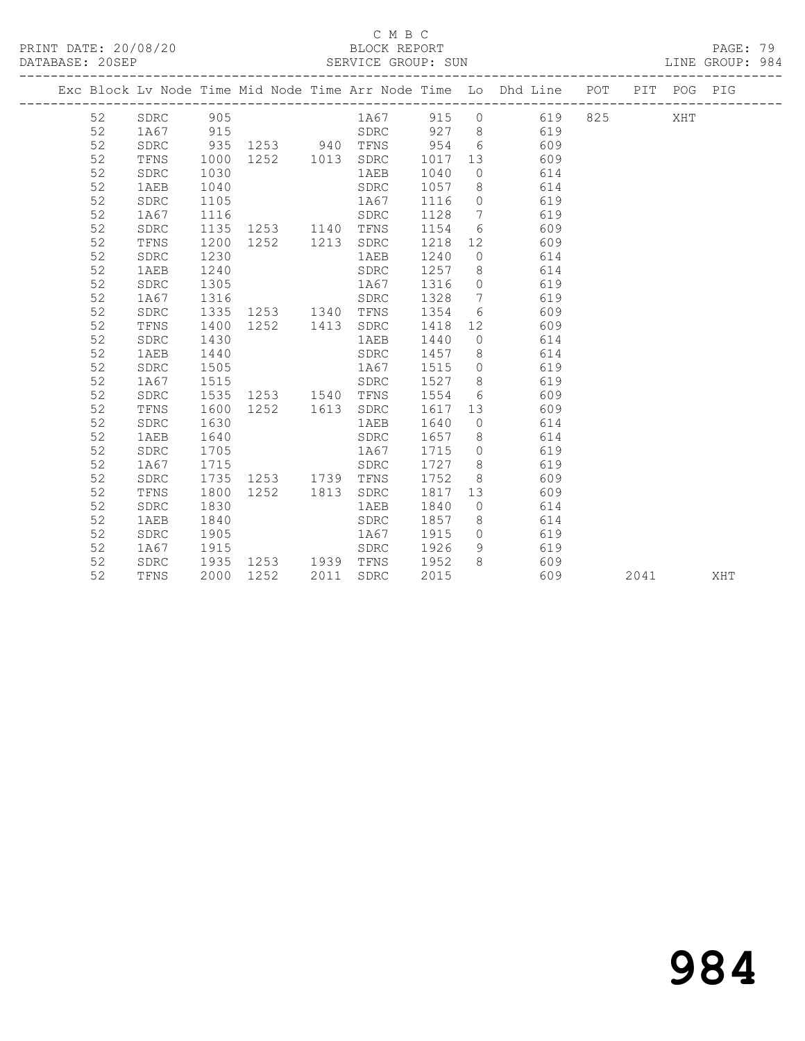PRINT DATE: 20/08/20 BLOCK REPORT DATABASE: 20SEP

#### C M B C<br>BLOCK REPORT

PAGE: 79<br>LINE GROUP: 984

|  |    |              |      |           |      |      |      |                 | Exc Block Lv Node Time Mid Node Time Arr Node Time Lo Dhd Line POT |     |      | PIT POG PIG |     |
|--|----|--------------|------|-----------|------|------|------|-----------------|--------------------------------------------------------------------|-----|------|-------------|-----|
|  | 52 | SDRC         | 905  |           |      | 1A67 | 915  | $\circ$         | 619                                                                | 825 |      | XHT         |     |
|  | 52 | 1A67         | 915  |           |      | SDRC | 927  | 8 <sup>8</sup>  | 619                                                                |     |      |             |     |
|  | 52 | SDRC         | 935  | 1253 940  |      | TFNS | 954  | 6               | 609                                                                |     |      |             |     |
|  | 52 | TFNS         | 1000 | 1252 1013 |      | SDRC | 1017 | 13              | 609                                                                |     |      |             |     |
|  | 52 | ${\tt SDRC}$ | 1030 |           |      | 1AEB | 1040 | $\overline{0}$  | 614                                                                |     |      |             |     |
|  | 52 | 1AEB         | 1040 |           |      | SDRC | 1057 | 8               | 614                                                                |     |      |             |     |
|  | 52 | SDRC         | 1105 |           |      | 1A67 | 1116 | $\circ$         | 619                                                                |     |      |             |     |
|  | 52 | 1A67         | 1116 |           |      | SDRC | 1128 | $7\phantom{.0}$ | 619                                                                |     |      |             |     |
|  | 52 | SDRC         | 1135 | 1253 1140 |      | TFNS | 1154 | 6               | 609                                                                |     |      |             |     |
|  | 52 | TFNS         | 1200 | 1252 1213 |      | SDRC | 1218 | 12              | 609                                                                |     |      |             |     |
|  | 52 | SDRC         | 1230 |           |      | 1AEB | 1240 | $\circ$         | 614                                                                |     |      |             |     |
|  | 52 | 1AEB         | 1240 |           |      | SDRC | 1257 | 8 <sup>8</sup>  | 614                                                                |     |      |             |     |
|  | 52 | SDRC         | 1305 |           |      | 1A67 | 1316 | $\circ$         | 619                                                                |     |      |             |     |
|  | 52 | 1A67         | 1316 |           |      | SDRC | 1328 | $\overline{7}$  | 619                                                                |     |      |             |     |
|  | 52 | SDRC         | 1335 | 1253 1340 |      | TFNS | 1354 | 6               | 609                                                                |     |      |             |     |
|  | 52 | TFNS         | 1400 | 1252 1413 |      | SDRC | 1418 | 12              | 609                                                                |     |      |             |     |
|  | 52 | SDRC         | 1430 |           |      | 1AEB | 1440 | $\overline{0}$  | 614                                                                |     |      |             |     |
|  | 52 | 1AEB         | 1440 |           |      | SDRC | 1457 | 8 <sup>8</sup>  | 614                                                                |     |      |             |     |
|  | 52 | ${\tt SDRC}$ | 1505 |           |      | 1A67 | 1515 | $\overline{0}$  | 619                                                                |     |      |             |     |
|  | 52 | 1A67         | 1515 |           |      | SDRC | 1527 | 8 <sup>8</sup>  | 619                                                                |     |      |             |     |
|  | 52 | SDRC         | 1535 | 1253 1540 |      | TFNS | 1554 | 6               | 609                                                                |     |      |             |     |
|  | 52 | TFNS         | 1600 | 1252 1613 |      | SDRC | 1617 | 13              | 609                                                                |     |      |             |     |
|  | 52 | SDRC         | 1630 |           |      | 1AEB | 1640 | $\overline{0}$  | 614                                                                |     |      |             |     |
|  | 52 | 1AEB         | 1640 |           |      | SDRC | 1657 | 8 <sup>8</sup>  | 614                                                                |     |      |             |     |
|  | 52 | SDRC         | 1705 |           |      | 1A67 | 1715 | $\overline{0}$  | 619                                                                |     |      |             |     |
|  | 52 | 1A67         | 1715 |           |      | SDRC | 1727 | 8 <sup>8</sup>  | 619                                                                |     |      |             |     |
|  | 52 | SDRC         | 1735 | 1253 1739 |      | TFNS | 1752 | 8               | 609                                                                |     |      |             |     |
|  | 52 | TFNS         | 1800 | 1252      | 1813 | SDRC | 1817 | 13              | 609                                                                |     |      |             |     |
|  | 52 | SDRC         | 1830 |           |      | 1AEB | 1840 | $\overline{0}$  | 614                                                                |     |      |             |     |
|  | 52 | 1AEB         | 1840 |           |      | SDRC | 1857 | 8               | 614                                                                |     |      |             |     |
|  | 52 | SDRC         | 1905 |           |      | 1A67 | 1915 | $\circ$         | 619                                                                |     |      |             |     |
|  | 52 | 1A67         | 1915 |           |      | SDRC | 1926 | 9               | 619                                                                |     |      |             |     |
|  | 52 | SDRC         | 1935 | 1253 1939 |      | TFNS | 1952 | 8               | 609                                                                |     |      |             |     |
|  | 52 | TFNS         | 2000 | 1252      | 2011 | SDRC | 2015 |                 | 609                                                                |     | 2041 |             | XHT |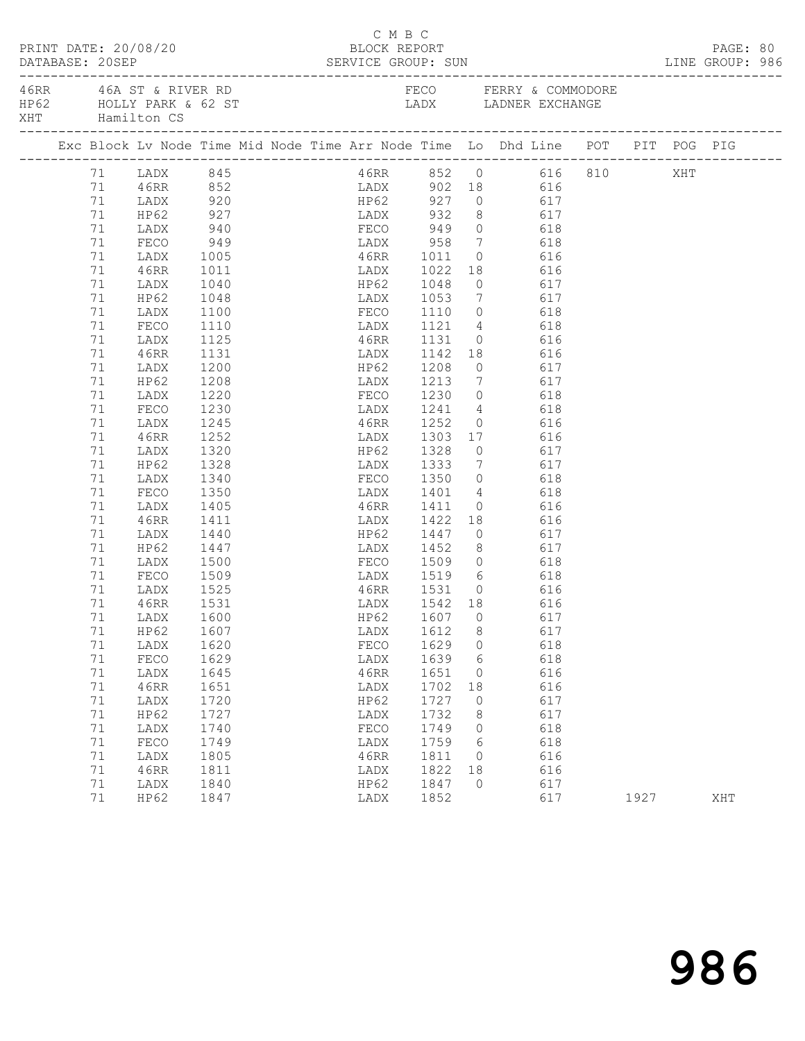| PRINT DATE: 20/08/20<br>DATABASE: 20SEP SERVICE GROUP: SUN LINE GROUP: 986<br>DATABASE: 20SEP |  |          |                                           |                                                                                |  | BLOCK REPORT | C M B C |                                     |                |                                                                                  |     |                        |      | PAGE: 80 |  |
|-----------------------------------------------------------------------------------------------|--|----------|-------------------------------------------|--------------------------------------------------------------------------------|--|--------------|---------|-------------------------------------|----------------|----------------------------------------------------------------------------------|-----|------------------------|------|----------|--|
|                                                                                               |  |          | 46RR 46A ST & RIVER RD<br>XHT Hamilton CS | HP62 HOLLY PARK & 62 ST CADA LADX LADNER EXCHANGE                              |  |              |         |                                     |                |                                                                                  |     | FECO FERRY & COMMODORE |      |          |  |
|                                                                                               |  |          |                                           | Exc Block Lv Node Time Mid Node Time Arr Node Time Lo Dhd Line POT PIT POG PIG |  |              |         |                                     |                |                                                                                  |     |                        |      |          |  |
|                                                                                               |  |          |                                           | 71 LADX 845<br>71 46RR 852<br>71 LADX 920                                      |  |              |         |                                     |                |                                                                                  |     | 46RR 852 0 616 810 XHT |      |          |  |
|                                                                                               |  |          |                                           |                                                                                |  |              |         |                                     |                |                                                                                  |     |                        |      |          |  |
|                                                                                               |  |          |                                           |                                                                                |  |              |         |                                     |                |                                                                                  |     |                        |      |          |  |
|                                                                                               |  | 71       | HP62                                      | 927 LADX 932 8 617                                                             |  |              |         |                                     |                |                                                                                  |     |                        |      |          |  |
|                                                                                               |  | 71       | LADX                                      | $940$<br>949<br>1005                                                           |  |              |         | FECO 949 0 618                      |                |                                                                                  |     |                        |      |          |  |
|                                                                                               |  | 71       | FECO<br>LADX                              |                                                                                |  |              |         | LADX 958<br>46RR 1011               |                | $\begin{array}{ccc} 7 & \phantom{00} & 618 \\ 0 & \phantom{0} & 616 \end{array}$ |     |                        |      |          |  |
|                                                                                               |  | 71       |                                           |                                                                                |  |              |         | LADX 1022                           |                | 18 616                                                                           |     |                        |      |          |  |
|                                                                                               |  | 71<br>71 | 46RR                                      | 1011<br>1040                                                                   |  |              |         |                                     | $\overline{0}$ |                                                                                  |     |                        |      |          |  |
|                                                                                               |  | 71       | LADX                                      | 1048                                                                           |  |              |         | HP62 1048                           |                | 617                                                                              | 617 |                        |      |          |  |
|                                                                                               |  | 71       | HP62<br>LADX                              | 1100                                                                           |  |              |         | LADX 1053<br>FECO 1110              | $\overline{0}$ | $\frac{1}{2}$                                                                    | 618 |                        |      |          |  |
|                                                                                               |  | 71       | FECO                                      | 1110                                                                           |  |              |         | LADX 1121 4 618                     |                |                                                                                  |     |                        |      |          |  |
|                                                                                               |  | 71       | LADX                                      | 1125                                                                           |  |              |         | 46RR 1131                           |                | 0 616                                                                            |     |                        |      |          |  |
|                                                                                               |  | 71       | 46RR                                      | 1131                                                                           |  |              |         |                                     |                | 18 616                                                                           |     |                        |      |          |  |
|                                                                                               |  | 71       | LADX                                      | 1200                                                                           |  |              |         | LADX 1142<br>HP62 1208              | $\overline{0}$ |                                                                                  | 617 |                        |      |          |  |
|                                                                                               |  | 71       | HP62                                      | 1208                                                                           |  |              |         | LADX 1213                           |                | 7 617                                                                            |     |                        |      |          |  |
|                                                                                               |  | 71       | LADX                                      | 1220                                                                           |  |              |         | FECO 1230                           | $\overline{0}$ | 618                                                                              |     |                        |      |          |  |
|                                                                                               |  | 71       | FECO                                      | 1230                                                                           |  | LADX         |         |                                     |                | $\frac{4}{2}$ 618                                                                |     |                        |      |          |  |
|                                                                                               |  | 71       | LADX                                      | 1245                                                                           |  |              |         | LADX 1241<br>46RR 1252              | $\overline{0}$ |                                                                                  | 616 |                        |      |          |  |
|                                                                                               |  | 71       | 46RR                                      | 1252                                                                           |  |              |         | LADX 1303 17 616                    |                |                                                                                  |     |                        |      |          |  |
|                                                                                               |  | 71       | LADX                                      | 1320                                                                           |  |              |         | HP62 1328                           | $\overline{0}$ | 617                                                                              |     |                        |      |          |  |
|                                                                                               |  | 71       | HP62                                      | 1328                                                                           |  | LADX         |         |                                     |                | 7 617                                                                            |     |                        |      |          |  |
|                                                                                               |  | 71       | LADX                                      | 1340                                                                           |  |              |         | LADX 1333<br>FECO 1350<br>LADX 1401 |                |                                                                                  |     |                        |      |          |  |
|                                                                                               |  | 71       | FECO                                      | 1350                                                                           |  |              |         |                                     |                | $\begin{array}{ccc} 0 & & 618 \\ 4 & & 618 \end{array}$                          |     |                        |      |          |  |
|                                                                                               |  | 71       | LADX                                      | 1405                                                                           |  |              |         | 46RR 1411                           |                | 0 616                                                                            |     |                        |      |          |  |
|                                                                                               |  | 71       | 46RR                                      | 1411                                                                           |  | LADX         |         | 1422                                |                | 18 616                                                                           |     |                        |      |          |  |
|                                                                                               |  | 71       | LADX                                      | 1440                                                                           |  |              |         |                                     | $\overline{0}$ |                                                                                  | 617 |                        |      |          |  |
|                                                                                               |  | 71       | HP62                                      |                                                                                |  |              |         |                                     |                | 8 617                                                                            |     |                        |      |          |  |
|                                                                                               |  | 71       | LADX                                      | $1447$<br>1500<br>1500                                                         |  |              |         | FECO 1509 0 618                     |                |                                                                                  |     |                        |      |          |  |
|                                                                                               |  | 71       | FECO                                      | 1509                                                                           |  |              |         | LADX 1519 6 618                     |                |                                                                                  |     |                        |      |          |  |
|                                                                                               |  | 71       | LADX                                      | 1525                                                                           |  |              |         | 46RR 1531 0 616<br>LADX 1542 18 616 |                |                                                                                  |     |                        |      |          |  |
|                                                                                               |  | 71       | 46RR                                      | 1531                                                                           |  |              |         |                                     |                |                                                                                  |     |                        |      |          |  |
|                                                                                               |  |          | 71 LADX 1600                              |                                                                                |  |              |         | HP62 1607 0 617                     |                |                                                                                  |     |                        |      |          |  |
|                                                                                               |  | 71       | HP62                                      | 1607                                                                           |  | LADX         |         | 1612                                | 8              |                                                                                  | 617 |                        |      |          |  |
|                                                                                               |  | 71       | LADX                                      | 1620                                                                           |  | FECO         |         | 1629                                | $\circ$        |                                                                                  | 618 |                        |      |          |  |
|                                                                                               |  | 71       | FECO                                      | 1629                                                                           |  | LADX         |         | 1639                                | 6              |                                                                                  | 618 |                        |      |          |  |
|                                                                                               |  | 71       | LADX                                      | 1645                                                                           |  | 46RR         |         | 1651                                | 0              |                                                                                  | 616 |                        |      |          |  |
|                                                                                               |  | 71       | 46RR                                      | 1651                                                                           |  | LADX         |         | 1702                                | 18             |                                                                                  | 616 |                        |      |          |  |
|                                                                                               |  | 71       | LADX                                      | 1720                                                                           |  | HP62         |         | 1727                                | 0              |                                                                                  | 617 |                        |      |          |  |
|                                                                                               |  | 71       | HP62                                      | 1727                                                                           |  | LADX         |         | 1732                                | 8              |                                                                                  | 617 |                        |      |          |  |
|                                                                                               |  | 71       | LADX                                      | 1740                                                                           |  | FECO         |         | 1749                                | 0              |                                                                                  | 618 |                        |      |          |  |
|                                                                                               |  | 71       | FECO                                      | 1749                                                                           |  | LADX         |         | 1759                                | 6              |                                                                                  | 618 |                        |      |          |  |
|                                                                                               |  | 71       | LADX                                      | 1805                                                                           |  | 46RR         |         | 1811                                | $\circ$        |                                                                                  | 616 |                        |      |          |  |
|                                                                                               |  | 71       | 46RR                                      | 1811                                                                           |  | LADX         |         | 1822                                | 18             |                                                                                  | 616 |                        |      |          |  |
|                                                                                               |  | 71       | LADX                                      | 1840                                                                           |  | HP62         |         | 1847                                | $\Omega$       |                                                                                  | 617 |                        |      |          |  |
|                                                                                               |  | 71       | HP62                                      | 1847                                                                           |  | LADX         |         | 1852                                |                |                                                                                  | 617 |                        | 1927 | XHT      |  |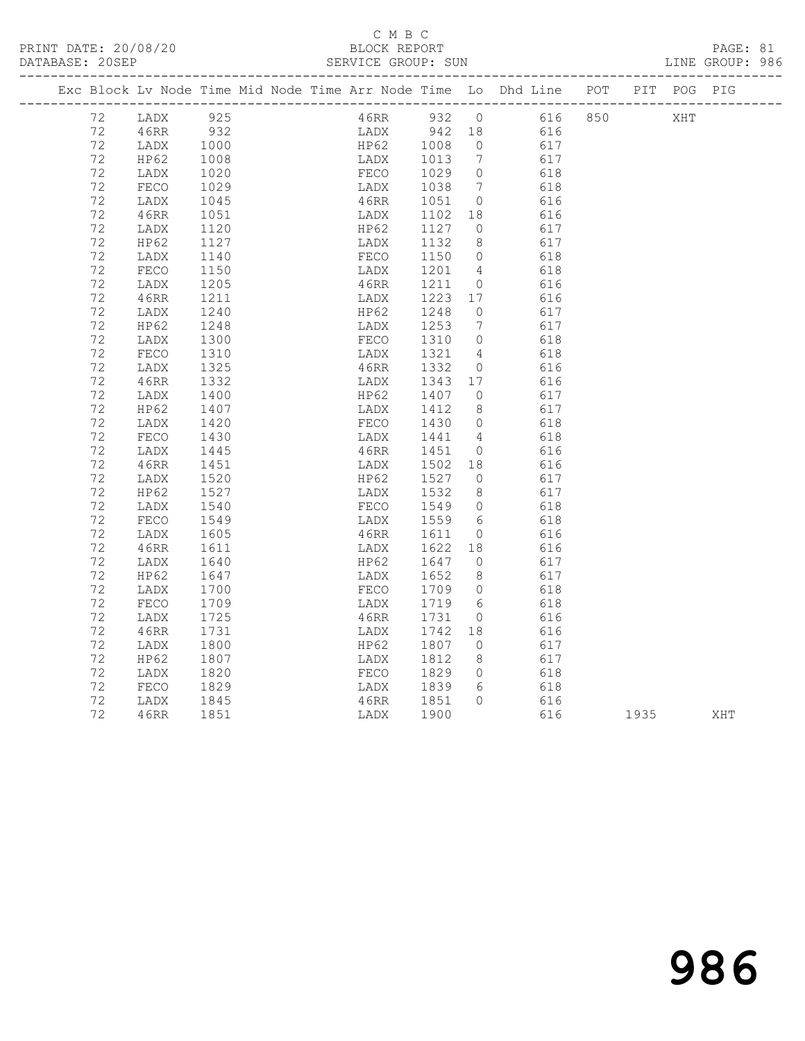PRINT DATE: 20/08/20 BLOCK REPORT PAGE: 81 DATABASE: 20SEP

# C M B C<br>BLOCK REPORT

| DAIADASE. ZUSEF |      |      |  | ODAVICE GAOUF, OUN |         |                |                                                                                |  |     | DINE GROUP. 200 |
|-----------------|------|------|--|--------------------|---------|----------------|--------------------------------------------------------------------------------|--|-----|-----------------|
|                 |      |      |  |                    |         |                | Exc Block Lv Node Time Mid Node Time Arr Node Time Lo Dhd Line POT PIT POG PIG |  |     |                 |
| 72 LADX         |      | 925  |  |                    |         |                | 46RR 932 0 616 850                                                             |  | XHT |                 |
| 72              | 46RR | 932  |  |                    |         |                | LADX 942 18 616                                                                |  |     |                 |
| 72              | LADX | 1000 |  |                    |         |                | HP62 1008 0 617                                                                |  |     |                 |
| 72              | HP62 | 1008 |  |                    |         |                | LADX 1013 7 617                                                                |  |     |                 |
| 72              | LADX | 1020 |  |                    |         |                | FECO 1029 0 618                                                                |  |     |                 |
| 72              | FECO | 1029 |  |                    |         |                | LADX 1038 7 618                                                                |  |     |                 |
| 72              | LADX | 1045 |  | 46RR 1051 0        |         |                | 616                                                                            |  |     |                 |
| 72              | 46RR | 1051 |  | LADX 1102 18       |         |                | 616                                                                            |  |     |                 |
| 72              | LADX | 1120 |  | HP62               | 1127 0  |                | 617                                                                            |  |     |                 |
| 72              | HP62 | 1127 |  | LADX               | 1132 8  |                | 617                                                                            |  |     |                 |
| 72              | LADX | 1140 |  | FECO               | 1150 0  |                | 618                                                                            |  |     |                 |
| 72              | FECO | 1150 |  | LADX               | 1201    | 4              | 618                                                                            |  |     |                 |
| 72              | LADX | 1205 |  | 46RR               | 1211    | $\overline{0}$ | 616                                                                            |  |     |                 |
| 72              | 46RR | 1211 |  | LADX               | 1223    | 17             | 616                                                                            |  |     |                 |
| 72              | LADX | 1240 |  | HP62               | 1248    | $\circ$        | 617                                                                            |  |     |                 |
| 72              | HP62 | 1248 |  | LADX               | 1253    | 7              | 617                                                                            |  |     |                 |
| 72              | LADX | 1300 |  | FECO               | 1310    |                | $0$ 618                                                                        |  |     |                 |
| 72              | FECO | 1310 |  | LADX               | 1321    |                | 4 618                                                                          |  |     |                 |
| 72              | LADX | 1325 |  | 46RR               | 1332    |                | 0 616                                                                          |  |     |                 |
| 72              | 46RR | 1332 |  | LADX               | 1343 17 |                | 616                                                                            |  |     |                 |
| 72              | LADX | 1400 |  |                    |         |                | HP62 1407 0 617                                                                |  |     |                 |
| 72              | HP62 | 1407 |  |                    |         |                | LADX 1412 8 617                                                                |  |     |                 |
| 72              | LADX | 1420 |  | FECO 1430          |         |                | $0$ 618                                                                        |  |     |                 |
| 72              | FECO | 1430 |  | LADX               | 1441 4  |                | 618                                                                            |  |     |                 |
| 72              | LADX | 1445 |  | 46RR               | 1451    |                | $\overline{0}$<br>616                                                          |  |     |                 |
| 72              | 46RR | 1451 |  | LADX               | 1502 18 |                | 616                                                                            |  |     |                 |
| 72              | LADX | 1520 |  | HP62               | 1527 0  |                | 617                                                                            |  |     |                 |
| 72              | HP62 | 1527 |  | LADX               | 1532 8  |                | 617                                                                            |  |     |                 |
| 72              | LADX | 1540 |  | FECO               | 1549 0  |                | 618                                                                            |  |     |                 |
| 72              | FECO | 1549 |  | LADX               | 1559 6  |                | 618                                                                            |  |     |                 |
| 72              | LADX | 1605 |  | 46RR               | 1611    | $\overline{0}$ | 616                                                                            |  |     |                 |
| 72              | 46RR | 1611 |  | LADX               | 1622 18 |                | 616                                                                            |  |     |                 |
| 72              | LADX | 1640 |  | HP62               | 1647    | $\Omega$       | 617                                                                            |  |     |                 |

 72 LADX 1640 HP62 1647 0 617 72 HP62 1647 LADX 1652 8 617 72 LADX 1700 FECO 1709 0 618 72 FECO 1709 LADX 1719 6 618 72 LADX 1725 46RR 1731 0 616

 72 LADX 1800 HP62 1807 0 617 72 HP62 1807 LADX 1812 8 617 72 LADX 1820 FECO 1829 0 618 72 FECO 1829 LADX 1839 6 618 72 LADX 1845 46RR 1851 0 616

72 46RR 1731 LADX 1742 18 616

72 46RR 1851 LADX 1900 616 1935 XHT